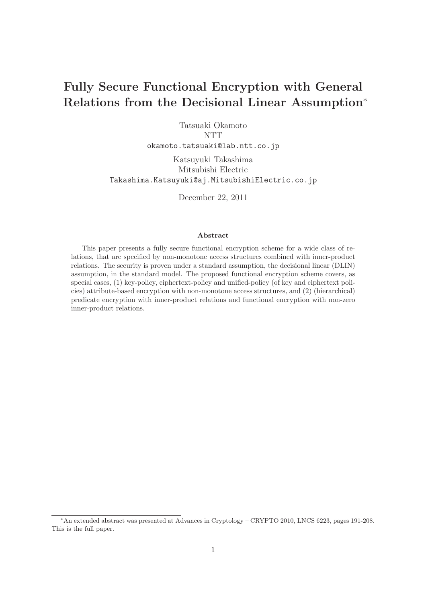# **Fully Secure Functional Encryption with General Relations from the Decisional Linear Assumption**<sup>∗</sup>

Tatsuaki Okamoto **NTT** okamoto.tatsuaki@lab.ntt.co.jp

Katsuyuki Takashima Mitsubishi Electric Takashima.Katsuyuki@aj.MitsubishiElectric.co.jp

December 22, 2011

#### **Abstract**

This paper presents a fully secure functional encryption scheme for a wide class of relations, that are specified by non-monotone access structures combined with inner-product relations. The security is proven under a standard assumption, the decisional linear (DLIN) assumption, in the standard model. The proposed functional encryption scheme covers, as special cases, (1) key-policy, ciphertext-policy and unified-policy (of key and ciphertext policies) attribute-based encryption with non-monotone access structures, and (2) (hierarchical) predicate encryption with inner-product relations and functional encryption with non-zero inner-product relations.

<sup>∗</sup>An extended abstract was presented at Advances in Cryptology – CRYPTO 2010, LNCS 6223, pages 191-208. This is the full paper.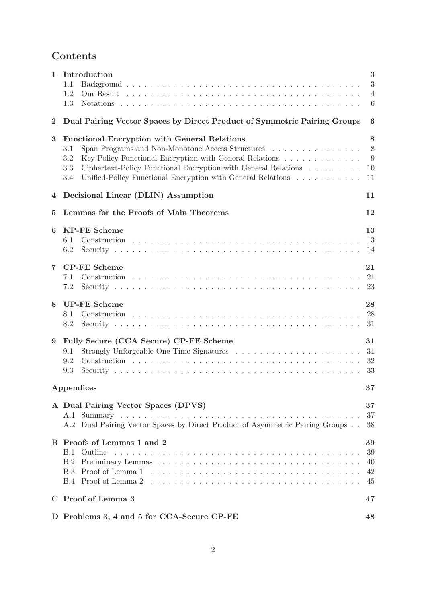# **Contents**

| 1              | Introduction<br>1.1<br>1.2<br>1.3                                                                                                                                                                                                                                                                                               | 3<br>3<br>$\overline{4}$<br>6 |  |  |  |  |  |
|----------------|---------------------------------------------------------------------------------------------------------------------------------------------------------------------------------------------------------------------------------------------------------------------------------------------------------------------------------|-------------------------------|--|--|--|--|--|
| $\bf{2}$       | Dual Pairing Vector Spaces by Direct Product of Symmetric Pairing Groups                                                                                                                                                                                                                                                        | 6                             |  |  |  |  |  |
| 3              | <b>Functional Encryption with General Relations</b><br>Span Programs and Non-Monotone Access Structures<br>3.1<br>Key-Policy Functional Encryption with General Relations<br>3.2<br>Ciphertext-Policy Functional Encryption with General Relations<br>3.3<br>Unified-Policy Functional Encryption with General Relations<br>3.4 | 8<br>8<br>-9<br>10<br>11      |  |  |  |  |  |
| 4              | Decisional Linear (DLIN) Assumption                                                                                                                                                                                                                                                                                             | 11                            |  |  |  |  |  |
| $\bf{5}$       | Lemmas for the Proofs of Main Theorems                                                                                                                                                                                                                                                                                          | 12                            |  |  |  |  |  |
| 6              | <b>KP-FE Scheme</b><br>6.1<br>6.2                                                                                                                                                                                                                                                                                               | 13<br>13<br>14                |  |  |  |  |  |
| $\overline{7}$ | <b>CP-FE Scheme</b><br>7.1<br>7.2                                                                                                                                                                                                                                                                                               | 21<br>21<br>23                |  |  |  |  |  |
| 8              | <b>UP-FE Scheme</b><br>8.1<br>8.2                                                                                                                                                                                                                                                                                               | 28<br>-28                     |  |  |  |  |  |
| 9              | Fully Secure (CCA Secure) CP-FE Scheme<br>9.1<br>9.2<br>9.3                                                                                                                                                                                                                                                                     | 31<br>31<br>33                |  |  |  |  |  |
| Appendices     |                                                                                                                                                                                                                                                                                                                                 |                               |  |  |  |  |  |
|                | A Dual Pairing Vector Spaces (DPVS)<br>A.2 Dual Pairing Vector Spaces by Direct Product of Asymmetric Pairing Groups                                                                                                                                                                                                            | $37\,$<br>37<br>38            |  |  |  |  |  |
|                | B Proofs of Lemmas 1 and 2<br>Outline<br>B.1<br>B.2                                                                                                                                                                                                                                                                             | 39<br>39<br>40<br>42<br>45    |  |  |  |  |  |
|                | C Proof of Lemma 3                                                                                                                                                                                                                                                                                                              |                               |  |  |  |  |  |
|                | D Problems 3, 4 and 5 for CCA-Secure CP-FE                                                                                                                                                                                                                                                                                      | 48                            |  |  |  |  |  |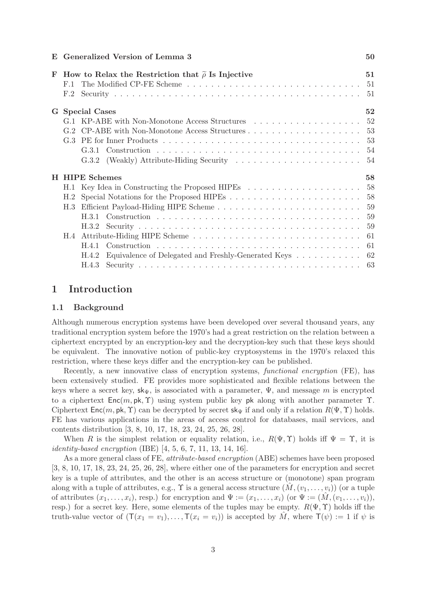#### **E** Generalized Version of Lemma 3 50

| F | How to Relax the Restriction that $\tilde{\rho}$ Is Injective |                                                                 |     |  |  |  |  |  |  |
|---|---------------------------------------------------------------|-----------------------------------------------------------------|-----|--|--|--|--|--|--|
|   | F.1                                                           |                                                                 |     |  |  |  |  |  |  |
|   | F.2                                                           |                                                                 |     |  |  |  |  |  |  |
|   |                                                               | 52<br>G Special Cases                                           |     |  |  |  |  |  |  |
|   |                                                               |                                                                 |     |  |  |  |  |  |  |
|   |                                                               |                                                                 |     |  |  |  |  |  |  |
|   |                                                               |                                                                 |     |  |  |  |  |  |  |
|   |                                                               |                                                                 |     |  |  |  |  |  |  |
|   |                                                               |                                                                 |     |  |  |  |  |  |  |
|   | <b>H</b> HIPE Schemes                                         |                                                                 |     |  |  |  |  |  |  |
|   |                                                               |                                                                 |     |  |  |  |  |  |  |
|   |                                                               |                                                                 |     |  |  |  |  |  |  |
|   |                                                               |                                                                 |     |  |  |  |  |  |  |
|   | H.3                                                           |                                                                 |     |  |  |  |  |  |  |
|   |                                                               |                                                                 |     |  |  |  |  |  |  |
|   |                                                               | H.3.2                                                           | 59  |  |  |  |  |  |  |
|   |                                                               |                                                                 | -61 |  |  |  |  |  |  |
|   |                                                               |                                                                 |     |  |  |  |  |  |  |
|   |                                                               | Equivalence of Delegated and Freshly-Generated Keys 62<br>H.4.2 |     |  |  |  |  |  |  |

# **1 Introduction**

# **1.1 Background**

Although numerous encryption systems have been developed over several thousand years, any traditional encryption system before the 1970's had a great restriction on the relation between a ciphertext encrypted by an encryption-key and the decryption-key such that these keys should be equivalent. The innovative notion of public-key cryptosystems in the 1970's relaxed this restriction, where these keys differ and the encryption-key can be published.

Recently, a new innovative class of encryption systems, *functional encryption* (FE), has been extensively studied. FE provides more sophisticated and flexible relations between the keys where a secret key,  $\mathsf{sk}_{\Psi}$ , is associated with a parameter,  $\Psi$ , and message m is encrypted to a ciphertext  $Enc(m, pk, \Upsilon)$  using system public key pk along with another parameter  $\Upsilon$ . Ciphertext Enc(m, pk,  $\Upsilon$ ) can be decrypted by secret sk<sub>Ψ</sub> if and only if a relation  $R(\Psi, \Upsilon)$  holds. FE has various applications in the areas of access control for databases, mail services, and contents distribution [3, 8, 10, 17, 18, 23, 24, 25, 26, 28].

When R is the simplest relation or equality relation, i.e.,  $R(\Psi, \Upsilon)$  holds iff  $\Psi = \Upsilon$ , it is *identity-based encryption* (IBE) [4, 5, 6, 7, 11, 13, 14, 16].

As a more general class of FE, *attribute-based encryption* (ABE) schemes have been proposed [3, 8, 10, 17, 18, 23, 24, 25, 26, 28], where either one of the parameters for encryption and secret key is a tuple of attributes, and the other is an access structure or (monotone) span program along with a tuple of attributes, e.g.,  $\Upsilon$  is a general access structure  $(\hat{M}, (v_1, \ldots, v_i))$  (or a tuple of attributes  $(x_1,\ldots,x_i)$ , resp.) for encryption and  $\Psi := (x_1,\ldots,x_i)$  (or  $\Psi := (\hat{M}, (v_1,\ldots,v_i)),$ resp.) for a secret key. Here, some elements of the tuples may be empty.  $R(\Psi, \Upsilon)$  holds iff the truth-value vector of  $(T(x_1 = v_1),...,T(x_i = v_i))$  is accepted by  $\tilde{M}$ , where  $T(\psi) := 1$  if  $\psi$  is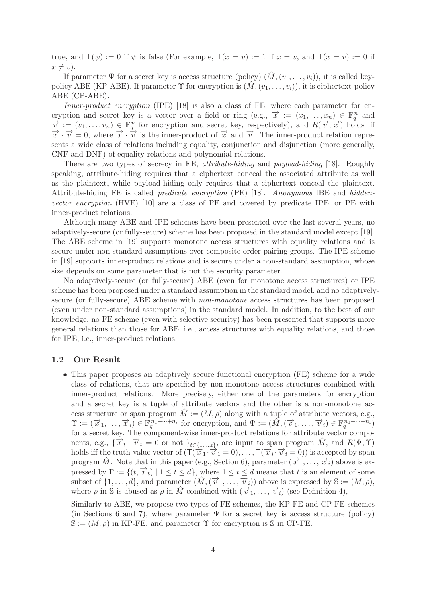true, and  $\mathsf{T}(\psi) := 0$  if  $\psi$  is false (For example,  $\mathsf{T}(x = v) := 1$  if  $x = v$ , and  $\mathsf{T}(x = v) := 0$  if  $x \neq v$ ).

If parameter  $\Psi$  for a secret key is access structure (policy)  $(\hat{M}, (v_1,\ldots,v_i))$ , it is called keypolicy ABE (KP-ABE). If parameter  $\Upsilon$  for encryption is  $(\hat{M}, (v_1,\ldots,v_i))$ , it is ciphertext-policy ABE (CP-ABE).

*Inner-product encryption* (IPE) [18] is also a class of FE, where each parameter for encryption and secret key is a vector over a field or ring (e.g.,  $\vec{x} := (x_1, \ldots, x_n) \in \mathbb{F}_q^n$  and cryption and secret key is a vector over a field or ring (e.g.,  $\vec{x} := (x_1, \ldots, x_n) \in \mathbb{F}_q^n$  and  $\vec{v} := (v_1, \ldots, v_n) \in \mathbb{F}_q^n$  for encryption and secret key, respectively), and  $R(\vec{v}, \vec{x})$  holds iff  $\vec{x} \cdot \vec{v} = 0$ , w sents a wide class of relations including equality, conjunction and disjunction (more generally, CNF and DNF) of equality relations and polynomial relations.

There are two types of secrecy in FE, *attribute-hiding* and *payload-hiding* [18]. Roughly speaking, attribute-hiding requires that a ciphertext conceal the associated attribute as well as the plaintext, while payload-hiding only requires that a ciphertext conceal the plaintext. Attribute-hiding FE is called *predicate encryption* (PE) [18]. *Anonymous* IBE and *hiddenvector encryption* (HVE) [10] are a class of PE and covered by predicate IPE, or PE with inner-product relations.

Although many ABE and IPE schemes have been presented over the last several years, no adaptively-secure (or fully-secure) scheme has been proposed in the standard model except [19]. The ABE scheme in [19] supports monotone access structures with equality relations and is secure under non-standard assumptions over composite order pairing groups. The IPE scheme in [19] supports inner-product relations and is secure under a non-standard assumption, whose size depends on some parameter that is not the security parameter.

No adaptively-secure (or fully-secure) ABE (even for monotone access structures) or IPE scheme has been proposed under a standard assumption in the standard model, and no adaptivelysecure (or fully-secure) ABE scheme with *non-monotone* access structures has been proposed (even under non-standard assumptions) in the standard model. In addition, to the best of our knowledge, no FE scheme (even with selective security) has been presented that supports more general relations than those for ABE, i.e., access structures with equality relations, and those for IPE, i.e., inner-product relations.

## **1.2 Our Result**

• This paper proposes an adaptively secure functional encryption (FE) scheme for a wide class of relations, that are specified by non-monotone access structures combined with inner-product relations. More precisely, either one of the parameters for encryption and a secret key is a tuple of attribute vectors and the other is a non-monotone access structure or span program  $\hat{M} := (M, \rho)$  along with a tuple of attribute vectors, e.g.,  $\Upsilon := (\vec{x}_1, \ldots, \vec{x}_i) \in \mathbb{F}_q^{n_1 + \cdots + n_i}$  for encryption, and  $\Psi := (\hat{M}, (\vec{v}_1, \ldots, \vec{v}_i) \in \mathbb{F}_q^{n_1 + \cdots + n_i})$ for a secret key. The component-wise inner-product relations for attribute vector components, e.g.,  $\{\overrightarrow{x}_t \cdot \overrightarrow{v}_t = 0 \text{ or not } \}_{t \in \{1,\dots,i\}}$ , are input to span program M, and  $R(\Psi, \Upsilon)$ holds iff the truth-value vector of  $(\mathsf{T}(\vec{x}_1 \cdot \vec{v}_1 = 0), \ldots, \mathsf{T}(\vec{x}_i \cdot \vec{v}_i = 0))$  is accepted by span program M. Note that in this paper (e.g., Section 6), parameter  $(\vec{x}_1,\ldots,\vec{x}_i)$  above is expressed by  $\Gamma := \{(t, \overrightarrow{x}_t) \mid 1 \le t \le d\}$ , where  $1 \le t \le d$  means that t is an element of some subset of  $\{1,\ldots,d\}$ , and parameter  $(M, (\vec{v}_1,\ldots,\vec{v}_i))$  above is expressed by  $\mathbb{S} := (M,\rho)$ , where  $\rho$  in S is abused as  $\rho$  in M<sup> $\tilde{M}$ </sup> combined with  $(\vec{v}_1,\ldots,\vec{v}_i)$  (see Definition 4),

Similarly to ABE, we propose two types of FE schemes, the KP-FE and CP-FE schemes (in Sections 6 and 7), where parameter  $\Psi$  for a secret key is access structure (policy)  $\mathbb{S} := (M, \rho)$  in KP-FE, and parameter  $\Upsilon$  for encryption is  $\mathbb{S}$  in CP-FE.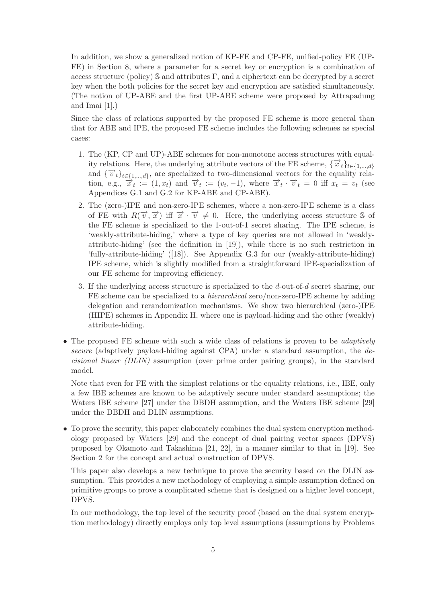In addition, we show a generalized notion of KP-FE and CP-FE, unified-policy FE (UP-FE) in Section 8, where a parameter for a secret key or encryption is a combination of access structure (policy) S and attributes  $\Gamma$ , and a ciphertext can be decrypted by a secret key when the both policies for the secret key and encryption are satisfied simultaneously. (The notion of UP-ABE and the first UP-ABE scheme were proposed by Attrapadung and Imai [1].)

Since the class of relations supported by the proposed FE scheme is more general than that for ABE and IPE, the proposed FE scheme includes the following schemes as special cases:

- 1. The (KP, CP and UP)-ABE schemes for non-monotone access structures with equality relations. Here, the underlying attribute vectors of the FE scheme,  $\{\vec{x}_t\}_{t\in\{1,\ldots,d\}}$ and  $\{\vec{v}_t\}_{t\in\{1,\ldots,d\}}$ , are specialized to two-dimensional vectors for the equality relation, e.g.,  $\vec{x}_t := (1, x_t)$  and  $\vec{v}_t := (v_t, -1)$ , where  $\vec{x}_t \cdot \vec{v}_t = 0$  iff  $x_t = v_t$  (see Appendices G.1 and G.2 for KP-ABE and CP-ABE).
- 2. The (zero-)IPE and non-zero-IPE schemes, where a non-zero-IPE scheme is a class of FE with  $R(\vec{v}, \vec{x})$  iff  $\vec{x} \cdot \vec{v} \neq 0$ . Here, the underlying access structure S of the FE scheme is specialized to the 1-out-of-1 secret sharing. The IPE scheme, is 'weakly-attribute-hiding,' where a type of key queries are not allowed in 'weaklyattribute-hiding' (see the definition in [19]), while there is no such restriction in 'fully-attribute-hiding' ([18]). See Appendix G.3 for our (weakly-attribute-hiding) IPE scheme, which is slightly modified from a straightforward IPE-specialization of our FE scheme for improving efficiency.
- 3. If the underlying access structure is specialized to the d-out-of-d secret sharing, our FE scheme can be specialized to a *hierarchical* zero/non-zero-IPE scheme by adding delegation and rerandomization mechanisms. We show two hierarchical (zero-)IPE (HIPE) schemes in Appendix H, where one is payload-hiding and the other (weakly) attribute-hiding.
- The proposed FE scheme with such a wide class of relations is proven to be *adaptively secure* (adaptively payload-hiding against CPA) under a standard assumption, the *decisional linear (DLIN)* assumption (over prime order pairing groups), in the standard model.

Note that even for FE with the simplest relations or the equality relations, i.e., IBE, only a few IBE schemes are known to be adaptively secure under standard assumptions; the Waters IBE scheme [27] under the DBDH assumption, and the Waters IBE scheme [29] under the DBDH and DLIN assumptions.

• To prove the security, this paper elaborately combines the dual system encryption methodology proposed by Waters [29] and the concept of dual pairing vector spaces (DPVS) proposed by Okamoto and Takashima [21, 22], in a manner similar to that in [19]. See Section 2 for the concept and actual construction of DPVS.

This paper also develops a new technique to prove the security based on the DLIN assumption. This provides a new methodology of employing a simple assumption defined on primitive groups to prove a complicated scheme that is designed on a higher level concept, DPVS.

In our methodology, the top level of the security proof (based on the dual system encryption methodology) directly employs only top level assumptions (assumptions by Problems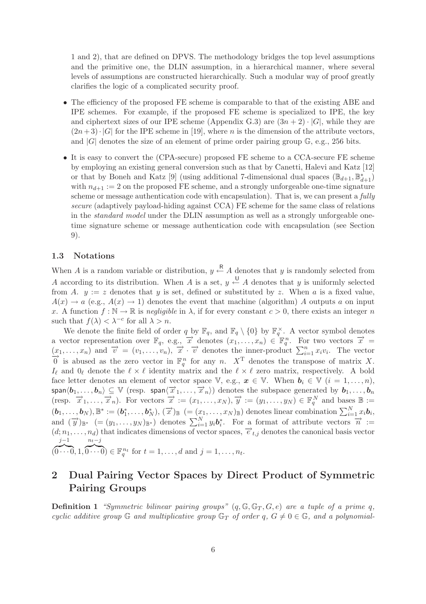1 and 2), that are defined on DPVS. The methodology bridges the top level assumptions and the primitive one, the DLIN assumption, in a hierarchical manner, where several levels of assumptions are constructed hierarchically. Such a modular way of proof greatly clarifies the logic of a complicated security proof.

- The efficiency of the proposed FE scheme is comparable to that of the existing ABE and IPE schemes. For example, if the proposed FE scheme is specialized to IPE, the key and ciphertext sizes of our IPE scheme (Appendix G.3) are  $(3n+2) \cdot |G|$ , while they are  $(2n+3)\cdot |G|$  for the IPE scheme in [19], where n is the dimension of the attribute vectors, and  $|G|$  denotes the size of an element of prime order pairing group  $\mathbb{G}$ , e.g., 256 bits.
- It is easy to convert the (CPA-secure) proposed FE scheme to a CCA-secure FE scheme by employing an existing general conversion such as that by Canetti, Halevi and Katz [12] or that by Boneh and Katz [9] (using additional 7-dimensional dual spaces  $(\mathbb{B}_{d+1}, \mathbb{B}_{d+1}^*)$ with  $n_{d+1} := 2$  on the proposed FE scheme, and a strongly unforgeable one-time signature scheme or message authentication code with encapsulation). That is, we can present a *fully secure* (adaptively payload-hiding against CCA) FE scheme for the same class of relations in the *standard model* under the DLIN assumption as well as a strongly unforgeable onetime signature scheme or message authentication code with encapsulation (see Section 9).

#### **1.3 Notations**

When A is a random variable or distribution,  $y \stackrel{R}{\leftarrow} A$  denotes that y is randomly selected from A according to its distribution. When A is a set,  $y \leftarrow A$  denotes that y is uniformly selected from A.  $y := z$  denotes that y is set, defined or substituted by z. When a is a fixed value,  $A(x) \rightarrow a$  (e.g.,  $A(x) \rightarrow 1$ ) denotes the event that machine (algorithm) A outputs a on input x. A function  $f : \mathbb{N} \to \mathbb{R}$  is *negligible* in  $\lambda$ , if for every constant  $c > 0$ , there exists an integer n such that  $f(\lambda) < \lambda^{-c}$  for all  $\lambda > n$ .

We denote the finite field of order q by  $\mathbb{F}_q$ , and  $\mathbb{F}_q \setminus \{0\}$  by  $\mathbb{F}_q^{\times}$ . A vector symbol denotes a vector representation over  $\mathbb{F}_q$ , e.g.,  $\overrightarrow{x}$  denotes  $(x_1,\ldots,x_n) \in \mathbb{F}_q^n$ . For two vectors  $\overrightarrow{x}$  =  $(x_1,\ldots,x_n)$  and  $\vec{v} = (v_1,\ldots,v_n), \vec{x} \cdot \vec{v}$  denotes the inner-product  $\sum_{i=1}^n$  $(x_1, \ldots, x_n)$  and  $\overrightarrow{v} = (v_1, \ldots, v_n), \overrightarrow{x} \cdot \overrightarrow{v}$  denotes the inner-product  $\sum_{i=1}^n x_i v_i$ . The vector  $\overrightarrow{0}$  is abused as the zero vector in  $\mathbb{F}_q^n$  for any n.  $X^T$  denotes the transpose of matrix X.  $I_{\ell}$  and  $0_{\ell}$  denote the  $\ell \times \ell$  identity matrix and the  $\ell \times \ell$  zero matrix, respectively. A bold face letter denotes an element of vector space V, e.g.,  $x \in V$ . When  $b_i \in V$   $(i = 1, \ldots, n)$ ,  $\mathsf{span}\langle \boldsymbol{b}_1,\ldots,\boldsymbol{b}_n\rangle\subseteq\mathbb{V}$  (resp.  $\mathsf{span}\langle\overrightarrow{x}_1,\ldots,\overrightarrow{x}_n\rangle)$  denotes the subspace generated by  $\boldsymbol{b}_1,\ldots,\boldsymbol{b}_n$ (resp.  $\overrightarrow{x}_1,\ldots,\overrightarrow{x}_n$ ). For vectors  $\overrightarrow{x} := (x_1,\ldots,x_N), \overrightarrow{y} := (y_1,\ldots,y_N) \in \mathbb{F}_q^N$  and bases  $\mathbb{B} :=$  $(\boldsymbol{b}_1,\ldots,\boldsymbol{b}_N),\mathbb{B}^* := (\boldsymbol{b}_1^*,\ldots,\boldsymbol{b}_N^*), (\vec{x})_{\mathbb{B}} \ (= (x_1,\ldots,x_N)_{\mathbb{B}})$  denotes linear combination  $\sum_{i=1}^N x_i \boldsymbol{b}_i$ , and  $(\vec{y})_{\mathbb{B}^*}$  (=  $(y_1,\ldots,y_N)_{\mathbb{B}^*}$ ) denotes  $\sum_{i=1}^N y_i b_i^*$ . For a format of attribute vectors  $\vec{n}$  :=  $(d; n_1, \ldots, n_d)$  that indicates dimensions of vector spaces,  $\vec{e}_{t,j}$  denotes the canonical basis vector  $j-1$  $n_t$ −j

#### (  $\overline{0\cdots 0}, 1,$  $\widetilde{0 \cdots 0}$   $\in \mathbb{F}_q^{n_t}$  for  $t = 1,\ldots,d$  and  $j = 1,\ldots,n_t$ .

# **2 Dual Pairing Vector Spaces by Direct Product of Symmetric Pairing Groups**

**Definition 1** *"Symmetric bilinear pairing groups"*  $(q, \mathbb{G}, \mathbb{G}_T, G, e)$  *are a tuple of a prime q, cyclic additive group*  $\mathbb{G}$  *and multiplicative group*  $\mathbb{G}_T$  *of order*  $q$ ,  $G \neq 0 \in \mathbb{G}$ *, and a polynomial-*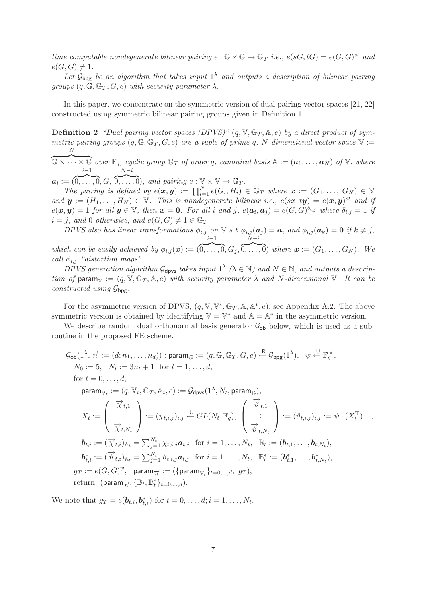*time computable nondegenerate bilinear pairing*  $e : \mathbb{G} \times \mathbb{G} \to \mathbb{G}_T$  *i.e.,*  $e(sG, tG) = e(G, G)^{st}$  *and*  $e(G, G) \neq 1.$ 

Let  $\mathcal{G}_{\text{bpg}}$  be an algorithm that takes input  $1^{\lambda}$  and outputs a description of bilinear pairing *groups*  $(q, \mathbb{G}, \mathbb{G}_T, G, e)$  *with security parameter*  $\lambda$ *.* 

In this paper, we concentrate on the symmetric version of dual pairing vector spaces [21, 22] constructed using symmetric bilinear pairing groups given in Definition 1.

**Definition 2** *"Dual pairing vector spaces (DPVS)"*  $(q, \mathbb{V}, \mathbb{G}_T, \mathbb{A}, e)$  by a direct product of sym*metric pairing groups*  $(q, \mathbb{G}, \mathbb{G}_T, G, e)$  *are a tuple of prime q, N-dimensional vector space*  $V :=$ N

 $\mathbb{G} \times \cdots \times \mathbb{G}$  *over*  $\mathbb{F}_q$ *, cyclic group*  $\mathbb{G}_T$  *of order* q*, canonical basis*  $\mathbb{A} := (\boldsymbol{a}_1, \ldots, \boldsymbol{a}_N)$  *of*  $\mathbb{V}$ *, where*  $i-1$   $N-i$ 

 $a_i := (\overbrace{0, \ldots, 0}^{0}, G, \overbrace{0, \ldots, 0}^{0}, \text{ and pairing } e : \mathbb{V} \times \mathbb{V} \to \mathbb{G}_T.$ 

*The pairing is defined by*  $e(x, y) := \prod_{i=1}^{N} e(G_i, H_i) \in \mathbb{G}_T$  where  $x := (G_1, \ldots, G_N) \in \mathbb{V}$ *and*  $y := (H_1, \ldots, H_N) \in \mathbb{V}$ . This is nondegenerate bilinear i.e.,  $e(sx, ty) = e(x, y)^{st}$  and if  $e(\mathbf{x}, \mathbf{y}) = 1$  *for all*  $\mathbf{y} \in \mathbb{V}$ *, then*  $\mathbf{x} = \mathbf{0}$ *. For all i and j*,  $e(\mathbf{a}_i, \mathbf{a}_j) = e(G, G)^{\delta_{i,j}}$  *where*  $\delta_{i,j} = 1$  *if*  $i = j$ , and 0 *otherwise*, and  $e(G, G) \neq 1 \in \mathbb{G}_T$ .

*DPVS* also has linear transformations  $\phi_{i,j}$  on  $\nabla$  *s.t.*  $\phi_{i,j}(\boldsymbol{a}_j) = \boldsymbol{a}_i$  and  $\phi_{i,j}(\boldsymbol{a}_k) = \boldsymbol{0}$  if  $k \neq j$ , i−1  $N-i$ 

*which can be easily achieved by*  $\phi_{i,j}(\boldsymbol{x}) :=$  (  $\overline{0,\ldots,0}, G_j,$  $\overline{0,\ldots,0}$  where  $\boldsymbol{x} := (G_1,\ldots,G_N)$ . We *call*  $\phi_{i,j}$  *"distortion maps".* 

*DPVS generation algorithm*  $\mathcal{G}_{\text{dpvs}}$  *takes input*  $1^{\lambda}$  ( $\lambda \in \mathbb{N}$ ) and  $N \in \mathbb{N}$ , and outputs a descrip*tion of* param<sub>V</sub> :=  $(q, \mathbb{V}, \mathbb{G}_T, \mathbb{A}, e)$  *with security parameter*  $\lambda$  *and*  $N$ -dimensional  $\mathbb{V}$ . It can be *constructed using* Gbpg*.*

For the asymmetric version of DPVS,  $(q, \mathbb{V}, \mathbb{V}^*, \mathbb{G}_T, \mathbb{A}, \mathbb{A}^*, e)$ , see Appendix A.2. The above symmetric version is obtained by identifying  $\mathbb{V} = \mathbb{V}^*$  and  $\mathbb{A} = \mathbb{A}^*$  in the asymmetric version.

We describe random dual orthonormal basis generator  $\mathcal{G}_{ob}$  below, which is used as a subroutine in the proposed FE scheme.

$$
G_{\text{ob}}(1^{\lambda}, \overrightarrow{n} := (d; n_1, \ldots, n_d)) : \text{param}_{\mathbb{G}} := (q, \mathbb{G}, \mathbb{G}_T, G, e) \xleftarrow{\mathbb{R}} G_{\text{bpg}}(1^{\lambda}), \psi \xleftarrow{\mathbb{U}} \mathbb{F}_q^{\times},
$$
  
\n
$$
N_0 := 5, \quad N_t := 3n_t + 1 \quad \text{for } t = 1, \ldots, d,
$$
  
\nfor  $t = 0, \ldots, d,$   
\n
$$
\text{param}_{\mathbb{V}_t} := (q, \mathbb{V}_t, \mathbb{G}_T, \mathbb{A}_t, e) := G_{\text{dpvs}}(1^{\lambda}, N_t, \text{param}_{\mathbb{G}}),
$$
  
\n
$$
X_t := \begin{pmatrix} \overrightarrow{\chi}_{t,1} \\ \vdots \\ \overrightarrow{\chi}_{t,N_t} \end{pmatrix} := (\chi_{t,i,j})_{i,j} \xleftarrow{\mathbb{U}} GL(N_t, \mathbb{F}_q), \begin{pmatrix} \overrightarrow{\vartheta}_{t,1} \\ \vdots \\ \overrightarrow{\vartheta}_{t,N_t} \end{pmatrix} := (\vartheta_{t,i,j})_{i,j} := \psi \cdot (X_t^{\mathsf{T}})^{-1},
$$
  
\n
$$
\mathbf{b}_{t,i} := (\overrightarrow{\chi}_{t,i})_{\mathbb{A}_t} = \sum_{j=1}^{N_t} \chi_{t,i,j} \mathbf{a}_{t,j} \quad \text{for } i = 1, \ldots, N_t, \quad \mathbb{B}_t := (\mathbf{b}_{t,1}, \ldots, \mathbf{b}_{t,N_t}),
$$
  
\n
$$
\mathbf{b}_{t,i}^* := (\overrightarrow{\vartheta}_{t,i})_{\mathbb{A}_t} = \sum_{j=1}^{N_t} \vartheta_{t,i,j} \mathbf{a}_{t,j} \quad \text{for } i = 1, \ldots, N_t, \quad \mathbb{B}_t^* := (\mathbf{b}_{t,1}^*, \ldots, \mathbf{b}_{t,N_t}^*),
$$
  
\n
$$
gr := e(G, G)^{\psi}, \quad \text{param}_{\overrightarrow{n}} := (\{\text{param}_{\mathbb{V}_t}\}_{t=0, \ldots, d}, \quad gr),
$$
  
\nreturn 
$$
(\text{param}_{\overrightarrow{n
$$

We note that  $g_T = e(b_{t,i}, b_{t,i}^*)$  for  $t = 0, ..., d; i = 1, ..., N_t$ .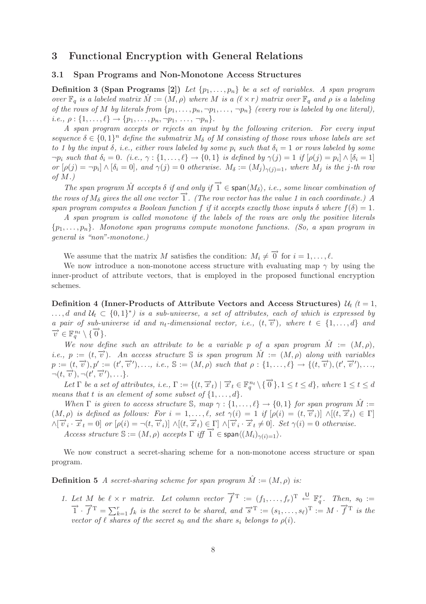# **3 Functional Encryption with General Relations**

# **3.1 Span Programs and Non-Monotone Access Structures**

**Definition 3 (Span Programs [2])** *Let*  $\{p_1, \ldots, p_n\}$  *be a set of variables. A span program over*  $\mathbb{F}_q$  *is a labeled matrix*  $\hat{M} := (M, \rho)$  *where* M *is a*  $(\ell \times r)$  *matrix over*  $\mathbb{F}_q$  *and*  $\rho$  *is a labeling of the rows of* M *by literals from*  $\{p_1, \ldots, p_n, \neg p_1, \ldots, \neg p_n\}$  *(every row is labeled by one literal),*  $i.e., \rho: \{1,\ldots,\ell\} \to \{p_1,\ldots,p_n,\neg p_1,\ldots,\neg p_n\}.$ 

*A span program accepts or rejects an input by the following criterion. For every input sequence*  $\delta \in \{0,1\}^n$  *define the submatrix*  $M_{\delta}$  *of*  $M$  consisting of those rows whose labels are set *to 1 by the input*  $\delta$ , *i.e.*, *either rows labeled by some*  $p_i$  *such that*  $\delta_i = 1$  *or rows labeled by some*  $\neg p_i$  *such that*  $\delta_i = 0$ *.* (*i.e.*,  $\gamma : \{1, \ldots, \ell\} \to \{0, 1\}$  *is defined by*  $\gamma(j) = 1$  *if*  $[\rho(j) = p_i] \wedge [\delta_i = 1]$ *or*  $[\rho(j) = \neg p_i] \wedge [\delta_i = 0]$ *, and*  $\gamma(j) = 0$  *otherwise.*  $M_\delta := (M_j)_{\gamma(j)=1}$ *, where*  $M_j$  *is the j-th row of* M*.)*

*The span program*  $\hat{M}$  *accepts*  $\delta$  *if and only if*  $\hat{I} \in \text{span}\langle M_{\delta}\rangle$ , *i.e., some linear combination of the rows of*  $M_{\delta}$  *gives the all one vector*  $\overrightarrow{1}$ *. (The row vector has the value 1 in each coordinate.) A span program computes a Boolean function* f *if it accepts exactly those inputs*  $\delta$  *where*  $f(\delta) = 1$ *.* 

*A span program is called monotone if the labels of the rows are only the positive literals* {p1,...,pn}*. Monotone span programs compute monotone functions. (So, a span program in general is "non"-monotone.)*

We assume that the matrix M satisfies the condition:  $M_i \neq \overrightarrow{0}$  for  $i = 1, \ldots, \ell$ .

We now introduce a non-monotone access structure with evaluating map  $\gamma$  by using the inner-product of attribute vectors, that is employed in the proposed functional encryption schemes.

**Definition 4 (Inner-Products of Attribute Vectors and Access Structures)**  $\mathcal{U}_t$   $(t = 1,$ ...,d and  $U_t$  ⊂ {0,1}<sup>\*</sup>) is a sub-universe, a set of attributes, each of which is expressed by *a pair of sub-universe id and*  $n_t$ -dimensional vector, *i.e.*,  $(t, \overrightarrow{v})$ *, where*  $t \in \{1, ..., d\}$  *and*  $\overrightarrow{v} \in \mathbb{F}_q^{n_t} \setminus {\{\overrightarrow{0}\}}$ *.* 

*We now define such an attribute to be a variable* p of a span program  $\hat{M} := (M, \rho)$ , *i.e.,*  $p := (t, \overrightarrow{v})$ *. An access structure* S *is span program*  $\hat{M} := (M, \rho)$  *along with variables*  $p := (t, \overrightarrow{v}), p' := (t', \overrightarrow{v}'), \ldots, i.e., \mathbb{S} := (M, \rho) \text{ such that } \rho : \{1, \ldots, \ell\} \rightarrow \{(t, \overrightarrow{v}), (t', \overrightarrow{v}'), \ldots, \ell\}$  $\neg(t, \overrightarrow{v}), \neg(t', \overrightarrow{v}'), \ldots \}.$ 

Let  $\Gamma$  *be a set of attributes, i.e.,*  $\Gamma := \{(t, \overrightarrow{x}_t) \mid \overrightarrow{x}_t \in \mathbb{F}_q^{n_t} \setminus \{\overrightarrow{0}\}, 1 \leq t \leq d\}$ *, where*  $1 \leq t \leq d$ *means that t is an element of some subset of*  $\{1, \ldots, d\}$ *.* 

*When*  $\Gamma$  *is given to access structure* S, map  $\gamma : \{1, \ldots, \ell\} \to \{0, 1\}$  *for span program*  $\hat{M} :=$  $(M, \rho)$  *is defined as follows: For*  $i = 1, \ldots, \ell$ , set  $\gamma(i) = 1$  *if*  $[\rho(i) = (t, \vec{v}_i)] \wedge [(t, \vec{x}_t) \in \Gamma]$  $\wedge [\overrightarrow{v_i} \cdot \overrightarrow{x}_t = 0]$  *or*  $[\rho(i) = \neg(t, \overrightarrow{v_i})] \wedge [(t, \overrightarrow{x}_t) \in \Gamma] \wedge [\overrightarrow{v_i} \cdot \overrightarrow{x}_t \neq 0]$ . Set  $\gamma(i) = 0$  *otherwise.* 

 $Access$  structure  $\mathbb{S} := (M, \rho)$  *accepts*  $\Gamma$  *iff*  $\overline{1} \in \text{span}\langle (M_i)_{\gamma(i)=1} \rangle$ .

We now construct a secret-sharing scheme for a non-monotone access structure or span program.

**Definition 5** *A secret-sharing scheme for span program*  $\hat{M} := (M, \rho)$  *is:* 

1. Let M be  $\ell \times r$  matrix. Let column vector  $\vec{f}^T := (f_1, \ldots, f_r)^T \stackrel{\cup}{\leftarrow} \mathbb{F}_q^r$ Let M be  $\ell \times r$  matrix. Let column vector  $f^T := (f_1, \ldots, f_r)^T \stackrel{\sim}{\leftarrow} \mathbb{F}_q^r$ . Then,  $s_0 := \overrightarrow{1} \cdot \overrightarrow{f}^T = \sum_{k=1}^r f_k$  is the secret to be shared, and  $\overrightarrow{s}^T := (s_1, \ldots, s_\ell)^T := M \cdot \overrightarrow{f}^T$  is the *vector of*  $\ell$  *shares of the secret*  $s_0$  *and the share*  $s_i$  *belongs to*  $\rho(i)$ *.*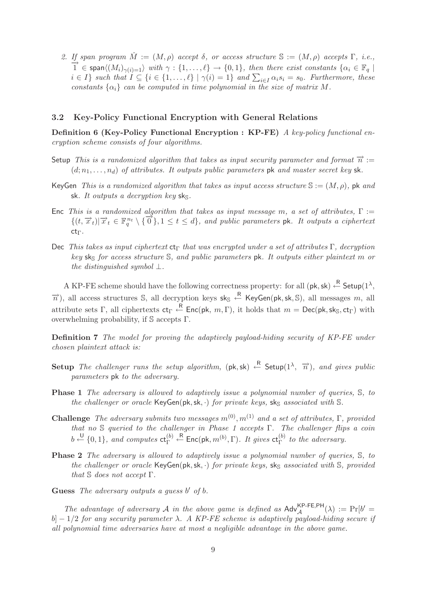2. If span program  $\hat{M} := (M, \rho)$  accept  $\delta$ , or access structure  $\mathbb{S} := (M, \rho)$  accepts  $\Gamma$ , i.e.,  $\overrightarrow{1} \in \text{span}\langle (M_i)_{\gamma(i)=1} \rangle$  with  $\gamma : \{1, \ldots, \ell\} \to \{0, 1\}$ , then there exist constants  $\{\alpha_i \in \mathbb{F}_q \mid \mathbb{S}_q \to \{$  $i \in I$ } such that  $I \subseteq \{i \in \{1, ..., \ell\} \mid \gamma(i) = 1\}$  and  $\sum_{i \in I} \alpha_i s_i = s_0$ . Furthermore, these *constants*  $\{\alpha_i\}$  *can be computed in time polynomial in the size of matrix* M.

#### **3.2 Key-Policy Functional Encryption with General Relations**

**Definition 6 (Key-Policy Functional Encryption : KP-FE)** *A key-policy functional encryption scheme consists of four algorithms.*

- Setup *This is a randomized algorithm that takes as input security parameter and format*  $\vec{n} :=$  $(d; n_1, \ldots, n_d)$  *of attributes. It outputs public parameters* pk *and master secret key* sk.
- KeyGen *This is a randomized algorithm that takes as input access structure* S := (M, ρ)*,* pk *and* sk. It outputs a decryption key sks.
- Enc *This is a randomized algorithm that takes as input message* m*, a set of attributes,* Γ :=  $\{(t, \overrightarrow{x}_t)|\overrightarrow{x}_t \in \mathbb{F}_q^{n_t} \setminus {\overrightarrow{0}}\}, 1 \leq t \leq d\}$ , and public parameters pk. It outputs a ciphertext ctΓ*.*
- Dec *This takes as input ciphertext* ct<sup>Γ</sup> *that was encrypted under a set of attributes* Γ*, decryption key* sks *for access structure* S, and *public parameters* pk. It outputs either plaintext m or *the distinguished symbol* ⊥*.*

A KP-FE scheme should have the following correctness property: for all  $(\mathsf{pk}, \mathsf{sk}) \stackrel{\mathsf{R}}{\leftarrow} \mathsf{Setup}(1^\lambda,$  $\overrightarrow{n}$ ), all access structures S, all decryption keys sk<sub>S</sub>  $\leftarrow$  KeyGen(pk, sk, S), all messages m, all attribute sets Γ, all ciphertexts  $ct_\Gamma \stackrel{R}{\leftarrow}$  Enc(pk,  $m, \Gamma$ ), it holds that  $m = \mathsf{Dec}(\mathsf{pk},\mathsf{sk}_\mathbb{S},\mathsf{ct}_\Gamma)$  with overwhelming probability, if S accepts Γ.

**Definition 7** *The model for proving the adaptively payload-hiding security of KP-FE under chosen plaintext attack is:*

- Setup *The challenger runs the setup algorithm*,  $(\mathsf{pk}, \mathsf{sk}) \leftarrow \mathsf{Setup}(1^\lambda, \overrightarrow{n})$ , and gives public *parameters* pk *to the adversary.*
- **Phase 1** *The adversary is allowed to adaptively issue a polynomial number of queries,* S*, to the challenger or oracle* KeyGen(pk, sk, ·) *for private keys,* sk<sub>S</sub> *associated with* S.
- **Challenge** *The adversary submits two messages*  $m^{(0)}$ ,  $m^{(1)}$  *and a set of attributes*, Γ, provided *that no* S *queried to the challenger in Phase 1 accepts* Γ*. The challenger flips a coin*  $b \stackrel{\text{U}}{\leftarrow} \{0,1\}$ , and computes  $\mathsf{ct}_{\Gamma}^{(b)}$  $\leftarrow^{\mathsf{R}}$  Enc(pk,  $m^{(b)}$ ,  $\Gamma$ ). It gives  $\mathsf{ct}_{\Gamma}^{(b)}$  to the adversary.
- **Phase 2** *The adversary is allowed to adaptively issue a polynomial number of queries,* S*, to the challenger or oracle* KeyGen(pk, sk, ·) *for private keys,* sk<sub>S</sub> *associated with* S, *provided that* S *does not accept* Γ*.*
- Guess *The adversary outputs a guess* b' of b.

*The advantage of adversary* A *in the above game is defined as*  $\mathsf{Adv}_{\mathcal{A}}^{\mathsf{KP-FE,PH}}(\lambda) := \Pr[b' = \emptyset]$ b] − 1/2 *for any security parameter* λ*. A KP-FE scheme is adaptively payload-hiding secure if all polynomial time adversaries have at most a negligible advantage in the above game.*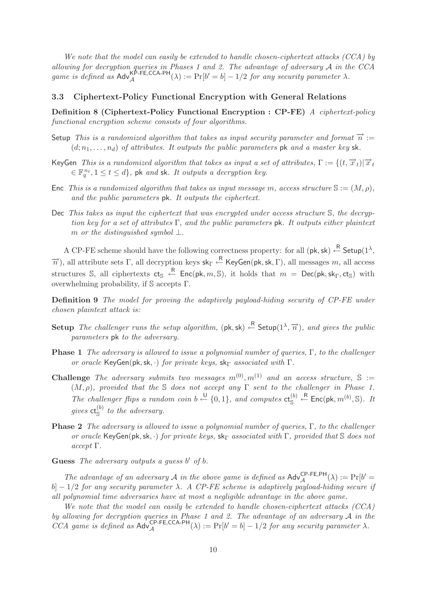*We note that the model can easily be extended to handle chosen-ciphertext attacks (CCA) by allowing for decryption queries in Phases 1 and 2. The advantage of adversary* A *in the CCA game is defined as*  $\mathsf{Adv}_{\mathcal{A}}^{\mathsf{KP-FE},\mathsf{CCA-PH}}(\lambda) := \Pr[b' = b] - 1/2$  *for any security parameter*  $\lambda$ *.* 

## **3.3 Ciphertext-Policy Functional Encryption with General Relations**

**Definition 8 (Ciphertext-Policy Functional Encryption : CP-FE)** *A ciphertext-policy functional encryption scheme consists of four algorithms.*

- Setup *This is a randomized algorithm that takes as input security parameter and format*  $\vec{n}$  :=  $(d; n_1, \ldots, n_d)$  *of attributes. It outputs the public parameters* pk *and a master key* sk.
- KeyGen *This is a randomized algorithm that takes as input a set of attributes*,  $\Gamma := \{(t, \vec{x}_t) | \vec{x}_t\}$  $\in \mathbb{F}_q^{n_t}, 1 \leq t \leq d\}$ , pk and sk. It outputs a decryption key.
- Enc *This is a randomized algorithm that takes as input message m, access structure*  $\mathbb{S} := (M, \rho)$ *, and the public parameters* pk*. It outputs the ciphertext.*
- Dec *This takes as input the ciphertext that was encrypted under access structure* S*, the decryption key for a set of attributes* Γ*, and the public parameters* pk*. It outputs either plaintext* m *or the distinguished symbol* ⊥*.*

A CP-FE scheme should have the following correctness property: for all  $(\mathsf{pk}, \mathsf{sk}) \stackrel{\mathsf{R}}{\leftarrow} \mathsf{Setup}(1^\lambda,$  $\overrightarrow{n}$ ), all attribute sets Γ, all decryption keys sk<sub>Γ</sub>  $\leftarrow$  KeyGen(pk, sk, Γ), all messages m, all access structures S, all ciphertexts  $ct_S \leftarrow R$  Enc(pk,  $m, S$ ), it holds that  $m = Dec(pk, sk_\Gamma, ct_S)$  with overwhelming probability, if S accepts Γ.

**Definition 9** *The model for proving the adaptively payload-hiding security of CP-FE under chosen plaintext attack is:*

- Setup *The challenger runs the setup algorithm,*  $(\mathsf{pk}, \mathsf{sk}) \overset{\mathsf{R}}{\leftarrow}$  Setup $(1^\lambda, \overrightarrow{n})$ *, and gives the public parameters* pk *to the adversary.*
- **Phase 1** *The adversary is allowed to issue a polynomial number of queries,* Γ*, to the challenger or oracle* KeyGen(pk, sk, ·) *for private keys,* sk<sub>Γ</sub> *associated with* Γ.
- **Challenge** *The adversary submits two messages*  $m^{(0)}$ ,  $m^{(1)}$  *and an access structure*,  $\mathbb{S}$  := (M, ρ)*, provided that the* S *does not accept any* Γ *sent to the challenger in Phase 1.* The challenger flips a random coin  $b \stackrel{\bigcup}{\leftarrow} \{0,1\}$ , and computes  $ct_{\mathbb{S}}^{(b)}$  $\stackrel{\ \ \ R}{\leftarrow}$  Enc(pk,  $m^{(b)}, \mathbb{S}$ ). It gives  $ct_{S}^{(b)}$  to the adversary.
- **Phase 2** *The adversary is allowed to issue a polynomial number of queries,* Γ*, to the challenger or oracle* KeyGen(pk, sk, ·) *for private keys,* sk<sub>Γ</sub> *associated with* Γ, *provided that* S *does not accept* Γ*.*
- Guess *The adversary outputs a guess* b' of b.

*The advantage of an adversary*  $\mathcal A$  *in the above game is defined as*  $\mathsf{Adv}_{\mathcal A}^{\mathsf{CP-FE,PH}}(\lambda) := \Pr[b' = \emptyset]$ b] − 1/2 *for any security parameter* λ*. A CP-FE scheme is adaptively payload-hiding secure if all polynomial time adversaries have at most a negligible advantage in the above game.*

*We note that the model can easily be extended to handle chosen-ciphertext attacks (CCA) by allowing for decryption queries in Phase 1 and 2. The advantage of an adversary* A *in the CCA game is defined as*  $\mathsf{Adv}_{\mathcal{A}}^{\mathsf{CP-FE},\mathsf{CCA-PH}}(\lambda) := \Pr[b' = b] - 1/2$  *for any security parameter*  $\lambda$ *.*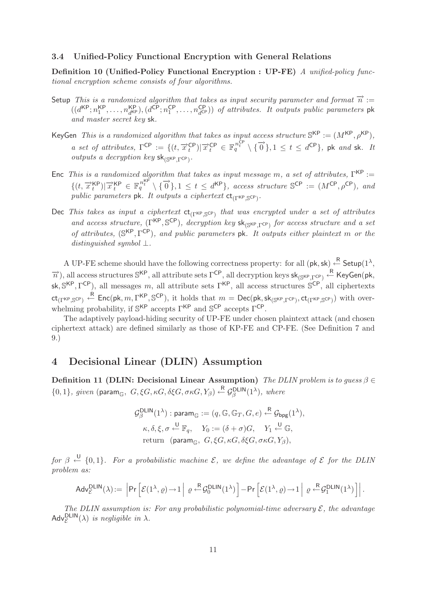#### **3.4 Unified-Policy Functional Encryption with General Relations**

**Definition 10 (Unified-Policy Functional Encryption : UP-FE)** *A unified-policy functional encryption scheme consists of four algorithms.*

- Setup *This is a randomized algorithm that takes as input security parameter and format*  $\vec{n} :=$  $((d<sup>KP</sup>; n<sub>1</sub><sup>KP</sup>, \ldots, n<sub>d<sup>KP</sup></sub><sup>KP</sup>), (d<sup>CP</sup>; n<sub>1</sub><sup>CP</sup>, \ldots, n<sub>d<sup>CP</sup></sub><sup>CP</sup>)) of attributes. It outputs public parameters pk$ *and master secret key* sk*.*
- KeyGen *This is a randomized algorithm that takes as input access structure*  $\mathbb{S}^{KP} := (M^{KP}, \rho^{KP}),$ *a set of attributes,*  $\Gamma^{\text{CP}} := \{ (t, \overrightarrow{x}_t^{\text{CP}}) | \overrightarrow{x}_t^{\text{CP}}} \in \mathbb{F}_q^{n_t^{\text{CP}}} \setminus \{ \overrightarrow{0} \}, 1 \leq t \leq d^{\text{CP}} \}, \text{pk } and \text{ sk. It}$ *outputs a decryption key*  $sk_{\text{SKP}}$ <sub>Γ</sub>CP).
- Enc *This is a randomized algorithm that takes as input message m, a set of attributes,*  $\Gamma^{\text{KP}}$  :=  $\{(t, \overrightarrow{x}_t^{KP}) | \overrightarrow{x}_t^{KP} \in \mathbb{F}_q^{n_t^{KP}} \setminus \{\overrightarrow{0}\}, 1 \leq t \leq d^{KP}\}\text{, } access\text{ structure } \mathbb{S}^{CP} := (M^{CP}, \rho^{CP})\text{, and }$ *public parameters* **pk***. It outputs a ciphertext* **ct**<sub>(Γ</sub>KP<sub>,</sub>S<sup>CP</sup>)*.*
- Dec *This takes as input a ciphertext*  $ct_{(Γ<sup>KP</sup>,S<sup>CP</sup>)}$  *that was encrypted under a set of attributes and access structure,*  $(\Gamma^{KP}, \mathbb{S}^{CP})$ *, decryption key*  $sk_{\mathbb{S}^{KP}, \Gamma^{CP}}$  *for access structure and a set of attributes,* (SKP, ΓCP)*, and public parameters* pk*. It outputs either plaintext* m *or the distinguished symbol* ⊥*.*

A UP-FE scheme should have the following correctness property: for all  $(\mathsf{pk}, \mathsf{sk}) \stackrel{\mathsf{R}}{\leftarrow} \mathsf{Setup}(1^\lambda,$  $\overrightarrow{n}$ ), all access structures S<sup>KP</sup>, all attribute sets  $\Gamma^{CP}$ , all decryption keys sk<sub>(SKP,  $\Gamma^{CP}$ )</sub>  $\leftarrow$  KeyGen(pk, sk,  $S^{KP}, \Gamma^{CP}$ ), all messages m, all attribute sets  $\Gamma^{KP}$ , all access structures  $S^{CP}$ , all ciphertexts  $\mathsf{ct}_{(\Gamma^{\mathsf{KP}},\mathbb{S}^{\mathsf{CP}})} \overset{\mathsf{R}}{\leftarrow} \mathsf{Enc}(\mathsf{pk},m,\Gamma^{\mathsf{KP}},\mathbb{S}^{\mathsf{CP}}), \text{ it holds that } m = \mathsf{Dec}(\mathsf{pk},\mathsf{sk}_{(\mathbb{S}^{\mathsf{KP}},\Gamma^{\mathsf{CP}})},\mathsf{ct}_{(\Gamma^{\mathsf{KP}},\mathbb{S}^{\mathsf{CP}})}) \text{ with over$ whelming probability, if  $\mathbb{S}^{KP}$  accepts  $\Gamma^{KP}$  and  $\mathbb{S}^{CP}$  accepts  $\Gamma^{CP}$ .

The adaptively payload-hiding security of UP-FE under chosen plaintext attack (and chosen ciphertext attack) are defined similarly as those of KP-FE and CP-FE. (See Definition 7 and 9.)

# **4 Decisional Linear (DLIN) Assumption**

**Definition 11 (DLIN: Decisional Linear Assumption)** *The DLIN problem is to guess* β ∈  $\{0,1\}$ *, given* (param<sub>G</sub>,  $G, \xi G, \kappa G, \delta \xi G, \sigma \kappa G, Y_\beta$ )  $\stackrel{\text{R}}{\leftarrow}$   $\mathcal{G}_{\beta}^{\text{DLIN}}(1^{\lambda})$ *, where* 

$$
\mathcal{G}_{\beta}^{\text{DLIN}}(1^{\lambda}) : \text{param}_{\mathbb{G}} := (q, \mathbb{G}, \mathbb{G}_{T}, G, e) \xleftarrow{\mathbb{R}} \mathcal{G}_{\text{bpg}}(1^{\lambda}),
$$

$$
\kappa, \delta, \xi, \sigma \xleftarrow{\mathbb{U}} \mathbb{F}_{q}, \quad Y_{0} := (\delta + \sigma)G, \quad Y_{1} \xleftarrow{\mathbb{U}} \mathbb{G},
$$
 return (param <sub>$\mathbb{G}$</sub> ,  $G, \xi G, \kappa G, \delta \xi G, \sigma \kappa G, Y_{\beta}),$ 

*for*  $\beta \stackrel{\cup}{\leftarrow} \{0,1\}$ . For a probabilistic machine  $\mathcal{E}$ , we define the advantage of  $\mathcal{E}$  for the DLIN *problem as:*

$$
\mathsf{Adv}^{\mathsf{DLIN}}_{\mathcal{E}}(\lambda) := \left| \mathsf{Pr}\left[\mathcal{E}(1^{\lambda}, \varrho) \to 1 \Big| \varrho \stackrel{\mathsf{R}}{\leftarrow} \mathcal{G}_0^{\mathsf{DLIN}}(1^{\lambda}) \right] - \mathsf{Pr}\left[\mathcal{E}(1^{\lambda}, \varrho) \to 1 \Big| \varrho \stackrel{\mathsf{R}}{\leftarrow} \mathcal{G}_1^{\mathsf{DLIN}}(1^{\lambda}) \right] \right|.
$$

*The DLIN assumption is: For any probabilistic polynomial-time adversary*  $\mathcal{E}$ *, the advantage*  $\mathsf{Adv}_{\mathcal{E}}^{\mathsf{DLIN}}(\lambda)$  *is negligible in*  $\lambda$ .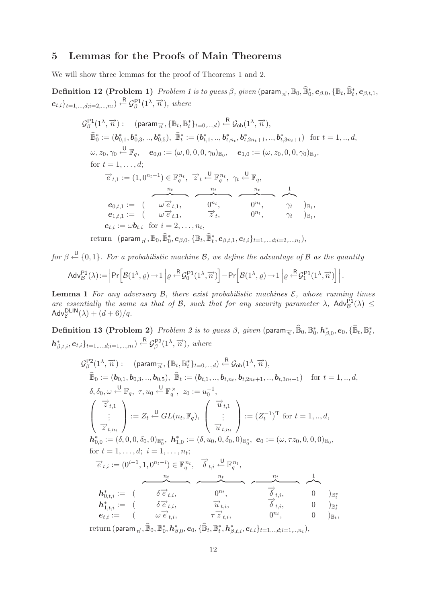# **5 Lemmas for the Proofs of Main Theorems**

We will show three lemmas for the proof of Theorems 1 and 2.

 $\textbf{Definition 12 (Problem 1)} \ \textit{Problem 1} \ is \ to \ guess \ \beta, \ \textit{given} \ (\textsf{param}_{\overrightarrow{n}}, \mathbb{B}_0, \widehat{\mathbb{B}}_0^*, \boldsymbol{e}_{\beta,0}, \{\mathbb{B}_t, \widehat{\mathbb{B}}_t^*, \boldsymbol{e}_{\beta,t,1}, \dots, \boldsymbol{e}_{\beta,0}\})$  $e_{t,i}\}_{t=1,\dots,d; i=2,\dots,n_t}$ )  $\leftarrow^R \mathcal{G}_{\beta}^{P1}(1^{\lambda}, \overrightarrow{n})$ *, where* 

$$
\mathcal{G}_{\beta}^{\mathsf{P1}}(1^{\lambda}, \overrightarrow{n}) : (param_{\overrightarrow{n}}, \{\mathbb{B}_{t}, \mathbb{B}_{t}^{*}\}_{t=0,\dots,d}) \xleftarrow{\mathsf{R}} \mathcal{G}_{\mathsf{ob}}(1^{\lambda}, \overrightarrow{n}),
$$
\n
$$
\widehat{\mathbb{B}}_{0}^{*} := (\mathbf{b}_{0,1}^{*}, \mathbf{b}_{0,3}^{*}, \dots, \mathbf{b}_{0,5}^{*}), \widehat{\mathbb{B}}_{t}^{*} := (\mathbf{b}_{t,1}^{*}, \dots, \mathbf{b}_{t,n_{t}}, \mathbf{b}_{t,2n_{t}+1}, \dots, \mathbf{b}_{t,3n_{t}+1}) \text{ for } t = 1, \dots, d,
$$
\n
$$
\omega, z_{0}, \gamma_{0} \xleftarrow{\mathsf{U}} \mathbb{F}_{q}, \quad e_{0,0} := (\omega, 0, 0, 0, \gamma_{0})_{\mathbb{B}_{0}}, \quad e_{1,0} := (\omega, z_{0}, 0, 0, \gamma_{0})_{\mathbb{B}_{0}},
$$
\nfor  $t = 1, \dots, d$ ;\n
$$
\overrightarrow{e}_{t,1} := (1, 0^{n_{t}-1}) \in \mathbb{F}_{q}^{n_{t}}, \quad \overrightarrow{z}_{t} \xleftarrow{\mathsf{U}} \mathbb{F}_{q}^{n_{t}}, \quad \gamma_{t} \xleftarrow{\mathsf{U}} \mathbb{F}_{q},
$$
\n
$$
e_{0,t,1} := (\omega \overrightarrow{e}_{t,1}, \dots, \omega \overrightarrow{e}_{t,1}, \dots, \omega \overrightarrow{e}_{t,1}, \dots, \omega \overrightarrow{e}_{t,1}, \dots, \omega \overrightarrow{e}_{t,t}, \dots, \omega \overrightarrow{e}_{t,t})_{\mathbb{B}_{t}},
$$
\n
$$
e_{1,t,1} := (\omega \overrightarrow{e}_{t,1}, \dots, \overrightarrow{e}_{t}, \dots, \omega \overrightarrow{e}_{t,1}, \dots, \omega \overrightarrow{e}_{t,1}, \dots, \omega \overrightarrow{e}_{t,1}, \dots, \omega \overrightarrow{e}_{t,1}, \dots, \omega \overrightarrow{e}_{t,1}, \dots, \omega \overrightarrow{e}_{t,1}, \dots, \omega \overrightarrow{e}_{t,1}, \dots, \omega \overrightarrow{e}_{t,
$$

return (param $_{\overrightarrow{n}}, \mathbb{B}_0, \widehat{\mathbb{B}}_0^*, \boldsymbol{e}_{\beta,0}, \{\mathbb{B}_t, \widehat{\mathbb{B}}_t^*, \boldsymbol{e}_{\beta,t,1}, \boldsymbol{e}_{t,i}\}_{t=1,...,d; i=2,...,n_t}),$ 

 $for \beta \stackrel{\bigcup}{\leftarrow} \{0,1\}$ . For a probabilistic machine B, we define the advantage of B as the quantity

$$
\mathsf{Adv}_{\mathcal{B}}^{\mathsf{P1}}(\lambda) := \left| \mathsf{Pr}\left[\mathcal{B}(1^{\lambda}, \varrho) \to 1 \left| \varrho \stackrel{\mathsf{R}}{\leftarrow} \mathcal{G}_0^{\mathsf{P1}}(1^{\lambda}, \overrightarrow{n}) \right] - \mathsf{Pr}\left[\mathcal{B}(1^{\lambda}, \varrho) \to 1 \left| \varrho \stackrel{\mathsf{R}}{\leftarrow} \mathcal{G}_1^{\mathsf{P1}}(1^{\lambda}, \overrightarrow{n}) \right] \right| \right. .
$$

**Lemma 1** *For any adversary*  $\mathcal{B}$ *, there exist probabilistic machines*  $\mathcal{E}$ *, whose running times are essentially the same as that of B, such that for any security parameter*  $\lambda$ ,  $\text{Adv}_{\mathcal{B}}^{\text{P1}}(\lambda) \leq$ Adv $_{\mathcal{E}}^{\mathsf{DLIN}}(\lambda)+(d+6)/q.$ 

 $\bf{Definition \ 13 \ (Problem \ 2) \ \ } Problem \ 2 \ is \ to \ guess \ \beta, \ given \ (param_{\overrightarrow{n}}, \widehat{\mathbb{B}}_0, \mathbb{B}_0^*, \bm{h}_{\beta,0}^*, \bm{e}_0, \{\widehat{\mathbb{B}}_t, \mathbb{B}_t^*,\}$  $h_{\beta,t,i}^*, e_{t,i}\}_{t=1,\dots,d; i=1,\dots,n_t} \overset{\text{R}}{\leftarrow} \mathcal{G}_{\beta}^{\text{P2}}(1^{\lambda}, \overrightarrow{n})$ , where

$$
\mathcal{G}_{\beta}^{\mathsf{P2}}(1^{\lambda}, \overrightarrow{n}) : (\text{param}_{\overrightarrow{n}}, \{\mathbb{B}_{t}, \mathbb{B}_{t}^{*}\}_{t=0,\dots,d}) \xleftarrow{\mathsf{R}} \mathcal{G}_{\mathsf{ob}}(1^{\lambda}, \overrightarrow{n}),
$$
  
\n
$$
\widehat{\mathbb{B}}_{0} := (\mathbf{b}_{0,1}, \mathbf{b}_{0,3}, \dots, \mathbf{b}_{0,5}), \widehat{\mathbb{B}}_{t} := (\mathbf{b}_{t,1}, \dots, \mathbf{b}_{t,n_{t}}, \mathbf{b}_{t,2n_{t}+1}, \dots, \mathbf{b}_{t,3n_{t}+1}) \text{ for } t = 1, \dots, d,
$$
  
\n
$$
\delta, \delta_{0}, \omega \xleftarrow{\mathsf{U}} \mathbb{F}_{q}, \tau, u_{0} \xleftarrow{\mathsf{U}} \mathbb{F}_{q}^{\times}, z_{0} := u_{0}^{-1},
$$
  
\n
$$
\begin{pmatrix} \overrightarrow{z}_{t,1} \\ \vdots \\ \overrightarrow{z}_{t,n_{t}} \end{pmatrix} := Z_{t} \xleftarrow{\mathsf{U}} GL(n_{t}, \mathbb{F}_{q}), \begin{pmatrix} \overrightarrow{u}_{t,1} \\ \vdots \\ \overrightarrow{u}_{t,n_{t}} \end{pmatrix} := (Z_{t}^{-1})^{\mathrm{T}} \text{ for } t = 1, \dots, d,
$$
  
\n
$$
\mathbf{h}_{0,0}^{*} := (\delta, 0, 0, \delta_{0}, 0)_{\mathbb{B}_{0}^{*}}, \mathbf{h}_{1,0}^{*} := (\delta, u_{0}, 0, \delta_{0}, 0)_{\mathbb{B}_{0}^{*}}, \mathbf{e}_{0} := (\omega, \tau z_{0}, 0, 0, 0)_{\mathbb{B}_{0}},
$$
  
\nfor  $t = 1, \dots, d; i = 1, \dots, n_{t};$ 

$$
\overrightarrow{e}_{t,i} := (0^{i-1}, 1, 0^{n_t - i}) \in \mathbb{F}_q^{n_t}, \quad \overrightarrow{\delta}_{t,i} \stackrel{\mathsf{U}}{\leftarrow} \mathbb{F}_q^{n_t},
$$
\n
$$
\overrightarrow{h}_{0,t,i}^* := (\overrightarrow{\delta \overrightarrow{e}_{t,i}}, \overrightarrow{\delta}_{t,i}, \overrightarrow{\delta}_{t,i}, \overrightarrow{\delta}_{t,i}, \overrightarrow{\delta}_{t,i}, \overrightarrow{\delta}_{t,i}, \overrightarrow{\delta}_{t,i}, \overrightarrow{\delta}_{t,i}, \overrightarrow{\delta}_{t,i}, \overrightarrow{\delta}_{t,i}, \overrightarrow{\delta}_{t,i}, \overrightarrow{\delta}_{t,i}, \overrightarrow{\delta}_{t,i}, \overrightarrow{\delta}_{t,i}, \overrightarrow{\delta}_{t,i}, \overrightarrow{\delta}_{t,i}, \overrightarrow{\delta}_{t,i}, \overrightarrow{\delta}_{t,i}, \overrightarrow{\delta}_{t,i}, \overrightarrow{\delta}_{t,i}, \overrightarrow{\delta}_{t,i}, \overrightarrow{\delta}_{t,i}, \overrightarrow{\delta}_{t,i}, \overrightarrow{\delta}_{t,i}, \overrightarrow{\delta}_{t,i}, \overrightarrow{\delta}_{t,i}, \overrightarrow{\delta}_{t,i}, \overrightarrow{\delta}_{t,i}, \overrightarrow{\delta}_{t,i}, \overrightarrow{\delta}_{t,i}, \overrightarrow{\delta}_{t,i}, \overrightarrow{\delta}_{t,i}, \overrightarrow{\delta}_{t,i}, \overrightarrow{\delta}_{t,i}, \overrightarrow{\delta}_{t,i}, \overrightarrow{\delta}_{t,i}, \overrightarrow{\delta}_{t,i}, \overrightarrow{\delta}_{t,i}, \overrightarrow{\delta}_{t,i}, \overrightarrow{\delta}_{t,i}, \overrightarrow{\delta}_{t,i}, \overrightarrow{\delta}_{t,i}, \overrightarrow{\delta}_{t,i}, \overrightarrow{\delta}_{t,i}, \overrightarrow{\delta}_{t,i}, \overrightarrow{\delta}_{t,i}, \overrightarrow{\delta}_{t,i}, \overrightarrow{\delta}_{t,i}, \overrightarrow{\delta}_{t,i}, \overrightarrow{\delta}_{t,i}, \overrightarrow{\delta}_{t,i}, \overrightarrow{\delta}_{t,i}, \overrightarrow{\delta}_{t,i}, \overrightarrow{\delta}_{t,i}, \overrightarrow{\delta}_{t,i}, \overrightarrow{\delta}_{t,i}, \overrightarrow{\delta}_{t,i}, \overrightarrow{\delta}_{t,i}, \overrightarrow{\delta}_{t,i}, \overrightarrow{\delta}_{t,i}, \overrightarrow{\delta}_{t,i}, \overrightarrow{\delta}_{t,i}, \overrightarrow{\delta}_{t,i}, \overrightarrow{\delta}_{t,i}, \overrightarrow{\delta}_{t,i}, \overrightarrow{\delta}_{t,i}, \overrightarrow{\delta}_{t,i}, \overrightarrow{\delta}_{t,i}, \overrightarrow{\delta}_{t,i}, \overrightarrow{\delta}_{t,i}, \overrightarrow{\delta}_{t,i}, \overrightarrow{\delta}_{t,i}, \overrightarrow{\delta}_{t,i},
$$

 $\text{return } (\textsf{param}_{\overrightarrow{n}}, \widehat{\mathbb{B}}_0, \mathbb{B}^*_0, \boldsymbol{h}^*_{\beta,0}, \boldsymbol{e}_0, \{\widehat{\mathbb{B}}_t, \mathbb{B}^*_t, \boldsymbol{h}^*_{\beta,t,i}, \boldsymbol{e}_{t,i}\}_{t=1,..,d; i=1,..,n_t}),$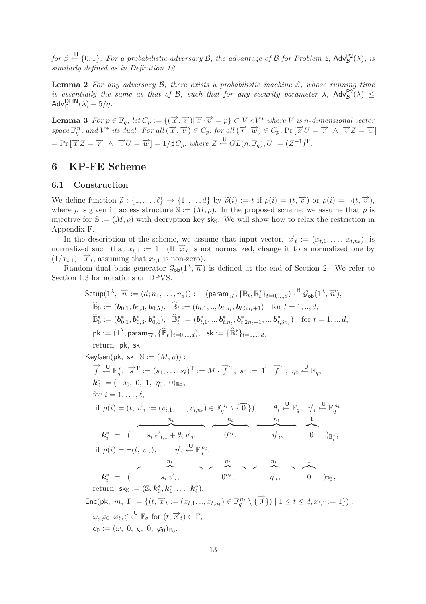$for \beta \stackrel{\bigcup}{\leftarrow} \{0,1\}$ . For a probabilistic adversary B, the advantage of B for Problem 2,  $\mathsf{Adv}_{\mathcal{B}}^{\mathsf{P2}}(\lambda)$ , is *similarly defined as in Definition 12.*

**Lemma 2** For any adversary  $\beta$ , there exists a probabilistic machine  $\mathcal{E}$ , whose running time *is essentially the same as that of B, such that for any security parameter*  $\lambda$ ,  $\mathsf{Adv}_{\mathcal{B}}^{\mathsf{P2}}(\lambda) \leq$  $\mathsf{Adv}_{\mathcal{E}}^{\mathsf{DLIN}}(\lambda) + 5/q.$ 

**Lemma 3**  $For p \in \mathbb{F}_q$ ,  $let C_p := \{(\vec{x}, \vec{v}) | \vec{x} \cdot \vec{v} = p\} \subset V \times V^*$  where V is n-dimensional vector  $space \ \mathbb{F}_q^n$ , and  $V^*$  *its dual.* For all  $(\overrightarrow{x}, \overrightarrow{v}) \in C_p$ , for all  $(\overrightarrow{r}, \overrightarrow{w}) \in C_p$ ,  $Pr[\overrightarrow{x}U = \overrightarrow{r} \ \wedge \ \overrightarrow{v}Z = \overrightarrow{w}]$  $= Pr\left[\overrightarrow{x} Z = \overrightarrow{r} \wedge \overrightarrow{v} U = \overrightarrow{w}\right] = 1/\sharp C_p$ , where  $Z \stackrel{\cup}{\leftarrow} GL(n,\mathbb{F}_q), U := (Z^{-1})^T$ .

# **6 KP-FE Scheme**

# **6.1 Construction**

We define function  $\tilde{\rho}: \{1,\ldots,\ell\} \to \{1,\ldots,d\}$  by  $\tilde{\rho}(i) := t$  if  $\rho(i) = (t, \vec{v})$  or  $\rho(i) = \neg(t, \vec{v})$ , where  $\rho$  is given in access structure  $\mathbb{S} := (M, \rho)$ . In the proposed scheme, we assume that  $\tilde{\rho}$  is injective for  $\mathbb{S} := (M, \rho)$  with decreation levels. We will show how to relax the restriction in injective for  $\mathbb{S} := (M, \rho)$  with decryption key sks. We will show how to relax the restriction in Appendix F.

In the description of the scheme, we assume that input vector,  $\vec{x}_t := (x_{t,1}, \ldots, x_{t,n_t}),$  is normalized such that  $x_{t,1} := 1$ . (If  $\vec{x}_t$  is not normalized, change it to a normalized one by  $(1/x_{t,1}) \cdot \overrightarrow{x}_t$ , assuming that  $x_{t,1}$  is non-zero).

Random dual basis generator  $\mathcal{G}_{ob}(1^{\lambda}, \overrightarrow{n})$  is defined at the end of Section 2. We refer to Section 1.3 for notations on DPVS.

Setup(1<sup>λ</sup>, 
$$
\overrightarrow{n}
$$
 := (d; n<sub>1</sub>,..., n<sub>d</sub>)): (param <sub>$\overrightarrow{n}$</sub> , { $\mathbb{B}_{t}$ ,  $\mathbb{B}_{t}^{*}$ } <sub>$t=0,...,d$</sub> )  $\stackrel{\text{R}}{\rightarrow} \mathcal{G}_{ob}(1^{\lambda}, \overrightarrow{n})$ ,  
\n $\widehat{\mathbb{B}}_{0} := (\mathbf{b}_{0,1}, \mathbf{b}_{0,3}, \mathbf{b}_{0,5}), \quad \widehat{\mathbb{B}}_{t} := (\mathbf{b}_{t,1}, ..., \mathbf{b}_{t,n_{t}}, \mathbf{b}_{t,3n_{t}+1})$  for  $t = 1, ..., d$ ,  
\n $\widehat{\mathbb{B}}_{0}^{*} := (\mathbf{b}_{0,1}^{*}, \mathbf{b}_{0,3}^{*}, \mathbf{b}_{0,4}^{*}), \quad \widehat{\mathbb{B}}_{t}^{*} := (\mathbf{b}_{t,1}^{*}, ..., \mathbf{b}_{t,n_{t}}, \mathbf{b}_{t,2n_{t}+1}, ..., \mathbf{b}_{t,3n_{t}}^{*})$  for  $t = 1, ..., d$ ,  
\n $\text{pk} := (1^{\lambda}, \text{param}_{\overrightarrow{n}}, \{\widehat{\mathbb{B}}_{t}\}_{t=0,...,d})$ ,  $\text{sk} := \{\widehat{\mathbb{B}}_{t}^{*}\}_{t=0,...,d}$ ,  
\nreturn pk, sk.  
\nKeyGen(pk, sk, S := (M, \rho)) :  
\n $\overrightarrow{f} \stackrel{\cup}{\leftarrow} \mathbb{F}_{q}^{r}, \overrightarrow{s}^{T} := (s_{1}, ..., s_{\ell})^{T} := M \cdot \overrightarrow{f}^{T}, s_{0} := \overrightarrow{1} \cdot \overrightarrow{f}^{T}, \eta_{0} \stackrel{\cup}{\leftarrow} \mathbb{F}_{q},$   
\n $\mathbf{b}_{0}^{*} := (-s_{0}, 0, 1, \eta_{0}, 0)_{\mathbb{B}_{0}^{*}}$ ,  
\nfor  $i = 1, ..., \ell$ ,  
\nif  $\rho(i) = (t, \overrightarrow{v}_{i}) = (v_{i,1}, ..., v_{i,n_{t}}) \in \mathbb{F}_{q}^{n_{t}} \setminus \{\over$ 

 $\mathbb{F}_q^{\cdots} \setminus \{ \mathbf{0} \} | \mathbf{1} \leq t \leq d, x_{t,1} := 1 \}$ :  $\omega, \varphi_0, \varphi_t, \zeta \stackrel{\mathsf{U}}{\leftarrow} \mathbb{F}_q \text{ for } (t, \overrightarrow{x}_t) \in \Gamma,$  $c_0 := (\omega, 0, \zeta, 0, \varphi_0)_{\mathbb{B}_0},$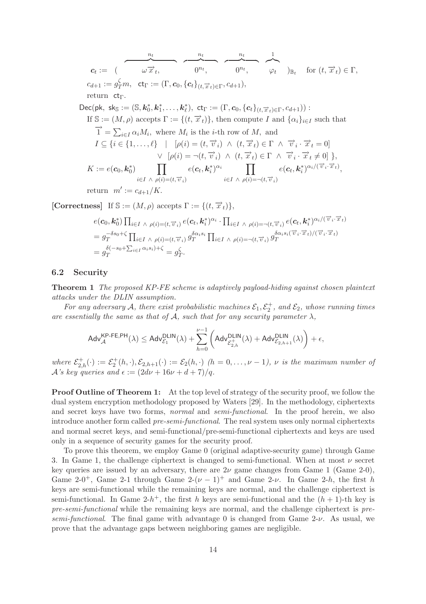$$
c_{t} := (\overbrace{\omega \overrightarrow{x}_{t}}, \overbrace{\omega^{n_{t}}}_{0^{n_{t}}}, \overbrace{\omega^{n_{t}}}_{0^{n_{t}}}, \overbrace{\varphi_{t}}_{0^{n_{t}}})_{\mathbb{B}_{t}} \text{ for } (t, \overrightarrow{x}_{t}) \in \Gamma,
$$
\n
$$
c_{d+1} := g_{T}^{\zeta} m, \text{ ct}_{\Gamma} := (\Gamma, c_{0}, \{c_{t}\}_{(t, \overrightarrow{x}_{t}) \in \Gamma}, c_{d+1}),
$$
\nreturn ct<sub>\Gamma</sub>.  
\nDec(pk, sk<sub>S</sub> := (S, k<sub>0</sub><sup>\*</sup>, k<sub>1</sub><sup>\*</sup>, ..., k<sub>\ell</sub><sup>\*</sup>), ct<sub>\Gamma</sub> := (\Gamma, c\_{0}, \{c\_{t}\}\_{(t, \overrightarrow{x}\_{t}) \in \Gamma}, c\_{d+1})) :  
\nIf S := (M, \rho) accepts \Gamma := \{(t, \overrightarrow{x}\_{t})\}, then compute I and \{\alpha\_{i}\}\_{i \in I} such that  
\n
$$
\overrightarrow{1} = \sum_{i \in I} \alpha_{i} M_{i}, \text{ where } M_{i} \text{ is the } i\text{-th row of } M, \text{ and}
$$
\n
$$
I \subseteq \{i \in \{1, ..., \ell\} \mid [\rho(i) = (t, \overrightarrow{v}_{i}) \land (t, \overrightarrow{x}_{t}) \in \Gamma \land \overrightarrow{v}_{i} \cdot \overrightarrow{x}_{t} \neq 0] \},
$$
\n
$$
\vee [\rho(i) = \neg(t, \overrightarrow{v}_{i}) \land (t, \overrightarrow{x}_{t}) \in \Gamma \land \overrightarrow{v}_{i} \cdot \overrightarrow{x}_{t} \neq 0] \},
$$
\n
$$
K := e(c_{0}, k_{0}^{*}) \prod_{i \in I \land \rho(i) = (t, \overrightarrow{v}_{i})} e(c_{t}, k_{i}^{*})^{\alpha_{i}} \prod_{i \in I \land \rho(i) = \neg(t, \overrightarrow{v}_{i})} e(c_{t}, k_{i}^{*})^{\alpha_{i}/(\overrightarrow{v}_{i} \cdot \overrightarrow{x}_{t})},
$$
\nreturn  $m' := c_{d+1}/K.$ 

**[Correctness]** If  $\mathbb{S} := (M, \rho)$  accepts  $\Gamma := \{(t, \overrightarrow{x}_t)\},\$ 

$$
e(\mathbf{c}_0, \mathbf{k}_0^*) \prod_{i \in I} \wedge \rho(i) = (t, \overrightarrow{v}_i) e(\mathbf{c}_t, \mathbf{k}_i^*)^{\alpha_i} \cdot \prod_{i \in I} \wedge \rho(i) = \neg(t, \overrightarrow{v}_i) e(\mathbf{c}_t, \mathbf{k}_i^*)^{\alpha_i/(\overrightarrow{v}_i \cdot \overrightarrow{x}_t)}
$$
  
\n
$$
= g_T^{-\delta s_0 + \zeta} \prod_{i \in I} \wedge \rho(i) = (t, \overrightarrow{v}_i) g_T^{\delta \alpha_i s_i} \prod_{i \in I} \wedge \rho(i) = \neg(t, \overrightarrow{v}_i) g_T^{\delta \alpha_i s_i(\overrightarrow{v}_i \cdot \overrightarrow{x}_t)/(\overrightarrow{v}_i \cdot \overrightarrow{x}_t)}
$$
  
\n
$$
= g_T^{\delta(-s_0 + \sum_{i \in I} \alpha_i s_i) + \zeta} = g_T^{\zeta}.
$$

#### **6.2 Security**

**Theorem 1** *The proposed KP-FE scheme is adaptively payload-hiding against chosen plaintext attacks under the DLIN assumption.*

For any adversary  $A$ , there exist probabilistic machines  $\mathcal{E}_1, \mathcal{E}_2^+$ , and  $\mathcal{E}_2$ , whose running times *are essentially the same as that of*  $A$ *, such that for any security parameter*  $\lambda$ *,* 

$$
\mathsf{Adv}_{\mathcal{A}}^{\mathsf{KP-FE,PH}}(\lambda) \leq \mathsf{Adv}_{\mathcal{E}_1}^{\mathsf{DLIN}}(\lambda) + \sum_{h=0}^{\nu-1} \left( \mathsf{Adv}_{\mathcal{E}_{2,h}^+}^{\mathsf{DLIN}}(\lambda) + \mathsf{Adv}_{\mathcal{E}_{2,h+1}}^{\mathsf{DLIN}}(\lambda) \right) + \epsilon,
$$

where  $\mathcal{E}_{2,h}^+(\cdot) := \mathcal{E}_2^+(h,\cdot), \mathcal{E}_{2,h+1}(\cdot) := \mathcal{E}_2(h,\cdot)$  *(h = 0,...,v - 1), v is the maximum number of*  $\mathcal{A}$ 's key queries and  $\epsilon := (2d\nu + 16\nu + d + 7)/q$ .

**Proof Outline of Theorem 1:** At the top level of strategy of the security proof, we follow the dual system encryption methodology proposed by Waters [29]. In the methodology, ciphertexts and secret keys have two forms, *normal* and *semi-functional*. In the proof herein, we also introduce another form called *pre-semi-functional*. The real system uses only normal ciphertexts and normal secret keys, and semi-functional/pre-semi-functional ciphertexts and keys are used only in a sequence of security games for the security proof.

To prove this theorem, we employ Game 0 (original adaptive-security game) through Game 3. In Game 1, the challenge ciphertext is changed to semi-functional. When at most  $\nu$  secret key queries are issued by an adversary, there are  $2\nu$  game changes from Game 1 (Game 2-0), Game 2-0<sup>+</sup>, Game 2-1 through Game 2- $(\nu - 1)^+$  and Game 2- $\nu$ . In Game 2-h, the first h keys are semi-functional while the remaining keys are normal, and the challenge ciphertext is semi-functional. In Game 2-h<sup>+</sup>, the first h keys are semi-functional and the  $(h + 1)$ -th key is *pre-semi-functional* while the remaining keys are normal, and the challenge ciphertext is *presemi-functional*. The final game with advantage 0 is changed from Game 2-ν. As usual, we prove that the advantage gaps between neighboring games are negligible.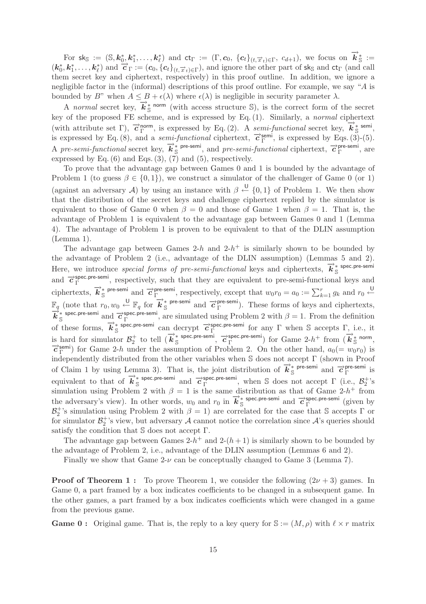For  $sk_{\mathbb{S}} := (\mathbb{S}, k_0^*, k_1^*, \ldots, k_\ell^*)$  and  $ct_{\Gamma} := (\Gamma, c_0, \{c_t\}_{(t, \overrightarrow{x}_t) \in \Gamma}, c_{d+1}),$  we focus on  $\overrightarrow{k}_{\mathbb{S}}^* :=$  $(k_0^*, k_1^*, \ldots, k_\ell^*)$  and  $\overrightarrow{c}_{\Gamma} := (c_0, \{c_t\}_{(t, \overrightarrow{x}_t) \in \Gamma})$ , and ignore the other part of sk<sub>S</sub> and ct<sub>Γ</sub> (and call them secret key and ciphertext, respectively) in this proof outline. In addition, we ignore a negligible factor in the (informal) descriptions of this proof outline. For example, we say "A is bounded by B" when  $A \leq B + \epsilon(\lambda)$  where  $\epsilon(\lambda)$  is negligible in security parameter  $\lambda$ .

A *normal* secret key,  $\vec{k}^*_{\mathcal{S}}$  norm (with access structure S), is the correct form of the secret key of the proposed FE scheme, and is expressed by Eq. (1). Similarly, a *normal* ciphertext (with attribute set Γ),  $\vec{c}^{\text{norm}}_{\Gamma}$ , is expressed by Eq. (2). A *semi-functional* secret key,  $\vec{k}^*_{\mathcal{S}}$ <sup>+</sup> semi, is expressed by Eq. (8), and a *semi-functional* ciphertext,  $\vec{c}_{\Gamma}^{\text{semi}}$ , is expressed by Eqs. (3)-(5). A *pre-semi-functional* secret key,  $\vec{k}^*_{\mathcal{S}}$  pre-semi, and *pre-semi-functional* ciphertext,  $\vec{c}^{\text{pre-semi}}_{\Gamma}$ , are expressed by Eq.  $(6)$  and Eqs.  $(3)$ ,  $(7)$  and  $(5)$ , respectively.

To prove that the advantage gap between Games 0 and 1 is bounded by the advantage of Problem 1 (to guess  $\beta \in \{0, 1\}$ ), we construct a simulator of the challenger of Game 0 (or 1) (against an adversary A) by using an instance with  $\beta \stackrel{U}{\leftarrow} \{0,1\}$  of Problem 1. We then show that the distribution of the secret keys and challenge ciphertext replied by the simulator is equivalent to those of Game 0 when  $\beta = 0$  and those of Game 1 when  $\beta = 1$ . That is, the advantage of Problem 1 is equivalent to the advantage gap between Games 0 and 1 (Lemma 4). The advantage of Problem 1 is proven to be equivalent to that of the DLIN assumption (Lemma 1).

The advantage gap between Games 2-h and  $2-h^+$  is similarly shown to be bounded by the advantage of Problem 2 (i.e., advantage of the DLIN assumption) (Lemmas 5 and 2). Here, we introduce *special forms of pre-semi-functional* keys and ciphertexts,  $\vec{k}^*$  <sup>\*</sup> spec.pre-semiand  $\vec{c}$ <sup>spec.pre-semi</sup>, respectively, such that they are equivalent to pre-semi-functional keys and ciphertexts,  $\vec{k}_{\text{S}}^*$  pre-semi and  $\vec{\tau}_{\Gamma}^{\text{pre-semi}}$ , respectively, except that  $w_0r_0 = a_0 := \sum_{k=1}^r g_k$  and  $r_0 \stackrel{\cup}{\leftarrow}$  $\overrightarrow{F}_q$  (note that  $r_0, w_0 \stackrel{\cup}{\leftarrow} \overrightarrow{F}_q$  for  $\overrightarrow{K}_{\mathbb{S}}^*$  pre-semi and  $\overrightarrow{C}_{\Gamma}^{\text{pre-semi}}$ ). These forms of keys and ciphertexts,<br> $\overrightarrow{K}_{\mathbb{S}}^*$  spec.pre-semi and  $\overrightarrow{C}_{\Gamma}^{\text{spec.pre-semi}}$ , are simulated using Pr of these forms,  $\vec{k}_{\text{S}}^*$  spec.pre-semi can decrypt  $\vec{c}_{\Gamma}^{\text{spec.pre-semi}}$  for any  $\Gamma$  when S accepts  $\Gamma$ , i.e., it is hard for simulator  $\mathcal{B}_2^+$  to tell  $(\vec{k}_{\text{S}}^*$  spec.pre-semi,  $\vec{c}_{\text{P}}^{\text{spec. pre-semi}})$  for Game 2-h<sup>+</sup> from  $(\vec{k}_{\text{S}}^*$  norm,  $\vec{c}_{\text{P}}^{\text{semi}})$  for Game 2-h under the assumption of Problem 2. On the other hand  $\vec{c}$ <sup>semi</sup>) for Game 2-h under the assumption of Problem 2. On the other hand,  $a_0 (= w_0 r_0)$  is independently distributed from the other variables when S does not accept Γ (shown in Proof of Claim 1 by using Lemma 3). That is, the joint distribution of  $\vec{k}_{\text{S}}^*$  pre-semi and  $\vec{c}_{\text{C}}^{\text{pre-semi}}$  is equivalent to that of  $\vec{k}_{\text{S}}^*$  spec.pre-semi and  $\vec{c}_{\Gamma}^{\text{spec. pre-semi}}$ , when S does not accept  $\Gamma$  (i.e.,  $\mathcal{B}_2^+$ 's simulation using Problem 2 with  $\beta = 1$  is the same distribution as that of Game 2-h<sup>+</sup> from the adversary's view). In other words,  $w_0$  and  $r_0$  in  $\vec{k}^*_{\mathbb{S}}$  spec.pre-semi and  $\vec{c}^{\text{spec.pre-semi}}_{\Gamma}$  (given by  $\mathcal{B}_2^+$ 's simulation using Problem 2 with  $\beta = 1$ ) are correlated for the case that S accepts  $\Gamma$  or for simulator  $\mathcal{B}_2^+$ 's view, but adversary  $\mathcal A$  cannot notice the correlation since  $\mathcal A$ 's queries should satisfy the condition that S does not accept Γ.

The advantage gap between Games  $2-h^+$  and  $2-(h+1)$  is similarly shown to be bounded by the advantage of Problem 2, i.e., advantage of the DLIN assumption (Lemmas 6 and 2).

Finally we show that Game  $2-\nu$  can be conceptually changed to Game 3 (Lemma 7).

**Proof of Theorem 1 :** To prove Theorem 1, we consider the following  $(2\nu + 3)$  games. In Game 0, a part framed by a box indicates coefficients to be changed in a subsequent game. In the other games, a part framed by a box indicates coefficients which were changed in a game from the previous game.

**Game 0 :** Original game. That is, the reply to a key query for  $\mathbb{S} := (M, \rho)$  with  $\ell \times r$  matrix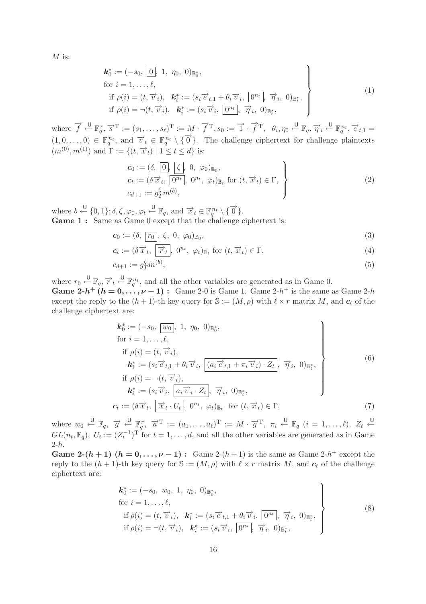$M$  is:

$$
\begin{aligned}\n\mathbf{k}_0^* &:= (-s_0, \boxed{0}, 1, \eta_0, 0)_{\mathbb{B}_0^*}, \\
\text{for } i = 1, \dots, \ell, \\
\text{if } \rho(i) &= (t, \overrightarrow{v}_i), \quad \mathbf{k}_i^* := (s_i \overrightarrow{e}_{t,1} + \theta_i \overrightarrow{v}_i, \boxed{0^{n_t}}, \overrightarrow{\eta}_i, 0)_{\mathbb{B}_t^*}, \\
\text{if } \rho(i) &= \neg(t, \overrightarrow{v}_i), \quad \mathbf{k}_i^* := (s_i \overrightarrow{v}_i, \boxed{0^{n_t}}, \overrightarrow{\eta}_i, 0)_{\mathbb{B}_t^*},\n\end{aligned}
$$
\n
$$
(1)
$$

where  $\vec{f} \leftarrow^{\mathsf{U}} \mathbb{F}_q^r$ ,  $\vec{s}^{\mathrm{T}} := (s_1, \ldots, s_\ell)^{\mathrm{T}} := M \cdot \vec{f}^{\mathrm{T}}$ ,  $s_0 := \vec{1} \cdot \vec{f}^{\mathrm{T}}$ ,  $\theta_i, \eta_0 \leftarrow^{\mathsf{U}} \mathbb{F}_q$ ,  $\vec{\eta}_i \leftarrow^{\mathsf{U}} \mathbb{F}_q^{n_t}$ ,  $\vec{e}_{t,1} =$  $(1, 0, \ldots, 0) \in \mathbb{F}_q^{n_t}$ , and  $\vec{v}_i \in \mathbb{F}_q^{n_t} \setminus {\{\vec{0}\}}$ . The challenge ciphertext for challenge plaintexts  $(m^{(0)}, m^{(1)})$  and  $\Gamma := \{(t, \vec{x}_t) | 1 \le t \le d\}$  is:

$$
\begin{aligned}\n\mathbf{c}_0 &:= (\delta, \boxed{0}, \boxed{\zeta}, 0, \varphi_0)_{\mathbb{B}_0}, \\
\mathbf{c}_t &:= (\delta \overrightarrow{x}_t, \boxed{0^{n_t}}, 0^{n_t}, \varphi_t)_{\mathbb{B}_t} \text{ for } (t, \overrightarrow{x}_t) \in \Gamma, \\
c_{d+1} &:= g_T^{\zeta} m^{(b)},\n\end{aligned} \tag{2}
$$

where  $b \stackrel{\text{U}}{\leftarrow} \{0,1\}; \delta, \zeta, \varphi_0, \varphi_t \stackrel{\text{U}}{\leftarrow} \mathbb{F}_q$ , and  $\overrightarrow{x}_t \in \mathbb{F}_q^{n_t} \setminus \{\overrightarrow{0}\}$ . Game 1 : Same as Game 0 except that the challenge ciphertext is:

$$
\mathbf{c}_0 := (\delta, \mathbf{r}_0, \zeta, 0, \varphi_0)_{\mathbb{B}_0},\tag{3}
$$

$$
\mathbf{c}_t := (\delta \overrightarrow{x}_t, \overrightarrow{r}_t, 0^{n_t}, \varphi_t)_{\mathbb{B}_t} \text{ for } (t, \overrightarrow{x}_t) \in \Gamma,
$$
\n
$$
(4)
$$

$$
c_{d+1} := g_T^{\zeta} m^{(b)},\tag{5}
$$

where  $r_0 \stackrel{\cup}{\leftarrow} \mathbb{F}_q$ ,  $\overrightarrow{r}_t \stackrel{\cup}{\leftarrow} \mathbb{F}_q^{n_t}$ , and all the other variables are generated as in Game 0. **Game 2-***h*<sup>+</sup>  $(h = 0, \ldots, \nu - 1)$ : Game 2-0 is Game 1. Game 2-*h*<sup>+</sup> is the same as Game 2-*h* except the reply to the  $(h + 1)$ -th key query for  $\mathbb{S} := (M, \rho)$  with  $\ell \times r$  matrix M, and  $c_t$  of the challenge ciphertext are:

$$
\begin{aligned}\n\mathbf{k}_{0}^{*} &:= (-s_{0}, \overline{w_{0}}, 1, \eta_{0}, 0)_{\mathbb{B}_{0}^{*}}, \\
\text{for } i = 1, \dots, \ell, \\
\text{if } \rho(i) = (t, \overrightarrow{v}_{i}), \\
\mathbf{k}_{i}^{*} &:= (s_{i} \overrightarrow{e}_{t,1} + \theta_{i} \overrightarrow{v}_{i}, \overline{(a_{i} \overrightarrow{e}_{t,1} + \pi_{i} \overrightarrow{v}_{i}) \cdot Z_{t}}, \overrightarrow{\eta}_{i}, 0)_{\mathbb{B}_{t}^{*}}, \\
\text{if } \rho(i) = \neg(t, \overrightarrow{v}_{i}), \\
\mathbf{k}_{i}^{*} &:= (s_{i} \overrightarrow{v}_{i}, \overline{a_{i} \overrightarrow{v}_{i} \cdot Z_{t}}, \overrightarrow{\eta}_{i}, 0)_{\mathbb{B}_{t}^{*}}, \\
\mathbf{c}_{t} &:= (\delta \overrightarrow{x}_{t}, \overline{\overrightarrow{x}_{t} \cdot U_{t}}, 0^{n_{t}}, \varphi_{t})_{\mathbb{B}_{t}} \quad \text{for } (t, \overrightarrow{x}_{t}) \in \Gamma,\n\end{aligned} \tag{7}
$$

where  $w_0 \stackrel{\mathsf{U}}{\leftarrow} \mathbb{F}_q$ ,  $\overrightarrow{g} \stackrel{\mathsf{U}}{\leftarrow} \mathbb{F}_q^r$ ,  $\overrightarrow{a}^{\mathrm{T}} := (a_1, \ldots, a_\ell)^{\mathrm{T}} := M \cdot \overrightarrow{g}^{\mathrm{T}}$ ,  $\pi_i \stackrel{\mathsf{U}}{\leftarrow} \mathbb{F}_q$   $(i = 1, \ldots, \ell)$ ,  $Z_t \stackrel{\mathsf{U}}{\leftarrow}$  $GL(n_t, \mathbb{F}_q)$ ,  $U_t := (Z_t^{-1})^T$  for  $t = 1, \ldots, d$ , and all the other variables are generated as in Game  $2-h$ .

**Game 2-(***h* + 1) ( $h = 0, ..., \nu - 1$ ) : Game 2-(*h* + 1) is the same as Game 2-*h*<sup>+</sup> except the reply to the  $(h + 1)$ -th key query for  $\mathcal{S} := (M, \rho)$  with  $\ell \times r$  matrix M, and  $c_t$  of the challenge ciphertext are:

$$
\mathbf{k}_{0}^{*} := (-s_{0}, w_{0}, 1, \eta_{0}, 0)_{\mathbb{B}_{0}^{*}},
$$
  
for  $i = 1, ..., \ell$ ,  
if  $\rho(i) = (t, \overrightarrow{v}_{i}), \quad \mathbf{k}_{i}^{*} := (s_{i} \overrightarrow{e}_{t,1} + \theta_{i} \overrightarrow{v}_{i}, \overrightarrow{0^{n_{t}}}, \overrightarrow{\eta}_{i}, 0)_{\mathbb{B}_{t}^{*}},$   
if  $\rho(i) = \neg(t, \overrightarrow{v}_{i}), \quad \mathbf{k}_{i}^{*} := (s_{i} \overrightarrow{v}_{i}, \overrightarrow{0^{n_{t}}}, \overrightarrow{\eta}_{i}, 0)_{\mathbb{B}_{t}^{*}},$  (8)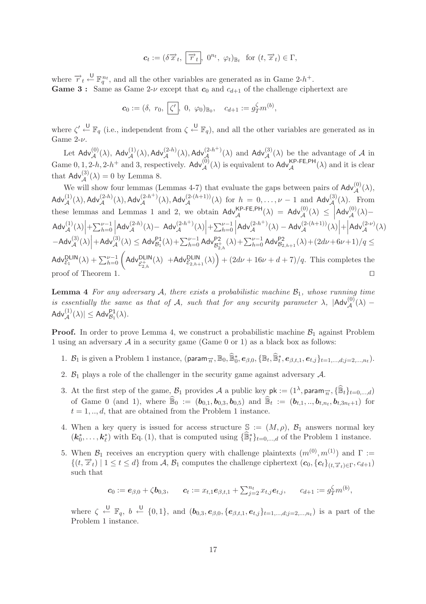$$
\mathbf{c}_t := (\delta \overrightarrow{x}_t, \overrightarrow{r}_t, 0^{n_t}, \varphi_t)_{\mathbb{B}_t} \text{ for } (t, \overrightarrow{x}_t) \in \Gamma,
$$

where  $\overrightarrow{r}_t \stackrel{\cup}{\leftarrow} \mathbb{F}_q^{n_t}$ , and all the other variables are generated as in Game 2-h<sup>+</sup>. **Game 3 :** Same as Game 2-ν except that  $c_0$  and  $c_{d+1}$  of the challenge ciphertext are

$$
c_0 := (\delta, r_0, \zeta', 0, \varphi_0)_{\mathbb{B}_0}, \quad c_{d+1} := g_T^{\zeta} m^{(b)},
$$

where  $\zeta' \stackrel{\cup}{\leftarrow} \mathbb{F}_q$  (i.e., independent from  $\zeta \stackrel{\cup}{\leftarrow} \mathbb{F}_q$ ), and all the other variables are generated as in Game  $2-\nu$ .

Let  $\mathsf{Adv}_{\mathcal{A}}^{(0)}(\lambda)$ ,  $\mathsf{Adv}_{\mathcal{A}}^{(1)}(\lambda)$ ,  $\mathsf{Adv}_{\mathcal{A}}^{(2-h)}(\lambda)$ ,  $\mathsf{Adv}_{\mathcal{A}}^{(2-h+)}(\lambda)$  and  $\mathsf{Adv}_{\mathcal{A}}^{(3)}(\lambda)$  be the advantage of  $\mathcal A$  in Game 0, 1, 2-h, 2-h<sup>+</sup> and 3, respectively. Adv $_A^{(0)}(\lambda)$  is equivalent to Adv $_A^{KP-FE,PH}(\lambda)$  and it is clear that  $\mathsf{Adv}_{\mathcal{A}}^{(3)}(\lambda) = 0$  by Lemma 8.

We will show four lemmas (Lemmas 4-7) that evaluate the gaps between pairs of  $\mathsf{Adv}^{(0)}_{\mathcal{A}}(\lambda)$ ,  $\mathsf{Adv}_{\mathcal{A}}^{(1)}(\lambda),\mathsf{Adv}_{\mathcal{A}}^{(2-h)}(\lambda),\mathsf{Adv}_{\mathcal{A}}^{(2-h+)}(\lambda),\mathsf{Adv}_{\mathcal{A}}^{(2-(h+1))}(\lambda) \text{ for } h = 0,\ldots,\nu-1 \text{ and } \mathsf{Adv}_{\mathcal{A}}^{(3)}(\lambda). \text{ From } \mathsf{Adv}_{\mathcal{A}}^{(4)}(\lambda) \text{ and } \mathsf{Adv}_{\mathcal{A}}^{(4)}(\lambda) \text{ and } \mathsf{Adv}_{\mathcal{A}}^{(5)}(\lambda) \text{ and } \mathsf{Adv}_{\mathcal{A}}^{(6)}(\lambda)$ these lemmas and Lemmas 1 and 2, we obtain  $\mathsf{Adv}_{\mathcal{A}}^{\mathsf{KP-FE,PH}}(\lambda) = \mathsf{Adv}_{\mathcal{A}}^{(0)}(\lambda) \leq$  $\mathsf{Adv}_{\mathcal{A}}^{(0)}(\lambda)-$ Adv $\left| \mathcal{A} \right|$  +  $\sum_{h=0}^{\nu-1}$  =  $\left| \mathcal{A} \right|$ Adv $_{\mathcal{A}}^{(2-h)}(\lambda)$  - Adv $_{\mathcal{A}}^{(2-h^{+})}(\lambda)$  +  $\sum_{h=0}^{\nu-1}$  |  $\mathsf{Adv}_{\mathcal{A}}^{(2-h^{+})}(\lambda) - \mathsf{Adv}_{\mathcal{A}}^{(2-(h+1))}(\lambda)\Big| + \Big|$  $\mathsf{Adv}_{\mathcal{A}}^{(2-\nu)}(\lambda)$  $-\mathsf{Adv}_{\mathcal{A}}^{(3)}(\lambda)\Big|+\mathsf{Adv}_{\mathcal{A}}^{(3)}(\lambda)\leq \mathsf{Adv}_{\mathcal{B}_1}^{\mathsf{P1}}(\lambda)+\textstyle\sum_{h=0}^{\nu-1}\mathsf{Adv}_{\mathcal{B}_{2,h}^+}^{\mathsf{P2}}(\lambda)+\textstyle\sum_{h=0}^{\nu-1}\mathsf{Adv}_{\mathcal{B}_{2,h+1}}^{\mathsf{P2}}(\lambda)+(2d\nu+6\nu+1)/q\leq$  $\mathsf{Adv}_{\mathcal{E}_1}^{\mathsf{DLIN}}(\lambda) + \sum_{h=0}^{\nu-1} \left( \mathsf{Adv}_{\mathcal{E}_{2,h}^{+}}^{\mathsf{DLIN}}(\lambda) \right) + (2d\nu + 16\nu + d + 7)/q.$  This completes the proof of Theorem 1.

**Lemma 4** *For any adversary*  $A$ *, there exists a probabilistic machine*  $B_1$ *, whose running time is essentially the same as that of* A, such that for any security parameter  $\lambda$ ,  $|\text{Adv}^{(0)}_{\mathcal{A}}(\lambda) \mathsf{Adv}_{\mathcal{A}}^{(1)}(\lambda)| \leq \mathsf{Adv}_{\mathcal{B}_1}^{\mathsf{P1}}(\lambda).$ 

**Proof.** In order to prove Lemma 4, we construct a probabilistic machine  $\mathcal{B}_1$  against Problem 1 using an adversary  $A$  in a security game (Game 0 or 1) as a black box as follows:

- 1.  $B_1$  is given a Problem 1 instance,  $(\text{param}_{\overrightarrow{n}}, \mathbb{B}_0, \widehat{\mathbb{B}}_0^*, \mathbf{e}_{\beta,0}, \{\mathbb{B}_t, \widehat{\mathbb{B}}_t^*, \mathbf{e}_{\beta,t,1}, \mathbf{e}_{t,j}\}_{t=1,\dots,d; j=2,\dots,n_t}).$
- 2.  $\mathcal{B}_1$  plays a role of the challenger in the security game against adversary  $\mathcal{A}$ .
- 3. At the first step of the game,  $\mathcal{B}_1$  provides A a public key  $pk := (1^{\lambda}, p\text{aram}_{\overrightarrow{n}}, \{\widehat{\mathbb{B}}_t\}_{t=0,\dots,d})$ of Game 0 (and 1), where  $\widehat{\mathbb{B}}_0 := (b_{0,1}, b_{0,3}, b_{0,5})$  and  $\widehat{\mathbb{B}}_t := (b_{t,1}, ..., b_{t,n_t}, b_{t,3n_t+1})$  for  $t = 1, \ldots, d$ , that are obtained from the Problem 1 instance.
- 4. When a key query is issued for access structure  $\mathbb{S} := (M, \rho)$ ,  $\mathcal{B}_1$  answers normal key  $(k_0^*,\ldots,k_\ell^*)$  with Eq. (1), that is computed using  $\{\widehat{\mathbb{B}}_t^*\}_{t=0,\ldots,d}$  of the Problem 1 instance.
- 5. When  $\mathcal{B}_1$  receives an encryption query with challenge plaintexts  $(m^{(0)}, m^{(1)})$  and  $\Gamma :=$  $\{(t, \vec{x}_t) \mid 1 \le t \le d\}$  from A,  $\mathcal{B}_1$  computes the challenge ciphertext  $(c_0, \{c_t\}_{(t, \vec{x}_t) \in \Gamma}, c_{d+1})$ such that

$$
\mathbf{c}_0 := \mathbf{e}_{\beta,0} + \zeta \mathbf{b}_{0,3}, \qquad \mathbf{c}_t := x_{t,1} \mathbf{e}_{\beta,t,1} + \sum_{j=2}^{n_t} x_{t,j} \mathbf{e}_{t,j}, \qquad c_{d+1} := g_T^{\zeta} m^{(b)},
$$

where  $\zeta \stackrel{\text{U}}{\leftarrow} \mathbb{F}_q$ ,  $b \stackrel{\text{U}}{\leftarrow} \{0,1\}$ , and  $(\boldsymbol{b}_{0,3}, \boldsymbol{e}_{\beta,0}, {\{\boldsymbol{e}_{\beta,t,1}, \boldsymbol{e}_{t,j}\}_{t=1,\dots,d;j=2,\dots,n_t}})$  is a part of the Problem 1 instance.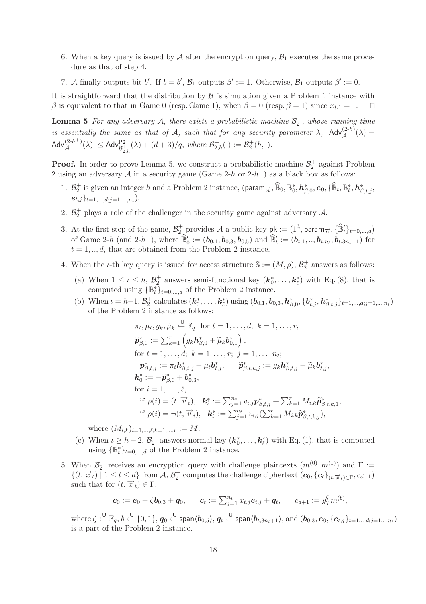- 6. When a key query is issued by  $A$  after the encryption query,  $B_1$  executes the same procedure as that of step 4.
- 7. A finally outputs bit b'. If  $b = b'$ ,  $\mathcal{B}_1$  outputs  $\beta' := 1$ . Otherwise,  $\mathcal{B}_1$  outputs  $\beta' := 0$ .

It is straightforward that the distribution by  $\mathcal{B}_1$ 's simulation given a Problem 1 instance with β is equivalent to that in Game 0 (resp. Game 1), when  $\beta = 0$  (resp.  $\beta = 1$ ) since  $x_{t,1} = 1$ .  $\Box$ 

**Lemma 5** For any adversary  $A$ , there exists a probabilistic machine  $\mathcal{B}_2^+$ , whose running time *is essentially the same as that of* A, such that for any security parameter  $\lambda$ ,  $|\text{Adv}_{\mathcal{A}}^{(2-h)}(\lambda) \mathsf{Adv}_{\mathcal{A}}^{(2-h^+)}(\lambda)| \leq \mathsf{Adv}_{\mathcal{B}_{2,h}^+}^{\mathsf{P2}}(\lambda) + (d+3)/q, \textit{ where } \mathcal{B}_{2,h}^+(\cdot) := \mathcal{B}_{2}^+(h,\cdot).$ 

**Proof.** In order to prove Lemma 5, we construct a probabilistic machine  $\mathcal{B}_2^+$  against Problem 2 using an adversary A in a security game (Game 2-h or 2-h<sup>+</sup>) as a black box as follows:

- 1.  $\mathcal{B}_2^+$  is given an integer h and a Problem 2 instance, (param<sub> $\overrightarrow{n}$ </sub>,  $\widehat{\mathbb{B}}_0$ ,  $\mathbb{B}_0^*, h_{\beta,0}^*, e_0$ ,  $\{\widehat{\mathbb{B}}_t, \mathbb{B}_t^*, h_{\beta,t,j}^*,$  $e_{t,j}\}_{t=1,...,d; i=1,...,n_t}$
- 2.  $\mathcal{B}_2^+$  plays a role of the challenger in the security game against adversary  $\mathcal{A}$ .
- 3. At the first step of the game,  $\mathcal{B}_2^+$  provides A a public key  $pk := (1^{\lambda}, param_{\overrightarrow{n}}, {\widehat{\mathbb{B}}_t'}_{t=0,\dots,d})$ of Game 2-h (and 2-h<sup>+</sup>), where  $\mathbb{B}'_0 := (\mathbf{b}_{0,1}, \mathbf{b}_{0,3}, \mathbf{b}_{0,5})$  and  $\mathbb{B}'_t := (\mathbf{b}_{t,1}, ..., \mathbf{b}_{t,n_t}, \mathbf{b}_{t,3n_t+1})$  for  $t = 1, \ldots, d$ , that are obtained from the Problem 2 instance.
- 4. When the *i*-th key query is issued for access structure  $\mathbb{S} := (M, \rho), \mathcal{B}_2^+$  answers as follows:
	- (a) When  $1 \leq \iota \leq h$ ,  $\mathcal{B}_2^+$  answers semi-functional key  $(\mathbf{k}_0^*, \ldots, \mathbf{k}_{\ell}^*)$  with Eq. (8), that is computed using  $\{\mathbb{B}_t^*\}_{t=0,\dots,d}$  of the Problem 2 instance.
	- (b) When  $\iota = h+1, \mathcal{B}_2^+$  calculates  $(\mathbf{k}_0^*, \ldots, \mathbf{k}_{\ell}^*)$  using  $(\mathbf{b}_{0,1}, \mathbf{b}_{0,3}, \mathbf{h}_{\beta,0}^*, \{\mathbf{b}_{t,j}^*, \mathbf{h}_{\beta,t,j}^*\}_{t=1,\ldots,d;j=1,\ldots,n_t})$ of the Problem 2 instance as follows:

$$
\pi_t, \mu_t, g_k, \widetilde{\mu}_k \stackrel{\text{U}}{\leftarrow} \mathbb{F}_q \text{ for } t = 1, \dots, d; \ k = 1, \dots, r,
$$
  
\n
$$
\widetilde{p}_{\beta,0}^* := \sum_{k=1}^r \left( g_k \mathbf{h}_{\beta,0}^* + \widetilde{\mu}_k \mathbf{b}_{0,1}^* \right),
$$
  
\nfor  $t = 1, \dots, d; \ k = 1, \dots, r; \ j = 1, \dots, n_t;$   
\n
$$
\mathbf{p}_{\beta,t,j}^* := \pi_t \mathbf{h}_{\beta,t,j}^* + \mu_t \mathbf{b}_{t,j}^*, \quad \widetilde{p}_{\beta,t,k,j}^* := g_k \mathbf{h}_{\beta,t,j}^* + \widetilde{\mu}_k \mathbf{b}_{t,j}^*,
$$
  
\n
$$
\mathbf{k}_0^* := -\widetilde{p}_{\beta,0}^* + \mathbf{b}_{0,3}^*,
$$
  
\nfor  $i = 1, \dots, \ell,$   
\nif  $\rho(i) = (t, \overrightarrow{v}_i), \ \mathbf{k}_i^* := \sum_{j=1}^{n_t} v_{i,j} \mathbf{p}_{\beta,t,j}^* + \sum_{k=1}^r M_{i,k} \widetilde{p}_{\beta,t,k,1}^*,$   
\nif  $\rho(i) = \neg(t, \overrightarrow{v}_i), \ \mathbf{k}_i^* := \sum_{j=1}^{n_t} v_{i,j} (\sum_{k=1}^r M_{i,k} \widetilde{p}_{\beta,t,k,j}^*),$ 

where  $(M_{i,k})_{i=1,..., \ell; k=1,...,r} := M$ .

- (c) When  $\iota \geq h+2$ ,  $\mathcal{B}_2^+$  answers normal key  $(\mathbf{k}_0^*, \ldots, \mathbf{k}_{\ell}^*)$  with Eq. (1), that is computed using  ${\mathbb{B}_{t}^{*}}_{t=0,\ldots,d}$  of the Problem 2 instance.
- 5. When  $\mathcal{B}_2^+$  receives an encryption query with challenge plaintexts  $(m^{(0)}, m^{(1)})$  and  $\Gamma :=$  $\{(t, \vec{x}_t) \mid 1 \leq t \leq d\}$  from  $\vec{A}, \vec{B}_2^+$  computes the challenge ciphertext  $(c_0, \{c_t\}_{(t, \vec{x}_t) \in \Gamma}, c_{d+1})$ such that for  $(t, \overrightarrow{x}_t) \in \Gamma$ ,

$$
\mathbf{c}_0 := \mathbf{e}_0 + \zeta \mathbf{b}_{0,3} + \mathbf{q}_0, \qquad \mathbf{c}_t := \sum_{j=1}^{n_t} x_{t,j} \mathbf{e}_{t,j} + \mathbf{q}_t, \qquad c_{d+1} := g_T^{\zeta} m^{(b)},
$$

 $\text{where } \zeta \overset{\text{\begin{scriptsize} \cup \end{scriptsize} }}{\leftarrow} \mathbb{F}_q, b \overset{\text{\begin{scriptsize} \cup \end{scriptsize} }}{\leftarrow} \{0,1\}, q_0 \overset{\text{\begin{scriptsize} \cup \end{scriptsize} }}{\leftarrow} \mathsf{span} \langle \boldsymbol{b}_{0,5}\rangle, q_t \overset{\text{\begin{scriptsize} \cup \end{scriptsize} }}{\leftarrow} \mathsf{span} \langle \boldsymbol{b}_{t,3n_t+1}\rangle, \text{and } (\boldsymbol{b}_{0,3}, \boldsymbol{e}_0, \{\boldsymbol{e}_{t,j}\}_{t=1,..,d;j=1,..,n_t})$ is a part of the Problem 2 instance.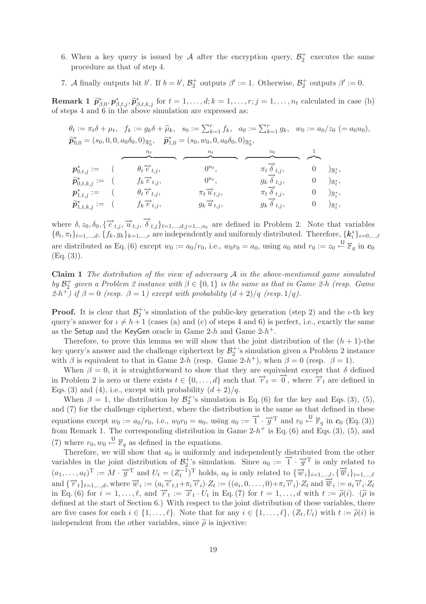- 6. When a key query is issued by A after the encryption query,  $\mathcal{B}_2^+$  executes the same procedure as that of step 4.
- 7. A finally outputs bit b'. If  $b = b'$ ,  $\mathcal{B}_2^+$  outputs  $\beta' := 1$ . Otherwise,  $\mathcal{B}_2^+$  outputs  $\beta' := 0$ .

**Remark 1**  $\tilde{p}_{\beta,0}^*$ ,  $p_{\beta,t,j}^*$ ,  $\tilde{p}_{\beta,t,k,j}^*$  for  $t = 1, \ldots, d; k = 1, \ldots, r; j = 1, \ldots, n_t$  calculated in case (b) of steps 4 and 6 in the above simulation are expressed as:

 $\theta_t := \pi_t \delta + \mu_t, \quad f_k := g_k \delta + \widetilde{\mu}_k, \quad s_0 := \sum_{k=1}^r f_k, \quad a_0 := \sum_{k=1}^r g_k, \quad w_0 := a_0/z_0 \ (= a_0u_0),$  $\widetilde{p}_{0,0}^* = (s_0, 0, 0, a_0\delta_0, 0)_{\mathbb{B}_0^*}, \quad \widetilde{p}_{1,0}^* = (s_0, w_0, 0, a_0\delta_0, 0)_{\mathbb{B}_0^*},$ 

| $\boldsymbol{p}^*_{0,t,j} := 0$           | $\theta_t \vec{e}_{t,j}$        | $0^{n_t}$                         | $\pi_t \overline{\delta}_{t,j}$        | $)_{\mathbb{B}^*_+},$      |
|-------------------------------------------|---------------------------------|-----------------------------------|----------------------------------------|----------------------------|
| $\widetilde{\bm{p}}^*_{0,t,k,j} :=$       | $f_k \overrightarrow{e}_{t,j},$ | $0^{n_t}.$                        | $g_k \overrightarrow{\delta}_{t,j},$   | $)_{\mathbb{B}^*_*},$      |
| $\boldsymbol{p}^{\ast}_{1.t.i} :=$        | $\theta_t \vec{e}_{t,j}$        | $\pi_t \overrightarrow{u}_{t,i},$ | $\pi_t \overrightarrow{\delta}_{t,j},$ | $)_{\mathbb{B}^*_{\tau}},$ |
| $\widetilde{\boldsymbol p}_{1,t,k,j}^*:=$ | $f_k \overrightarrow{e}_{t,j},$ | $g_k \overrightarrow{u}_{t,j},$   | $g_k \overrightarrow{\delta}_{t,j},$   | $)_{\mathbb{B}^*_{\tau}},$ |

where  $\delta, z_0, \delta_0, \{\overrightarrow{e}_{t,j}, \overrightarrow{u}_{t,j}, \overrightarrow{\delta}_{t,j}\}_{t=1,\dots,d; j=1,\dots,n_t}$  are defined in Problem 2. Note that variables  ${\theta_t, \pi_t}_{t=1,\dots,d}, {\{f_k, g_k\}_{k=1,\dots,r}}$  are independently and uniformly distributed. Therefore,  ${k_i^*}_{i=0,\dots,\ell}$ are distributed as Eq. (6) except  $w_0 := a_0/r_0$ , i.e.,  $w_0r_0 = a_0$ , using  $a_0$  and  $r_0 := z_0 \stackrel{\cup}{\leftarrow} \mathbb{F}_q$  in  $c_0$  $(Eq. (3)).$ 

**Claim 1** *The distribution of the view of adversary* A *in the above-mentioned game simulated by*  $\mathcal{B}_2^+$  *given a Problem 2 instance with*  $\beta \in \{0,1\}$  *is the same as that in Game 2-h (resp. Game*)  $(2-h^+)$  if  $\beta = 0$  *(resp.*  $\beta = 1$ *)* except with probability  $(d+2)/q$  *(resp.* 1/q*)*.

**Proof.** It is clear that  $\mathcal{B}_2^+$ 's simulation of the public-key generation (step 2) and the *ι*-th key query's answer for  $\iota \neq h+1$  (cases (a) and (c) of steps 4 and 6) is perfect, i.e., exactly the same as the Setup and the KeyGen oracle in Game  $2-h$  and Game  $2-h^+$ .

Therefore, to prove this lemma we will show that the joint distribution of the  $(h + 1)$ -the key query's answer and the challenge ciphertext by  $\mathcal{B}_2^+$ 's simulation given a Problem 2 instance with  $\beta$  is equivalent to that in Game 2-h (resp. Game 2-h<sup>+</sup>), when  $\beta = 0$  (resp.  $\beta = 1$ ).

When  $\beta = 0$ , it is straightforward to show that they are equivalent except that  $\delta$  defined in Problem 2 is zero or there exists  $t \in \{0, \ldots, d\}$  such that  $\overrightarrow{r}_t = \overrightarrow{0}$ , where  $\overrightarrow{r}_t$  are defined in Eqs. (3) and (4), i.e., except with probability  $(d+2)/q$ .

When  $\beta = 1$ , the distribution by  $\mathcal{B}_2^+$ 's simulation is Eq. (6) for the key and Eqs. (3), (5), and (7) for the challenge ciphertext, where the distribution is the same as that defined in these equations except  $w_0 := a_0/r_0$ , i.e.,  $w_0r_0 = a_0$ , using  $a_0 := \overrightarrow{1} \cdot \overrightarrow{g}^T$  and  $r_0 \stackrel{\cup}{\leftarrow} \mathbb{F}_q$  in  $c_0$  (Eq. (3)) from Remark 1. The corresponding distribution in Game 2- $h^+$  is Eq. (6) and Eqs. (3), (5), and (7) where  $r_0, w_0 \stackrel{\cup}{\leftarrow} \mathbb{F}_q$  as defined in the equations.

Therefore, we will show that  $a_0$  is uniformly and independently distributed from the other variables in the joint distribution of  $\mathcal{B}_2^+$ 's simulation. Since  $a_0 := \vec{1} \cdot \vec{g}^T$  is only related to  $(a_1, \ldots, a_\ell)^\mathrm{T} := M \cdot \overrightarrow{g}^\mathrm{T}$  and  $U_t = (Z_t^{-1})^\mathrm{T}$  holds,  $a_0$  is only related to  $\{\overrightarrow{w}_i\}_{i=1,\ldots,\ell}, \{\overrightarrow{\overrightarrow{w}}_i\}_{i=1,\ldots,\ell}$ and  $\{\overrightarrow{r}_t\}_{t=1,\dots,d}$ , where  $\overrightarrow{w}_i := (a_i \overrightarrow{e}_{t,1} + \pi_i \overrightarrow{v}_i) \cdot Z_t := ((a_i, 0, \dots, 0) + \pi_i \overrightarrow{v}_i) \cdot Z_t$  and  $\overrightarrow{w}_i := a_i \overrightarrow{v}_i \cdot Z_t$ in Eq. (6) for  $i = 1, ..., l$ , and  $\vec{r}_t := \vec{x}_t \cdot U_t$  in Eq. (7) for  $t = 1, ..., d$  with  $t := \tilde{\rho}(i)$ . ( $\tilde{\rho}$  is defined at the start of Section 6.) With respect to the joint distribution of these variables, there defined at the start of Section 6.) With respect to the joint distribution of these variables, there are five cases for each  $i \in \{1, ..., \ell\}$ . Note that for any  $i \in \{1, ..., \ell\}$ ,  $(Z_t, U_t)$  with  $t := \tilde{\rho}(i)$  is<br>independent from the other variables, since  $\tilde{\rho}(i)$  is injective. independent from the other variables, since  $\tilde{\rho}$  is injective: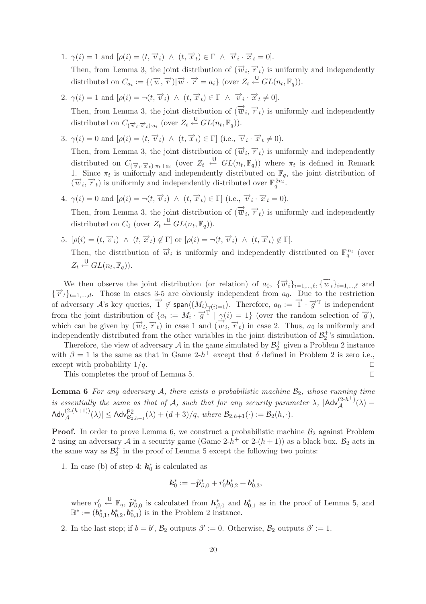- 1.  $\gamma(i) = 1$  and  $[\rho(i)=(t,\vec{v}_i) \wedge (t,\vec{x}_t) \in \Gamma \wedge \vec{v}_i \cdot \vec{x}_t = 0].$ Then, from Lemma 3, the joint distribution of  $(\vec{w}_i, \vec{r}_t)$  is uniformly and independently distributed on  $C_{a_i} := \{(\overrightarrow{w}, \overrightarrow{r}) | \overrightarrow{w} \cdot \overrightarrow{r} = a_i\}$  (over  $Z_t \stackrel{\cup}{\leftarrow} GL(n_t, \mathbb{F}_q)$ ).
- 2.  $\gamma(i) = 1$  and  $[\rho(i) = \neg(t, \vec{v}_i) \land (t, \vec{x}_t) \in \Gamma \land \vec{v}_i \cdot \vec{x}_t \neq 0].$ Then, from Lemma 3, the joint distribution of  $(\vec{v}_i, \vec{r}_t)$  is uniformly and independently distributed on  $C_{(\overrightarrow{v}_i \cdot \overrightarrow{x}_t)\cdot a_i}$  (over  $Z_t \stackrel{\cup}{\leftarrow} GL(n_t, \mathbb{F}_q)$ ).
- 3.  $\gamma(i) = 0$  and  $[\rho(i)=(t,\vec{v}_i) \wedge (t,\vec{x}_t) \in \Gamma]$  (i.e.,  $\vec{v}_i \cdot \vec{x}_t \neq 0$ ). Then, from Lemma 3, the joint distribution of  $(\vec{w}_i, \vec{r}_t)$  is uniformly and independently
- distributed on  $C_{(\overrightarrow{v}_i,\overrightarrow{x}_t),\pi_t+a_i}$  (over  $Z_t \leftarrow GL(n_t,\mathbb{F}_q)$ ) where  $\pi_t$  is defined in Remark 1. Since  $\pi_t$  is uniformly and independently distributed on  $\mathbb{F}_q$ , the joint distribution of  $(\overrightarrow{w}_i, \overrightarrow{r}_t)$  is uniformly and independently distributed over  $\mathbb{F}_q^{2n_t}$ .
- 4.  $\gamma(i) = 0$  and  $[\rho(i) = \neg(t, \vec{v}_i) \land (t, \vec{x}_t) \in \Gamma]$  (i.e.,  $\vec{v}_i \cdot \vec{x}_t = 0$ ). Then, from Lemma 3, the joint distribution of  $(\vec{w}_i, \vec{r}_t)$  is uniformly and independently distributed on  $C_0$  (over  $Z_t \stackrel{\cup}{\leftarrow} GL(n_t, \mathbb{F}_q)$ ).
- 5.  $[\rho(i)=(t, \overrightarrow{v}_i) \wedge (t, \overrightarrow{x}_t) \notin \Gamma]$  or  $[\rho(i) = \neg(t, \overrightarrow{v}_i) \wedge (t, \overrightarrow{x}_t) \notin \Gamma].$ Then, the distribution of  $\vec{w}_i$  is uniformly and independently distributed on  $\mathbb{F}_q^{n_t}$  (over  $Z_t \stackrel{\cup}{\leftarrow} GL(n_t, \mathbb{F}_q)).$

We then observe the joint distribution (or relation) of  $a_0$ ,  $\{\overrightarrow{w}_i\}_{i=1,\dots,\ell}$ ,  $\{\overrightarrow{w}_i\}_{i=1,\dots,\ell}$  and  ${\{\overrightarrow{r}_t\}}_{t=1,\ldots,d}$ . Those in cases 3-5 are obviously independent from  $a_0$ . Due to the restriction of adversary A's key queries,  $\overrightarrow{1} \notin \text{span}\langle (M_i)_{\gamma(i)=1} \rangle$ . Therefore,  $a_0 := \overrightarrow{1} \cdot \overrightarrow{g}^T$  is independent from the joint distribution of  $\{a_i := M_i \cdot \overrightarrow{g}^T \mid \gamma(i)=1\}$  (over the random selection of  $\overrightarrow{g}$ ), which can be given by  $(\vec{w}_i, \vec{r}_t)$  in case 1 and  $(\vec{\vec{w}}_i, \vec{r}_t)$  in case 2. Thus,  $a_0$  is uniformly and independently distributed from the other variables in the joint distribution of  $\mathcal{B}_2^+$ 's simulation.

Therefore, the view of adversary  $A$  in the game simulated by  $\mathcal{B}_2^+$  given a Problem 2 instance with  $\beta = 1$  is the same as that in Game 2-h<sup>+</sup> except that  $\delta$  defined in Problem 2 is zero i.e., except with probability  $1/q$ .

This completes the proof of Lemma 5.

**Lemma 6** For any adversary  $A$ , there exists a probabilistic machine  $B_2$ , whose running time *is essentially the same as that of* A, such that for any security parameter  $\lambda$ ,  $|\text{Adv}_{\mathcal{A}}^{(2-h+)}(\lambda) \mathsf{Adv}_{\mathcal{A}}^{(2-(h+1))}(\lambda) \leq \mathsf{Adv}_{\mathcal{B}_{2,h+1}}^{P2}(\lambda) + (d+3)/q, \text{ where } \mathcal{B}_{2,h+1}(\cdot) := \mathcal{B}_{2}(h,\cdot).$ 

**Proof.** In order to prove Lemma 6, we construct a probabilistic machine  $\mathcal{B}_2$  against Problem 2 using an adversary A in a security game (Game 2-h<sup>+</sup> or 2-(h+1)) as a black box.  $\mathcal{B}_2$  acts in the same way as  $\mathcal{B}_2^+$  in the proof of Lemma 5 except the following two points:

1. In case (b) of step 4;  $k_0^*$  is calculated as

$$
\mathbf{k}_0^* := -\widetilde{\boldsymbol{p}}_{\beta,0}^* + r'_0 \boldsymbol{b}_{0,2}^* + \boldsymbol{b}_{0,3}^*,
$$

where  $r'_0$  $\overline{\mathcal{F}}_{q}^{\mathbb{L}}$ ,  $\widetilde{p}_{\beta,0}^{*}$  is calculated from  $h_{\beta,0}^{*}$  and  $b_{0,1}^{*}$  as in the proof of Lemma 5, and  $b_{\beta}^{*}$ ,  $\overline{p}_{\beta}^{*}$ , is in the Problem 2 instance.  $\mathbb{B}^* := (\boldsymbol{b}_{0,1}^*, \boldsymbol{b}_{0,2}^*, \boldsymbol{b}_{0,3}^*)$  is in the Problem 2 instance.

2. In the last step; if  $b = b'$ ,  $\mathcal{B}_2$  outputs  $\beta' := 0$ . Otherwise,  $\mathcal{B}_2$  outputs  $\beta' := 1$ .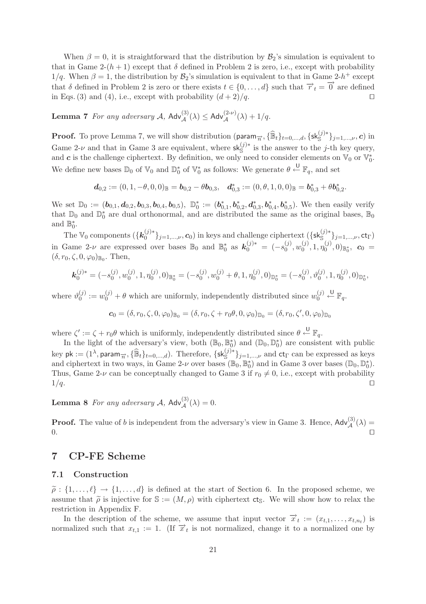When  $\beta = 0$ , it is straightforward that the distribution by  $\mathcal{B}_2$ 's simulation is equivalent to that in Game 2- $(h + 1)$  except that  $\delta$  defined in Problem 2 is zero, i.e., except with probability  $1/q$ . When  $\beta = 1$ , the distribution by  $\mathcal{B}_2$ 's simulation is equivalent to that in Game 2-h<sup>+</sup> except that  $\delta$  defined in Problem 2 is zero or there exists  $t \in \{0, \ldots, d\}$  such that  $\overrightarrow{r}_t = \overrightarrow{0}$  are defined in Eqs. (3) and (4), i.e., except with probability  $(d+2)/q$ .

**Lemma 7** *For any adversary*  $A$ ,  $\mathsf{Adv}_{\mathcal{A}}^{(3)}(\lambda) \leq \mathsf{Adv}_{\mathcal{A}}^{(2-\nu)}(\lambda) + 1/q$ .

**Proof.** To prove Lemma 7, we will show distribution  $(\text{param}_{\overrightarrow{n}}, {\hat{\mathbb{B}}_t}_{t=0,\dots,d}, {\{\textsf{sk}^{(j)*}_{\mathbb{S}}\}}_{j=1,\dots,\nu}, c)$  in Game 2-ν and that in Game 3 are equivalent, where  $sk_{\mathcal{S}}^{(j)*}$  is the answer to the j-th key query, and *c* is the challenge ciphertext. By definition, we only need to consider elements on  $\mathbb{V}_0$  or  $\mathbb{V}_0^*$ . We define new bases  $\mathbb{D}_0$  of  $\mathbb{V}_0$  and  $\mathbb{D}_0^*$  of  $\mathbb{V}_0^*$  as follows: We generate  $\theta \stackrel{\cup}{\leftarrow} \mathbb{F}_q$ , and set

$$
\textbf{\textit{d}}_{0,2}:=(0,1,-\theta,0,0)_{\mathbb{B}}=\textbf{\textit{b}}_{0,2}-\theta\textbf{\textit{b}}_{0,3},\ \ \, \textbf{\textit{d}}^*_{0,3}:=(0,\theta,1,0,0)_{\mathbb{B}}=\textbf{\textit{b}}^*_{0,3}+\theta\textbf{\textit{b}}^*_{0,2}.
$$

We set  $\mathbb{D}_0 := (\boldsymbol{b}_{0,1}, \boldsymbol{d}_{0,2}, \boldsymbol{b}_{0,3}, \boldsymbol{b}_{0,4}, \boldsymbol{b}_{0,5}), \ \mathbb{D}_0^* := (\boldsymbol{b}_{0,1}^*, \boldsymbol{b}_{0,2}^*, \boldsymbol{d}_{0,3}^*, \boldsymbol{b}_{0,4}^*, \boldsymbol{b}_{0,5}^*).$  We then easily verify that  $\mathbb{D}_0$  and  $\mathbb{D}_0^*$  are dual orthonormal, and are distributed the same as the original bases,  $\mathbb{B}_0$ and  $\mathbb{B}_0^*$ .

The  $\mathbb{V}_0$  components  $(\{\mathbf{k}_0^{(j)*}\}_{j=1,\dots,\nu}, \mathbf{c}_0)$  in keys and challenge ciphertext  $(\{\mathsf{sk}_\mathbb{S}^{(j)*}\}_{j=1,\dots,\nu}, \mathsf{ct}_\Gamma)$ in Game 2-*ν* are expressed over bases  $\mathbb{B}_0$  and  $\mathbb{B}_0^*$  as  $\mathbf{k}_0^{(j)*} = (-s_0^{(j)}, w_0^{(j)}, 1, \eta_0^{(j)}, 0)_{\mathbb{B}_0^*}$ ,  $\mathbf{c}_0 =$  $(\delta, r_0, \zeta, 0, \varphi_0)_{\mathbb{B}_0}$ . Then,

$$
\mathbf{k}_0^{(j)*} = (-s_0^{(j)}, w_0^{(j)}, 1, \eta_0^{(j)}, 0)_{\mathbb{B}_0^*} = (-s_0^{(j)}, w_0^{(j)} + \theta, 1, \eta_0^{(j)}, 0)_{\mathbb{D}_0^*} = (-s_0^{(j)}, \vartheta_0^{(j)}, 1, \eta_0^{(j)}, 0)_{\mathbb{D}_0^*},
$$

where  $\vartheta_0^{(j)} := w_0^{(j)} + \theta$  which are uniformly, independently distributed since  $w_0^{(j)}$  $\stackrel{\mathsf{U}}{\leftarrow} \mathbb{F}_q.$ 

$$
\mathbf{c}_0 = (\delta, r_0, \zeta, 0, \varphi_0)_{\mathbb{B}_0} = (\delta, r_0, \zeta + r_0 \theta, 0, \varphi_0)_{\mathbb{D}_0} = (\delta, r_0, \zeta', 0, \varphi_0)_{\mathbb{D}_0}
$$

where  $\zeta' := \zeta + r_0 \theta$  which is uniformly, independently distributed since  $\theta \stackrel{\cup}{\leftarrow} \mathbb{F}_q$ .

In the light of the adversary's view, both  $(\mathbb{B}_0, \mathbb{B}_0^*)$  and  $(\mathbb{D}_0, \mathbb{D}_0^*)$  are consistent with public key pk :=  $(1^{\lambda}, \text{param}_{\overrightarrow{n}}, {\widehat{\mathbb{B}}_t}_{t=0,\dots,d})$ . Therefore,  $\{\textsf{sk}_{\mathbb{S}}^{(j)*}\}_{j=1,\dots,\nu}$  and  $\textsf{ct}_{\Gamma}$  can be expressed as keys and ciphertext in two ways, in Game 2-ν over bases  $(\mathbb{B}_0, \mathbb{B}_0^*)$  and in Game 3 over bases  $(\mathbb{D}_0, \mathbb{D}_0^*)$ . Thus, Game 2- $\nu$  can be conceptually changed to Game 3 if  $r_0 \neq 0$ , i.e., except with probability  $1/q$ .

**Lemma 8** *For any adversary*  $A$ ,  $Adv_{\mathcal{A}}^{(3)}(\lambda) = 0$ .

**Proof.** The value of b is independent from the adversary's view in Game 3. Hence,  $\mathsf{Adv}_{\mathcal{A}}^{(3)}(\lambda) =$  $0.$ 

# **7 CP-FE Scheme**

#### **7.1 Construction**

 $\tilde{\rho}: \{1,\ldots,\ell\} \to \{1,\ldots,d\}$  is defined at the start of Section 6. In the proposed scheme, we<br>assume that  $\tilde{\lambda}$  is injective for  $\mathbb{S}:=(M,e)$  with eighertaxt  $\mathcal{S}$ . We will show how to relax the assume that  $\tilde{\rho}$  is injective for  $\mathbb{S} := (M, \rho)$  with ciphertext cts. We will show how to relax the restriction in Appendix F restriction in Appendix F.

In the description of the scheme, we assume that input vector  $\vec{x}_t := (x_{t,1},...,x_{t,n_t})$  is normalized such that  $x_{t,1} := 1$ . (If  $\vec{x}_t$  is not normalized, change it to a normalized one by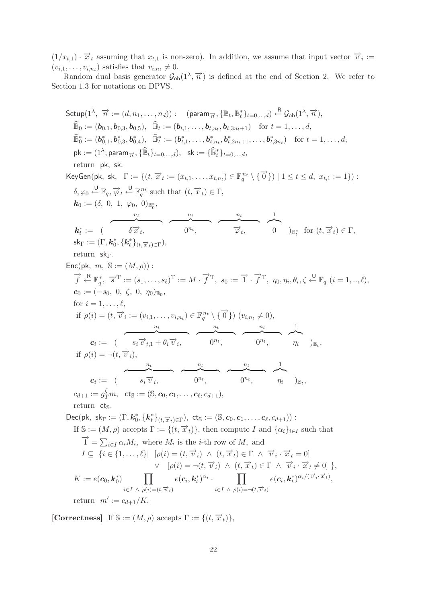$(1/x_{t,1}) \cdot \overrightarrow{x}_t$  assuming that  $x_{t,1}$  is non-zero). In addition, we assume that input vector  $\overrightarrow{v}_i :=$  $(v_{i,1},\ldots,v_{i,n_t})$  satisfies that  $v_{i,n_t}\neq 0$ .

Random dual basis generator  $\mathcal{G}_{ob}(1^{\lambda}, \overrightarrow{n})$  is defined at the end of Section 2. We refer to Section 1.3 for notations on DPVS.

Setup(1<sup>λ</sup>, 7<sup>i</sup> := (d; n<sub>1</sub>,..., n<sub>d</sub>)): (param<sub>7</sub>, {E<sub>t</sub>, B<sub>t</sub>}<sup>n</sup><sub>t</sub> =<sub>0</sub>,...<sub>d</sub>) <sup>R</sup> G<sub>ob</sub>(1<sup>λ</sup>, 7<sup>i</sup>),  
\n
$$
\hat{E}_0 := (b_{0,1}, b_{0,3}, b_{0,5}), \quad \hat{E}_t := (b_{t,1},..., b_{t,n_t}, b_{t,3n_t+1}) \text{ for } t = 1,..., d,
$$
\n
$$
\hat{E}_0^* := (b_{0,1}^*, b_{0,3}^*, b_{0,4}^*, \hat{B}_t^* := (b_{t,1}^*,..., b_{t,n_t}, b_{t,2n_t+1},..., b_{t,3n_t}^*) \text{ for } t = 1,..., d,
$$
\n
$$
pk := (1^{\lambda}, \text{param}_{T}, \{\hat{E}_t\}_{t=0,...,d}, sk := \{\hat{E}_t^* \}_{t=0,...,d},
$$
\nreturn  $pk$ , sk.   
\nKeyGen(pk, sk, Γ := {(t, \overline{x}\_t := (x\_{t,1},..., x\_{t,n\_t}) \in \mathbb{F}\_q^{n\_t} \setminus {\overrightarrow{0}}}) | 1 \leq t \leq d, x\_{t,1} := 1}) :\n
$$
\delta, \varphi_0 \stackrel{U}{=} \mathbb{F}_q, \overrightarrow{\varphi}_t \stackrel{U}{=} \mathbb{F}_q^{n_t} \text{ such that } (t, \overrightarrow{x}_t) \in \Gamma,
$$
\n
$$
k_t^* := (\overbrace{\delta \overrightarrow{x}_t}, \overbrace{\delta \overrightarrow{x}_t}, \overbrace{\delta \overrightarrow{x}_t}, \overbrace{\delta \overrightarrow{x}_t}, \overbrace{\delta \overrightarrow{x}_t}, \overbrace{\delta \overrightarrow{x}_t}, \overbrace{\delta \overrightarrow{x}_t}, \overbrace{\delta \overrightarrow{x}_t}, \overbrace{\delta \overrightarrow{x}_t}, \overbrace{\delta \overrightarrow{x}_t}, \overbrace{\delta \overrightarrow{x}_t}, \overbrace{\delta \overrightarrow{x}_t}, \overbrace{\delta \overrightarrow{x}_t}, \overbrace{\delta \overrightarrow{x}_t}, \overbrace{\delta \overrightarrow{x}_t}, \overbrace{\delta \overrightarrow{x}_t}, \overbrace{\delta \overrightarrow{x}_t}, \overbrace{\delta \
$$

 $\textbf{[Correctness]} \ \ \text{If } \mathbb{S} := (M,\rho) \text{ accepts } \Gamma := \{ (t,\overrightarrow{x}_t) \},$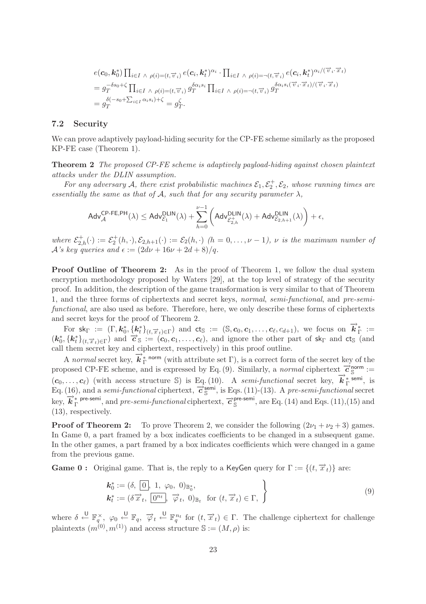$$
e(\mathbf{c}_0, \mathbf{k}_0^*) \prod_{i \in I \ \land \ \rho(i) = (t, \overrightarrow{v}_i)} e(\mathbf{c}_i, \mathbf{k}_t^*)^{\alpha_i} \cdot \prod_{i \in I \ \land \ \rho(i) = \neg(t, \overrightarrow{v}_i)} e(\mathbf{c}_i, \mathbf{k}_t^*)^{\alpha_i/(\overrightarrow{v}_i \cdot \overrightarrow{x}_t)}
$$
\n
$$
= g_T^{-\delta s_0 + \zeta} \prod_{i \in I \ \land \ \rho(i) = (t, \overrightarrow{v}_i)} g_T^{\delta \alpha_i s_i} \prod_{i \in I \ \land \ \rho(i) = \neg(t, \overrightarrow{v}_i)} g_T^{\delta \alpha_i s_i(\overrightarrow{v}_i \cdot \overrightarrow{x}_t)/(\overrightarrow{v}_i \cdot \overrightarrow{x}_t)}
$$
\n
$$
= g_T^{\delta(-s_0 + \sum_{i \in I} \alpha_i s_i) + \zeta} = g_T^{\zeta}.
$$

#### **7.2 Security**

We can prove adaptively payload-hiding security for the CP-FE scheme similarly as the proposed KP-FE case (Theorem 1).

**Theorem 2** *The proposed CP-FE scheme is adaptively payload-hiding against chosen plaintext attacks under the DLIN assumption.*

For any adversary A, there exist probabilistic machines  $\mathcal{E}_1, \mathcal{E}_2^+, \mathcal{E}_2$ , whose running times are *essentially the same as that of*  $A$ *, such that for any security parameter*  $\lambda$ *,* 

$$
\mathsf{Adv}_{\mathcal{A}}^{\mathsf{CP-FE,PH}}(\lambda) \leq \mathsf{Adv}_{\mathcal{E}_1}^{\mathsf{DLIN}}(\lambda) + \sum_{h=0}^{\nu-1} \left( \mathsf{Adv}_{\mathcal{E}_{2,h}^{+}}^{\mathsf{DLIN}}(\lambda) + \mathsf{Adv}_{\mathcal{E}_{2,h+1}}^{\mathsf{DLIN}}(\lambda) \right) + \epsilon,
$$

where  $\mathcal{E}_{2,h}^+(\cdot) := \mathcal{E}_2^+(h,\cdot), \mathcal{E}_{2,h+1}(\cdot) := \mathcal{E}_2(h,\cdot)$  *(h = 0,...,v - 1), v is the maximum number of*  $\mathcal{A}$ *'s key queries and*  $\epsilon := (2d\nu + 16\nu + 2d + 8)/q$ .

**Proof Outline of Theorem 2:** As in the proof of Theorem 1, we follow the dual system encryption methodology proposed by Waters [29], at the top level of strategy of the security proof. In addition, the description of the game transformation is very similar to that of Theorem 1, and the three forms of ciphertexts and secret keys, *normal*, *semi-functional*, and *pre-semifunctional*, are also used as before. Therefore, here, we only describe these forms of ciphertexts and secret keys for the proof of Theorem 2.

For  $sk_{\Gamma} := (\Gamma, k_0^*, \{k_t^*\}_{(t, \overrightarrow{x}_t) \in \Gamma})$  and  $cts := (S, c_0, c_1, \ldots, c_\ell, c_{d+1}),$  we focus on  $\overrightarrow{k}_{\Gamma}^* :=$  $(k_0^*, \{k_t^*\}_{(t, \vec{x}_t) \in \Gamma})$  and  $\vec{c}$  s :=  $(c_0, c_1, \ldots, c_\ell)$ , and ignore the other part of sk<sub>Γ</sub> and ct<sub>S</sub> (and call them secret key and ciphertext, respectively) in this proof outline.

A *normal* secret key,  $\vec{k}_{\Gamma}^*$  norm (with attribute set Γ), is a correct form of the secret key of the proposed CP-FE scheme, and is expressed by Eq. (9). Similarly, a *normal* ciphertext  $\vec{\mathcal{C}}_{\mathbb{S}}^{\text{norm}}$  :=  $(c_0, \ldots, c_\ell)$  (with access structure S) is Eq. (10). A *semi-functional* secret key,  $\vec{k}_{\perp}^*$ <sup>semi</sup>, is  $Eq. (16)$ , and a *semi-functional* ciphertext,  $\vec{c}^{\text{semi}}_{\mathbb{S}}$ , is Eqs. (11)-(13). A *pre-semi-functional* secret key,  $\vec{k}_{\Gamma}^*$  pre-semi, and *pre-semi-functional* ciphertext,  $\vec{c}_{S}^*$  pre-semi, are Eq. (14) and Eqs. (11),(15) and (13), respectively.

**Proof of Theorem 2:** To prove Theorem 2, we consider the following  $(2\nu_1 + \nu_2 + 3)$  games. In Game 0, a part framed by a box indicates coefficients to be changed in a subsequent game. In the other games, a part framed by a box indicates coefficients which were changed in a game from the previous game.

**Game 0 :** Original game. That is, the reply to a KeyGen query for  $\Gamma := \{(t, \overrightarrow{x}_t)\}\)$  are:

$$
\begin{aligned}\n\mathbf{k}_0^* &:= (\delta, \boxed{0}, \ 1, \ \varphi_0, \ 0)_{\mathbb{B}_0^*}, \\
\mathbf{k}_t^* &:= (\delta \overrightarrow{x}_t, \boxed{0^{n_t}}, \ \overrightarrow{\varphi}_t, \ 0)_{\mathbb{B}_t} \ \text{ for } (t, \overrightarrow{x}_t) \in \Gamma, \n\end{aligned} \tag{9}
$$

where  $\delta \stackrel{U}{\leftarrow} \mathbb{F}_q^{\times}$ ,  $\varphi_0 \stackrel{U}{\leftarrow} \mathbb{F}_q$ ,  $\overrightarrow{\varphi}_t \stackrel{U}{\leftarrow} \mathbb{F}_q^{n_t}$  for  $(t, \overrightarrow{x}_t) \in \Gamma$ . The challenge ciphertext for challenge plaintexts  $(m^{(0)}, m^{(1)})$  and access structure  $\mathbb{S} := (M, \rho)$  is: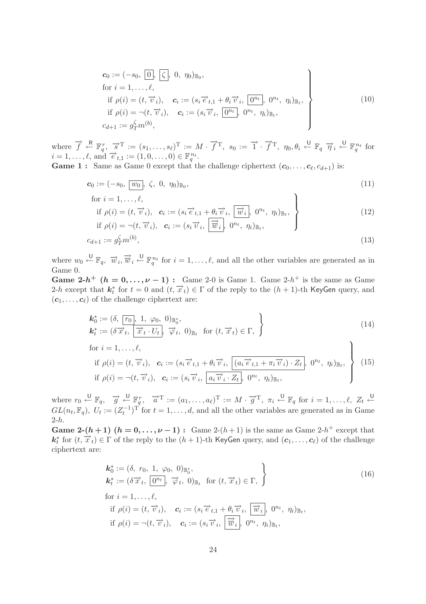$$
\begin{aligned}\n\mathbf{c}_0 &:= (-s_0, \boxed{0}, \boxed{\zeta}, 0, \eta_0)_{\mathbb{B}_0}, \\
\text{for } i &= 1, \dots, \ell, \\
\text{if } \rho(i) &= (t, \overrightarrow{v}_i), \quad \mathbf{c}_i := (s_i \overrightarrow{e}_{t,1} + \theta_i \overrightarrow{v}_i, \boxed{0^{n_t}}, 0^{n_t}, \eta_i)_{\mathbb{B}_t}, \\
\text{if } \rho(i) &= \neg(t, \overrightarrow{v}_i), \quad \mathbf{c}_i := (s_i \overrightarrow{v}_i, \boxed{0^{n_t}}, 0^{n_t}, \eta_i)_{\mathbb{B}_t}, \\
c_{d+1} &:= g_T^{\zeta} m^{(b)},\n\end{aligned} \tag{10}
$$

where  $\vec{f} \leftarrow^{\mathbb{R}} \mathbb{F}_q^r$ ,  $\vec{s}^T := (s_1, \ldots, s_\ell)^T := M \cdot \vec{f}^T$ ,  $s_0 := \vec{1} \cdot \vec{f}^T$ ,  $\eta_0, \theta_i \leftarrow^{\mathbb{U}} \mathbb{F}_q \quad \vec{\eta}_i \leftarrow^{\mathbb{U}} \mathbb{F}_q^{n_t}$  for  $i = 1, \ldots, \ell$ , and  $\vec{e}_{t,1} := (1, 0, \ldots, 0) \in \mathbb{F}_q^{n_t}$ .

**Game 1 :** Same as Game 0 except that the challenge ciphertext  $(c_0, \ldots, c_\ell, c_{d+1})$  is:

$$
\mathbf{c}_0 := (-s_0, \overline{w_0}, \zeta, 0, \eta_0)_{\mathbb{B}_0},
$$
  
for  $i = 1, \dots, \ell$ , (11)

if 
$$
\rho(i) = (t, \overrightarrow{v_i}), \quad \mathbf{c}_i := (s_i \overrightarrow{e}_{t,1} + \theta_i \overrightarrow{v}_i, \overrightarrow{w}_i, 0^{n_t}, \eta_i)_{\mathbb{B}_t},
$$
  
\nif  $\rho(i) = \neg(t, \overrightarrow{v}_i), \quad \mathbf{c}_i := (s_i \overrightarrow{v}_i, \overrightarrow{w}_i, 0^{n_t}, \eta_i)_{\mathbb{B}_t},$  (12)

$$
c_{d+1} := g_T^{\zeta} m^{(b)},\tag{13}
$$

where  $w_0 \stackrel{\cup}{\leftarrow} \mathbb{F}_q$ ,  $\overrightarrow{w}_i$ ,  $\overrightarrow{\overrightarrow{w}}_i \stackrel{\cup}{\leftarrow} \mathbb{F}_q^{n_t}$  for  $i = 1, \ldots, \ell$ , and all the other variables are generated as in Game 0.

**Game 2-***h*<sup>+</sup>  $(h = 0, \ldots, \nu - 1)$ : Game 2-0 is Game 1. Game 2-*h*<sup>+</sup> is the same as Game 2-h except that  $k_t^*$  for  $t = 0$  and  $(t, \overrightarrow{x}_t) \in \Gamma$  of the reply to the  $(h + 1)$ -th KeyGen query, and  $(c_1, \ldots, c_\ell)$  of the challenge ciphertext are:

$$
\begin{aligned}\n\mathbf{k}_0^* &:= (\delta, \frac{r_0}{\mathcal{X}_t}, \frac{1}{\mathcal{X}_t} \cdot U_t, \frac{0}{\mathcal{Y}_0}, \frac{0}{\mathcal{Y}_t}, 0)_{\mathbb{B}_t} \quad \text{for } (t, \overrightarrow{x}_t) \in \Gamma, \\
\mathbf{k}_t^* &:= (\delta \overrightarrow{x}_t, \frac{1}{\mathcal{X}_t} \cdot U_t, \overrightarrow{\varphi}_t, 0)_{\mathbb{B}_t} \quad \text{for } (t, \overrightarrow{x}_t) \in \Gamma,\n\end{aligned}\n\tag{14}
$$

for 
$$
i = 1, ..., \ell
$$
,  
\nif  $\rho(i) = (t, \overrightarrow{v}_i)$ ,  $\mathbf{c}_i := (s_i \overrightarrow{e}_{t,1} + \theta_i \overrightarrow{v}_i, \overrightarrow{(a_i \overrightarrow{e}_{t,1} + \pi_i \overrightarrow{v}_i) \cdot Z_t}, 0^{n_t}, \eta_i)_{\mathbb{B}_t}$ ,  
\nif  $\rho(i) = \neg(t, \overrightarrow{v}_i)$ ,  $\mathbf{c}_i := (s_i \overrightarrow{v}_i, \overrightarrow{a_i \overrightarrow{v}_i \cdot Z_t}, 0^{n_t}, \eta_i)_{\mathbb{B}_t}$ , (15)

where  $r_0 \stackrel{\cup}{\leftarrow} \mathbb{F}_q$ ,  $\overrightarrow{g} \stackrel{\cup}{\leftarrow} \mathbb{F}_q^r$ ,  $\overrightarrow{a}^T := (a_1, \ldots, a_\ell)^T := M \cdot \overrightarrow{g}^T$ ,  $\pi_i \stackrel{\cup}{\leftarrow} \mathbb{F}_q$  for  $i = 1, \ldots, \ell$ ,  $Z_t \stackrel{\cup}{\leftarrow}$  $GL(n_t, \mathbb{F}_q)$ ,  $U_t := (Z_t^{-1})^T$  for  $t = 1, \ldots, d$ , and all the other variables are generated as in Game  $2-h.$ 

**Game 2-(** $h$  + 1) ( $h$  = 0, ..., $\nu$  − 1) : Game 2-( $h$  + 1) is the same as Game 2- $h$ <sup>+</sup> except that  $k_t^*$  for  $(t, \overrightarrow{x}_t) \in \Gamma$  of the reply to the  $(h+1)$ -th KeyGen query, and  $(c_1, \ldots, c_\ell)$  of the challenge ciphertext are:

$$
\begin{aligned}\n\mathbf{k}_0^* &:= (\delta, r_0, 1, \varphi_0, 0)_{\mathbb{B}_0^*}, \\
\mathbf{k}_t^* &:= (\delta \overrightarrow{x}_t, \overrightarrow{0^{n_t}}, \overrightarrow{\varphi}_t, 0)_{\mathbb{B}_t} \text{ for } (t, \overrightarrow{x}_t) \in \Gamma, \\
\text{for } i = 1, \dots, \ell, \\
\text{if } \rho(i) = (t, \overrightarrow{v}_i), \quad \mathbf{c}_i := (s_i \overrightarrow{e}_{t,1} + \theta_i \overrightarrow{v}_i, \overrightarrow{w}_i, 0^{n_t}, \eta_i)_{\mathbb{B}_t}, \\
\text{if } \rho(i) = \neg(t, \overrightarrow{v}_i), \quad \mathbf{c}_i := (s_i \overrightarrow{v}_i, \overrightarrow{w}_i, 0^{n_t}, \eta_i)_{\mathbb{B}_t},\n\end{aligned} \tag{16}
$$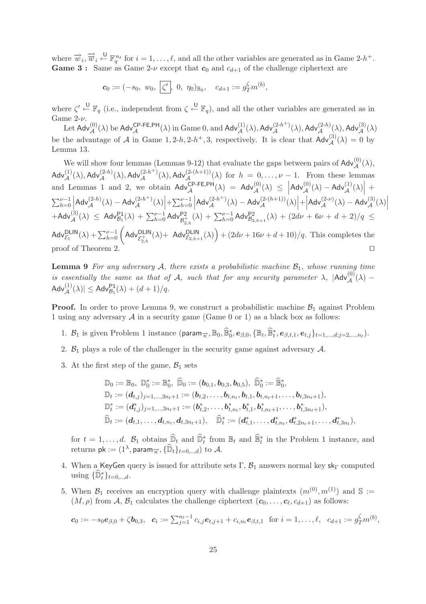where  $\vec{w}_i$ ,  $\vec{\overline{w}}_i \stackrel{\cup}{\leftarrow} \mathbb{F}_q^{n_t}$  for  $i = 1, \ldots, \ell$ , and all the other variables are generated as in Game 2-h<sup>+</sup>. **Game 3 :** Same as Game  $2-\nu$  except that  $c_0$  and  $c_{d+1}$  of the challenge ciphertext are

$$
c_0 := (-s_0, w_0, \zeta', 0, \eta_0)_{\mathbb{B}_0}, c_{d+1} := g_T^{\zeta} m^{(b)},
$$

where  $\zeta' \stackrel{\cup}{\leftarrow} \mathbb{F}_q$  (i.e., independent from  $\zeta \stackrel{\cup}{\leftarrow} \mathbb{F}_q$ ), and all the other variables are generated as in Game  $2-\nu$ .

Let  $Adv_{\mathcal{A}}^{(0)}(\lambda)$  be  $Adv_{\mathcal{A}}^{CP-FE,PH}(\lambda)$  in Game 0, and  $Adv_{\mathcal{A}}^{(1)}(\lambda)$ ,  $Adv_{\mathcal{A}}^{(2-h)}(\lambda)$ ,  $Adv_{\mathcal{A}}^{(2-h)}(\lambda)$ ,  $Adv_{\mathcal{A}}^{(3)}(\lambda)$ be the advantage of A in Game 1, 2-h, 2-h<sup>+</sup>, 3, respectively. It is clear that  $\mathsf{Adv}_{\mathcal{A}}^{(3)}(\lambda) = 0$  by Lemma 13.

We will show four lemmas (Lemmas 9-12) that evaluate the gaps between pairs of  $\mathsf{Adv}_{\mathcal{A}}^{(0)}(\lambda)$ ,  $\mathsf{Adv}_{\mathcal{A}}^{(1)}(\lambda),\mathsf{Adv}_{\mathcal{A}}^{(2-h)}(\lambda),\mathsf{Adv}_{\mathcal{A}}^{(2-h+1)}(\lambda),\mathsf{Adv}_{\mathcal{A}}^{(2-(h+1))}(\lambda) \text{ for } h = 0,\ldots,\nu-1. \text{ From these lemmas}$ and Lemmas 1 and 2, we obtain  $\mathsf{Adv}_{\mathcal{A}}^{\mathsf{CP-FE},\mathsf{PH}}(\lambda) = \mathsf{Adv}_{\mathcal{A}}^{(0)}(\lambda) \leq |\mathsf{Adv}_{\mathcal{A}}^{(0)}(\lambda) - \mathsf{Adv}_{\mathcal{A}}^{(1)}(\lambda)| +$  $\sum_{h=0}^{\nu-1} |Adv_{\mathcal{A}}^{(2-h)}(\lambda) - Adv_{\mathcal{A}}^{(2-h^+)}(\lambda)| + \sum_{h=0}^{\nu-1} |Adv_{\mathcal{A}}^{(2-h^+)}(\lambda) - Adv_{\mathcal{A}}^{(2-(h+1))}|.$ Adv $_{\mathcal{A}}^{(2-h)}(\lambda) - \mathsf{Adv}_{\mathcal{A}}^{(2-h^+)}(\lambda) \Big| + \sum_{h=0}^{\nu-1} \Big|$  $\mathsf{Adv}_{\mathcal{A}}^{(2-h^+)}(\lambda) - \mathsf{Adv}_{\mathcal{A}}^{(2-(h+1))}(\lambda) \Big| + \Big|$  $\begin{array}{l} \sum_{h=0}^{\nu-1} \left| \mathsf{Adv}^{(2-h)}_{\mathcal{A}}(\lambda) - \mathsf{Adv}^{(2-h^+)}_{\mathcal{A}}(\lambda) \right| + \left| \mathsf{Adv}^{(2-h^+)}_{\mathcal{A}}(\lambda) - \mathsf{Adv}^{(2-(h+1))}_{\mathcal{A}}(\lambda) \right| + \left| \mathsf{Adv}^{(2-\nu)}_{\mathcal{A}}(\lambda) - \mathsf{Adv}^{(3)}_{\mathcal{A}}(\lambda) \right| \ \\\left. + \mathsf{Adv}^{(3)}_{\mathcal{A}}(\lambda) \ \leq \ \mathsf{Adv}^{\mathsf{P1$  $\mathsf{Adv}_{\mathcal{E}_1}^{\mathsf{DLIN}}(\lambda) + \sum_{h=0}^{\nu-1} \left( \mathsf{Adv}_{\mathcal{E}_{2,h}^+}^{\mathsf{DLIN}}(\lambda) + \mathsf{Adv}_{\mathcal{E}_{2,h+1}}^{\mathsf{DLIN}}(\lambda) \right) + (2d\nu + 16\nu + d + 10)/q.$  This completes the proof of Theorem 2.

Lemma 9 *For any adversary* A, there exists a probabilistic machine  $\mathcal{B}_1$ , whose running time *is essentially the same as that of* A, such that for any security parameter  $\lambda$ ,  $|\text{Adv}^{(0)}_{\mathcal{A}}(\lambda) \mathsf{Adv}_{\mathcal{A}}^{(1)}(\lambda)| \leq \mathsf{Adv}_{\mathcal{B}_1}^{\mathsf{P1}}(\lambda)+(d+1)/q.$ 

**Proof.** In order to prove Lemma 9, we construct a probabilistic machine  $\mathcal{B}_1$  against Problem 1 using any adversary  $A$  in a security game (Game 0 or 1) as a black box as follows:

- 1.  $B_1$  is given Problem 1 instance (param<sub> $\vec{n}$ </sub>,  $\mathbb{B}_0$ ,  $\widehat{\mathbb{B}}_0^*$ ,  $e_{\beta,0}$ ,  $\{\mathbb{B}_t, \widehat{\mathbb{B}}_t^*$ ,  $e_{\beta,t,1}, e_{t,j}\}_{t=1,\dots,d; j=2,\dots,n_t}$ ).
- 2.  $\mathcal{B}_1$  plays a role of the challenger in the security game against adversary  $\mathcal{A}$ .
- 3. At the first step of the game,  $\mathcal{B}_1$  sets

$$
\mathbb{D}_0 := \mathbb{B}_0, \ \mathbb{D}_0^* := \mathbb{B}_0^*, \ \widehat{\mathbb{D}}_0 := (\boldsymbol{b}_{0,1}, \boldsymbol{b}_{0,3}, \boldsymbol{b}_{0,5}), \ \widehat{\mathbb{D}}_0^* := \widehat{\mathbb{B}}_0^*, \n\mathbb{D}_t := (\boldsymbol{d}_{t,j})_{j=1,\ldots,3n_t+1} := (\boldsymbol{b}_{t,2}, \ldots, \boldsymbol{b}_{t,n_t}, \boldsymbol{b}_{t,1}, \boldsymbol{b}_{t,n_t+1}, \ldots, \boldsymbol{b}_{t,3n_t+1}), \n\mathbb{D}_t^* := (\boldsymbol{d}_{t,j}^*)_{j=1,\ldots,3n_t+1} := (\boldsymbol{b}_{t,2}^*, \ldots, \boldsymbol{b}_{t,n_t}^*, \boldsymbol{b}_{t,1}^*, \boldsymbol{b}_{t,n_t+1}^*, \ldots, \boldsymbol{b}_{t,3n_t+1}^*, \n\widehat{\mathbb{D}}_t := (\boldsymbol{d}_{t,1}, \ldots, \boldsymbol{d}_{t,n_t}, \boldsymbol{d}_{t,3n_t+1}), \quad \widehat{\mathbb{D}}_t^* := (\boldsymbol{d}_{t,1}^*, \ldots, \boldsymbol{d}_{t,n_t}^*, \boldsymbol{d}_{t,2n_t+1}^*, \ldots, \boldsymbol{d}_{t,3n_t}^*),
$$

for  $t = 1, \ldots, d$ .  $\mathcal{B}_1$  obtains  $\widehat{\mathbb{D}}_t$  and  $\widehat{\mathbb{D}}_t^*$  from  $\mathbb{B}_t$  and  $\widehat{\mathbb{B}}_t^*$  in the Problem 1 instance, and returns  $\mathsf{pk} := (1^{\lambda}, \mathsf{param}_{\overrightarrow{n}}, \{\widehat{\mathbb{D}}_t\}_{t=0,..,d})$  to  $\mathcal{A}.$ 

- 4. When a KeyGen query is issued for attribute sets  $\Gamma$ ,  $\mathcal{B}_1$  answers normal key sk<sub>Γ</sub> computed using  $\{\widehat{\mathbb{D}}_t^*\}_{t=0, \ldots, d}$ .
- 5. When  $\mathcal{B}_1$  receives an encryption query with challenge plaintexts  $(m^{(0)}, m^{(1)})$  and  $\mathbb{S} :=$  $(M, \rho)$  from A,  $\mathcal{B}_1$  calculates the challenge ciphertext  $(c_0, \ldots, c_{\ell}, c_{d+1})$  as follows:

$$
\mathbf{c}_0 := -s_0 \mathbf{e}_{\beta,0} + \zeta \mathbf{b}_{0,3}, \quad \mathbf{c}_i := \sum_{j=1}^{n_t-1} c_{i,j} \mathbf{e}_{t,j+1} + c_{i,n_t} \mathbf{e}_{\beta,t,1} \quad \text{for } i = 1,\ldots,\ell, \quad c_{d+1} := g_T^{\zeta} m^{(b)},
$$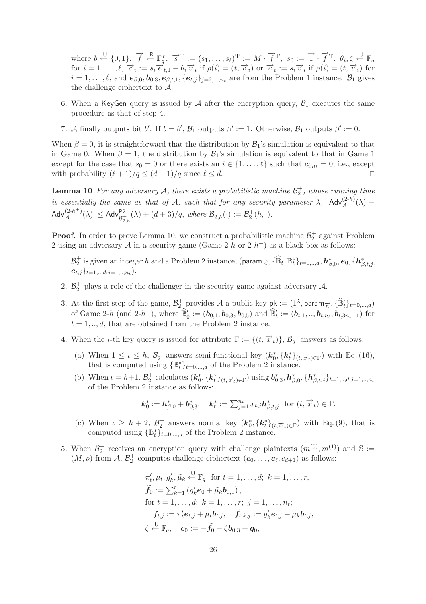where  $b \leftarrow \{0, 1\}$ ,  $\overrightarrow{f} \leftarrow^{\mathbb{R}} \mathbb{F}_q^r$ ,  $\overrightarrow{s}^{\mathrm{T}} := (s_1, \ldots, s_\ell)^{\mathrm{T}} := M \cdot \overrightarrow{f}^{\mathrm{T}}$ ,  $s_0 := \overrightarrow{1} \cdot \overrightarrow{f}^{\mathrm{T}}$ ,  $\theta_i, \zeta \leftarrow^{\mathbb{U}} \mathbb{F}_q$ for  $i = 1, \ldots, \ell$ ,  $\overrightarrow{c}_i := s_i \overrightarrow{e}_{t,1} + \theta_i \overrightarrow{v}_i$  if  $\rho(i) = (t, \overrightarrow{v}_i)$  or  $\overrightarrow{c}_i := s_i \overrightarrow{v}_i$  if  $\rho(i) = (t, \overrightarrow{v}_i)$  for  $i = 1,\ldots,\ell$ , and  $e_{\beta,0}, b_{0,3}, e_{\beta,t,1}, \{e_{t,j}\}_{j=2,\ldots,n_t}$  are from the Problem 1 instance.  $\mathcal{B}_1$  gives the challenge ciphertext to A.

- 6. When a KeyGen query is issued by  $A$  after the encryption query,  $B_1$  executes the same procedure as that of step 4.
- 7. A finally outputs bit b'. If  $b = b'$ ,  $\mathcal{B}_1$  outputs  $\beta' := 1$ . Otherwise,  $\mathcal{B}_1$  outputs  $\beta' := 0$ .

When  $\beta = 0$ , it is straightforward that the distribution by  $\mathcal{B}_1$ 's simulation is equivalent to that in Game 0. When  $\beta = 1$ , the distribution by  $\mathcal{B}_1$ 's simulation is equivalent to that in Game 1 except for the case that  $s_0 = 0$  or there exists an  $i \in \{1, \ldots, \ell\}$  such that  $c_{i,n_t} = 0$ , i.e., except with probability  $(\ell + 1)/q \leq (d + 1)/q$  since  $\ell \leq d$ .

**Lemma 10** For any adversary  $A$ , there exists a probabilistic machine  $\mathcal{B}_2^+$ , whose running time *is essentially the same as that of* A, such that for any security parameter  $\lambda$ ,  $|\text{Adv}_{\mathcal{A}}^{(2-h)}(\lambda) \mathsf{Adv}_{\mathcal{A}}^{(2-h^+)}(\lambda)| \leq \mathsf{Adv}_{\mathcal{B}_{2,h}^+}^{\mathsf{P2}}(\lambda) + (d+3)/q, \textit{ where } \mathcal{B}_{2,h}^+(\cdot) := \mathcal{B}_{2}^+(h,\cdot).$ 

**Proof.** In order to prove Lemma 10, we construct a probabilistic machine  $\mathcal{B}_2^+$  against Problem 2 using an adversary A in a security game (Game 2-h or 2-h<sup>+</sup>) as a black box as follows:

- 1.  $\mathcal{B}_2^+$  is given an integer h and a Problem 2 instance, (param<sub> $\vec{n}$ </sub>,  $\{\widehat{\mathbb{B}}_t, \mathbb{B}_t^*\}_{t=0,\dots,d}$ ,  $h_{\beta,0}^*$ ,  $e_0$ ,  $\{h_{\beta,t,j}^*,$  $e_{t,j}\}_{t=1,\ldots,d; i=1,\ldots,n_{t}}$ .
- 2.  $\mathcal{B}_2^+$  plays a role of the challenger in the security game against adversary  $\mathcal{A}$ .
- 3. At the first step of the game,  $\mathcal{B}_2^+$  provides A a public key  $pk := (1^{\lambda}, param_{\overrightarrow{n}}, \{\widehat{\mathbb{B}}_t'\}_{t=0,\dots,d})$ of Game 2-h (and 2-h<sup>+</sup>), where  $\mathbb{B}'_0 := (\boldsymbol{b}_{0,1}, \boldsymbol{b}_{0,3}, \boldsymbol{b}_{0,5})$  and  $\mathbb{B}'_t := (\boldsymbol{b}_{t,1}, ..., \boldsymbol{b}_{t,n_t}, \boldsymbol{b}_{t,3n_t+1})$  for  $t = 1, \ldots, d$ , that are obtained from the Problem 2 instance.
- 4. When the *ι*-th key query is issued for attribute  $\Gamma := \{(t, \vec{x}_t)\}, \mathcal{B}_2^+$  answers as follows:
	- (a) When  $1 \leq \iota \leq h$ ,  $\mathcal{B}_2^+$  answers semi-functional key  $(k_0^*, {\{k_t^*\}}_{(t, \vec{x}_t) \in \Gamma})$  with Eq. (16), that is computed using  $\{\mathbb{B}_{t}^{*}\}_{t=0,\ldots,d}$  of the Problem 2 instance.
	- (b) When  $\iota = h+1, \mathcal{B}_2^+$  calculates  $(\mathbf{k}_0^*, {\{\mathbf{k}_t^*\}}_{(t,\overrightarrow{x}_t)\in\Gamma})$  using  $\mathbf{b}_{0,3}^*, \mathbf{h}_{\beta,0}^*, {\{\mathbf{h}_{\beta,t,j}^*\}}_{t=1,..,d;j=1,..,n_t}$ of the Problem 2 instance as follows:

$$
\mathbf{k}_0^* := \mathbf{h}_{\beta,0}^* + \mathbf{b}_{0,3}^*, \quad \mathbf{k}_t^* := \sum_{j=1}^{n_t} x_{t,j} \mathbf{h}_{\beta,t,j}^* \text{ for } (t, \overrightarrow{x}_t) \in \Gamma.
$$

- (c) When  $\iota \geq h+2$ ,  $\mathcal{B}_2^+$  answers normal key  $(k_0^*, {\{k_t^*\}}_{(t,\overrightarrow{x}_t)\in\Gamma})$  with Eq. (9), that is computed using  $\{\mathbb{B}_{t}^{*}\}_{t=0,\dots,d}$  of the Problem 2 instance.
- 5. When  $\mathcal{B}_2^+$  receives an encryption query with challenge plaintexts  $(m^{(0)}, m^{(1)})$  and  $\mathbb{S} :=$  $(M, \rho)$  from A,  $\mathcal{B}_2^+$  computes challenge ciphertext  $(c_0, \ldots, c_{\ell}, c_{d+1})$  as follows:

$$
\pi'_t, \mu_t, g'_k, \widetilde{\mu}_k \stackrel{\text{U}}{\leftarrow} \mathbb{F}_q \text{ for } t = 1, \dots, d; \ k = 1, \dots, r,
$$
  

$$
\widetilde{f}_0 := \sum_{k=1}^r (g'_k e_0 + \widetilde{\mu}_k b_{0,1}),
$$
  
for  $t = 1, \dots, d; \ k = 1, \dots, r; \ j = 1, \dots, n_t;$   

$$
f_{t,j} := \pi'_t e_{t,j} + \mu_t b_{t,j}, \quad \widetilde{f}_{t,k,j} := g'_k e_{t,j} + \widetilde{\mu}_k b_{t,j},
$$
  

$$
\zeta \stackrel{\text{U}}{\leftarrow} \mathbb{F}_q, \quad c_0 := -\widetilde{f}_0 + \zeta b_{0,3} + q_0,
$$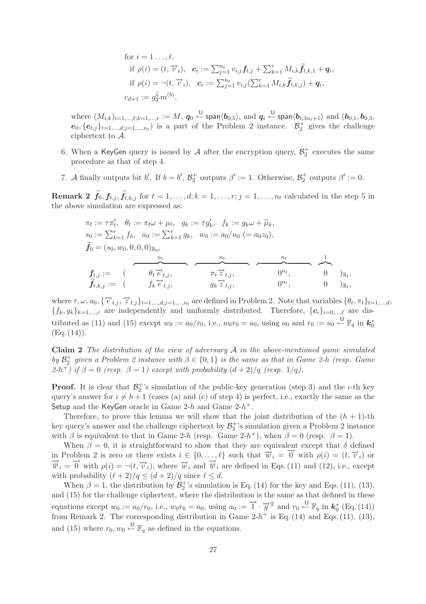for 
$$
i = 1...,\ell
$$
,  
\nif  $\rho(i) = (t, \vec{v}_i)$ ,  $\mathbf{c}_i := \sum_{j=1}^{n_t} v_{i,j} \mathbf{f}_{t,j} + \sum_{k=1}^r M_{i,k} \tilde{\mathbf{f}}_{t,k,1} + \mathbf{q}_i$ ,  
\nif  $\rho(i) = \neg(t, \vec{v}_i)$ ,  $\mathbf{c}_i := \sum_{j=1}^{n_t} v_{i,j} (\sum_{k=1}^r M_{i,k} \tilde{\mathbf{f}}_{t,k,j}) + \mathbf{q}_i$ ,  
\n $c_{d+1} := g_T^{\zeta} m^{(b)}$ ,

where  $(M_{i,k})_{i=1,\dots,\ell;k=1,\dots,r} := M$ ,  $q_0 \stackrel{\cup}{\leftarrow}$  span $\langle b_{0,5}\rangle$ , and  $q_i \stackrel{\cup}{\leftarrow}$  span $\langle b_{t,3n_t+1}\rangle$  and  $(b_{0,1},b_{0,3},b_{0,2})$  $e_0, \{e_{t,j}\}_{t=1,\dots,d; j=1,\dots,n_t}$  is a part of the Problem 2 instance.  $\mathcal{B}_2^+$  gives the challenge ciphertext to A.

- 6. When a KeyGen query is issued by  $A$  after the encryption query,  $\mathcal{B}_2^+$  executes the same procedure as that of step 4.
- 7. A finally outputs bit b'. If  $b = b'$ ,  $\mathcal{B}_2^+$  outputs  $\beta' := 1$ . Otherwise,  $\mathcal{B}_2^+$  outputs  $\beta' := 0$ .

**Remark 2**  $f_0, f_{t,j}, f_{t,k,j}$  for  $t = 1, \ldots, d; k = 1, \ldots, r; j = 1, \ldots, n_t$  calculated in the step 5 in the above simulation are expressed as:

$$
\pi_t := \tau \pi'_t, \quad \theta_t := \pi_t \omega + \mu_t, \quad g_k := \tau g'_k, \quad f_k := g_k \omega + \widetilde{\mu}_k, \ns_0 := \sum_{k=1}^r f_k, \quad a_0 := \sum_{k=1}^r g_k, \quad w_0 := a_0/u_0 \ (= a_0 z_0), \n\widetilde{f}_0 = (s_0, w_0, 0, 0, 0)_{\mathbb{B}_0}, \n\pi_t \to t_0; \n\widetilde{f}_{t,j} := \begin{pmatrix} \theta_t \overrightarrow{e}_{t,j}, & \pi_t \overrightarrow{z}_{t,j}, & 0^{n_t}, \\ f_k \overrightarrow{e}_{t,j}, & g_k \overrightarrow{z}_{t,j}, & 0^{n_t}, & 0 \end{pmatrix}_{\mathbb{B}_t},
$$

where  $\tau, \omega, u_0, \{\vec{e}_{t,j}, \vec{z}_{t,j}\}_{t=1,\dots,d; j=1,\dots,n_t}$  are defined in Problem 2. Note that variables  $\{\theta_t, \pi_t\}_{t=1,\dots,d}$ ,  $\{f_k, g_k\}_{k=1,\dots,r}$  are independently and uniformly distributed. Therefore,  $\{c_i\}_{i=0,\dots,\ell}$  are distributed as (11) and (15) except  $w_0 := a_0/r_0$ , i.e.,  $w_0r_0 = a_0$ , using  $a_0$  and  $r_0 := u_0 \stackrel{\cup}{\leftarrow} \mathbb{F}_q$  in  $k_0^*$  $(Eq. (14)).$ 

**Claim 2** *The distribution of the view of adversary* A *in the above-mentioned game simulated by*  $\mathcal{B}_2^+$  *given a Problem 2 instance with*  $\beta \in \{0, 1\}$  *is the same as that in Game 2-h (resp. Game*)  $(2-h^+)$  if  $\beta = 0$  (resp.  $\beta = 1$ ) except with probability  $(d+2)/q$  (resp. 1/q).

**Proof.** It is clear that  $\mathcal{B}_2^+$ 's simulation of the public-key generation (step 3) and the *ι*-th key query's answer for  $\iota \neq h+1$  (cases (a) and (c) of step 4) is perfect, i.e., exactly the same as the Setup and the KeyGen oracle in Game  $2-h$  and Game  $2-h^+$ .

Therefore, to prove this lemma we will show that the joint distribution of the  $(h + 1)$ -th key query's answer and the challenge ciphertext by  $\mathcal{B}_2^+$ 's simulation given a Problem 2 instance with  $\beta$  is equivalent to that in Game 2-h (resp. Game 2-h<sup>+</sup>), when  $\beta = 0$  (resp.  $\beta = 1$ ).

When  $\beta = 0$ , it is straightforward to show that they are equivalent except that  $\delta$  defined in Problem 2 is zero or there exists  $i \in \{0, \ldots, \ell\}$  such that  $\overrightarrow{w}_i = \overrightarrow{0}$  with  $\rho(i) = (t, \overrightarrow{v}_i)$  or  $\overrightarrow{w}_i = \overrightarrow{0}$  with  $\rho(i) = \neg(t, \overrightarrow{v}_i)$ , where  $\overrightarrow{w}_i$  and  $\overrightarrow{w}_i$  are defined in Eqs. (11) and (12), i.e. with probability  $(\ell + 2)/q \leq (d+2)/q$  since  $\ell \leq d$ .

When  $\beta = 1$ , the distribution by  $\mathcal{B}_2^+$ 's simulation is Eq. (14) for the key and Eqs. (11), (13), and (15) for the challenge ciphertext, where the distribution is the same as that defined in these equations except  $w_0 := a_0/r_0$ , i.e.,  $w_0r_0 = a_0$ , using  $a_0 := \overrightarrow{1} \cdot \overrightarrow{g}^T$  and  $r_0 \stackrel{\cup}{\leftarrow} \mathbb{F}_q$  in  $k_0^*$  (Eq. (14)) from Remark 2. The corresponding distribution in Game  $2-h^+$  is Eq. (14) and Eqs. (11), (13), and (15) where  $r_0, w_0 \stackrel{\cup}{\leftarrow} \mathbb{F}_q$  as defined in the equations.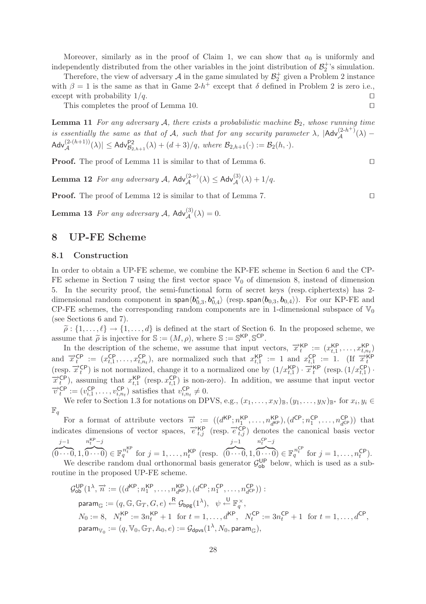Moreover, similarly as in the proof of Claim 1, we can show that  $a_0$  is uniformly and independently distributed from the other variables in the joint distribution of  $\mathcal{B}_2^+$ 's simulation.

Therefore, the view of adversary  $A$  in the game simulated by  $\mathcal{B}_2^+$  given a Problem 2 instance with  $\beta = 1$  is the same as that in Game 2-h<sup>+</sup> except that  $\delta$  defined in Problem 2 is zero i.e., except with probability  $1/q$ .

This completes the proof of Lemma 10.

**Lemma 11** *For any adversary*  $A$ *, there exists a probabilistic machine*  $B_2$ *, whose running time is essentially the same as that of* A, such that for any security parameter  $\lambda$ ,  $|\text{Adv}_{\mathcal{A}}^{(2-h+)}(\lambda) \mathsf{Adv}_{\mathcal{A}}^{(2-(h+1))}(\lambda) \leq \mathsf{Adv}_{\mathcal{B}_{2,h+1}}^{P2}(\lambda) + (d+3)/q, \text{ where } \mathcal{B}_{2,h+1}(\cdot) := \mathcal{B}_{2}(h,\cdot).$ 

**Proof.** The proof of Lemma 11 is similar to that of Lemma 6.

**Lemma 12** *For any adversary*  $A$ ,  $\mathsf{Adv}_{\mathcal{A}}^{(2-\nu)}(\lambda) \leq \mathsf{Adv}_{\mathcal{A}}^{(3)}(\lambda) + 1/q$ .

**Proof.** The proof of Lemma 12 is similar to that of Lemma 7. □

**Lemma 13** *For any adversary*  $A$ ,  $\mathsf{Adv}_{\mathcal{A}}^{(3)}(\lambda) = 0$ .

# **8 UP-FE Scheme**

#### **8.1 Construction**

In order to obtain a UP-FE scheme, we combine the KP-FE scheme in Section 6 and the CP-FE scheme in Section 7 using the first vector space  $\mathbb{V}_0$  of dimension 8, instead of dimension 5. In the security proof, the semi-functional form of secret keys (resp. ciphertexts) has 2 dimensional random component in span $\langle b_{0,3}^*,b_{0,4}^*\rangle$  (resp. span $\langle b_{0,3},b_{0,4}\rangle$ ). For our KP-FE and CP-FE schemes, the corresponding random components are in 1-dimensional subspace of  $\mathbb{V}_0$ (see Sections 6 and 7).

 $\tilde{\rho}: \{1,\ldots,\ell\} \to \{1,\ldots,d\}$  is defined at the start of Section 6. In the proposed scheme, we use that  $\tilde{\lambda}$  is injective for  $\mathcal{S} := (M, \rho)$  where  $\mathcal{S} := \mathcal{S}^{\mathsf{KP}}$   $\mathcal{S}^{\mathsf{CP}}$ assume that  $\tilde{\rho}$  is injective for  $\mathbb{S} := (M, \rho)$ , where  $\mathbb{S} := \mathbb{S}^{\mathsf{KP}}, \mathbb{S}^{\mathsf{CP}}$ .<br>In the description of the scheme, we assume that input y

In the description of the scheme, we assume that input vectors,  $\vec{x}_t^{KP} := (x_{t,1}^{KP}, \ldots, x_{t,n_t}^{KP})$ and  $\vec{x}_t^{\text{CP}} := (x_{t,1}^{\text{CP}}, \dots, x_{t,n_t}^{\text{CP}})$ , are normalized such that  $x_{t,1}^{\text{KP}} := 1$  and  $x_{t,1}^{\text{CP}} := 1$ . (If  $\vec{x}_t^{\text{KP}}$ ) is not normalized, change it to a normalized one by  $(1/x_{t,1}^{\text{KP}}) \cdot \vec{x}_t^{\text{KP}}$  (res  $\vec{x}_t^{\text{CP}}$ ), assuming that  $x_{t,1}^{\text{KP}}$  (resp.  $x_{t,1}^{\text{CP}}$ ) is non-zero). In addition, we assume that input vector  $\vec{v}_t^{\text{CP}} := (v_{i,1}^{\text{CP}}, \ldots, v_{i,n}^{\text{CP}})$  satisfies that  $v_{i,n}^{\text{CP}} \neq 0$ .  $t_t^{\text{CP}} := (v_{i,1}^{\text{CP}}, \dots, v_{i,n_t}^{\text{CP}})$  satisfies that  $v_{i,n_t}^{\text{CP}} \neq 0$ .

We refer to Section 1.3 for notations on DPVS, e.g.,  $(x_1,\ldots,x_N)_{\mathbb{B}},(y_1,\ldots,y_N)_{\mathbb{B}^*}$  for  $x_i,y_i\in$  $\mathbb{F}_q$ 

For a format of attribute vectors  $\vec{n} := ((d^{\text{KP}}; n_1^{\text{KP}}, \ldots, n_{d^{\text{KP}}}^{\text{KP}}), (d^{\text{CP}}; n_1^{\text{CP}}, \ldots, n_{d^{\text{CP}}}^{\text{CP}}))$  that indicates dimensions of vector spaces,  $\vec{e}_{t,i}^{KP}$  (resp.  $\vec{e}_{t,j}^{CP}$ ) denotes the canonical basis vector  $j-1$  $n_t$ KP $-j$  $j-1$  $n_t^{\text{CP}} - j$ 

(  $\widehat{0\cdots 0}, 1, \widehat{0\cdots 0}$   $\in \mathbb{F}_q^{n_t^{\text{KP}}}$  for  $j = 1, \ldots, n_t^{\text{KP}}$  (resp. (  $\overline{0\cdots 0}, 1,$  $\widehat{0 \cdots 0}$   $\in \mathbb{F}_q^{n_t^{\text{CP}}}$  for  $j = 1, \ldots, n_t^{\text{CP}}$ . We describe random dual orthonormal basis generator  $\mathcal{G}_{ob}^{UP}$  below, which is used as a subroutine in the proposed UP-FE scheme.

$$
\begin{aligned} \mathcal{G}^{\mathsf{UP}}_{\mathsf{ob}}(1^\lambda,\overrightarrow{n} &:=((d^{\mathsf{KP}};n_1^{\mathsf{KP}},\ldots,n_{d^{\mathsf{KP}}}^{\mathsf{KP}}),(d^{\mathsf{CP}};n_1^{\mathsf{CP}},\ldots,n_{d^{\mathsf{CP}}}^{\mathsf{CP}})) : \\ \mathsf{param}_{\mathbb{G}} &:= (q,\mathbb{G},\mathbb{G}_T,G,e) \xleftarrow{\mathsf{R}} \mathcal{G}_{\mathsf{bpg}}(1^\lambda), \quad \psi \xleftarrow{\mathsf{U}} \mathbb{F}_q^\times, \\ N_0 &:= 8, \quad N_t^{\mathsf{KP}} := 3n_t^{\mathsf{KP}}+1 \ \text{ for } t=1,\ldots,d^{\mathsf{KP}}, \quad N_t^{\mathsf{CP}} := 3n_t^{\mathsf{CP}}+1 \ \text{ for } t=1,\ldots,d^{\mathsf{CP}}, \\ \mathsf{param}_{\mathbb{V}_0} &:= (q,\mathbb{V}_0,\mathbb{G}_T,\mathbb{A}_0,e) := \mathcal{G}_{\mathsf{dps}}(1^\lambda,N_0,\mathsf{param}_{\mathbb{G}}), \end{aligned}
$$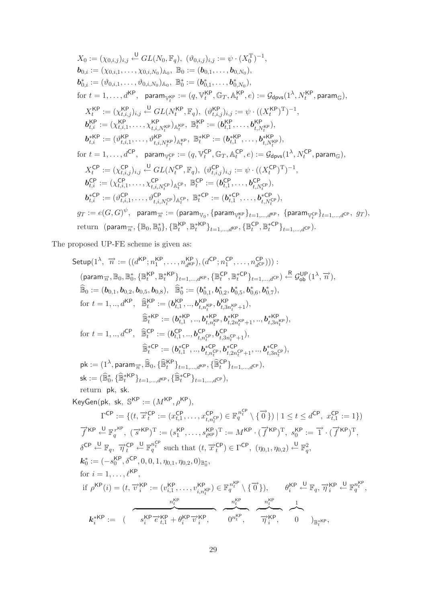$$
X_{0} := (\chi_{0,i,j})_{i,j} \xleftarrow{U} GL(N_{0}, \mathbb{F}_{q}), (\vartheta_{0,i,j})_{i,j} := \psi \cdot (X_{0}^{T})^{-1},
$$
  
\n
$$
b_{0,i} := (\chi_{0,i,1}, \ldots, \chi_{0,i,N_{0}})_{\mathbb{A}_{0}}, \mathbb{B}_{0} := (b_{0,1}, \ldots, b_{0,N_{0}}),
$$
  
\n
$$
b_{0,i}^{*} := (\vartheta_{0,i,1}, \ldots, \vartheta_{0,i,N_{0}})_{\mathbb{A}_{0}}, \mathbb{B}_{0}^{*} := (b_{0,1}^{*}, \ldots, b_{0,N_{0}}^{*}),
$$
  
\nfor  $t = 1, \ldots, d^{KP}$ , param<sub>W<sup>FP</sup><sub>t</sub> :=  $(q, \mathbb{V}_{t}^{KP}, \mathbb{G}_{T}, \mathbb{A}_{t}^{KP}, e) := \mathcal{G}_{dpvs}(1^{\lambda}, N_{t}^{KP}, param_{\mathbb{G}}),$   
\n
$$
X_{t}^{KP} := (\chi_{t,i,1}^{KP}, \ldots, \chi_{t,i,N_{t}^{KP}}^{KP})_{\mathbb{A}_{t}^{KP}}, \mathbb{B}_{t}^{KP} := (b_{t,1}^{KP}, \ldots, b_{t,N_{t}^{KP}}^{KP}),
$$
  
\n
$$
b_{t,i}^{KP} := (\vartheta_{t,i,1}^{KP}, \ldots, \vartheta_{t,i,N_{t}^{KP}}^{KP})_{\mathbb{A}_{t}^{KP}}, \mathbb{B}_{t}^{*KP} := (b_{t,1}^{KP}, \ldots, b_{t,N_{t}^{KP}}^{KP}),
$$
  
\n
$$
b_{t,i}^{*KP} := (\vartheta_{t,i,1}^{CP}, \ldots, \vartheta_{t,i,N_{t}^{KP}}^{CP})_{\mathbb{A}_{t}^{KP}}, \mathbb{B}_{t}^{*KP} := (b_{t,1}^{*} \ldots, b_{t,N_{t}^{KP}}^{CP}),
$$
  
\nfor  $t = 1, \ldots, d^{CP}$ , param<sub>W<sup>CP</sup><sub>t</sub> :=  $(q, \mathbb{V}_{t}^{CP}, \mathbb{G}_{T}, \mathbb{A}_{t}^{CP}, e) := \mathcal{G}_{dpvs}(1^{\lambda}, N_{t}^{CP}, param_{\mathbb$</sub></sub> 

The proposed UP-FE scheme is given as:

Setup(1λ, −→n := ((dKP; nKP <sup>1</sup> ,...,nKP <sup>d</sup>KP),(dCP; nCP <sup>1</sup> ,...,nCP <sup>d</sup>CP))) : (param−→<sup>n</sup> ,B0,B<sup>∗</sup> <sup>0</sup>, {BKP <sup>t</sup> ,B∗KP <sup>t</sup> }t=1,...,dKP, {BCP <sup>t</sup> ,B∗CP <sup>t</sup> }t=1,...,dCP) <sup>R</sup> ← GUP ob (1λ, −→<sup>n</sup> ), <sup>B</sup><sup>0</sup> := (*b*0,1, *<sup>b</sup>*0,2, *<sup>b</sup>*0,5, *<sup>b</sup>*0,8), <sup>B</sup><sup>∗</sup> <sup>0</sup> := (*b*<sup>∗</sup> <sup>0</sup>,1, *b*<sup>∗</sup> <sup>0</sup>,2, *b*<sup>∗</sup> <sup>0</sup>,5, *b*<sup>∗</sup> <sup>0</sup>,6, *b*<sup>∗</sup> <sup>0</sup>,7), for <sup>t</sup> = 1, .., dKP, <sup>B</sup>KP <sup>t</sup> := (*b*KP t,<sup>1</sup> , .., *b*KP t,nKP t , *b*KP t,3nKP <sup>t</sup> +1), <sup>B</sup>∗KP <sup>t</sup> := (*b*∗KP t,<sup>1</sup> , .., *b*∗KP t,nKP t , *b*∗KP t,2nKP <sup>t</sup> +1, .., *<sup>b</sup>*∗KP t,3nKP t ), for <sup>t</sup> = 1, .., dCP, <sup>B</sup>CP <sup>t</sup> := (*b*CP t,<sup>1</sup> , .., *b*CP t,nCP t , *b*CP t,3nCP <sup>t</sup> +1), <sup>B</sup>∗CP <sup>t</sup> := (*b*∗CP t,<sup>1</sup> , .., *b*∗CP t,nCP t , *b*∗CP t,2nCP <sup>t</sup> +1, .., *<sup>b</sup>*∗CP t,3nCP t ), pk := (1λ, param−→<sup>n</sup> ,B0, {BKP <sup>t</sup> }t=1,...,dKP, {BCP <sup>t</sup> }t=1,...,dCP), sk := (B<sup>∗</sup> <sup>0</sup>, {B∗KP <sup>t</sup> }t=1,...,dKP, {B∗CP <sup>t</sup> }t=1,...,dCP), return pk, sk. KeyGen(pk, sk, SKP := (MKP, ρKP), <sup>Γ</sup>CP := {(t, −→<sup>x</sup> CP <sup>t</sup> := (xCP t,<sup>1</sup> ,...,xCP t,nCP t ) <sup>∈</sup> <sup>F</sup> <sup>n</sup>CP <sup>t</sup> <sup>q</sup> \ {−→<sup>0</sup> }) <sup>|</sup> <sup>1</sup> <sup>≤</sup> <sup>t</sup> <sup>≤</sup> <sup>d</sup>CP, xCP t,<sup>1</sup> := 1}) −→<sup>f</sup> KP <sup>U</sup> ← FrKP q , ( −→s KP) <sup>T</sup> := (sKP <sup>1</sup> ,...,sKP -KP) <sup>T</sup> := MKP · ( −→<sup>f</sup> KP) <sup>T</sup>, sKP <sup>0</sup> := −→<sup>1</sup> · ( −→<sup>f</sup> KP) T, δCP <sup>U</sup> <sup>←</sup> <sup>F</sup>q, −→<sup>η</sup> CP t U <sup>←</sup> <sup>F</sup>nCP t <sup>q</sup> such that (t, −→x CP <sup>t</sup> ) <sup>∈</sup> <sup>Γ</sup>CP, (η0,1, η0,2) <sup>U</sup> ← F<sup>2</sup> q , *k*∗ <sup>0</sup> := (−sKP <sup>0</sup> , δCP, 0, 0, 1, η0,1, η0,2, 0)B<sup>∗</sup> 0 , for i = 1,...,KP, if ρKP(i)=(t,→−v KP <sup>i</sup> := (vKP i,<sup>1</sup> ,...,vKP i,nKP t ) <sup>∈</sup> <sup>F</sup> <sup>n</sup>KP <sup>t</sup> <sup>q</sup> \ {−→<sup>0</sup> }), θKP i U <sup>←</sup> <sup>F</sup>q, −→<sup>η</sup> KP i U <sup>←</sup> <sup>F</sup>nKP t q , nKP t <sup>n</sup>KP t <sup>n</sup>KP t <sup>1</sup> *k*∗KP <sup>i</sup> := ( sKP <sup>i</sup> −→<sup>e</sup> KP t,<sup>1</sup> + θKP <sup>i</sup> −→<sup>v</sup> KP <sup>i</sup> , 0nKP <sup>t</sup> , −→η KP <sup>i</sup> , 0 )B∗KP <sup>t</sup> ,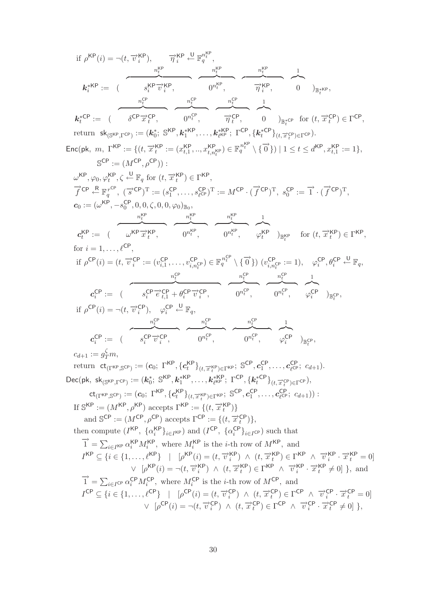30

$$
c_i^{CP} := \begin{pmatrix} s_i^{CP} \overrightarrow{v}_i^{CP}, & 0^{n_i^{CP}}, & 0^{n_i^{CP}}, & \varphi_i^{CP} \end{pmatrix}_{\mathbb{B}_t^{CP}},
$$
\n
$$
c_{d+1} := g_j^{C} m,
$$
\nreturn  $\mathbf{ct}_{(\Gamma^{KP}, \mathbb{S}^{CP})} := (c_0; \Gamma^{KP}, \{c_i^{KP}\}_{(t, \overrightarrow{x}_i^{KP}) \in \Gamma^{KP}}, \mathbb{S}^{CP}, c_1^{CP}, \dots, c_{\ell^{CP}}^{CP}; c_{d+1}).$ \n
$$
\text{Dec}(\mathsf{pk}, \, \mathsf{sk}_{(\mathbb{S}^{KP}, \Gamma^{CP})} := (\mathbf{k}_0^*, \, \mathbb{S}^{KP}, \mathbf{k}_1^{*KP}, \dots, \mathbf{k}_{\ell^{KP}}^{*FP}; \Gamma^{CP}, \{k_i^{*CP}\}_{(t, \overrightarrow{x}_i^{CP}) \in \Gamma^{CP}}),
$$
\n
$$
\mathbf{ct}_{(\Gamma^{KP}, \mathbb{S}^{CP})} := (c_0; \, \Gamma^{KP}, \{c_i^{KP}\}_{(t, \overrightarrow{x}_i^{KP}) \in \Gamma^{KP}}; \mathbb{S}^{CP}, c_1^{CP}, \dots, c_{\ell^{CP}}^{CP}; c_{d+1})) :
$$
\nIf  $\mathbb{S}^{KP} := (M^{KP}, \rho^{KP}) \text{ accepts } \Gamma^{KP} := \{ (t, \overrightarrow{x}_i^{KP}) \}$ ,  
\nand  $\mathbb{S}^{CP} := (M^{CP}, \rho^{CP}) \text{ accepts } \Gamma^{CP} := \{ (t, \overrightarrow{x}_i^{CP}) \},$   
\nthen compute  $(I^{KP}, \{a_i^{KP}\}_{i \in I^{KP}}) \text{ and } (I^{CP}, \{a_i^{CP}\}_{i \in I^{CP}}) \text{ such that}$   
\n
$$
\vec{1} = \sum_{i \in I^{KP}} \alpha_i^{KP} M_i^{KP}, \text{ where } M_i^{KP} \text{ is the } i \text{-th row of } M^{KP}, \text{ and}
$$
\n
$$
I^{KP} \subseteq \{ i \in \{1, \dots, \ell^{KP} \} \mid [\rho^{KP}(i) = (t, \overrightarrow{v}_i^{KP}) \land (t, \overrightarrow{x}_i^{KP}) \in \Gamma^{KP} \land \overrightarrow{v}_i^{KP} \cdot \over
$$

$$
\mathbf{c}_{t}^{\mathsf{KP}} := (\begin{array}{c} n_{t}^{\mathsf{KP}} \\ \hline \mathbf{w}_{t}^{\mathsf{KP}} \end{array}, \begin{array}{c} n_{t}^{\mathsf{KP}} \\ \hline \mathbf{w}_{t}^{\mathsf{KP}} \end{array}, \begin{array}{c} n_{t}^{\mathsf{KP}} \\ \hline \mathbf{w}_{t}^{\mathsf{KP}} \end{array}, \begin{array}{c} n_{t}^{\mathsf{KP}} \\ \hline \mathbf{w}_{t}^{\mathsf{KP}} \end{array}, \begin{array}{c} n_{t}^{\mathsf{KP}} \\ \hline \mathbf{w}_{t}^{\mathsf{KP}} \end{array}, \begin{array}{c} \mathbf{w}_{t}^{\mathsf{KP}} \\ \hline \mathbf{w}_{t}^{\mathsf{KP}} \end{array}, \begin{array}{c} \mathbf{w}_{t}^{\mathsf{KP}} \\ \hline \mathbf{w}_{t}^{\mathsf{KP}} \end{array}, \begin{array}{c} \mathbf{w}_{t}^{\mathsf{KP}} \\ \hline \mathbf{w}_{t}^{\mathsf{KP}} \end{array}, \begin{array}{c} \mathbf{w}_{t}^{\mathsf{KP}} \\ \hline \mathbf{w}_{t}^{\mathsf{UP}} \end{array}, \begin{array}{c} \mathbf{w}_{t}^{\mathsf{KP}} \\ \hline \mathbf{w}_{t}^{\mathsf{UP}} \end{array}, \begin{array}{c} \mathbf{w}_{t}^{\mathsf{UP}} \\ \hline \mathbf{w}_{t}^{\mathsf{UP}} \end{array}, \begin{array}{c} \mathbf{w}_{t}^{\mathsf{UP}} \\ \hline \mathbf{w}_{t}^{\mathsf{UP}} \end{array}, \begin{array}{c} \mathbf{w}_{t}^{\mathsf{UP}} \\ \hline \mathbf{w}_{t}^{\mathsf{UP}} \end{array}, \begin{array}{c} \mathbf{w}_{t}^{\mathsf{UP}} \\ \hline \mathbf{w}_{t}^{\mathsf{UP}} \end{array}, \begin{array}{c} \mathbf{w}_{t}^{\mathsf{UP}} \\ \hline \mathbf{w}_{t}^{\mathsf{UP}} \end{array}, \begin{array}{c} \mathbf{w}_{t}^{\mathsf{UP}} \\ \hline \mathbf{w}_{t}^{\mathsf{UP}} \end{array}, \begin{array}{c} \mathbf{w}_{t}^{\mathsf{UP}} \\ \hline \math
$$

$$
\begin{aligned}\n\text{Enc}(\mathsf{pk}, \ m, \ \Gamma^{\mathsf{KP}} &:= \{ (t, \overrightarrow{x}_t^{\mathsf{KP}} := (x_{t,1}^{\mathsf{KP}}, ..., x_{t,n_t^{\mathsf{KP}}}^{\mathsf{KP}}) \in \mathbb{F}_q^{\frac{n_t^{\mathsf{KP}}}{t}} \setminus \{ \overrightarrow{0} \}) \mid 1 \leq t \leq d^{\mathsf{KP}}, x_{t,1}^{\mathsf{KP}} := 1 \}, \\
& \mathbb{S}^{\mathsf{CP}} &:= (M^{\mathsf{CP}}, \rho^{\mathsf{CP}})) : \\
& \omega^{\mathsf{KP}}, \varphi_0, \varphi_t^{\mathsf{KP}}, \zeta \stackrel{\mathsf{U}}{\leftarrow} \mathbb{F}_q \text{ for } (t, \overrightarrow{x}_t^{\mathsf{KP}}) \in \Gamma^{\mathsf{KP}}, \\
\overrightarrow{f}^{\mathsf{CP}} \stackrel{\mathsf{R}}{\leftarrow} \mathbb{F}_q^{\frac{r_{\mathsf{CP}}}{t}}, \ (\overrightarrow{s}^{\mathsf{CP}})^{\mathsf{T}} &:= (s_1^{\mathsf{CP}}, ..., s_{\ell^{\mathsf{CP}}}^{\mathsf{CP}})^{\mathsf{T}} := M^{\mathsf{CP}} \cdot (\overrightarrow{f}^{\mathsf{CP}})^{\mathsf{T}}, \ s_0^{\mathsf{CP}} &:= \overrightarrow{1} \cdot (\overrightarrow{f}^{\mathsf{CP}})^{\mathsf{T}}, \\
& c_0 &:= (\omega^{\mathsf{KP}}, -s_0^{\mathsf{CP}}, 0, 0, \zeta, 0, 0, \varphi_0)_{\mathbb{B}_0}, \\
& \xrightarrow{n_t^{\mathsf{KP}}} \qquad \qquad \xrightarrow{n_t^{\mathsf{KP}}} \qquad \qquad \xrightarrow{n_t^{\mathsf{KP}}} \qquad \qquad \xrightarrow{n_t^{\mathsf{KP}}} \qquad \qquad \xrightarrow{n_t^{\mathsf{KP}}} \qquad \qquad \xrightarrow{n_t^{\mathsf{KP}}} \qquad \qquad \xrightarrow{n_t^{\mathsf{KP}}} \qquad \qquad \xrightarrow{n_t^{\mathsf{KP}}} \qquad \qquad \xrightarrow{n_t^{\mathsf{KP}}} \qquad \qquad \xrightarrow{n_t^{\mathsf{KP}}} \qquad \qquad \xrightarrow{n_t^{\mathsf{KP}}} \qquad \qquad \xrightarrow{n_t^{\mathsf{KP}}} \qquad \qquad \xrightarrow{n_t^{\mathsf{KP}}} \
$$

$$
k_i^{*KP} := \underbrace{(s_i^{KP} \overrightarrow{v_i^{KP}})}_{n_t^{CP}} \underbrace{n_t^{CP}}_{n_t^{CP}} \underbrace{n_t^{CP}}_{n_t^{CP}} \underbrace{n_t^{CP}}_{n_t^{CP}} \underbrace{n_t^{CP}}_{n_t^{CP}} \underbrace{n_t^{CP}}_{n_t^{CP}} \underbrace{1}_{0})_{\mathbb{B}_t^{*KP}},
$$
\n
$$
k_t^{*CP} := \underbrace{(s_{0}^{CP} \overrightarrow{x_t^{CP}})}_{0} \underbrace{n_t^{CP}}_{0} \underbrace{n_t^{CP}}_{n_t^{CP}} \underbrace{1}_{1} \underbrace{1}_{0})_{\mathbb{B}_t^{*CP}} \text{ for } (t, \overrightarrow{x_t^{CP}}) \in \Gamma^{CP},
$$

 $\text{return } \mathsf{sk}_{(\mathbb{S}^{\mathsf{KP}},\Gamma^{\mathsf{CP}})} := (\mathbf{k}_0^*;~\mathbb{S}^{\mathsf{KP}},\mathbf{k}_1^{*\mathsf{KP}},\ldots,\mathbf{k}_{\ell^{\mathsf{KP}}}^{*\mathsf{KP}};~\Gamma^{\mathsf{CP}},\{\mathbf{k}_t^{*\mathsf{CP}}\}_{(t,\overrightarrow{x}_t^{\mathsf{CP}})\in \Gamma^{\mathsf{CP}}}).$ 

if  $\rho^{\text{KP}}(i) = \neg(t, \overrightarrow{v}_i^{\text{KP}}), \qquad \overrightarrow{\eta}_i^{\text{KP}} \leftarrow \mathbb{F}_q^{n_t^{\text{KP}}},$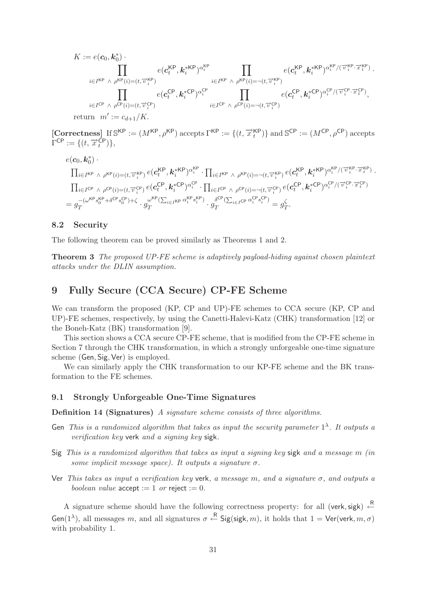$$
K := e(\mathbf{c}_0, \mathbf{k}_0^*) \cdot \prod_{i \in I^{KP} \ \land \ \rho^{KP}(i) = (t, \overrightarrow{v}_i^{KP})} e(\mathbf{c}_t^{KP}, \mathbf{k}_i^{*KP})^{\alpha_i^{KP}} \prod_{i \in I^{KP} \ \land \ \rho^{KP}(i) = -(t, \overrightarrow{v}_i^{KP})} e(\mathbf{c}_t^{KP}, \mathbf{k}_i^{*KP})^{\alpha_i^{KP}/(\overrightarrow{v}_i^{KP}, \overrightarrow{x}_t^{KP})} \cdot \prod_{i \in I^{CP} \ \land \ \rho^{KP}(i) = -(t, \overrightarrow{v}_i^{VP})} e(\mathbf{c}_t^{CP}, \mathbf{k}_i^{*CP})^{\alpha_i^{CP}} \prod_{i \in I^{CP} \ \land \ \rho^{CP}(i) = -(t, \overrightarrow{v}_i^{CP})} e(\mathbf{c}_t^{CP}, \mathbf{k}_i^{*CP})^{\alpha_i^{CP}/(\overrightarrow{v}_i^{CP}, \overrightarrow{x}_t^{CP})},
$$
 return  $m' := c_{d+1}/K$ .  
\n[Correctness] If  $\mathbb{S}^{KP} := (M^{KP}, \rho^{KP})$  accepts  $\Gamma^{KP} := \{(t, \overrightarrow{x}_t^{KP})\}$  and  $\mathbb{S}^{CP} := (M^{CP}, \rho^{CP})$  accepts

 $\Gamma^{\textsf{CP}} := \{ (t, \overrightarrow{x}_t^{\textsf{CP}}) \},$  $e(\boldsymbol{c}_0,\boldsymbol{k}_0^*)\cdot$ 

$$
\begin{split} &\prod_{i\in I^{\text{KP}}~\wedge~\rho^{\text{KP}}(i)=(t,\overrightarrow{v}_i^{\text{KP}})~e(\mathbf{c}^{\text{KP}}_t,\mathbf{k}_i^{\text{*KP}})^{\alpha_i^{\text{KP}}}\cdot \prod_{i\in I^{\text{KP}}~\wedge~\rho^{\text{KP}}(i)=\neg(t,\overrightarrow{v}_i^{\text{KP}})~e(\mathbf{c}^{\text{KP}}_t,\mathbf{k}_i^{\text{*KP}})^{\alpha_i^{\text{KP}}\cdot (\overrightarrow{v}_i^{\text{KP}}\cdot \overrightarrow{x}_t^{\text{KP}})}\cdot\\ &\prod_{i\in I^{\text{CP}}~\wedge~\rho^{\text{CP}}(i)=(t,\overrightarrow{v}_i^{\text{CP}})~e(\mathbf{c}^{\text{CP}}_t,\mathbf{k}_i^{\text{*CP}})^{\alpha_i^{\text{CP}}} \cdot \prod_{i\in I^{\text{CP}}~\wedge~\rho^{\text{CP}}(i)=-\neg(t,\overrightarrow{v}_i^{\text{CP}})~e(\mathbf{c}^{\text{CP}}_t,\mathbf{k}_i^{\text{*CP}})^{\alpha_i^{\text{CP}}/(\overrightarrow{v}_i^{\text{CP}}\cdot \overrightarrow{x}_t^{\text{CP}})}\\ &=g_T^{-(\omega^{\text{KP}}s_0^{\text{KP}}+\delta^{\text{CP}}s_0^{\text{CP}})+\zeta} \cdot g_T^{\omega^{\text{KP}}(\sum_{i\in I^{\text{KP}}~\alpha_i^{\text{KP}}s_i^{\text{KP}})}\cdot g_T^{\delta^{\text{CP}}(\sum_{i\in I^{\text{CP}}~\alpha_i^{\text{CP}}s_i^{\text{CP}})}=g_T^{\zeta}. \end{split}
$$

# **8.2 Security**

The following theorem can be proved similarly as Theorems 1 and 2.

**Theorem 3** *The proposed UP-FE scheme is adaptively payload-hiding against chosen plaintext attacks under the DLIN assumption.*

# **9 Fully Secure (CCA Secure) CP-FE Scheme**

We can transform the proposed (KP, CP and UP)-FE schemes to CCA secure (KP, CP and UP)-FE schemes, respectively, by using the Canetti-Halevi-Katz (CHK) transformation [12] or the Boneh-Katz (BK) transformation [9].

This section shows a CCA secure CP-FE scheme, that is modified from the CP-FE scheme in Section 7 through the CHK transformation, in which a strongly unforgeable one-time signature scheme (Gen, Sig, Ver) is employed.

We can similarly apply the CHK transformation to our KP-FE scheme and the BK transformation to the FE schemes.

# **9.1 Strongly Unforgeable One-Time Signatures**

**Definition 14 (Signatures)** *A signature scheme consists of three algorithms.*

- Gen *This is a randomized algorithm that takes as input the security parameter*  $1^{\lambda}$ . It outputs a *verification key* verk *and a signing key* sigk*.*
- Sig *This is a randomized algorithm that takes as input a signing key* sigk *and a message* m *(in some implicit message space). It outputs a signature*  $\sigma$ .
- Ver *This takes as input a verification key* verk*, a message* m*, and a signature* σ*, and outputs a boolean value*  $accept := 1$  *or* reject  $:= 0$ *.*

A signature scheme should have the following correctness property: for all (verk, sigk)  $\leftarrow^R$ Gen(1<sup> $\lambda$ </sup>), all messages m, and all signatures  $\sigma \stackrel{\text{R}}{\leftarrow}$  Sig(sigk, m), it holds that  $1 = \text{Ver}(\text{verk}, m, \sigma)$ with probability 1.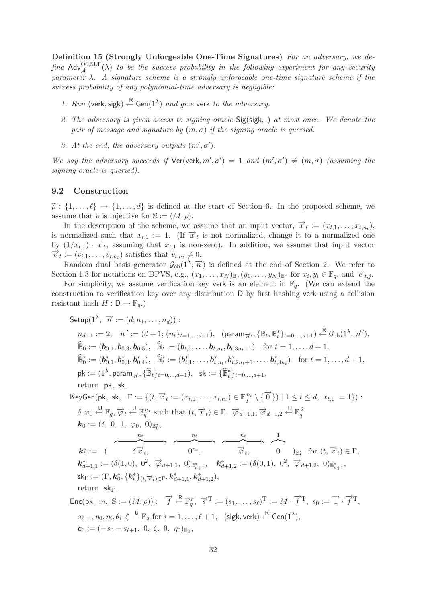**Definition 15 (Strongly Unforgeable One-Time Signatures)** *For an adversary, we de* $fine \text{ Adv}_{\mathcal{A}}^{\text{OS},\text{SUF}}(\lambda)$  *to be the success probability in the following experiment for any security parameter* λ*. A signature scheme is a strongly unforgeable one-time signature scheme if the success probability of any polynomial-time adversary is negligible:*

- 1. Run (verk, sigk)  $\leftarrow^{\mathsf{R}}$  Gen(1<sup> $\lambda$ </sup>) *and give* verk *to the adversary.*
- *2. The adversary is given access to signing oracle* Sig(sigk, ·) *at most once. We denote the pair of message and signature by*  $(m, \sigma)$  *if the signing oracle is queried.*
- *3. At the end, the adversary outputs*  $(m', \sigma')$ *.*

We say the adversary succeeds if  $\text{Ver}(\text{verk}, m', \sigma') = 1$  and  $(m', \sigma') \neq (m, \sigma)$  (assuming the *signing oracle is queried).*

#### **9.2 Construction**

 $\tilde{\rho}: \{1,\ldots,\ell\} \to \{1,\ldots,d\}$  is defined at the start of Section 6. In the proposed scheme, we assume that  $\tilde{\lambda}$  is injective for  $\mathbb{S} := (M, \alpha)$ assume that  $\tilde{\rho}$  is injective for  $\mathbb{S} := (M, \rho)$ .<br>In the description of the scheme, we

In the description of the scheme, we assume that an input vector,  $\vec{x}_t := (x_{t,1}, \ldots, x_{t,n_t}),$ is normalized such that  $x_{t,1} := 1$ . (If  $\overrightarrow{x}_t$  is not normalized, change it to a normalized one by  $(1/x_{t,1}) \cdot \overrightarrow{x}_t$ , assuming that  $x_{t,1}$  is non-zero). In addition, we assume that input vector  $\overrightarrow{v}_t := (v_{i,1},\ldots,v_{i,n_t})$  satisfies that  $v_{i,n_t} \neq 0$ .

Random dual basis generator  $\mathcal{G}_{ob}(1^{\lambda}, \overrightarrow{n})$  is defined at the end of Section 2. We refer to Section 1.3 for notations on DPVS, e.g.,  $(x_1,\ldots,x_N)_{\mathbb{B}},(y_1,\ldots,y_N)_{\mathbb{B}^*}$  for  $x_i,y_i\in\mathbb{F}_q$ , and  $\overrightarrow{e}_{t,j}$ .

For simplicity, we assume verification key verk is an element in  $\mathbb{F}_q$ . (We can extend the construction to verification key over any distribution D by first hashing verk using a collision resistant hash  $H : \mathsf{D} \to \mathbb{F}_q$ .

\n
$$
\text{Setup}(1^{\lambda}, \overrightarrow{n} := (d; n_1, \ldots, n_d)):
$$
\n

\n\n
$$
n_{d+1} := 2, \overrightarrow{n}' := (d+1; \{n_t\}_{t=1,\ldots,d+1}), \quad \text{(param}_{\overrightarrow{n}'}, \{\mathbb{B}_t, \mathbb{B}_t^*\}_{t=0,\ldots,d+1}) \leftarrow \mathbb{B}_{\text{Ob}}(1^{\lambda}, \overrightarrow{n}'),
$$
\n

\n\n
$$
\widehat{\mathbb{B}}_0 := (\mathbf{b}_{0,1}, \mathbf{b}_{0,3}, \mathbf{b}_{0,5}), \quad \widehat{\mathbb{B}}_t := (\mathbf{b}_{t,1}, \ldots, \mathbf{b}_{t,n_t}, \mathbf{b}_{t,3n_t+1}) \quad \text{for } t = 1,\ldots, d+1,
$$
\n

\n\n
$$
\widehat{\mathbb{B}}_0^* := (\mathbf{b}_{0,1}^*, \mathbf{b}_{0,3}^*, \mathbf{b}_{0,4}^*, \mathbb{B}_t^* := (\mathbf{b}_{t,1}^*, \ldots, \mathbf{b}_{t,n_t}, \mathbf{b}_{t,2n_t+1}, \ldots, \mathbf{b}_{t,3n_t}^*) \quad \text{for } t = 1,\ldots, d+1,
$$
\n

\n\n
$$
\text{pk} := (1^{\lambda}, \text{param}_{\overrightarrow{n}}, \{\mathbb{B}_t\}_{t=0,\ldots,d+1}), \quad \text{sk} := \{\mathbb{B}_t^*\}_{t=0,\ldots,d+1},
$$
\n

\n\n
$$
\text{return } \text{pk}, \text{ sk}, \quad \Gamma := \{(t, \overrightarrow{x}_t := (x_{t,1}, \ldots, x_{t,n_t}) \in \mathbb{F}_q^{n_t} \setminus \{\overrightarrow{0}\} ) | 1 \leq t \leq d, \quad x_{t,1} := 1 \} ):
$$
\n

\n\n
$$
\delta, \varphi_0 \stackrel{\cup}{\leftarrow} \mathbb{F}_q, \overrightarrow{\varphi}_t \stackrel{\cup}{\leftarrow} \mathbb{F}_q^{n_t} \text{ such that } (t, \overrightarrow{x}_t) \in \Gamma, \quad \overrightarrow{\varphi}_{d+1,1}, \overrightarrow{\varphi}_{d+1,2} \stackrel
$$

 $s_{\ell+1}, \eta_0, \eta_i, \theta_i, \zeta \overset{\mathsf{U}}{\leftarrow} \mathbb{F}_q \text{ for } i=1,\dots,\ell+1, \ \ \text{(sigk, verk)} \overset{\mathsf{R}}{\leftarrow} \mathsf{Gen}(1^\lambda),$  $c_0 := (-s_0 - s_{\ell+1}, 0, \zeta, 0, \eta_0)_{\mathbb{B}_0},$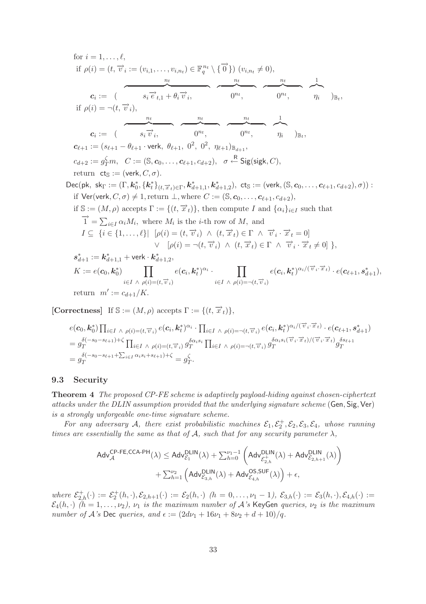for 
$$
i = 1, ..., \ell
$$
,  
\nif  $\rho(i) = (t, \overrightarrow{v_i} := (v_{i,1}, ..., v_{i,n_t}) \in \mathbb{F}_q^{n_t} \setminus {\overrightarrow{0}}) (v_{i,n_t} \neq 0),$   
\n $c_i := (\overrightarrow{s_i \vec{v}_{t,1}} + \theta_i \overrightarrow{v_i}, \overrightarrow{0^n}, \overrightarrow{0^n}, \overrightarrow{0^n}, \overrightarrow{n_i})_{\mathbb{B}_t},$   
\nif  $\rho(i) = \neg(t, \overrightarrow{v_i}),$   
\n $c_i := (\overrightarrow{s_i \vec{v_i}}, \overrightarrow{0^n}, \overrightarrow{0^n}, \overrightarrow{0^n}, \overrightarrow{n_i})_{\mathbb{B}_t},$   
\n $c_{\ell+1} := (s_{\ell+1} - \theta_{\ell+1} \cdot \text{verk}, \theta_{\ell+1}, 0^2, 0^2, \eta_{\ell+1})_{\mathbb{B}_{d+1}},$   
\n $c_{d+2} := g_T^{\zeta} m, C := (\mathbb{S}, c_0, ..., c_{\ell+1}, c_{d+2}), \sigma \stackrel{\text{R}}{\leftarrow} \text{Sig}(\text{sigk}, C),$   
\nreturn  $\text{cts} := (\text{verk}, C, \sigma).$   
\nDec(pk, skr := (F, k\_0^\*, \{k\_t^\*\}\_{(t, \overrightarrow{x}\_t) \in \Gamma}, k\_{d+1,1}^\*, k\_{d+1,2}^\*, ct\_s := (\text{verk}, (\mathbb{S}, c\_0, ..., c\_{\ell+1}, c\_{d+2}), \sigma)) :  
\nif  $\text{Ver}(\text{verk}, C, \sigma) \neq 1$ , return  $\bot$ , where  $C := (\mathbb{S}, c_0, ..., c_{\ell+1}, c_{d+2}),$   
\nif  $\mathbb{S} := (M, \rho)$  accepts  $\Gamma := \{(t, \overrightarrow{x}_t)\}$ , then compute  $I$  and  $\{\alpha_i\}_{i \in I}$  such that  
\n $\overrightarrow{1} = \sum_{i \in I} \alpha_i M_i$ , where  $M_i$  is the *i*-th row of  $M$ , and  
\n $I \subseteq \{i \in \{1, ..., \ell\} | \rho(i) = (t, \overrightarrow{v}_i) \land (t, \overrightarrow{x$ 

**[Correctness]** If  $\mathbb{S} := (M, \rho)$  accepts  $\Gamma := \{(t, \overrightarrow{x}_t)\},\$ 

$$
e(\mathbf{c}_0, \mathbf{k}_0^*) \prod_{i \in I} \wedge \rho(i) = (t, \overrightarrow{v}_i) e(\mathbf{c}_i, \mathbf{k}_t^*)^{\alpha_i} \cdot \prod_{i \in I} \wedge \rho(i) = \neg(t, \overrightarrow{v}_i) e(\mathbf{c}_i, \mathbf{k}_t^*)^{\alpha_i/(\overrightarrow{v}_i \cdot \overrightarrow{x}_t)} \cdot e(\mathbf{c}_{\ell+1}, \mathbf{s}_{d+1}^*)
$$
\n
$$
= g_T^{\delta(-s_0 - s_{\ell+1}) + \zeta} \prod_{i \in I} \wedge \rho(i) = (t, \overrightarrow{v}_i) g_T^{\delta \alpha_i s_i} \prod_{i \in I} \wedge \rho(i) = \neg(t, \overrightarrow{v}_i) g_T^{\delta \alpha_i s_i(\overrightarrow{v}_i \cdot \overrightarrow{x}_t)/(\overrightarrow{v}_i \cdot \overrightarrow{x}_t)} g_T^{\delta s_{\ell+1}}
$$
\n
$$
= g_T^{\delta(-s_0 - s_{\ell+1} + \sum_{i \in I} \alpha_i s_i + s_{\ell+1}) + \zeta} = g_T^{\zeta}.
$$

#### **9.3 Security**

**Theorem 4** *The proposed CP-FE scheme is adaptively payload-hiding against chosen-ciphertext attacks under the DLIN assumption provided that the underlying signature scheme* (Gen, Sig,Ver) *is a strongly unforgeable one-time signature scheme.*

For any adversary A, there exist probabilistic machines  $\mathcal{E}_1, \mathcal{E}_2^+, \mathcal{E}_2, \mathcal{E}_3, \mathcal{E}_4$ , whose running *times are essentially the same as that of*  $A$ *, such that for any security parameter*  $\lambda$ *,* 

$$
\begin{aligned}\text{Adv}_{\mathcal{A}}^{\text{CP-FE},\text{CCA-PH}}(\lambda) & \leq \text{Adv}_{\mathcal{E}_1}^{\text{DLIN}}(\lambda) + \sum_{h=0}^{\nu_1-1} \left(\text{Adv}_{\mathcal{E}_{2,h}^{+}}^{\text{DLIN}}(\lambda) + \text{Adv}_{\mathcal{E}_{2,h+1}}^{\text{DLIN}}(\lambda)\right) \\ & + \sum_{h=1}^{\nu_2} \left(\text{Adv}_{\mathcal{E}_{3,h}}^{\text{DLIN}}(\lambda) + \text{Adv}_{\mathcal{E}_{4,h}}^{\text{OS},\text{SUF}}(\lambda)\right) + \epsilon,\end{aligned}
$$

 $where \ \mathcal{E}_{2,h}^{+}(\cdot) := \mathcal{E}_{2}^{+}(h,\cdot), \mathcal{E}_{2,h+1}(\cdot) := \mathcal{E}_{2}(h,\cdot) \ \ (h = 0,\ldots,\nu_1-1), \ \mathcal{E}_{3,h}(\cdot) := \mathcal{E}_{3}(h,\cdot), \mathcal{E}_{4,h}(\cdot) :=$  $\mathcal{E}_4(h, \cdot)$   $(h = 1, \ldots, \nu_2)$ ,  $\nu_1$  *is the maximum number of* A's KeyGen *queries*,  $\nu_2$  *is the maximum number of*  $A$ *'s* Dec *queries, and*  $\epsilon := (2d\nu_1 + 16\nu_1 + 8\nu_2 + d + 10)/q$ .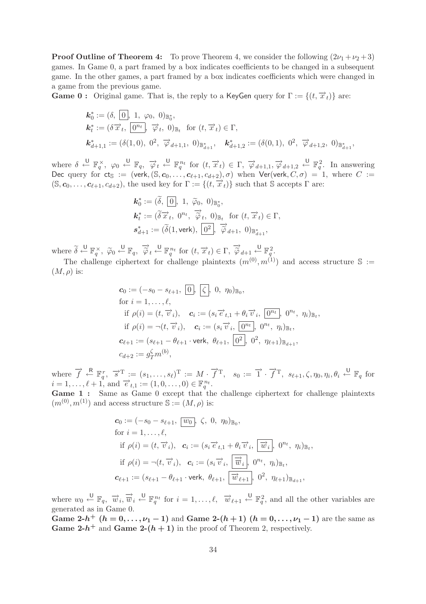**Proof Outline of Theorem 4:** To prove Theorem 4, we consider the following  $(2\nu_1 + \nu_2 + 3)$ games. In Game 0, a part framed by a box indicates coefficients to be changed in a subsequent game. In the other games, a part framed by a box indicates coefficients which were changed in a game from the previous game.

**Game 0 :** Original game. That is, the reply to a KeyGen query for  $\Gamma := \{(t, \vec{x}_t)\}\)$  are:

$$
\begin{aligned}\n\mathbf{k}_0^* &:= (\delta, \, \overline{0}, \, 1, \, \varphi_0, \, 0)_{\mathbb{B}_0^*}, \\
\mathbf{k}_t^* &:= (\delta \, \overrightarrow{x}_t, \, \overline{0^{n_t}}, \, \overrightarrow{\varphi}_t, \, 0)_{\mathbb{B}_t} \quad \text{for } (t, \, \overrightarrow{x}_t) \in \Gamma, \\
\mathbf{k}_{d+1,1}^* &:= (\delta(1, 0), \, 0^2, \, \overrightarrow{\varphi}_{d+1,1}, \, 0)_{\mathbb{B}_{d+1}^*}, \quad \mathbf{k}_{d+1,2}^* &:= (\delta(0, 1), \, 0^2, \, \overrightarrow{\varphi}_{d+1,2}, \, 0)_{\mathbb{B}_{d+1}^*},\n\end{aligned}
$$

where  $\delta \stackrel{\cup}{\leftarrow} \mathbb{F}_q^{\times}$ ,  $\varphi_0 \stackrel{\cup}{\leftarrow} \mathbb{F}_q$ ,  $\overrightarrow{\varphi}_t \stackrel{\cup}{\leftarrow} \mathbb{F}_q^{n_t}$  for  $(t, \overrightarrow{x}_t) \in \Gamma$ ,  $\overrightarrow{\varphi}_{d+1,1}, \overrightarrow{\varphi}_{d+1,2} \stackrel{\cup}{\leftarrow} \mathbb{F}_q^2$ . In answering Dec query for  $ct_s := (verk, (S, c_0, \ldots, c_{\ell+1}, c_{d+2}), \sigma)$  when  $Ver(verk, C, \sigma) = 1$ , where  $C :=$  $(\mathbb{S}, \mathbf{c}_0, \ldots, \mathbf{c}_{\ell+1}, c_{d+2}),$  the used key for  $\Gamma := \{ (t, \overrightarrow{x}_t) \}$  such that  $\mathbb{S}$  accepts  $\Gamma$  are:

$$
\begin{aligned}\n\mathbf{k}_0^* &:= (\tilde{\delta}, \overline{\mathbf{0}}], \ 1, \ \tilde{\varphi}_0, \ \mathbf{0})_{\mathbb{B}_0^*}, \\
\mathbf{k}_t^* &:= (\tilde{\delta} \overrightarrow{x}_t, \ \mathbf{0}^{n_t}, \ \overrightarrow{\hat{\varphi}}_t, \ \mathbf{0})_{\mathbb{B}_t} \ \ \text{for} \ (t, \overrightarrow{x}_t) \in \Gamma, \\
\mathbf{s}_{d+1}^* &:= (\tilde{\delta}(1, \text{verk}), \ \overline{\mathbf{0}^2}, \ \overrightarrow{\hat{\varphi}}_{d+1}, \ \mathbf{0})_{\mathbb{B}_{d+1}^*},\n\end{aligned}
$$

where  $\delta$  $\widetilde{\delta} \stackrel{\cup}{\leftarrow} \mathbb{F}_q^{\times}, \ \widetilde{\varphi}_0 \stackrel{\cup}{\leftarrow} \mathbb{F}_q, \ \widetilde{\overline{\varphi}}$  $t \stackrel{\bigcup}{\leftarrow} \mathbb{F}_q^{n_t}$  for  $(t, \overrightarrow{x}_t) \in \Gamma, \overrightarrow{\varphi}_{d+1} \stackrel{\bigcup}{\leftarrow} \mathbb{F}_q^2$ .

The challenge ciphertext for challenge plaintexts  $(m^{(0)}, m^{(1)})$  and access structure S :=  $(M, \rho)$  is:

$$
\begin{aligned}\n\mathbf{c}_0 &:= (-s_0 - s_{\ell+1}, \, \overline{0}), \, \, \Big| \zeta, \, 0, \, \eta_0 \Big)_{\mathbb{B}_0}, \\
\text{for } i &= 1, \dots, \ell, \\
\text{if } \, \rho(i) = (t, \, \overrightarrow{v}_i), \quad \mathbf{c}_i := (s_i \, \overrightarrow{e}_{t,1} + \theta_i \, \overrightarrow{v}_i, \, \overline{0^{n_t}}, \, 0^{n_t}, \, \eta_i)_{\mathbb{B}_t}, \\
\text{if } \, \rho(i) &= \neg(t, \, \overrightarrow{v}_i), \quad \mathbf{c}_i := (s_i \, \overrightarrow{v}_i, \, \overline{0^{n_t}}, \, 0^{n_t}, \, \eta_i)_{\mathbb{B}_t}, \\
\mathbf{c}_{\ell+1} &:= (s_{\ell+1} - \theta_{\ell+1} \cdot \text{verk}, \, \theta_{\ell+1}, \, \overline{0^2}, \, 0^2, \, \eta_{\ell+1})_{\mathbb{B}_{d+1}}, \\
c_{d+2} &:= g_T^{\zeta} m^{(b)},\n\end{aligned}
$$

where  $\vec{f} \leftarrow^{\mathbb{R}} \mathbb{F}_q^r$ ,  $\vec{s}^{\mathrm{T}} := (s_1, \ldots, s_\ell)^{\mathrm{T}} := M \cdot \vec{f}^{\mathrm{T}}$ ,  $s_0 := \vec{1} \cdot \vec{f}^{\mathrm{T}}$ ,  $s_{\ell+1}, \zeta, \eta_0, \eta_i, \theta_i \leftarrow^{\mathbb{U}} \mathbb{F}_q$  for  $i = 1, \ldots, \ell + 1$ , and  $\vec{e}_{t,1} := (1, 0, \ldots, 0) \in \mathbb{F}_q^{n_t}$ .

Game 1 : Same as Game 0 except that the challenge ciphertext for challenge plaintexts  $(m^{(0)}, m^{(1)})$  and access structure  $\mathbb{S} := (M, \rho)$  is:

$$
\begin{aligned}\n\mathbf{c}_0 &:= (-s_0 - s_{\ell+1}, \overline{w_0}, \zeta, 0, \eta_0) \mathbb{B}_0, \\
\text{for } i = 1, \dots, \ell, \\
\text{if } \rho(i) = (t, \overrightarrow{v}_i), \quad \mathbf{c}_i &:= (s_i \overrightarrow{e}_{t,1} + \theta_i \overrightarrow{v}_i, \overrightarrow{w}_i, \overrightarrow{w}_i, \eta_i) \mathbb{B}_t, \\
\text{if } \rho(i) = \neg(t, \overrightarrow{v}_i), \quad \mathbf{c}_i &:= (s_i \overrightarrow{v}_i, \overrightarrow{\overrightarrow{w}_i}, \theta^{n_t}, \eta_i) \mathbb{B}_t, \\
\mathbf{c}_{\ell+1} &:= (s_{\ell+1} - \theta_{\ell+1} \cdot \text{verk}, \ \theta_{\ell+1}, \overrightarrow{w}_{\ell+1}, \ 0^2, \ \eta_{\ell+1}) \mathbb{B}_{d+1},\n\end{aligned}
$$

where  $w_0 \stackrel{\mathsf{U}}{\leftarrow} \mathbb{F}_q$ ,  $\overrightarrow{w}_i, \overrightarrow{\overline{w}}_i \stackrel{\mathsf{U}}{\leftarrow} \mathbb{F}_q^{n_t}$  for  $i = 1, \ldots, \ell, \overrightarrow{w}_{\ell+1}$  $\stackrel{\cup}{\leftarrow}$   $\mathbb{F}_q^2$ , and all the other variables are generated as in Game 0.

**Game 2-***h*<sup>+</sup>  $(h = 0, ..., \nu_1 - 1)$  and **Game 2-** $(h + 1)$   $(h = 0, ..., \nu_1 - 1)$  are the same as **Game 2-***h*<sup>+</sup> and **Game 2-**( $h$  + 1) in the proof of Theorem 2, respectively.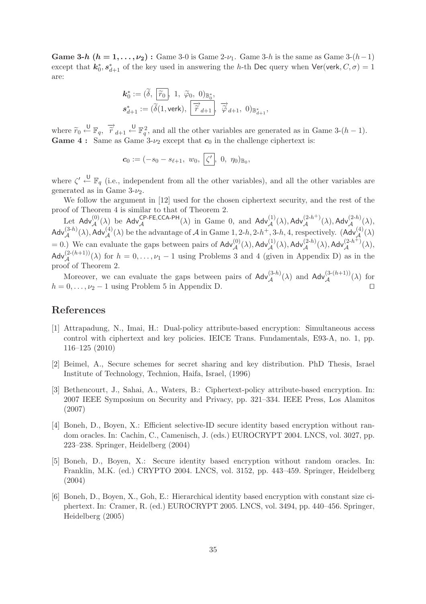**Game 3-***h*  $(h = 1, \ldots, \nu_2)$ : Game 3-0 is Game 2- $\nu_1$ . Game 3-*h* is the same as Game 3- $(h-1)$ except that  $k_0^*, s_{d+1}^*$  of the key used in answering the h-th Dec query when Ver(verk,  $C, \sigma$ ) = 1 are:

$$
\begin{aligned} \mathbf{k}_0^* &:= (\widetilde{\delta}, \; \overline{\widetilde{r}_0}, \; 1, \; \widetilde{\varphi}_0, \; 0)_{\mathbb{B}_0^*}, \\ \mathbf{s}_{d+1}^* &:= (\widetilde{\delta}(1, \text{verk}), \; \overline{\overrightarrow{r}_{d+1}}, \; \overrightarrow{\widetilde{\varphi}}_{d+1}, \; 0)_{\mathbb{B}_{d+1}^*}, \end{aligned}
$$

where  $\widetilde{r}_0 \stackrel{\cup}{\leftarrow} \mathbb{F}_q$ ,  $\overrightarrow{r}_{d+1} \stackrel{\cup}{\leftarrow} \mathbb{F}_q^2$ , and all the other variables are generated as in Game 3- $(h-1)$ . **Game 4 :** Same as Game  $3-\nu_2$  except that  $c_0$  in the challenge ciphertext is:

$$
\mathbf{c}_0 := (-s_0 - s_{\ell+1}, w_0, \, \boxed{\zeta'}, 0, \, \eta_0)_{\mathbb{B}_0},
$$

where  $\zeta' \stackrel{\cup}{\leftarrow} \mathbb{F}_q$  (i.e., independent from all the other variables), and all the other variables are generated as in Game  $3-\nu_2$ .

We follow the argument in [12] used for the chosen ciphertext security, and the rest of the proof of Theorem 4 is similar to that of Theorem 2.

Let  $Adv_{\mathcal{A}}^{(0)}(\lambda)$  be  $Adv_{\mathcal{A}}^{CP-FE,CCA-PH}(\lambda)$  in Game 0, and  $Adv_{\mathcal{A}}^{(1)}(\lambda)$ ,  $Adv_{\mathcal{A}}^{(2-h^{+})}(\lambda)$ ,  $Adv_{\mathcal{A}}^{(2-h)}(\lambda)$ ,  $\mathsf{Adv}_{\mathcal{A}}^{(3-h)}(\lambda)$ ,  $\mathsf{Adv}_{\mathcal{A}}^{(4)}(\lambda)$  be the advantage of  $\mathcal{A}$  in Game 1, 2-h, 2-h+, 3-h, 4, respectively.  $(\mathsf{Adv}_{\mathcal{A}}^{(4)}(\lambda))$ = 0.) We can evaluate the gaps between pairs of  $\mathsf{Adv}^{(0)}_{\mathcal{A}}(\lambda), \mathsf{Adv}^{(1)}_{\mathcal{A}}(\lambda), \mathsf{Adv}^{(2-h)}_{\mathcal{A}}(\lambda), \mathsf{Adv}^{(2-h^+)}_{\mathcal{A}}(\lambda),$  $\mathsf{Adv}_{\mathcal{A}}^{(2-(h+1))}(\lambda)$  for  $h = 0, \ldots, \nu_1 - 1$  using Problems 3 and 4 (given in Appendix D) as in the proof of Theorem 2.

Moreover, we can evaluate the gaps between pairs of  $\text{Adv}_{\mathcal{A}}^{(3-h)}(\lambda)$  and  $\text{Adv}_{\mathcal{A}}^{(3-(h+1))}(\lambda)$  for  $h = 0, \ldots, \nu_2 - 1$  using Problem 5 in Appendix D.

# **References**

- [1] Attrapadung, N., Imai, H.: Dual-policy attribute-based encryption: Simultaneous access control with ciphertext and key policies. IEICE Trans. Fundamentals, E93-A, no. 1, pp. 116–125 (2010)
- [2] Beimel, A., Secure schemes for secret sharing and key distribution. PhD Thesis, Israel Institute of Technology, Technion, Haifa, Israel, (1996)
- [3] Bethencourt, J., Sahai, A., Waters, B.: Ciphertext-policy attribute-based encryption. In: 2007 IEEE Symposium on Security and Privacy, pp. 321–334. IEEE Press, Los Alamitos (2007)
- [4] Boneh, D., Boyen, X.: Efficient selective-ID secure identity based encryption without random oracles. In: Cachin, C., Camenisch, J. (eds.) EUROCRYPT 2004. LNCS, vol. 3027, pp. 223–238. Springer, Heidelberg (2004)
- [5] Boneh, D., Boyen, X.: Secure identity based encryption without random oracles. In: Franklin, M.K. (ed.) CRYPTO 2004. LNCS, vol. 3152, pp. 443–459. Springer, Heidelberg (2004)
- [6] Boneh, D., Boyen, X., Goh, E.: Hierarchical identity based encryption with constant size ciphertext. In: Cramer, R. (ed.) EUROCRYPT 2005. LNCS, vol. 3494, pp. 440–456. Springer, Heidelberg (2005)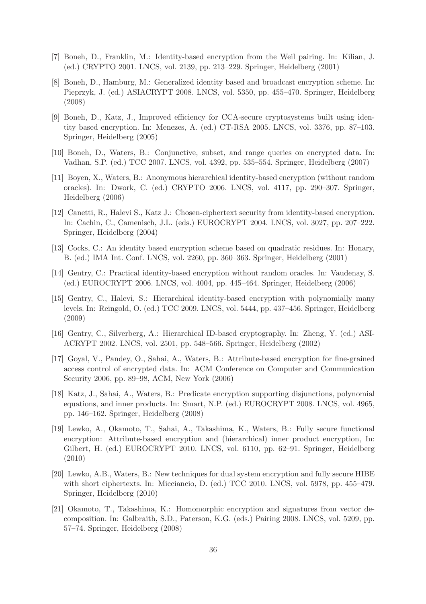- [7] Boneh, D., Franklin, M.: Identity-based encryption from the Weil pairing. In: Kilian, J. (ed.) CRYPTO 2001. LNCS, vol. 2139, pp. 213–229. Springer, Heidelberg (2001)
- [8] Boneh, D., Hamburg, M.: Generalized identity based and broadcast encryption scheme. In: Pieprzyk, J. (ed.) ASIACRYPT 2008. LNCS, vol. 5350, pp. 455–470. Springer, Heidelberg (2008)
- [9] Boneh, D., Katz, J., Improved efficiency for CCA-secure cryptosystems built using identity based encryption. In: Menezes, A. (ed.) CT-RSA 2005. LNCS, vol. 3376, pp. 87–103. Springer, Heidelberg (2005)
- [10] Boneh, D., Waters, B.: Conjunctive, subset, and range queries on encrypted data. In: Vadhan, S.P. (ed.) TCC 2007. LNCS, vol. 4392, pp. 535–554. Springer, Heidelberg (2007)
- [11] Boyen, X., Waters, B.: Anonymous hierarchical identity-based encryption (without random oracles). In: Dwork, C. (ed.) CRYPTO 2006. LNCS, vol. 4117, pp. 290–307. Springer, Heidelberg (2006)
- [12] Canetti, R., Halevi S., Katz J.: Chosen-ciphertext security from identity-based encryption. In: Cachin, C., Camenisch, J.L. (eds.) EUROCRYPT 2004. LNCS, vol. 3027, pp. 207–222. Springer, Heidelberg (2004)
- [13] Cocks, C.: An identity based encryption scheme based on quadratic residues. In: Honary, B. (ed.) IMA Int. Conf. LNCS, vol. 2260, pp. 360–363. Springer, Heidelberg (2001)
- [14] Gentry, C.: Practical identity-based encryption without random oracles. In: Vaudenay, S. (ed.) EUROCRYPT 2006. LNCS, vol. 4004, pp. 445–464. Springer, Heidelberg (2006)
- [15] Gentry, C., Halevi, S.: Hierarchical identity-based encryption with polynomially many levels. In: Reingold, O. (ed.) TCC 2009. LNCS, vol. 5444, pp. 437–456. Springer, Heidelberg (2009)
- [16] Gentry, C., Silverberg, A.: Hierarchical ID-based cryptography. In: Zheng, Y. (ed.) ASI-ACRYPT 2002. LNCS, vol. 2501, pp. 548–566. Springer, Heidelberg (2002)
- [17] Goyal, V., Pandey, O., Sahai, A., Waters, B.: Attribute-based encryption for fine-grained access control of encrypted data. In: ACM Conference on Computer and Communication Security 2006, pp. 89–98, ACM, New York (2006)
- [18] Katz, J., Sahai, A., Waters, B.: Predicate encryption supporting disjunctions, polynomial equations, and inner products. In: Smart, N.P. (ed.) EUROCRYPT 2008. LNCS, vol. 4965, pp. 146–162. Springer, Heidelberg (2008)
- [19] Lewko, A., Okamoto, T., Sahai, A., Takashima, K., Waters, B.: Fully secure functional encryption: Attribute-based encryption and (hierarchical) inner product encryption, In: Gilbert, H. (ed.) EUROCRYPT 2010. LNCS, vol. 6110, pp. 62–91. Springer, Heidelberg (2010)
- [20] Lewko, A.B., Waters, B.: New techniques for dual system encryption and fully secure HIBE with short ciphertexts. In: Micciancio, D. (ed.) TCC 2010. LNCS, vol. 5978, pp. 455–479. Springer, Heidelberg (2010)
- [21] Okamoto, T., Takashima, K.: Homomorphic encryption and signatures from vector decomposition. In: Galbraith, S.D., Paterson, K.G. (eds.) Pairing 2008. LNCS, vol. 5209, pp. 57–74. Springer, Heidelberg (2008)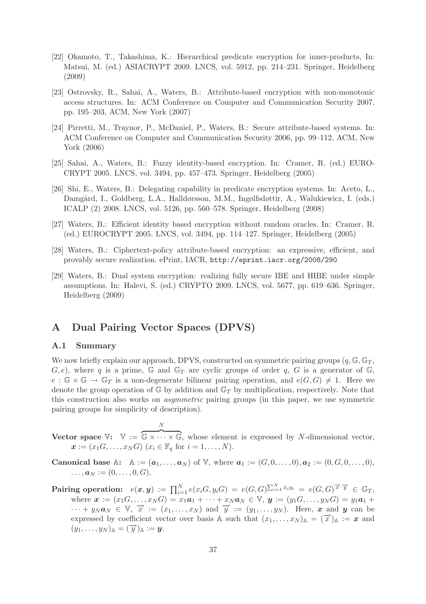- [22] Okamoto, T., Takashima, K.: Hierarchical predicate encryption for inner-products, In: Matsui, M. (ed.) ASIACRYPT 2009. LNCS, vol. 5912, pp. 214–231. Springer, Heidelberg (2009)
- [23] Ostrovsky, R., Sahai, A., Waters, B.: Attribute-based encryption with non-monotonic access structures. In: ACM Conference on Computer and Communication Security 2007, pp. 195–203, ACM, New York (2007)
- [24] Pirretti, M., Traynor, P., McDaniel, P., Waters, B.: Secure attribute-based systems. In: ACM Conference on Computer and Communication Security 2006, pp. 99–112, ACM, New York (2006)
- [25] Sahai, A., Waters, B.: Fuzzy identity-based encryption. In: Cramer, R. (ed.) EURO-CRYPT 2005. LNCS, vol. 3494, pp. 457–473. Springer, Heidelberg (2005)
- [26] Shi, E., Waters, B.: Delegating capability in predicate encryption systems. In: Aceto, L., Damgård, I., Goldberg, L.A., Halldørsson, M.M., Ingølfsdøttir, A., Walukiewicz, I. (eds.) ICALP (2) 2008. LNCS, vol. 5126, pp. 560–578. Springer, Heidelberg (2008)
- [27] Waters, B.: Efficient identity based encryption without random oracles. In: Cramer, R. (ed.) EUROCRYPT 2005. LNCS, vol. 3494, pp. 114–127. Springer, Heidelberg (2005)
- [28] Waters, B.: Ciphertext-policy attribute-based encryption: an expressive, efficient, and provably secure realization. ePrint, IACR, http://eprint.iacr.org/2008/290
- [29] Waters, B.: Dual system encryption: realizing fully secure IBE and HIBE under simple assumptions. In: Halevi, S. (ed.) CRYPTO 2009. LNCS, vol. 5677, pp. 619–636. Springer, Heidelberg (2009)

# **A Dual Pairing Vector Spaces (DPVS)**

N

#### **A.1 Summary**

We now briefly explain our approach, DPVS, constructed on symmetric pairing groups  $(q, \mathbb{G}, \mathbb{G}_T)$ ,  $(G, e)$ , where q is a prime, G and  $\mathbb{G}_T$  are cyclic groups of order q, G is a generator of  $\mathbb{G}$ ,  $e : \mathbb{G} \times \mathbb{G} \to \mathbb{G}_T$  is a non-degenerate bilinear pairing operation, and  $e(G, G) \neq 1$ . Here we denote the group operation of  $\mathbb{G}$  by addition and  $\mathbb{G}_T$  by multiplication, respectively. Note that this construction also works on *asymmetric* pairing groups (in this paper, we use symmetric pairing groups for simplicity of description).

**Vector space**  $\mathbb{V}: \mathbb{V} :=$  $\overline{\mathbb{G} \times \cdots \times \mathbb{G}}$ , whose element is expressed by N-dimensional vector,  $x := (x_1 G, \ldots, x_N G)$   $(x_i \in \mathbb{F}_q$  for  $i = 1, \ldots, N$ ).

**Canonical base** A:  $A := (a_1, ..., a_N)$  of V, where  $a_1 := (G, 0, ..., 0), a_2 := (0, G, 0, ..., 0),$  $\ldots, \mathbf{a}_N := (0, \ldots, 0, G).$ 

 $\textbf{Pairing operation:} \quad e(\boldsymbol{x},\boldsymbol{y}) \ := \ \prod_{i=1}^N e(x_iG, y_iG) \ = \ e(G,G)^{\sum_{i=1}^N x_iy_i} \ = \ e(G,G)^{\overrightarrow{x} \cdot \overrightarrow{y}} \ \in \ \mathbb{G}_T,$ where  $\mathbf{x} := (x_1 G, \dots, x_N G) = x_1 \mathbf{a}_1 + \dots + x_N \mathbf{a}_N \in V, \mathbf{y} := (y_1 G, \dots, y_N G) = y_1 \mathbf{a}_1 + \dots + y_N \mathbf{a}_N$  $\cdots + y_N a_N \in V$ ,  $\vec{x} := (x_1, \ldots, x_N)$  and  $\vec{y} := (y_1, \ldots, y_N)$ . Here, x and y can be expressed by coefficient vector over basis A such that  $(x_1,...,x_N)$ <sub>A</sub> =  $(\overrightarrow{x})$ <sub>A</sub> := *x* and  $(y_1,\ldots,y_N)_{\mathbb{A}}=(\overrightarrow{y})_{\mathbb{A}}:=y.$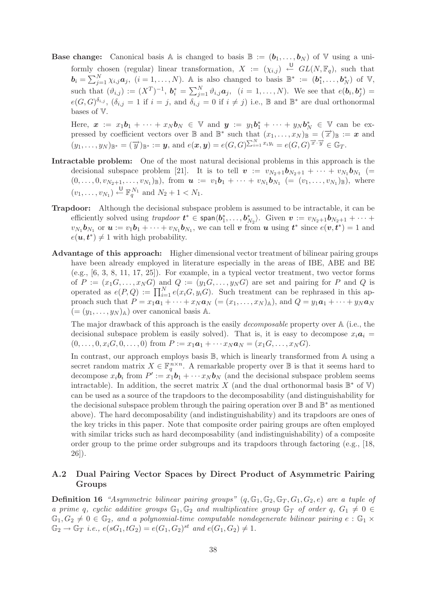**Base change:** Canonical basis A is changed to basis  $\mathbb{B} := (\mathbf{b}_1, \dots, \mathbf{b}_N)$  of V using a uniformly chosen (regular) linear transformation,  $X := (\chi_{i,j}) \stackrel{\cup}{\leftarrow} GL(N, \mathbb{F}_q)$ , such that  $\mathbf{b}_i = \sum_{j=1}^N \chi_{i,j} \mathbf{a}_j$ ,  $(i = 1, \ldots, N)$ . A is also changed to basis  $\mathbb{B}^* := (\mathbf{b}_1^*, \ldots, \mathbf{b}_N^*)$  of  $\mathbb{V}$ , such that  $(\vartheta_{i,j}) := (X^T)^{-1}$ ,  $b_i^* = \sum_{j=1}^N \vartheta_{i,j} a_j$ ,  $(i = 1, ..., N)$ . We see that  $e(b_i, b_j^*) =$  $e(G, G)^{\delta_{i,j}}, (\delta_{i,j} = 1 \text{ if } i = j, \text{ and } \delta_{i,j} = 0 \text{ if } i \neq j) \text{ i.e., } \mathbb{B} \text{ and } \mathbb{B}^* \text{ are dual orthonormal}$ bases of V.

Here,  $\boldsymbol{x} := x_1 \boldsymbol{b}_1 + \cdots + x_N \boldsymbol{b}_N \in \mathbb{V}$  and  $\boldsymbol{y} := y_1 \boldsymbol{b}_1^* + \cdots + y_N \boldsymbol{b}_N^* \in \mathbb{V}$  can be expressed by coefficient vectors over  $\mathbb B$  and  $\mathbb B^*$  such that  $(x_1,\ldots,x_N)_\mathbb B = (\overrightarrow{x})_\mathbb B := x$  and  $\bigl( y_1,\ldots,y_N \bigr)_{\mathbb{B}^*} =(\overrightarrow{y})_{\mathbb{B}^*} := \bm{y}, \, \text{and} \,\, e(\bm{x},\bm{y}) = e(G,G)^{\sum_{i=1}^N x_i y_i} = e(G,G)^{\overrightarrow{x} \cdot \overrightarrow{y}} \in \mathbb{G}_T.$ 

- **Intractable problem:** One of the most natural decisional problems in this approach is the decisional subspace problem [21]. It is to tell  $v := v_{N_2+1}b_{N_2+1} + \cdots + v_{N_1}b_{N_1}$  (=  $(0,\ldots,0,v_{N_2+1},\ldots,v_{N_1})_{\mathbb{B}}$ , from  $\mathbf{u} := v_1\mathbf{b}_1 + \cdots + v_{N_1}\mathbf{b}_{N_1}$  (=  $(v_1,\ldots,v_{N_1})_{\mathbb{B}}$ ), where  $(v_1, \ldots, v_{N_1}) \stackrel{\mathsf{U}}{\leftarrow} \mathbb{F}_q^{N_1}$  and  $N_2 + 1 < N_1$ .
- **Trapdoor:** Although the decisional subspace problem is assumed to be intractable, it can be efficiently solved using *trapdoor*  $t^* \in \text{span}{\langle b_1^*, \ldots, b_{N_2}^* \rangle}$ . Given  $v := v_{N_2+1}b_{N_2+1} + \cdots$  $v_{N_1}$ **b**<sub>N1</sub> or  $u := v_1b_1 + \cdots + v_{N_1}b_{N_1}$ , we can tell *v* from *u* using  $t^*$  since  $e(v, t^*) = 1$  and  $e(\boldsymbol{u}, \boldsymbol{t}^*) \neq 1$  with high probability.
- **Advantage of this approach:** Higher dimensional vector treatment of bilinear pairing groups have been already employed in literature especially in the areas of IBE, ABE and BE  $(e.g., [6, 3, 8, 11, 17, 25])$ . For example, in a typical vector treatment, two vector forms of  $P := (x_1G, \ldots, x_NG)$  and  $Q := (y_1G, \ldots, y_NG)$  are set and pairing for P and Q is operated as  $e(P,Q) := \prod_{i=1}^{N} e(x_i G, y_i G)$ . Such treatment can be rephrased in this approach such that  $P = x_1a_1 + \cdots + x_Na_N = (x_1,\ldots,x_N)_\mathbb{A}$ , and  $Q = y_1a_1 + \cdots + y_Na_N$  $(=(y_1,\ldots,y_N)_A)$  over canonical basis A.

The major drawback of this approach is the easily *decomposable* property over A (i.e., the decisional subspace problem is easily solved). That is, it is easy to decompose  $x_i a_i =$  $(0,\ldots,0,x_iG,0,\ldots,0)$  from  $P := x_1a_1 + \cdots x_N a_N = (x_1G,\ldots,x_NG).$ 

In contrast, our approach employs basis  $\mathbb{B}$ , which is linearly transformed from  $\mathbb{A}$  using a secret random matrix  $X \in \mathbb{F}_q^{n \times n}$ . A remarkable property over B is that it seems hard to decompose  $x_i \mathbf{b}_i$  from  $P' := x_1 \mathbf{b}_1 + \cdots + x_N \mathbf{b}_N$  (and the decisional subspace problem seems intractable). In addition, the secret matrix X (and the dual orthonormal basis  $\mathbb{B}^*$  of V) can be used as a source of the trapdoors to the decomposability (and distinguishability for the decisional subspace problem through the pairing operation over  $\mathbb B$  and  $\mathbb B^*$  as mentioned above). The hard decomposability (and indistinguishability) and its trapdoors are ones of the key tricks in this paper. Note that composite order pairing groups are often employed with similar tricks such as hard decomposability (and indistinguishability) of a composite order group to the prime order subgroups and its trapdoors through factoring (e.g., [18, 26]).

# **A.2 Dual Pairing Vector Spaces by Direct Product of Asymmetric Pairing Groups**

**Definition 16** *"Asymmetric bilinear pairing groups"*  $(q, \mathbb{G}_1, \mathbb{G}_2, \mathbb{G}_T, G_1, G_2, e)$  *are a tuple of a prime* q, cyclic additive groups  $\mathbb{G}_1, \mathbb{G}_2$  and multiplicative group  $\mathbb{G}_T$  of order q,  $G_1 \neq 0$  $\mathbb{G}_1, G_2 \neq 0 \in \mathbb{G}_2$ , and a polynomial-time computable nondegenerate bilinear pairing  $e : \mathbb{G}_1 \times$  $\mathbb{G}_2 \to \mathbb{G}_T$  *i.e.*,  $e(sG_1, tG_2) = e(G_1, G_2)^{st}$  *and*  $e(G_1, G_2) \neq 1$ *.*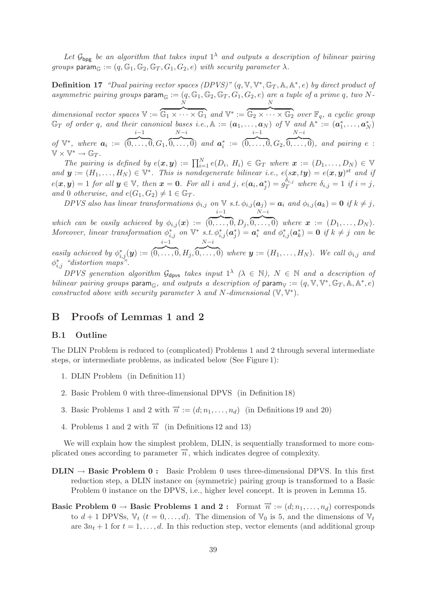Let  $\mathcal{G}_{\text{bpg}}$  *be an algorithm that takes input*  $1^{\lambda}$  *and outputs a description of bilinear pairing groups* param $\mathbb{G} := (q, \mathbb{G}_1, \mathbb{G}_2, \mathbb{G}_T, G_1, G_2, e)$  *with security parameter*  $\lambda$ *.* 

**Definition 17** *"Dual pairing vector spaces (DPVS)"*  $(q, \mathbb{V}, \mathbb{V}^*, \mathbb{G}_T, \mathbb{A}, \mathbb{A}^*, e)$  *by direct product of*  $asymmetric$  pairing groups param<sub> $\mathbb{G} := (q, \mathbb{G}_1, \mathbb{G}_2, \mathbb{G}_T, G_1, G_2, e)$  are a tuple of a prime q, two N-</sub>  $\tilde{N}$ N

*dimensional vector spaces* V :=  $\overline{\mathbb{G}_1 \times \cdots \times \mathbb{G}_1}$  and  $\mathbb{V}^* :=$  $\boxed{\mathbb{G}_2 \times \cdots \times \mathbb{G}_2}$  *over*  $\mathbb{F}_q$ *, a cyclic group*  $\mathbb{G}_T$  *of order* q, and their canonical bases i.e.,  $\mathbb{A} := (\boldsymbol{a}_1, \ldots, \boldsymbol{a}_N)$  of  $\mathbb{V}$  and  $\mathbb{A}^* := (\boldsymbol{a}_1^*, \ldots, \boldsymbol{a}_N^*)$ *of*  $\mathbb{V}^*$ *, where*  $a_i$  := ( i−1  $\overline{0,\ldots,0}, G_1,$  $N-i$  $\widehat{0,\ldots,0}$  and  $a_i^* := ($ i−1  $\overline{0,\ldots,0}, G_2,$  $N-i$  $\overline{0,\ldots,0}$ *, and pairing e* :

 $\mathbb{V} \times \mathbb{V}^* \to \mathbb{G}_T$ .

*The pairing is defined by*  $e(x, y) := \prod_{i=1}^{N} e(D_i, H_i) \in \mathbb{G}_T$  where  $x := (D_1, \ldots, D_N) \in \mathbb{V}$ *and*  $y := (H_1, \ldots, H_N) \in \mathbb{V}^*$ . This is nondegenerate bilinear i.e.,  $e(sx, ty) = e(x, y)^{st}$  and if  $e(\boldsymbol{x}, \boldsymbol{y}) = 1$  for all  $\boldsymbol{y} \in \mathbb{V}$ , then  $\boldsymbol{x} = \boldsymbol{0}$ . For all i and j,  $e(a_i, a_i^*) = g_T^{\delta_{i,j}}$  where  $\delta_{i,j} = 1$  if  $i = j$ , *and* 0 *otherwise, and*  $e(G_1, G_2) \neq 1 \in \mathbb{G}_T$ *.* 

*DPVS* also has linear transformations  $\phi_{i,j}$  on  $\nabla$  *s.t.*  $\phi_{i,j}(\boldsymbol{a}_j) = \boldsymbol{a}_i$  and  $\phi_{i,j}(\boldsymbol{a}_k) = \boldsymbol{0}$  if  $k \neq j$ , i−1  $N-i$ 

*which can be easily achieved by*  $\phi_{i,j}(\boldsymbol{x}) :=$  $\overline{0,\ldots,0}, D_j,$  $\overline{0,\ldots,0}$  where  $\boldsymbol{x} := (D_1,\ldots,D_N)$ . *Moreover, linear transformation*  $\phi_{i,j}^*$  *on*  $\mathbb{V}^*$  *s.t.*  $\phi_{i,j}^*(\boldsymbol{a}_j^*) = \boldsymbol{a}_i^*$  *and*  $\phi_{i,j}^*(\boldsymbol{a}_k^*) = \boldsymbol{0}$  *if*  $k \neq j$  *can be easily achieved by*  $\phi_{i,j}^*(y) :=$  ( i−1  $\overline{0,\ldots,0},H_j,$  $N-i$  $\widehat{0,\ldots,0}$  *where*  $y := (H_1,\ldots,H_N)$ *. We call*  $\phi_{i,j}$  *and* 

 $\phi_{i,j}^*$  *"distortion maps".* 

*DPVS generation algorithm*  $G_{\text{dpvs}}$  *takes input*  $1^{\lambda}$  ( $\lambda \in \mathbb{N}$ ),  $N \in \mathbb{N}$  *and a description of bilinear pairing groups* param<sub> $\mathbb{G}$ </sub>, and outputs a description of param<sub>V</sub> :=  $(q, \mathbb{V}, \mathbb{V}^*, \mathbb{G}_T, \mathbb{A}, \mathbb{A}^*, e)$ *constructed above with security parameter*  $\lambda$  *and*  $N$ -dimensional  $(\mathbb{V}, \mathbb{V}^*)$ .

# **B Proofs of Lemmas 1 and 2**

#### **B.1 Outline**

The DLIN Problem is reduced to (complicated) Problems 1 and 2 through several intermediate steps, or intermediate problems, as indicated below (See Figure 1):

- 1. DLIN Problem (in Definition 11)
- 2. Basic Problem 0 with three-dimensional DPVS (in Definition 18)
- 3. Basic Problems 1 and 2 with  $\vec{n} := (d; n_1, \ldots, n_d)$  (in Definitions 19 and 20)
- 4. Problems 1 and 2 with  $\overrightarrow{n}$  (in Definitions 12 and 13)

We will explain how the simplest problem, DLIN, is sequentially transformed to more complicated ones according to parameter  $\vec{n}$ , which indicates degree of complexity.

- **DLIN**  $\rightarrow$  **Basic Problem 0 :** Basic Problem 0 uses three-dimensional DPVS. In this first reduction step, a DLIN instance on (symmetric) pairing group is transformed to a Basic Problem 0 instance on the DPVS, i.e., higher level concept. It is proven in Lemma 15.
- **Basic Problem 0**  $\rightarrow$  **Basic Problems 1 and 2 :** Format  $\vec{n} := (d; n_1, \ldots, n_d)$  corresponds to  $d+1$  DPVSs,  $\mathbb{V}_t$   $(t = 0, \ldots, d)$ . The dimension of  $\mathbb{V}_0$  is 5, and the dimensions of  $\mathbb{V}_t$ are  $3n_t + 1$  for  $t = 1, \ldots, d$ . In this reduction step, vector elements (and additional group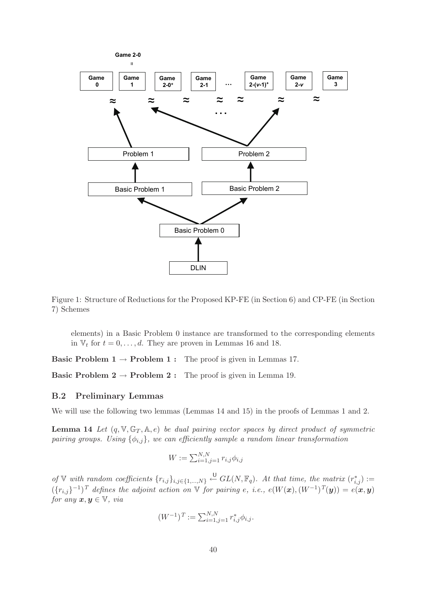

Figure 1: Structure of Reductions for the Proposed KP-FE (in Section 6) and CP-FE (in Section 7) Schemes

elements) in a Basic Problem 0 instance are transformed to the corresponding elements in  $V_t$  for  $t = 0, \ldots, d$ . They are proven in Lemmas 16 and 18.

**Basic Problem 1**  $\rightarrow$  **Problem 1** : The proof is given in Lemmas 17.

**Basic Problem 2**  $\rightarrow$  **Problem 2** : The proof is given in Lemma 19.

# **B.2 Preliminary Lemmas**

We will use the following two lemmas (Lemmas 14 and 15) in the proofs of Lemmas 1 and 2.

**Lemma 14** *Let*  $(q, \mathbb{V}, \mathbb{G}_T, \mathbb{A}, e)$  *be dual pairing vector spaces by direct product of symmetric pairing groups. Using*  $\{\phi_{i,j}\}$ *, we can efficiently sample a random linear transformation* 

$$
W := \sum_{i=1, j=1}^{N, N} r_{i,j} \phi_{i,j}
$$

*of* ∇ *with random coefficients*  $\{r_{i,j}\}_{i,j \in \{1,\dots,N\}}$   $\stackrel{\cup}{\leftarrow}$   $GL(N, \mathbb{F}_q)$ . At that time, the matrix  $(r_{i,j}^*)$  :=  $(\{r_{i,j}\}^{-1})^T$  *defines the adjoint action on* V *for pairing e, i.e.,*  $e(W(\boldsymbol{x}), (W^{-1})^T(\boldsymbol{y})) = e(\boldsymbol{x}, \boldsymbol{y})$ *for any*  $x, y \in V$ *, via* 

$$
(W^{-1})^T := \sum_{i=1,j=1}^{N,N} r_{i,j}^* \phi_{i,j}.
$$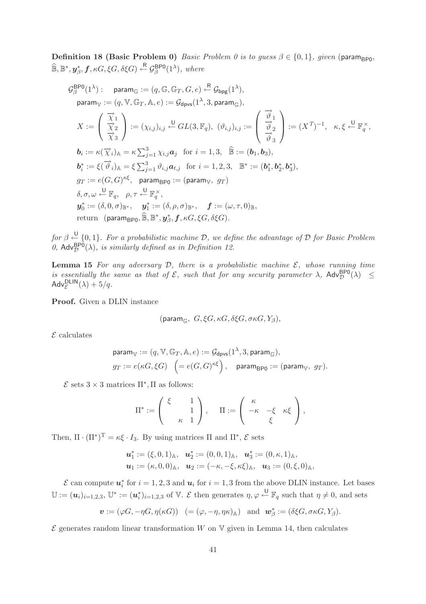**Definition 18 (Basic Problem 0)** *Basic Problem 0 is to guess*  $\beta \in \{0, 1\}$ *, given* (param<sub>BP0</sub>,  $\widehat{\mathbb{B}}, \mathbb{B}^*, \mathbf{y}_{\beta}^*, \mathbf{f}, \kappa G, \xi G, \delta \xi G) \stackrel{\text{R}}{\leftarrow} \mathcal{G}_{\beta}^{\text{BPO}}(1^{\lambda}), \text{ where}$ 

$$
\mathcal{G}_{\beta}^{\text{BPO}}(1^{\lambda}): \quad \text{param}_{\mathbb{G}} := (q, \mathbb{G}, \mathbb{G}_{T}, G, e) \stackrel{\text{R}}{\leftarrow} \mathcal{G}_{\text{bpg}}(1^{\lambda}),
$$
\n
$$
\text{param}_{\mathbb{V}} := (q, \mathbb{V}, \mathbb{G}_{T}, \mathbb{A}, e) := \mathcal{G}_{\text{dpvs}}(1^{\lambda}, 3, \text{param}_{\mathbb{G}}),
$$
\n
$$
X := \begin{pmatrix} \frac{\overrightarrow{\chi}}{\chi}_{1} \\ \frac{\overrightarrow{\chi}_{2}}{\chi}_{3} \end{pmatrix} := (\chi_{i,j})_{i,j} \stackrel{\text{U}}{\leftarrow} GL(3, \mathbb{F}_{q}), \quad (\vartheta_{i,j})_{i,j} := \begin{pmatrix} \frac{\overrightarrow{\vartheta}}{\chi}_{1} \\ \frac{\overrightarrow{\vartheta}}{\chi}_{2} \\ \frac{\overrightarrow{\vartheta}}{\chi}_{3} \end{pmatrix} := (X^{T})^{-1}, \quad \kappa, \xi \stackrel{\text{U}}{\leftarrow} \mathbb{F}_{q}^{\times},
$$
\n
$$
\mathbf{b}_{i} := \kappa(\overrightarrow{\chi}_{i})_{\mathbb{A}} = \kappa \sum_{j=1}^{3} \chi_{i,j} \mathbf{a}_{j} \quad \text{for } i = 1, 3, \quad \widehat{\mathbb{B}} := (\mathbf{b}_{1}, \mathbf{b}_{3}),
$$
\n
$$
\mathbf{b}_{i}^{*} := \xi(\overrightarrow{\vartheta}_{i})_{\mathbb{A}} = \xi \sum_{j=1}^{3} \vartheta_{i,j} \mathbf{a}_{t,j} \quad \text{for } i = 1, 2, 3, \quad \mathbb{B}^{*} := (\mathbf{b}_{1}^{*}, \mathbf{b}_{2}^{*}, \mathbf{b}_{3}^{*}),
$$
\n
$$
g_{T} := e(G, G)^{\kappa\xi}, \quad \text{param}_{\text{BPO}} := (\text{param}_{\mathbb{W}}, g_{T})
$$
\n
$$
\delta, \sigma, \omega \stackrel{\text{U}}{\leftarrow} \mathbb{F}_{q}, \quad \rho, \tau \stackrel{\text{U}}{\leftarrow} \mathbb{F}_{q}^{\times},
$$
\n
$$
\mathbf{y}_{0}^{*} := (\delta, 0, \sigma)_{\
$$

 $for \beta \stackrel{\bigcup}{\leftarrow} \{0,1\}$ . For a probabilistic machine D, we define the advantage of D for Basic Problem 0,  $\mathsf{Adv}_{\mathcal{D}}^{\mathsf{BPO}}(\lambda)$ *, is similarly defined as in Definition 12.* 

**Lemma 15** For any adversary  $D$ , there is a probabilistic machine  $E$ , whose running time *is essentially the same as that of*  $\mathcal{E}$ *, such that for any security parameter*  $\lambda$ *,*  $\mathsf{Adv}_{\mathcal{D}}^{\mathsf{BPO}}(\lambda) \leq$  $\mathsf{Adv}_{\mathcal{E}}^{\mathsf{DLIN}}(\lambda) + 5/q.$ 

**Proof.** Given a DLIN instance

$$
(\mathsf{param}_{\mathbb{G}},\; G, \xi G, \kappa G, \delta \xi G, \sigma \kappa G, Y_{\beta}),
$$

 $\mathcal E$  calculates

$$
\begin{aligned} &\mathsf{param}_{\mathbb{V}}:=(q,\mathbb{V},\mathbb{G}_T,\mathbb{A},e):=\mathcal{G}_{\mathsf{dpos}}(1^\lambda,3,\mathsf{param}_{\mathbb{G}}),\\ &g_T:=e(\kappa G,\xi G)\ \ \left(=e(G,G)^{\kappa\xi}\right),\quad\mathsf{param}_{\mathsf{BPO}}:=(\mathsf{param}_{\mathbb{V}},\ g_T). \end{aligned}
$$

 $\mathcal E$  sets 3 × 3 matrices  $\Pi^*, \Pi$  as follows:

$$
\Pi^* := \begin{pmatrix} \xi & 1 \\ & 1 \\ & \kappa & 1 \end{pmatrix}, \quad \Pi := \begin{pmatrix} \kappa & & \\ -\kappa & -\xi & \kappa \xi \\ & \xi & \end{pmatrix},
$$

Then,  $\Pi \cdot (\Pi^*)^T = \kappa \xi \cdot I_3$ . By using matrices  $\Pi$  and  $\Pi^*, \mathcal{E}$  sets

$$
\begin{aligned}\n\boldsymbol{u}_1^* &:= (\xi,0,1)_{\mathbb{A}}, & \boldsymbol{u}_2^* &:= (0,0,1)_{\mathbb{A}}, & \boldsymbol{u}_3^* &:= (0,\kappa,1)_{\mathbb{A}}, \\
\boldsymbol{u}_1 &:= (\kappa,0,0)_{\mathbb{A}}, & \boldsymbol{u}_2 &:= (-\kappa,-\xi,\kappa\xi)_{\mathbb{A}}, & \boldsymbol{u}_3 &:= (0,\xi,0)_{\mathbb{A}},\n\end{aligned}
$$

 $\mathcal E$  can compute  $u_i^*$  for  $i = 1, 2, 3$  and  $u_i$  for  $i = 1, 3$  from the above DLIN instance. Let bases  $\mathbb{U}:=(\mathbf{u}_i)_{i=1,2,3},\,\mathbb{U}^*:= (\mathbf{u}_i^*)_{i=1,2,3}$  of V. E then generates  $\eta,\varphi \stackrel{\mathsf{U}}{\leftarrow} \mathbb{F}_q$  such that  $\eta\neq 0$ , and sets

$$
\boldsymbol{v} := (\varphi G, -\eta G, \eta(\kappa G)) \ \ (= (\varphi, -\eta, \eta \kappa)_{\mathbb{A}}) \ \ \text{ and } \ \ \boldsymbol{w}^*_{\beta} := (\delta \xi G, \sigma \kappa G, Y_{\beta}).
$$

 $\mathcal E$  generates random linear transformation W on V given in Lemma 14, then calculates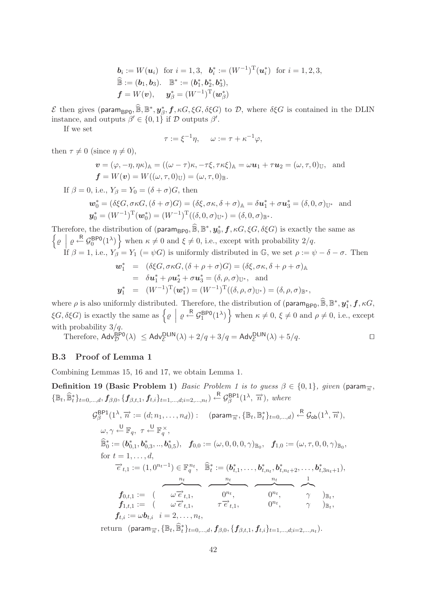$$
\mathbf{b}_{i} := W(\mathbf{u}_{i}) \text{ for } i = 1, 3, \quad \mathbf{b}_{i}^{*} := (W^{-1})^{\mathrm{T}}(\mathbf{u}_{i}^{*}) \text{ for } i = 1, 2, 3, \n\widehat{\mathbb{B}} := (\mathbf{b}_{1}, \mathbf{b}_{3}). \quad \mathbb{B}^{*} := (\mathbf{b}_{1}^{*}, \mathbf{b}_{2}^{*}, \mathbf{b}_{3}^{*}), \n\mathbf{f} = W(\mathbf{v}), \quad \mathbf{y}_{\beta}^{*} = (W^{-1})^{\mathrm{T}}(\mathbf{w}_{\beta}^{*})
$$

 $\mathcal E$  then gives (param<sub>BP0</sub>,  $\widehat{\mathbb B}, \mathbb B^*, \mathbf y^*_\beta, \mathbf f, \kappa G, \xi G, \delta \xi G$ ) to  $\mathcal D$ , where  $\delta \xi G$  is contained in the DLIN instance, and outputs  $\beta' \in \{0,1\}$  if  $\mathcal D$  outputs  $\beta'$ .

If we set

$$
\tau := \xi^{-1}\eta, \quad \omega := \tau + \kappa^{-1}\varphi,
$$

then  $\tau \neq 0$  (since  $\eta \neq 0$ ),

$$
\mathbf{v} = (\varphi, -\eta, \eta\kappa)_{\mathbb{A}} = ((\omega - \tau)\kappa, -\tau\xi, \tau\kappa\xi)_{\mathbb{A}} = \omega\mathbf{u}_1 + \tau\mathbf{u}_2 = (\omega, \tau, 0)_{\mathbb{U}}, \text{ and}
$$
  

$$
\mathbf{f} = W(\mathbf{v}) = W((\omega, \tau, 0)_{\mathbb{U}}) = (\omega, \tau, 0)_{\mathbb{B}}.
$$

If  $\beta = 0$ , i.e.,  $Y_{\beta} = Y_0 = (\delta + \sigma)G$ , then

$$
\mathbf{w}_0^* = (\delta \xi G, \sigma \kappa G, (\delta + \sigma) G) = (\delta \xi, \sigma \kappa, \delta + \sigma)_{\mathbb{A}} = \delta \mathbf{u}_1^* + \sigma \mathbf{u}_3^* = (\delta, 0, \sigma)_{\mathbb{U}^*} \text{ and}
$$
  

$$
\mathbf{y}_0^* = (W^{-1})^{\mathrm{T}} (\mathbf{w}_0^*) = (W^{-1})^{\mathrm{T}} ((\delta, 0, \sigma)_{\mathbb{U}^*}) = (\delta, 0, \sigma)_{\mathbb{B}^*}.
$$

Therefore, the distribution of  $(\text{param}_{\text{BPO}}, \widehat{\mathbb{B}}, \mathbb{B}^*, y_0^*, f, \kappa G, \xi G, \delta \xi G)$  is exactly the same as  $\left\{ \varrho \middle| \varrho \stackrel{\text{R}}{\leftarrow} \mathcal{G}_0^{\text{BPO}}(1^{\lambda}) \right\}$  when  $\kappa \neq 0$  and  $\xi \neq 0$ , i.e., except with probability  $2/q$ . If  $\beta = 1$ , i.e.,  $Y_{\beta} = Y_1$  (=  $\psi G$ ) is uniformly distributed in G, we set  $\rho := \psi - \delta - \sigma$ . Then

$$
\mathbf{w}_{1}^{*} = (\delta \xi G, \sigma \kappa G, (\delta + \rho + \sigma) G) = (\delta \xi, \sigma \kappa, \delta + \rho + \sigma)_{\mathbb{A}}
$$
  
\n
$$
= \delta \mathbf{u}_{1}^{*} + \rho \mathbf{u}_{2}^{*} + \sigma \mathbf{u}_{3}^{*} = (\delta, \rho, \sigma)_{\mathbb{U}^{*}}, \text{ and}
$$
  
\n
$$
\mathbf{y}_{1}^{*} = (W^{-1})^{\mathrm{T}}(\mathbf{w}_{1}^{*}) = (W^{-1})^{\mathrm{T}}((\delta, \rho, \sigma)_{\mathbb{U}^{*}}) = (\delta, \rho, \sigma)_{\mathbb{B}^{*}},
$$

where  $\rho$  is also uniformly distributed. Therefore, the distribution of (param<sub>BP0</sub>,  $\mathbb{B}, \mathbb{B}^*, \mathbf{y}_1^*, \mathbf{f}, \kappa G$ ,  $\xi G, \delta \xi G$ ) is exactly the same as  $\left\{ \varrho \: \left| \: \varrho \stackrel{\mathsf{R}}{\leftarrow} \mathcal{G}_1^{\mathsf{BPO}}(1^{\lambda}) \right. \right\}$  when  $\kappa \neq 0, \xi \neq 0$  and  $\rho \neq 0$ , i.e., except with probability  $3/q$ .

Therefore, 
$$
\text{Adv}_{\mathcal{D}}^{\text{BPO}}(\lambda) \le \text{Adv}_{\mathcal{E}}^{\text{DLIN}}(\lambda) + 2/q + 3/q = \text{Adv}_{\mathcal{E}}^{\text{DLIN}}(\lambda) + 5/q.
$$

# **B.3 Proof of Lemma 1**

Combining Lemmas 15, 16 and 17, we obtain Lemma 1.

**Definition 19 (Basic Problem 1)** *Basic Problem 1 is to guess*  $\beta \in \{0, 1\}$ *, given* (param<sub> $\overrightarrow{n}$ </sub>,  ${\{\mathbb{B}_t, \widehat{\mathbb{B}}_t^*\}_{t=0,\ldots,d}}, f_{\beta,0}, {\{f_{\beta,t,1}, f_{t,i}\}_{t=1,\ldots,d; i=2,\ldots,n_t\}} \overset{\text{R}}{\leftarrow} \mathcal{G}_{\beta}^{\text{BPI}}(1^{\lambda}, \overrightarrow{n}), where}$ 

$$
\mathcal{G}_{\beta}^{\text{BP1}}(1^{\lambda}, \overrightarrow{n} := (d; n_1, ..., n_d)) : \quad (\text{param}_{\overrightarrow{n}}, \{\mathbb{B}_{t}, \mathbb{B}_{t}^{*}\}_{t=0, ..., d}) \stackrel{\text{R}}{\leftarrow} \mathcal{G}_{\text{ob}}(1^{\lambda}, \overrightarrow{n}),
$$
\n
$$
\omega, \gamma \stackrel{\text{U}}{\leftarrow} \mathbb{F}_{q}, \tau \stackrel{\text{U}}{\leftarrow} \mathbb{F}_{q}^{\times},
$$
\n
$$
\widehat{\mathbb{B}}_{0}^{*} := (\boldsymbol{b}_{0,1}^{*}, \boldsymbol{b}_{0,3}^{*}, ..., \boldsymbol{b}_{0,5}^{*}), \quad \boldsymbol{f}_{0,0} := (\omega, 0, 0, 0, \gamma)_{\mathbb{B}_{0}}, \quad \boldsymbol{f}_{1,0} := (\omega, \tau, 0, 0, \gamma)_{\mathbb{B}_{0}},
$$
\nfor  $t = 1, ..., d$ ,\n
$$
\overrightarrow{e}_{t,1} := (1, 0^{n_{t}-1}) \in \mathbb{F}_{q}^{n_{t}}, \quad \widehat{\mathbb{B}}_{t}^{*} := (\boldsymbol{b}_{t,1}^{*}, ..., \boldsymbol{b}_{t,n_{t}}^{*}, \boldsymbol{b}_{t,n_{t}+2}^{*}, ..., \boldsymbol{b}_{t,3n_{t}+1}^{*}),
$$
\n
$$
\overrightarrow{f}_{0,t,1} := (\omega \overrightarrow{e}_{t,1}, \omega \overrightarrow{e}_{t,1}, \omega \overrightarrow{e}_{t,1}, \omega \overrightarrow{e}_{t,1}, \omega \overrightarrow{e}_{t,1}, \omega \overrightarrow{e}_{t,1}, \omega \overrightarrow{e}_{t,1}, \omega \overrightarrow{e}_{t,1}, \omega \overrightarrow{e}_{t,1}, \omega \overrightarrow{e}_{t,1}, \omega \overrightarrow{e}_{t,1}, \omega \overrightarrow{e}_{t,1}, \omega \overrightarrow{e}_{t,1}, \omega \overrightarrow{e}_{t,1}, \omega \overrightarrow{e}_{t,1}, \omega \overrightarrow{e}_{t,1}, \omega \overrightarrow{e}_{t,1}, \omega \overrightarrow{e}_{t,1}, \omega \overrightarrow{e}_{t,1}, \omega \overrightarrow{e}_{t,1}, \omega \overrightarrow{e}_{t,1}, \omega \overrightarrow{e}_{t,1}, \omega \overrightarrow{e}_{t,1}, \omega \overrightarrow
$$

 $\text{return} \ \ (\text{param}_{\overrightarrow{n}}, \{\mathbb{B}_{t}, \widehat{\mathbb{B}}_{t}^{*}\}_{t=0,...,d}, \pmb{f}_{\beta,0}, \{\pmb{f}_{\beta,t,1}, \pmb{f}_{t,i}\}_{t=1,...,d; i=2,...,n_{t}}).$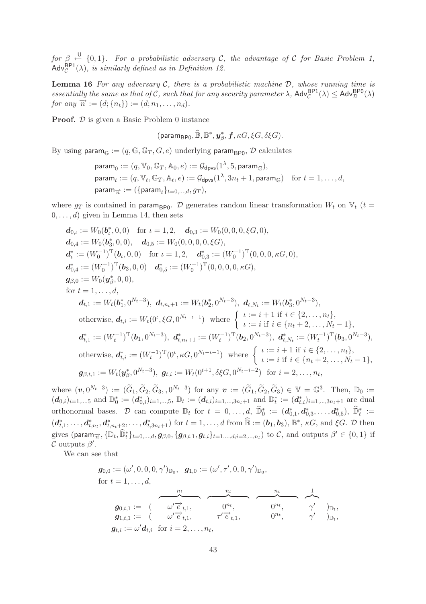*for*  $\beta \stackrel{\cup}{\leftarrow} \{0,1\}$ . For a probabilistic adversary C, the advantage of C for Basic Problem 1,  $\mathsf{Adv}_{\mathcal{C}}^{\mathsf{BPI}}(\lambda)$ *, is similarly defined as in Definition 12.* 

**Lemma 16** *For any adversary* C*, there is a probabilistic machine* D*, whose running time is essentially the same as that of C, such that for any security parameter*  $\lambda$ ,  $\mathsf{Adv}_{\mathcal{C}}^{\mathsf{BP1}}(\lambda) \leq \mathsf{Adv}_{\mathcal{D}}^{\mathsf{BP0}}(\lambda)$ *for any*  $\vec{n} := (d; \{n_t\}) := (d; n_1, \ldots, n_d)$ *.* 

**Proof.**  $\mathcal{D}$  is given a Basic Problem 0 instance

 $(\mathsf{param}_{\mathsf{BPO}}, \widehat{\mathbb{B}}, \mathbb{B}^*, \mathbf{y}^*_{\beta}, \mathbf{f}, \kappa G, \xi G, \delta \xi G).$ 

By using param $_{\mathbb{G}} := (q, \mathbb{G}, \mathbb{G}_T, G, e)$  underlying param<sub>BP0</sub>,  $\mathcal D$  calculates

$$
\begin{aligned}\n\text{param}_0 &:= (q, \mathbb{V}_0, \mathbb{G}_T, \mathbb{A}_0, e) := \mathcal{G}_{\text{dpvs}}(1^{\lambda}, 5, \text{param}_{\mathbb{G}}), \\
\text{param}_t &:= (q, \mathbb{V}_t, \mathbb{G}_T, \mathbb{A}_t, e) := \mathcal{G}_{\text{dpvs}}(1^{\lambda}, 3n_t + 1, \text{param}_{\mathbb{G}}) \quad \text{for } t = 1, \dots, d, \\
\text{param}_{\overrightarrow{n}} &:= (\{\text{param}_t\}_{t=0,\dots,d}, g_T),\n\end{aligned}
$$

where  $g_T$  is contained in param<sub>BP0</sub>. D generates random linear transformation  $W_t$  on  $V_t$  (t =  $0, \ldots, d$  given in Lemma 14, then sets

$$
d_{0,\iota} := W_0(b_t^*, 0, 0) \text{ for } \iota = 1, 2, \quad d_{0,3} := W_0(0, 0, 0, \xi G, 0),
$$
  
\n
$$
d_{0,4} := W_0(b_3^*, 0, 0), \quad d_{0,5} := W_0(0, 0, 0, 0, \xi G),
$$
  
\n
$$
d_t^* := (W_0^{-1})^T(b_t, 0, 0) \text{ for } \iota = 1, 2, \quad d_{0,3}^* := (W_0^{-1})^T(0, 0, 0, \kappa G, 0),
$$
  
\n
$$
d_{0,4}^* := (W_0^{-1})^T(b_3, 0, 0) \quad d_{0,5}^* := (W_0^{-1})^T(0, 0, 0, 0, \kappa G),
$$
  
\n
$$
g_{\beta,0} := W_0(y_\beta^*, 0, 0),
$$
  
\nfor  $t = 1, ..., d$ ,  
\n
$$
d_{t,1} := W_t(b_1^*, 0^{N_t - 3}), \quad d_{t,n_t+1} := W_t(b_2^*, 0^{N_t - 3}), \quad d_{t,N_t} := W_t(b_3^*, 0^{N_t - 3}),
$$
  
\notherwise, 
$$
d_{t,i} := W_t(0^{\iota}, \xi G, 0^{N_t - \iota - 1}) \text{ where } \begin{cases} \iota := i + 1 \text{ if } i \in \{2, ..., n_t\}, \\ \iota := i \text{ if } i \in \{n_t + 2, ..., N_t - 1\}, \\ \iota := i \text{ if } i \in \{n_t + 2, ..., N_t - 1\}, \end{cases}
$$
  
\n
$$
d_{t,1}^* := (W_t^{-1})^T(b_1, 0^{N_t - 3}), \quad d_{t,n_t+1}^* := (W_t^{-1})^T(b_2, 0^{N_t - 3}), \quad d_{t,N_t}^* := (W_t^{-1})^T(b_3, 0^{N_t - 3}),
$$
  
\notherwise, 
$$
d_{t,i}^* := (W_t^{-1})^T(0^{\iota}, \kappa G, 0^{N_t - \iota - 1}) \text{ where } \begin{cases} \iota := i + 1 \text{ if }
$$

where  $(\boldsymbol{v}, 0^{N_t-3}) := (\widetilde{G}_1, \widetilde{G}_2, \widetilde{G}_3, 0^{N_t-3})$  for any  $\boldsymbol{v} := (\widetilde{G}_1, \widetilde{G}_2, \widetilde{G}_3) \in \mathbb{V} = \mathbb{G}^3$ . Then,  $\mathbb{D}_0 := (\widetilde{G}_1, \widetilde{G}_2, \widetilde{G}_3)$  $(d_{0,i})_{i=1,\dots,5}$  and  $\mathbb{D}_0^* := (d_{0,i}^*)_{i=1,\dots,5}$ ,  $\mathbb{D}_t := (d_{t,i})_{i=1,\dots,3n_t+1}$  and  $\mathbb{D}_t^* := (d_{t,i}^*)_{i=1,\dots,3n_t+1}$  are dual orthonormal bases. D can compute  $\mathbb{D}_t$  for  $t = 0, \ldots, d$ ,  $\widehat{\mathbb{D}}_0^* := (d_{0,1}^*, d_{0,3}^*, \ldots, d_{0,5}^*)$ ,  $\widehat{\mathbb{D}}_t^* :=$  $(d_{t,1}^*,..., d_{t,n_t}^*,d_{t,n_t+2}^*,..., d_{t,3n_t+1}^*)$  for  $t = 1,...,d$  from  $\mathbb{B} := (\mathbf{b}_1, \mathbf{b}_3)$ ,  $\mathbb{B}^*, \kappa G$ , and  $\xi G$ .  $\mathcal{D}$  then gives (param<sub> $\overrightarrow{n}$ </sub>,  $\{\mathbb{D}_t, \widehat{\mathbb{D}}_t^*\}_{t=0,\dots,d}$ ,  $g_{\beta,0}, \{g_{\beta,t,1}, g_{t,i}\}_{t=1,\dots,d; i=2,\dots,n_t}$ ) to  $\mathcal{C}$ , and outputs  $\beta' \in \{0,1\}$  if  $\mathcal C$  outputs  $\beta'$ .

We can see that

$$
\begin{array}{llll} \displaystyle g_{0,0} := (\omega', 0, 0, 0, \gamma')_{\mathbb{D}_0}, & \displaystyle g_{1,0} := (\omega', \tau', 0, 0, \gamma')_{\mathbb{D}_0}, \\[1.5ex] \displaystyle \text{for} \; t = 1, \ldots, d, & \displaystyle \frac{n_t}{\omega' \vec{e}_{t,1}}, & \displaystyle \frac{n_t}{\omega'' \vec{e}_{t,1}}, & \overbrace{\hspace{1.5cm}}^{0^{n_t}}, & \overbrace{\hspace{1.5cm}}^{0^{n_t}}, & \gamma' \\\hline \hspace{1.5cm} g_{1,t,1} := & (\hspace{1.5cm} \omega' \overrightarrow{e}_{t,1}, & \tau' \overrightarrow{e}_{t,1}, & \overbrace{\hspace{1.5cm}}^{0^{n_t}}, & \gamma' \\\hline \hspace{1.5cm} g_{t,i} := \omega' \textbf{d}_{t,i} \; \; \text{for} \; i = 2, \ldots, n_t, & \end{array} \quad \begin{array}{llll} \displaystyle \frac{n_t}{\omega' \vec{e}_{t,1}}, & \overbrace{\hspace{1.5cm}}^{0^{n_t}}, & \gamma' \\\hline \hspace{1.5cm} g_{t,1}, & \overbrace{\hspace{1.5cm}}^{0^{n_t}}, & \gamma' \\\hline \end{array}
$$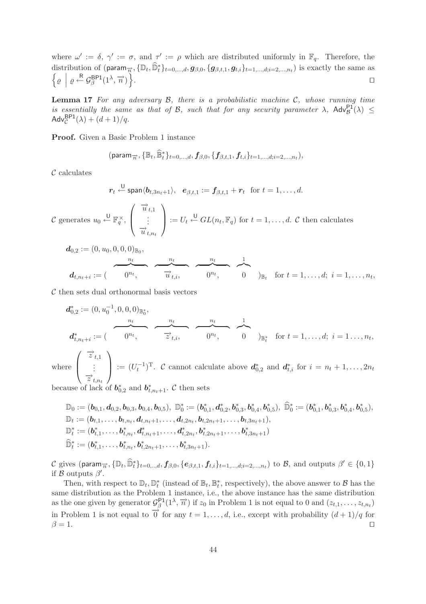where  $\omega' := \delta, \gamma' := \sigma$ , and  $\tau' := \rho$  which are distributed uniformly in  $\mathbb{F}_q$ . Therefore, the distribution of  $(\text{param}_{\overrightarrow{n}}, {\mathbb{D}_{t}}_{t})_{t=0,...,d}, g_{\beta,0}, \{g_{\beta,t,1}, g_{t,i}\}_{t=1,...,d; i=2,...,n_{t}})$  is exactly the same as  $\left\{ \varrho \: \middle| \: \varrho \stackrel{\mathsf{R}}{\leftarrow} \mathcal{G}_{\beta}^{\mathsf{B} \mathsf{P}1}(1^{\lambda}, \overrightarrow{n}) \right\}$ . In the contract of the contract of the contract of the contract of the contract of the contract of the contract of

**Lemma 17** *For any adversary* B*, there is a probabilistic machine* C*, whose running time is essentially the same as that of B, such that for any security parameter*  $\lambda$ ,  $\text{Adv}_{\mathcal{B}}^{\text{P1}}(\lambda) \leq$ Adv ${}_{\mathcal{C}}^{\mathsf{BP1}}(\lambda) + (d+1)/q.$ 

**Proof.** Given a Basic Problem 1 instance

$$
(\text{param}_{\overrightarrow{n}}, \{\mathbb{B}_{t}, \widehat{\mathbb{B}}_{t}^{*}\}_{t=0,\ldots,d}, f_{\beta,0}, \{f_{\beta,t,1}, f_{t,i}\}_{t=1,\ldots,d; i=2,\ldots,n_{t}}),
$$

 $\mathcal C$  calculates

$$
\boldsymbol{r}_t \stackrel{\mathsf{U}}{\leftarrow} \mathsf{span}\langle \boldsymbol{b}_{t,3n_t+1} \rangle, \ \ \boldsymbol{e}_{\beta,t,1} := \boldsymbol{f}_{\beta,t,1} + \boldsymbol{r}_t \ \ \text{for} \ t=1,\ldots,d.
$$

C generates  $u_0 \stackrel{\cup}{\leftarrow} \mathbb{F}_q^{\times}$ ,  $\sqrt{2}$  $\vert$  $\overrightarrow{u}_{t,1}$  $\vdots$ <br> $\overrightarrow{u}_{t,n_t}$  $\setminus$  $\Bigg\} := U_t \stackrel{\cup}{\leftarrow} GL(n_t, \mathbb{F}_q)$  for  $t = 1, \ldots, d$ . C then calculates

$$
\boldsymbol{d}_{0,2} := (0, u_0, 0, 0, 0)_{\mathbb{B}_0},
$$
\n
$$
\boldsymbol{d}_{t,n_t+i} := (\begin{array}{c} u_t \\ 0^{n_t} \end{array}) \qquad\n\begin{array}{c} \begin{array}{c} n_t \\ \hline u_{t,i}, \end{array} \end{array} \qquad\n\begin{array}{c} \begin{array}{c} n_t \\ \hline 0 \end{array} \end{array}, \qquad\n\begin{array}{c} 1 \\ \hline 0 \end{array} \end{array})_{\mathbb{B}_t} \quad \text{for } t = 1, \ldots, d; \ i = 1, \ldots, n_t,
$$

 $\mathcal C$  then sets dual orthonormal basis vectors

$$
d_{0,2}^* := (0, u_0^{-1}, 0, 0, 0)_{\mathbb{B}_0^*},
$$
  
\n
$$
d_{t,n_t+i}^* := (\underbrace{\qquad \qquad \qquad }_{0^{n_t}, \qquad \qquad }_{0^{n_t}, \qquad \qquad }_{0^{n_t}, \qquad \qquad }_{0^{n_t}, \qquad \qquad }_{0^{n_t}, \qquad \qquad }_{0^{n_t}, \qquad \qquad }_{0^{n_t}, \qquad \qquad }_{0^{n_t}, \qquad \qquad }_{0^{n_t}, \qquad \qquad }_{0^{n_t}, \qquad \qquad }_{0^{n_t}, \qquad \qquad }_{0^{n_t}, \qquad \qquad }_{0^{n_t}, \qquad \qquad }_{1^{n_t}, \qquad \qquad }_{1^{n_t}, \qquad \qquad }_{1^{n_t}, \qquad \qquad }_{1^{n_t}, \qquad \qquad }_{1^{n_t}, \qquad \qquad }_{1^{n_t}, \qquad \qquad }_{1^{n_t}, \qquad \qquad }_{1^{n_t}, \qquad \qquad }_{1^{n_t}, \qquad \qquad }_{1^{n_t}, \qquad \qquad }_{1^{n_t}, \qquad \qquad }_{1^{n_t}, \qquad \qquad }_{1^{n_t}, \qquad \qquad }_{1^{n_t}, \qquad \qquad }_{1^{n_t}, \qquad \qquad }_{1^{n_t}, \qquad \qquad }_{1^{n_t}, \qquad \qquad }_{1^{n_t}, \qquad \qquad }_{1^{n_t}, \qquad \qquad }_{1^{n_t}, \qquad \qquad }_{1^{n_t}, \qquad \qquad }_{1^{n_t}, \qquad \qquad }_{1^{n_t}, \qquad \qquad }_{1^{n_t}, \qquad \qquad }_{1^{n_t}, \qquad \qquad }_{1^{n_t}, \qquad \qquad }_{1^{n_t}, \qquad \qquad }_{1^{n_t}, \qquad \qquad }_{1^{n_t}, \qquad \qquad }_{1^{n_t}, \qquad \qquad }_{1^{n_t}, \qquad \qquad }_{1^{n_t}, \qquad \qquad }_{1^{n_t}, \qquad \qquad }_{1^{n_t}, \qquad \qquad }_{1^{n_t}, \qquad \qquad }_{1^{n_t}, \qquad \qquad }_{1^{n_t}, \qquad \qquad }_{1^{n_t}, \qquad \qquad }_{1^{n_t}, \qquad \qquad }_{1^{n_t}, \qquad \
$$

where  $\vert$  $\vdots$ <br> $\overrightarrow{z}_{t,n_t}$  $\left| \begin{array}{c} \hbox{---} \ (U_t^{-1})^T. \end{array} \right.$  cannot calculate above  $d_{0,2}^*$  and  $d_{t,i}^*$  for  $i = n_t + 1, \ldots, 2n_t$ 

because of lack of  $b_{0,2}^*$  and  $b_{t,n_t+1}^*$ . C then sets

$$
\mathbb{D}_0 := (\boldsymbol{b}_{0,1}, \boldsymbol{d}_{0,2}, \boldsymbol{b}_{0,3}, \boldsymbol{b}_{0,4}, \boldsymbol{b}_{0,5}), \ \mathbb{D}_0^* := (\boldsymbol{b}_{0,1}^*, \boldsymbol{d}_{0,2}^*, \boldsymbol{b}_{0,3}^*, \boldsymbol{b}_{0,4}^*, \boldsymbol{b}_{0,5}^*), \ \mathbb{\widehat{D}}_0^* := (\boldsymbol{b}_{0,1}^*, \boldsymbol{b}_{0,3}^*, \boldsymbol{b}_{0,4}^*, \boldsymbol{b}_{0,5}^*), \\ \mathbb{D}_t := (\boldsymbol{b}_{t,1}^*, \ldots, \boldsymbol{b}_{t,n_t}, \boldsymbol{d}_{t,n_t+1}, \ldots, \boldsymbol{d}_{t,2n_t}, \boldsymbol{b}_{t,2n_t+1}, \ldots, \boldsymbol{b}_{t,3n_t+1}), \\ \mathbb{D}_t^* := (\boldsymbol{b}_{t,1}^*, \ldots, \boldsymbol{b}_{t,n_t}^*, \boldsymbol{d}_{t,n_t+1}^*, \ldots, \boldsymbol{d}_{t,2n_t}^*, \boldsymbol{b}_{t,2n_t+1}^*, \ldots, \boldsymbol{b}_{t,3n_t+1}^*) \\ \widehat{\mathbb{D}}_t^* := (\boldsymbol{b}_{t,1}^*, \ldots, \boldsymbol{b}_{t,n_t}^*, \boldsymbol{b}_{t,2n_t+1}^*, \ldots, \boldsymbol{b}_{t,3n_t+1}^*).
$$

C gives (param $\overrightarrow{n}$ ,  $\{\mathbb{D}_t, \widehat{\mathbb{D}}_t^*\}_{t=0,\dots,d}$ ,  $f_{\beta,0}, \{e_{\beta,t,1}, f_{t,i}\}_{t=1,\dots,d; i=2,\dots,n_t}$ ) to B, and outputs  $\beta' \in \{0,1\}$ if  $\beta$  outputs  $\beta'$ .

Then, with respect to  $\mathbb{D}_t$ ,  $\mathbb{D}_t^*$  (instead of  $\mathbb{B}_t$ ,  $\mathbb{B}_t^*$ , respectively), the above answer to  $\mathcal{B}$  has the same distribution as the Problem 1 instance, i.e., the above instance has the same distribution as the one given by generator  $\mathcal{G}_{\beta}^{\mathsf{P1}}(1^{\lambda}, \overrightarrow{n})$  if  $z_0$  in Problem 1 is not equal to 0 and  $(z_{t,1},...,z_{t,n_t})$ in Problem 1 is not equal to  $\overrightarrow{0}$  for any  $t = 1, \ldots, d$ , i.e., except with probability  $(d+1)/q$  for  $\beta = 1.$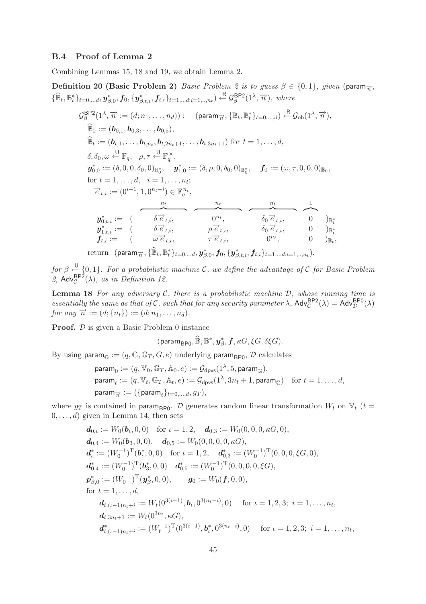# **B.4 Proof of Lemma 2**

Combining Lemmas 15, 18 and 19, we obtain Lemma 2.

**Definition 20 (Basic Problem 2)** *Basic Problem 2 is to guess*  $\beta \in \{0, 1\}$ *, given* (param<sub> $\overrightarrow{n}$ </sub>,  $\{\widehat{\mathbb{B}}_t, \mathbb{B}_t^*\}_{t=0, \ldots, d}, \mathbf{y}_{\beta,0}^*, f_0, \{\mathbf{y}_{\beta,t,i}^*, f_{t,i}\}_{t=1, \ldots, d; i=1, \ldots, n_t}) \leftarrow \mathcal{G}_{\beta}^{\text{BP2}}(1^{\lambda}, \overrightarrow{n}), \text{ where}$ 

$$
G_{\beta}^{\text{BPP}}(1^{\lambda}, \overrightarrow{n} := (d; n_1, ..., n_d)) : (param_{\overrightarrow{n}}, \{\mathbb{B}_t, \mathbb{B}_t^*\}_{t=0, ..., d}) \stackrel{\text{R}}{\leftarrow} G_{\text{ob}}(1^{\lambda}, \overrightarrow{n}),
$$
  
\n
$$
\widehat{\mathbb{B}}_0 := (\mathbf{b}_{0,1}, \mathbf{b}_{0,3}, ..., \mathbf{b}_{0,5}),
$$
  
\n
$$
\widehat{\mathbb{B}}_t := (\mathbf{b}_{t,1}, ..., \mathbf{b}_{t,n_t}, \mathbf{b}_{t,2n_t+1}, ..., \mathbf{b}_{t,3n_t+1}) \text{ for } t = 1, ..., d,
$$
  
\n
$$
\delta, \delta_0, \omega \stackrel{\cup}{\leftarrow} \mathbb{F}_q, \rho, \tau \stackrel{\cup}{\leftarrow} \mathbb{F}_q^{\times},
$$
  
\n
$$
\mathbf{y}_{0,0}^* := (\delta, 0, 0, \delta_0, 0)_{\mathbb{B}_0^*}, \mathbf{y}_{1,0}^* := (\delta, \rho, 0, \delta_0, 0)_{\mathbb{B}_0^*}, \mathbf{f}_0 := (\omega, \tau, 0, 0, 0)_{\mathbb{B}_0},
$$
  
\nfor  $t = 1, ..., d, i = 1, ..., n_t$ ;  
\n
$$
\overrightarrow{e}_{t,i} := (0^{i-1}, 1, 0^{n_t-i}) \in \mathbb{F}_q^{n_t},
$$
  
\n
$$
\mathbf{y}_{0,t,i}^* := (\overrightarrow{\delta e}_{t,i}^*, \overrightarrow{\delta e}_{t,i}^*, \overrightarrow{\delta_0 e}_{t,i}^*, \delta_0 \overrightarrow{e}_{t,i}^*, 0)_{\mathbb{B}_t^*}
$$
  
\n
$$
\mathbf{y}_{1,t,i}^* := (\omega \overrightarrow{e}_{t,i}^*, \tau \overrightarrow{e}_{t,i}^*, 0)_{\mathbb{B}_t},
$$

 $\text{return} \ \ (\text{param}_{\overrightarrow{n}}, \{\widehat{\mathbb{B}}_t, \mathbb{B}_t^*\}_{t=0,..,d}, \textbf{\textit{y}}_{\beta,0}^*, f_0, \{\textbf{\textit{y}}_{\beta,t,i}^*, f_{t,i}\}_{t=1,..,d; i=1,..,n_t}).$ 

*for*  $\beta \stackrel{U}{\leftarrow} \{0,1\}$ . For a probabilistic machine C, we define the advantage of C for Basic Problem 2,  $\mathsf{Adv}_{\mathcal{C}}^{\mathsf{BP2}}(\lambda)$ *, as in Definition 12.* 

**Lemma 18** *For any adversary* C*, there is a probabilistic machine* D*, whose running time is essentially the same as that of C, such that for any security parameter*  $\lambda$ ,  $\text{Adv}_{\mathcal{C}}^{\text{BP2}}(\lambda) = \text{Adv}_{\mathcal{D}}^{\text{BP0}}(\lambda)$ *for any*  $\vec{n} := (d; \{n_t\}) := (d; n_1, \ldots, n_d)$ *.* 

**Proof.**  $\mathcal{D}$  is given a Basic Problem 0 instance

$$
(\mathsf{param}_{\mathsf{BPO}},\widehat{\mathbb{B}},\mathbb{B}^*,\boldsymbol{y}^*_{\beta},\boldsymbol{f},\kappa G,\xi G,\delta \xi G).
$$

By using param $_{\mathbb{G}} := (q, \mathbb{G}, \mathbb{G}_T, G, e)$  underlying param<sub>BP0</sub>,  $\mathcal D$  calculates

$$
\begin{aligned}\n\text{param}_0 &:= (q, \mathbb{V}_0, \mathbb{G}_T, \mathbb{A}_0, e) := \mathcal{G}_{\text{dpvs}}(1^\lambda, 5, \text{param}_{\mathbb{G}}), \\
\text{param}_t &:= (q, \mathbb{V}_t, \mathbb{G}_T, \mathbb{A}_t, e) := \mathcal{G}_{\text{dpvs}}(1^\lambda, 3n_t + 1, \text{param}_{\mathbb{G}}) \quad \text{for } t = 1, \dots, d, \\
\text{param}_{\overrightarrow{n}} &:= (\{\text{param}_t\}_{t=0,\dots,d}, g_T),\n\end{aligned}
$$

where  $g_T$  is contained in param<sub>BP0</sub>. D generates random linear transformation  $W_t$  on  $V_t$  (t =  $0, \ldots, d$  given in Lemma 14, then sets

$$
d_{0,\iota} := W_0(b_{\iota}, 0, 0) \text{ for } \iota = 1, 2, d_{0,3} := W_0(0, 0, 0, \kappa G, 0),
$$
  
\n
$$
d_{0,4} := W_0(b_3, 0, 0), d_{0,5} := W_0(0, 0, 0, 0, \kappa G),
$$
  
\n
$$
d_{\iota}^* := (W_0^{-1})^{\mathrm{T}} (b_{\iota}^*, 0, 0) \text{ for } \iota = 1, 2, d_{0,3}^* := (W_0^{-1})^{\mathrm{T}} (0, 0, 0, \xi G, 0),
$$
  
\n
$$
d_{0,4}^* := (W_0^{-1})^{\mathrm{T}} (b_3^*, 0, 0) d_{0,5}^* := (W_0^{-1})^{\mathrm{T}} (0, 0, 0, 0, \xi G),
$$
  
\n
$$
p_{\beta,0}^* := (W_0^{-1})^{\mathrm{T}} (y_{\beta}^*, 0, 0), g_0 := W_0(f, 0, 0),
$$
  
\nfor  $t = 1, ..., d$ ,  
\n
$$
d_{t, (\iota - 1)n_t + i} := W_t(0^{3(i-1)}, b_{\iota}, 0^{3(n_t - i)}, 0) \text{ for } \iota = 1, 2, 3; i = 1, ..., n_t,
$$
  
\n
$$
d_{t, 3n_t + 1} := W_t(0^{3n_t}, \kappa G),
$$
  
\n
$$
d_{t, (\iota - 1)n_t + i}^* := (W_t^{-1})^{\mathrm{T}} (0^{3(i-1)}, b_{\iota}^*, 0^{3(n_t - i)}, 0) \text{ for } \iota = 1, 2, 3; i = 1, ..., n_t,
$$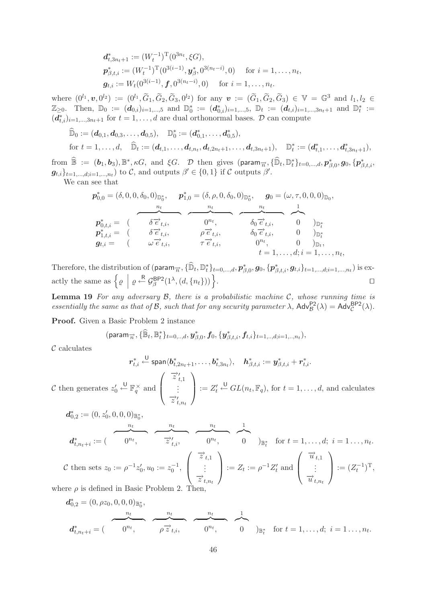$$
\begin{aligned}\n\boldsymbol{d}_{t,3n_t+1}^* &:= (W_t^{-1})^{\mathrm{T}} (0^{3n_t}, \xi G), \\
\boldsymbol{p}_{\beta,t,i}^* &:= (W_t^{-1})^{\mathrm{T}} (0^{3(i-1)}, \boldsymbol{y}_{\beta}^*, 0^{3(n_t - i)}, 0) \quad \text{for } i = 1, \dots, n_t, \\
\boldsymbol{g}_{t,i} &:= W_t (0^{3(i-1)}, \boldsymbol{f}, 0^{3(n_t - i)}, 0) \quad \text{for } i = 1, \dots, n_t.\n\end{aligned}
$$

where  $(0^{l_1}, v, 0^{l_2}) := (0^{l_1}, \widetilde{G}_1, \widetilde{G}_2, \widetilde{G}_3, 0^{l_2})$  for any  $v := (\widetilde{G}_1, \widetilde{G}_2, \widetilde{G}_3) \in \mathbb{V} = \mathbb{G}^3$  and  $l_1, l_2 \in \mathbb{Z}$  $\mathbb{Z}_{\geq 0}$ . Then,  $\mathbb{D}_0 := (d_{0,i})_{i=1,\dots,5}$  and  $\mathbb{D}_0^* := (d_{0,i}^*)_{i=1,\dots,5}$ ,  $\mathbb{D}_t := (d_{t,i})_{i=1,\dots,3n_t+1}$  and  $\mathbb{D}_t^* :=$  $(d_{t,i}^*)_{i=1,\ldots,3n_t+1}$  for  $t=1,\ldots,d$  are dual orthonormal bases.  $\mathcal D$  can compute

$$
\widehat{\mathbb{D}}_0 := (\boldsymbol{d}_{0,1}, \boldsymbol{d}_{0,3}, \ldots, \boldsymbol{d}_{0,5}), \quad \mathbb{D}_0^* := (\boldsymbol{d}_{0,1}^*, \ldots, \boldsymbol{d}_{0,5}), \n\text{for } t = 1, \ldots, d, \quad \widehat{\mathbb{D}}_t := (\boldsymbol{d}_{t,1}, \ldots, \boldsymbol{d}_{t,n_t}, \boldsymbol{d}_{t,2n_t+1}, \ldots, \boldsymbol{d}_{t,3n_t+1}), \quad \mathbb{D}_t^* := (\boldsymbol{d}_{t,1}^*, \ldots, \boldsymbol{d}_{t,3n_t+1}),
$$

 ${\rm from} \ \widehat{\mathbb{B}} := (\boldsymbol{b}_1, \boldsymbol{b}_3), \mathbb{B}^*, \kappa G, \text{ and } \xi G.$   $\mathcal{D}$  then gives  $(\textsf{param}_{\overrightarrow{n}}, {\widehat{\mathbb{D}}_t}, \mathbb{D}_t^* \}_{t=0,\dots,d}, \boldsymbol{p}^*_{\beta,0}, g_0, \{\boldsymbol{p}^*_{\beta,t,i}, \{\beta^*_{\beta,0}, \beta^*_{\beta,0}, \{\beta^*_{\beta,0}, \beta^*_{\beta,0}, \{\beta^*_{\beta,0}, \{\beta^*_{\beta,0}, \{\beta^*_{$  $g_{t,i}\}_{t=1,\ldots,d; i=1,\ldots,n_t}$ ) to C, and outputs  $\beta' \in \{0,1\}$  if C outputs  $\beta'$ .

We can see that

$$
\begin{array}{cccc}\n\boldsymbol{p}_{0,0}^{*} = (\delta, 0, 0, \delta_{0}, 0)_{\mathbb{D}_{0}^{*}}, & \boldsymbol{p}_{1,0}^{*} = (\delta, \rho, 0, \delta_{0}, 0)_{\mathbb{D}_{0}^{*}}, & \boldsymbol{g}_{0} = (\omega, \tau, 0, 0, 0)_{\mathbb{D}_{0}}, \\
\hline\n\boldsymbol{p}_{0,t,i}^{*} = (\begin{array}{cccc}\n\delta \overrightarrow{e}_{t,i}, & 0 & \eta_{t}, & \delta_{0} & \overrightarrow{e}_{t,i}, \\
\delta \overrightarrow{e}_{t,i}, & \rho \overrightarrow{e}_{t,i}, & \delta_{0} & \overrightarrow{e}_{t,i}, & 0 \\
\vdots & \vdots & \ddots & \vdots & \vdots \\
\mathbf{g}_{t,i} = (\begin{array}{cccc}\n\omega \overrightarrow{e}_{t,i}, & \tau \overrightarrow{e}_{t,i}, & 0 & \eta_{t}, \\
\vdots & \vdots & \ddots & \vdots \\
\omega \overrightarrow{e}_{t,i}, & \tau \overrightarrow{e}_{t,i}, & 0 & \eta_{t}, \\
\vdots & \vdots & \vdots & \ddots & \vdots \\
\end{array}\n\end{array}
$$

Therefore, the distribution of  $(\text{param}_{\overrightarrow{n}}, \{\mathbb{\hat{D}}_t, \mathbb{D}_t^*\}_{t=0,\dots,d}, p_{\beta,0}^*, \mathbf{g}_0, \{\mathbf{p}_{\beta,t,i}^*, \mathbf{g}_{t,i}\}_{t=1,\dots,d; i=1,\dots,n_t})$  is exactly the same as  $\left\{ \varrho \mid \varrho \stackrel{\mathsf{R}}{\leftarrow} \mathcal{G}_{\beta}^{\mathsf{BP2}}(1^{\lambda}, (d, \{n_t\})) \right\}$ .

**Lemma 19** *For any adversary* B*, there is a probabilistic machine* C*, whose running time is essentially the same as that of B, such that for any security parameter*  $\lambda$ ,  $\text{Adv}_{\mathcal{B}}^{\text{P2}}(\lambda) = \text{Adv}_{\mathcal{C}}^{\text{BPP2}}(\lambda)$ .

**Proof.** Given a Basic Problem 2 instance

$$
(\text{param}_{\overrightarrow{n}}, \{\widehat{\mathbb{B}}_t, \mathbb{B}_t^*\}_{t=0,..,d}, \mathbf{y}_{\beta,0}^*, \mathbf{f}_0, \{\mathbf{y}_{\beta,t,i}^*, \mathbf{f}_{t,i}\}_{t=1,..,d; i=1,..,n_t}),
$$

 $\mathcal C$  calculates

$$
r_{t,i}^* \stackrel{\cup}{\leftarrow} \text{span}\langle b_{t,2n_t+1}^*,\ldots,b_{t,3n_t}^*\rangle, \quad h_{\beta,t,i}^* := y_{\beta,t,i}^* + r_{t,i}^*.
$$

 $\mathcal C$  then generates  $z'_0$  $\stackrel{\mathsf{U}}{\leftarrow} \mathbb{F}_q^{\times}$  and  $\left| \right|$  $\vdots$ <br> $\overrightarrow{z}_{t,n_t}$  $\Big] := Z'_t \stackrel{\cup}{\leftarrow} GL(n_t, \mathbb{F}_q)$ , for  $t = 1, \ldots, d$ , and calculates

$$
d_{0,2}^* := (0, z'_0, 0, 0, 0)_{\mathbb{B}_0^*},
$$
  
\n
$$
d_{t,n_t+i}^* := (\overbrace{0^{n_t}, \overline{z'}_{t,i}^*}, \overbrace{0^{n_t}, \overline{0}}^{n_t}, \overbrace{0^{n_t}, \overline{0}}^{n_t})_{\mathbb{B}_t^*} \text{ for } t = 1, ..., d; i = 1 ..., n_t.
$$
  
\n
$$
c \text{ then sets } z_0 := \rho^{-1} z'_0, u_0 := z_0^{-1}, \begin{pmatrix} \overline{z}_{t,1} \\ \vdots \\ \overline{z}_{t,n_t} \end{pmatrix} := Z_t := \rho^{-1} Z'_t \text{ and } \begin{pmatrix} \overline{u}_{t,1} \\ \vdots \\ \overline{u}_{t,n_t} \end{pmatrix} := (Z_t^{-1})^T,
$$
  
\nwhere  $\rho$  is defined in Basic Problem 2. Then,

$$
d_{0,2}^{*} = (0, \rho z_0, 0, 0, 0)_{\mathbb{B}_0^*},
$$
  
\n
$$
d_{t,n_t+i}^{*} = (\overbrace{0^{n_t}}, \overbrace{\rho \overrightarrow{z}_{t,i}}^{n_t}, \overbrace{0^{n_t}}, \overbrace{0}^{n_t}, \overbrace{0}^{1})_{\mathbb{B}_t^*} \text{ for } t = 1, ..., d; i = 1 ..., n_t.
$$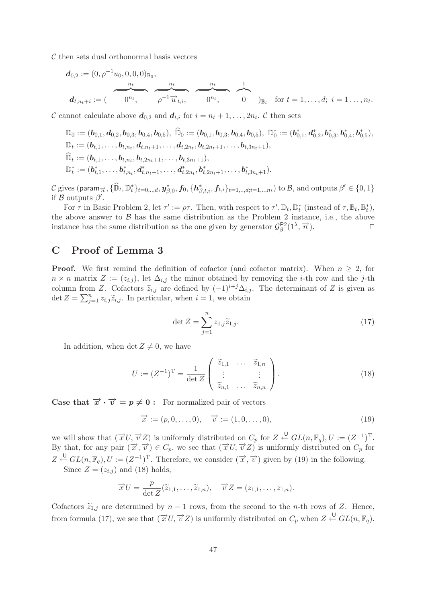$\mathcal C$  then sets dual orthonormal basis vectors

$$
\boldsymbol{d}_{0,2} := (0, \rho^{-1}u_0, 0, 0, 0)_{\mathbb{B}_0},
$$
\n
$$
\boldsymbol{d}_{t,n_t+i} := (\rho^{n_t}, \rho^{-1} \overrightarrow{u}_{t,i}, \rho^{n_t}, \rho^{n_t}, \rho^{n_t}, \rho^{n_t}, \rho^{n_t}, \rho^{n_t}, \rho^{n_t}, \rho^{n_t}, \rho^{n_t}, \rho^{n_t}, \rho^{n_t}, \rho^{n_t}, \rho^{n_t}, \rho^{n_t}, \rho^{n_t}, \rho^{n_t}, \rho^{n_t}, \rho^{n_t}, \rho^{n_t}, \rho^{n_t}, \rho^{n_t}, \rho^{n_t}, \rho^{n_t}, \rho^{n_t}, \rho^{n_t}, \rho^{n_t}, \rho^{n_t}, \rho^{n_t}, \rho^{n_t}, \rho^{n_t}, \rho^{n_t}, \rho^{n_t}, \rho^{n_t}, \rho^{n_t}, \rho^{n_t}, \rho^{n_t}, \rho^{n_t}, \rho^{n_t}, \rho^{n_t}, \rho^{n_t}, \rho^{n_t}, \rho^{n_t}, \rho^{n_t}, \rho^{n_t}, \rho^{n_t}, \rho^{n_t}, \rho^{n_t}, \rho^{n_t}, \rho^{n_t}, \rho^{n_t}, \rho^{n_t}, \rho^{n_t}, \rho^{n_t}, \rho^{n_t}, \rho^{n_t}, \rho^{n_t}, \rho^{n_t}, \rho^{n_t}, \rho^{n_t}, \rho^{n_t}, \rho^{n_t}, \rho^{n_t}, \rho^{n_t}, \rho^{n_t}, \rho^{n_t}, \rho^{n_t}, \rho^{n_t}, \rho^{n_t}, \rho^{n_t}, \rho^{n_t}, \rho^{n_t}, \rho^{n_t}, \rho^{n_t}, \rho^{n_t}, \rho^{n_t}, \rho^{n_t}, \rho^{n_t}, \rho^{n_t}, \rho^{n_t}, \rho^{n_t}, \rho^{n_t}, \rho^{n_t}, \rho^{n_t}, \rho^{n_t}, \rho^{n_t}, \rho^{n_t}, \rho^{n_t}, \rho^{n_t}, \rho^{n_t}, \rho^{n_t}, \rho^{n_t}, \rho^{n_t}, \rho^{n_t}, \rho^{n_t}, \rho^{n_t}, \rho^{n_t}, \rho^{n_t}, \rho^{n_t}, \rho^{n_t}, \rho^{n_t}, \rho^{n_t}, \rho^{n_t}, \rho^{n_t}, \rho^{n_t}, \rho^{n_t}, \rho^{n_t}, \rho^{n_t}, \rho^{n_t}, \rho^{n_t}, \rho^{n_t}, \rho^{n_t}, \rho^{n_t}, \rho^{n_t},
$$

C cannot calculate above  $d_{0,2}$  and  $d_{t,i}$  for  $i = n_t + 1, \ldots, 2n_t$ . C then sets

$$
\mathbb{D}_0 := (\boldsymbol{b}_{0,1}, \boldsymbol{d}_{0,2}, \boldsymbol{b}_{0,3}, \boldsymbol{b}_{0,4}, \boldsymbol{b}_{0,5}), \; \mathbb{\widehat{D}}_0 := (\boldsymbol{b}_{0,1}, \boldsymbol{b}_{0,3}, \boldsymbol{b}_{0,4}, \boldsymbol{b}_{0,5}), \; \mathbb{D}_0^* := (\boldsymbol{b}_{0,1}^*, \boldsymbol{d}_{0,2}^*, \boldsymbol{b}_{0,3}^*, \boldsymbol{b}_{0,4}^*, \boldsymbol{b}_{0,5}), \\ \mathbb{D}_t := (\boldsymbol{b}_{t,1}, \ldots, \boldsymbol{b}_{t,n_t}, \boldsymbol{d}_{t,n_t+1}, \ldots, \boldsymbol{d}_{t,2n_t}, \boldsymbol{b}_{t,2n_t+1}, \ldots, \boldsymbol{b}_{t,3n_t+1}), \\ \mathbb{\widehat{D}}_t := (\boldsymbol{b}_{t,1}, \ldots, \boldsymbol{b}_{t,n_t}, \boldsymbol{b}_{t,2n_t+1}, \ldots, \boldsymbol{b}_{t,3n_t+1}), \\ \mathbb{D}_t^* := (\boldsymbol{b}_{t,1}^*, \ldots, \boldsymbol{b}_{t,n_t}^*, \boldsymbol{d}_{t,n_t+1}^*, \ldots, \boldsymbol{d}_{t,2n_t}^*, \boldsymbol{b}_{t,2n_t+1}^*, \ldots, \boldsymbol{b}_{t,3n_t+1}).
$$

 $\mathcal C$  gives (para $\overrightarrow{m}_{\overrightarrow{n}}, \{\widehat{\mathbb{D}}_t, \mathbb{D}_t^*\}_{t=0,..,d}, \bm y_{\beta,0}^*, \bm f_0, \{\bm h_{\beta,t,i}^*, \bm f_{t,i}\}_{t=1,..,d; i=1,..,n_t}) \text{ to } \mathcal B, \text{ and outputs } \beta' \in \{0,1\}$ if  $\beta$  outputs  $\beta'$ .

For  $\tau$  in Basic Problem 2, let  $\tau' := \rho \tau$ . Then, with respect to  $\tau', \mathbb{D}_t, \mathbb{D}_t^*$  (instead of  $\tau, \mathbb{B}_t, \mathbb{B}_t^*$ ), the above answer to  $\beta$  has the same distribution as the Problem 2 instance, i.e., the above instance has the same distribution as the one given by generator  $\mathcal{G}_{\beta}^{P2}(1^{\lambda}, \vec{n})$ .

# **C Proof of Lemma 3**

**Proof.** We first remind the definition of cofactor (and cofactor matrix). When  $n \geq 2$ , for  $n \times n$  matrix  $Z := (z_{i,j})$ , let  $\Delta_{i,j}$  the minor obtained by removing the *i*-th row and the *j*-th column from Z. Cofactors  $\tilde{z}_{i,j}$  are defined by  $(-1)^{i+j}\Delta_{i,j}$ . The determinant of Z is given as det  $Z = \sum_{j=1}^{n} z_{i,j} \widetilde{z}_{i,j}$ . In particular, when  $i = 1$ , we obtain

$$
\det Z = \sum_{j=1}^{n} z_{1,j} \widetilde{z}_{1,j}.
$$
\n(17)

In addition, when det  $Z \neq 0$ , we have

$$
U := (Z^{-1})^{\mathrm{T}} = \frac{1}{\det Z} \begin{pmatrix} \widetilde{z}_{1,1} & \dots & \widetilde{z}_{1,n} \\ \vdots & & \vdots \\ \widetilde{z}_{n,1} & \dots & \widetilde{z}_{n,n} \end{pmatrix}.
$$
 (18)

**Case that**  $\vec{x} \cdot \vec{v} = p \neq 0$ : For normalized pair of vectors

$$
\overrightarrow{x} := (p, 0, \dots, 0), \quad \overrightarrow{v} := (1, 0, \dots, 0), \tag{19}
$$

we will show that  $(\vec{x} \, U, \vec{v} \, Z)$  is uniformly distributed on  $C_p$  for  $Z \stackrel{\cup}{\leftarrow} GL(n, \mathbb{F}_q), U := (Z^{-1})^T$ . By that, for any pair  $(\vec{x}, \vec{v}) \in C_p$ , we see that  $(\vec{x} \cup \vec{v} \times \vec{z})$  is uniformly distributed on  $C_p$  for  $Z \stackrel{\mathsf{U}}{\leftarrow} GL(n,\mathbb{F}_q), U := (Z^{-1})^{\mathrm{T}}$ . Therefore, we consider  $(\vec{x},\vec{v})$  given by (19) in the following.

Since  $Z = (z_{i,j})$  and (18) holds,

$$
\overrightarrow{x}U = \frac{p}{\det Z}(\widetilde{z}_{1,1},\ldots,\widetilde{z}_{1,n}), \quad \overrightarrow{v}Z = (z_{1,1},\ldots,z_{1,n}).
$$

Cofactors  $\tilde{z}_{1,j}$  are determined by  $n-1$  rows, from the second to the n-th rows of Z. Hence, from formula (17), we see that  $(\vec{x} \, U, \vec{v} \, Z)$  is uniformly distributed on  $C_p$  when  $Z \stackrel{\cup}{\leftarrow} GL(n, \mathbb{F}_q)$ .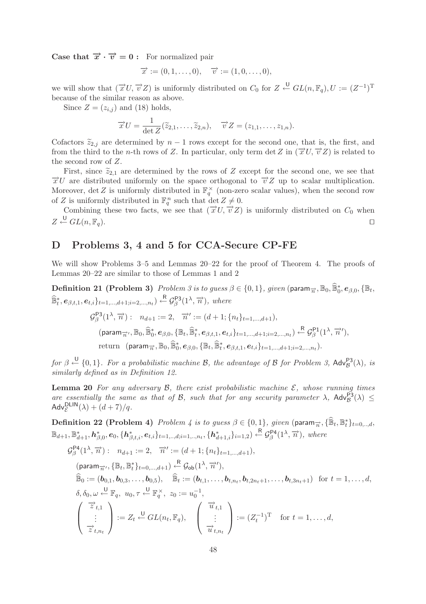**Case that**  $\vec{x} \cdot \vec{v} = 0$ : For normalized pair

$$
\overrightarrow{x} := (0, 1, \dots, 0), \quad \overrightarrow{v} := (1, 0, \dots, 0),
$$

we will show that  $(\vec{x} \, U, \vec{v} \, Z)$  is uniformly distributed on  $C_0$  for  $Z \stackrel{\cup}{\leftarrow} GL(n, \mathbb{F}_q), U := (Z^{-1})^T$ because of the similar reason as above.

Since  $Z = (z_{i,j})$  and (18) holds,

$$
\overrightarrow{x}U = \frac{1}{\det Z}(\widetilde{z}_{2,1},\ldots,\widetilde{z}_{2,n}), \quad \overrightarrow{v}Z = (z_{1,1},\ldots,z_{1,n}).
$$

Cofactors  $\tilde{z}_{2,j}$  are determined by  $n-1$  rows except for the second one, that is, the first, and<br>from the third to the n th rows of Z. In particular, only term det Z in  $(\vec{x}U, \vec{x}Z)$  is related to from the third to the n-th rows of Z. In particular, only term det Z in  $(\vec{x}U, \vec{v}Z)$  is related to the second row of Z.

First, since  $\tilde{z}_{2,1}$  are determined by the rows of Z except for the second one, we see that  $\vec{x}U$  are distributed uniformly on the space orthogonal to  $\vec{v}Z$  up to scalar multiplication. Moreover, det Z is uniformly distributed in  $\mathbb{F}_q^{\times}$  (non-zero scalar values), when the second row of Z is uniformly distributed in  $\mathbb{F}_q^n$  such that  $\det Z \neq 0$ .

Combining these two facts, we see that  $(\vec{x} \, U, \vec{v} \, Z)$  is uniformly distributed on  $C_0$  when  $Z \stackrel{\mathrm{U}}{\leftarrow} GL(n, \mathbb{F}_q).$ 

# **D Problems 3, 4 and 5 for CCA-Secure CP-FE**

We will show Problems 3–5 and Lemmas 20–22 for the proof of Theorem 4. The proofs of Lemmas 20–22 are similar to those of Lemmas 1 and 2

**Definition 21 (Problem 3)** Problem 3 is to guess  $\beta \in \{0, 1\}$ , given (param $\overrightarrow{n}$ ,  $\mathbb{B}_0$ ,  $\widehat{\mathbb{B}}_0^*$ ,  $\boldsymbol{e}_{\beta,0}$ ,  $\{\mathbb{B}_t$ ,  $\widehat{\mathbb{B}}_t^*, e_{\beta,t,1}, e_{t,i}\}_{t=1,\dots,d+1; i=2,\dots,n_t}$   $\leftarrow^R \mathcal{G}_{\beta}^{\mathsf{P3}}(1^{\lambda}, \overrightarrow{n})$ *, where* 

$$
G_{\beta}^{\mathsf{P3}}(1^{\lambda}, \overrightarrow{n}) : n_{d+1} := 2, \overrightarrow{n}' := (d+1; \{n_t\}_{t=1,\ldots,d+1}),
$$
  
(param <sub>$\overrightarrow{n}$</sub> ,  $\mathbb{B}_0, \widehat{\mathbb{B}}_0^*, e_{\beta,0}, \{\mathbb{B}_t, \widehat{\mathbb{B}}_t^*, e_{\beta,t,1}, e_{t,i}\}_{t=1,\ldots,d+1; i=2,\ldots,n_t} \leftarrow^{\mathsf{R}} \mathcal{G}_{\beta}^{\mathsf{P1}}(1^{\lambda}, \overrightarrow{n}'),$   
return (param <sub>$\overrightarrow{n}$</sub> ,  $\mathbb{B}_0, \widehat{\mathbb{B}}_0^*, e_{\beta,0}, \{\mathbb{B}_t, \widehat{\mathbb{B}}_t^*, e_{\beta,t,1}, e_{t,i}\}_{t=1,\ldots,d+1; i=2,\ldots,n_t}.$ 

 $for \beta \stackrel{\bigcup}{\leftarrow} \{0,1\}$ . For a probabilistic machine B, the advantage of B for Problem 3,  $\mathsf{Adv}_{\mathcal{B}}^{\mathsf{P3}}(\lambda)$ , is *similarly defined as in Definition 12.*

**Lemma 20** For any adversary  $\mathcal{B}$ , there exist probabilistic machine  $\mathcal{E}$ , whose running times *are essentially the same as that of B, such that for any security parameter*  $\lambda$ ,  $\text{Adv}_{\mathcal{B}}^{\text{P3}}(\lambda) \leq$  $\mathsf{Adv}_{\mathcal{E}}^{\mathsf{DLIN}}(\lambda) + (d+7)/q.$ 

 $\textbf{Definition 22 (Problem 4) } \textit{ Problem 4 is to guess } \beta \in \{0,1\}, \textit{given (param}_{\overrightarrow{n}}, \{\widehat{\mathbb{B}}_t,\mathbb{B}_t^*\}_{t=0,..,d},$  $\mathbb{B}_{d+1}, \mathbb{B}_{d+1}^*, h_{\beta,0}^*, e_0, \{h_{\beta,t,i}^*, e_{t,i}\}_{t=1,..,d;i=1,..,n_t}, \{h_{d+1,i}^*\}_{i=1,2}) \overset{\text{R}}{\leftarrow} \mathcal{G}_{\beta}^{\text{P4}}(1^{\lambda}, \overrightarrow{n})$ , where

$$
\mathcal{G}_{\beta}^{\mathsf{P4}}(1^{\lambda}, \overrightarrow{n}) : n_{d+1} := 2, \overrightarrow{n}' := (d+1; \{n_t\}_{t=1,\dots,d+1}),
$$
\n
$$
(\text{param}_{\overrightarrow{n}'}, \{\mathbb{B}_t, \mathbb{B}_t^*\}_{t=0,\dots,d+1}) \stackrel{\mathsf{R}}{\leftarrow} \mathcal{G}_{\mathsf{ob}}(1^{\lambda}, \overrightarrow{n}'),
$$
\n
$$
\widehat{\mathbb{B}}_0 := (\boldsymbol{b}_{0,1}, \boldsymbol{b}_{0,3}, \dots, \boldsymbol{b}_{0,5}), \quad \widehat{\mathbb{B}}_t := (\boldsymbol{b}_{t,1}, \dots, \boldsymbol{b}_{t,n_t}, \boldsymbol{b}_{t,2n_t+1}, \dots, \boldsymbol{b}_{t,3n_t+1}) \quad \text{for } t = 1, \dots, d,
$$
\n
$$
\delta, \delta_0, \omega \stackrel{\mathsf{U}}{\leftarrow} \mathbb{F}_q, u_0, \tau \stackrel{\mathsf{U}}{\leftarrow} \mathbb{F}_q^{\times}, z_0 := u_0^{-1},
$$
\n
$$
\begin{pmatrix} \overrightarrow{u}_{t,1} \\ \vdots \\ \overrightarrow{z}_{t,n_t} \end{pmatrix} := Z_t \stackrel{\mathsf{U}}{\leftarrow} GL(n_t, \mathbb{F}_q), \quad \begin{pmatrix} \overrightarrow{u}_{t,1} \\ \vdots \\ \overrightarrow{u}_{t,n_t} \end{pmatrix} := (Z_t^{-1})^{\mathrm{T}} \quad \text{for } t = 1, \dots, d,
$$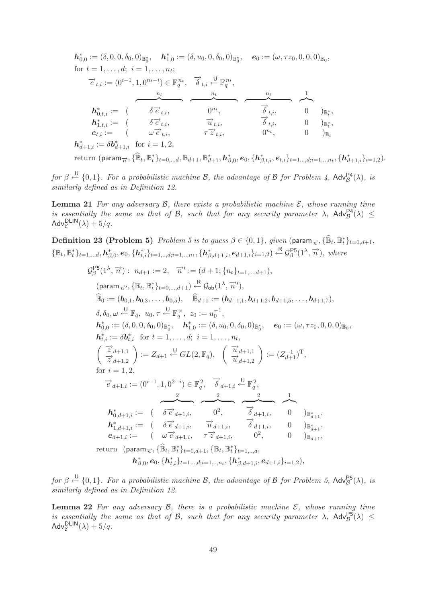$\boldsymbol{h}_{0,0}^* := (\delta, 0, 0, \delta_0, 0)_{\mathbb{B}_0^*}, \quad \boldsymbol{h}_{1,0}^* := (\delta, u_0, 0, \delta_0, 0)_{\mathbb{B}_0^*}, \quad \boldsymbol{e}_0 := (\omega, \tau z_0, 0, 0, 0)_{\mathbb{B}_0},$ for  $t = 1, \ldots, d; i = 1, \ldots, n_t;$  $\overrightarrow{e}_{t,i} := (0^{i-1}, 1, 0^{n_t - i}) \in \mathbb{F}_q^{n_t}, \quad \overrightarrow{\delta}_{t,i} \stackrel{\cup}{\leftarrow} \mathbb{F}_q^{n_t},$  $\begin{array}{c} n_t \longrightarrow 1 \longrightarrow 1 \end{array}$  $\overline{0}$  $\boldsymbol{h}_{0,t,i}^* := ( \boldsymbol{\delta} \overrightarrow{e}_{t,i}, \boldsymbol{\delta}^{n_t}, \boldsymbol{\delta}_{t,i}, \boldsymbol{\delta}^{n_t}, \boldsymbol{\delta}^{n_t}, \boldsymbol{\delta}^{n_t}, \boldsymbol{\delta}^{n_t}, \boldsymbol{\delta}^{n_t}, \boldsymbol{\delta}^{n_t}, \boldsymbol{\delta}^{n_t}, \boldsymbol{\delta}^{n_t}, \boldsymbol{\delta}^{n_t}, \boldsymbol{\delta}^{n_t}, \boldsymbol{\delta}^{n_t}, \boldsymbol{\delta}^{n_t}, \boldsymbol{\delta}^{n_t}, \boldsymbol{\delta}^{n_t}, \boldsymbol{\delta}^{n_t}, \boldsymbol{\delta}^{n_t}, \boldsymbol{\delta}^{n_t}, \bold$  $\Theta)_{\mathbb{B}_{\star}^{*}}$  $\vec{h}^{i}_{1,t,i} := \begin{pmatrix} \delta \vec{e}_{t,i}, & \vec{u}_{t,i}, & \delta_{t,i}, & 0 \end{pmatrix} \mathbb{E}^{s_{t,i}}_{t,i}$  $0 \t)_{\mathbb{B}^*}$ ,  $e_{t,i} := \begin{array}{ccc} \cos\theta_{t,i}, & \cos\theta_{t,i}, & \cos\theta_{t,i}, & \cos\theta_{t,i}, & \cos\theta_{t,i}, & \cos\theta_{t,i}, & \cos\theta_{t,i}, & \cos\theta_{t,i}, & \cos\theta_{t,i}, & \cos\theta_{t,i}, & \cos\theta_{t,i}, & \cos\theta_{t,i}, & \cos\theta_{t,i}, & \cos\theta_{t,i}, & \cos\theta_{t,i}, & \cos\theta_{t,i}, & \cos\theta_{t,i}, & \cos\theta_{t,i}, & \cos\theta_{t,i}, & \cos\theta_{t,i}, & \cos\theta_{t,i}, & \cos\theta_{t,i}, & \cos\theta_{t,i}, &$  $h_{d+1,i}^* := \delta b_{d+1,i}^*$  for  $i = 1, 2$ ,

 $\text{return } (\text{param}_{\overrightarrow{n}}, \{\widehat{\mathbb{B}}_t, \mathbb{B}_t^*\}_{t=0,..,d}, \mathbb{B}_{d+1}, \mathbb{B}_{d+1}^*, \bm{h}_{\beta,0}^*, \bm{e}_0, \{\bm{h}_{\beta,t,i}^*, \bm{e}_{t,i}\}_{t=1,..,d; i=1,..,n_t}, \{\bm{h}_{d+1,i}^*\}_{i=1,2}).$ 

 $for \beta \stackrel{\bigcup}{\leftarrow} \{0,1\}$ . For a probabilistic machine B, the advantage of B for Problem 4,  $\mathsf{Adv}_{\mathcal{B}}^{\mathsf{P4}}(\lambda)$ , is *similarly defined as in Definition 12.*

**Lemma 21** For any adversary  $\beta$ , there exists a probabilistic machine  $\mathcal{E}$ , whose running time *is essentially the same as that of B, such that for any security parameter*  $\lambda$ ,  $\mathsf{Adv}_{\mathcal{B}}^{\mathsf{P4}}(\lambda) \leq$  $\mathsf{Adv}_{\mathcal{E}}^{\mathsf{DLIN}}(\lambda) + 5/q.$ 

**Definition 23 (Problem 5)** Problem 5 is to guess  $\beta \in \{0,1\}$ , given (param $\overrightarrow{n}$ ,  $\{\mathbb{\hat{B}}_t, \mathbb{B}_t^*\}_{t=0,d+1}$ ,  $\{\mathbb{B}_t, \mathbb{B}_t^*\}_{t=1,..,d}, \mathbf{h}_{\beta,0}^*, \mathbf{e}_0, \{\mathbf{h}_{t,i}^*\}_{t=1,..,d;i=1,..,n_t}, \{\mathbf{h}_{\beta,d+1,i}^*, \mathbf{e}_{d+1,i}\}_{i=1,2}) \overset{\text{R}}{\leftarrow} \mathcal{G}_{\beta}^{\text{PS}}(1^\lambda, \overrightarrow{n})$ , where  $\mathcal{G}_{\beta}^{\mathsf{P}5}(1^{\lambda}, \overrightarrow{n}) : n_{d+1} := 2, \quad \overrightarrow{n}' := (d+1; \{n_t\}_{t=1,\dots,d+1}),$  $(\textsf{param}_{\overrightarrow{n}'}, \{\mathbb{B}_{t}, \mathbb{B}_{t}^{*}\}_{t=0,\ldots,d+1}) \overset{\textsf{R}}{\leftarrow} \mathcal{G}_{\textsf{ob}}(1^{\lambda}, \overrightarrow{n}'),$  $\widehat{\mathbb{B}}_0 := (\boldsymbol{b}_{0,1}, \boldsymbol{b}_{0,3}, \ldots, \boldsymbol{b}_{0,5}), \quad \widehat{\mathbb{B}}_{d+1} := (\boldsymbol{b}_{d+1,1}, \boldsymbol{b}_{d+1,2}, \boldsymbol{b}_{d+1,5}, \ldots, \boldsymbol{b}_{d+1,7}),$  $\delta, \delta_0, \omega \stackrel{\mathsf{U}}{\leftarrow} \mathbb{F}_q, \ u_0, \tau \stackrel{\mathsf{U}}{\leftarrow} \mathbb{F}_q^{\times}, \ z_0 := u_0^{-1},$  $\boldsymbol{h}_{0,0}^* := (\delta, 0, 0, \delta_0, 0)_{\mathbb{B}_0^*}, \quad \boldsymbol{h}_{1,0}^* := (\delta, u_0, 0, \delta_0, 0)_{\mathbb{B}_0^*}, \quad \boldsymbol{e}_0 := (\omega, \tau z_0, 0, 0, 0)_{\mathbb{B}_0},$  $h_{t,i}^* := \delta b_{t,i}^*$  for  $t = 1, ..., d; i = 1, ..., n_t$ ,  $\left(\begin{array}{c} \overrightarrow{z}_{d+1,1}\\ \overrightarrow{z}_{d+1,2} \end{array}\right):=Z_{d+1} \xleftarrow{\sf U} GL(2,\mathbb{F}_q),\ \ \left(\begin{array}{c} \overrightarrow{u}_{d+1,1}\\ \overrightarrow{u}_{d+1,2} \end{array}\right):=(Z_{d+1}^{-1})^{\sf T},$ for  $i = 1, 2,$  $\overrightarrow{e}_{d+1,i} := (0^{i-1}, 1, 0^{2-i}) \in \mathbb{F}_q^2$ ,  $\overrightarrow{\delta}_{d+1,i} \stackrel{\cup}{\leftarrow} \mathbb{F}_q^2$ ,  $\overbrace{\phantom{a}}^{2}$   $\overbrace{\phantom{a}}^{2}$   $\overbrace{\phantom{a}}^{2}$   $\overbrace{\phantom{a}}^{2}$  $h_{0,d+1,i}^* := (\delta \overrightarrow{e}_{d+1,i}, \delta) = 0^2, \qquad \overrightarrow{\delta}_{d+1,i}, \qquad 0 \qquad)_{\mathbb{B}^*_{d+1}},$  $\bm{h}_{1,d+1,i}^* := \begin{pmatrix} \delta \vec{e}_{d+1,i}, & \vec{u}_{d+1,i}, & \vec{\delta}_{d+1,i}, & 0 \end{pmatrix} \mathbb{B}_{d+1}^*,$  $e_{d+1,i} := ( \omega \vec{e}_{d+1,i}, \tau \vec{z}_{d+1,i}, \omega^2, 0^2, 0)_{\mathbb{B}_{d+1}},$ return (param $\overrightarrow{n}$ ,  $\{\widehat{\mathbb{B}}_t, \mathbb{B}_t^*\}_{t=0,d+1}$ ,  $\{\mathbb{B}_t, \mathbb{B}_t^*\}_{t=1,..,d}$ ,  $\bm{h}^*_{\beta,0}, \bm{e}_0, \{\bm{h}^*_{t,i}\}_{t=1,..,d; i=1,..,n_t}, \{\bm{h}^*_{\beta,d+1,i}, \bm{e}_{d+1,i}\}_{i=1,2}),$ 

 $for \beta \stackrel{\bigcup}{\leftarrow} \{0,1\}$ . For a probabilistic machine B, the advantage of B for Problem 5, Adv<sup>p5</sup>( $\lambda$ ), is *similarly defined as in Definition 12.*

**Lemma 22** For any adversary  $\beta$ , there is a probabilistic machine  $\mathcal{E}$ , whose running time *is essentially the same as that of B, such that for any security parameter*  $\lambda$ ,  $\text{Adv}_{\mathcal{B}}^{\text{PS}}(\lambda) \leq$  $\mathsf{Adv}_{\mathcal{E}}^{\mathsf{DLIN}}(\lambda) + 5/q.$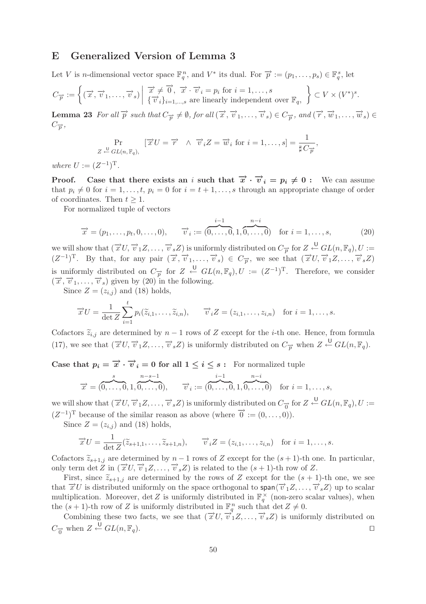# **E Generalized Version of Lemma 3**

Let V is n-dimensional vector space  $\mathbb{F}_q^n$ , and  $V^*$  its dual. For  $\overrightarrow{p} := (p_1, \ldots, p_s) \in \mathbb{F}_q^s$ , let

$$
C_{\overrightarrow{p}} := \left\{ (\overrightarrow{x}, \overrightarrow{v}_1, \dots, \overrightarrow{v}_s) \middle| \begin{array}{c} \overrightarrow{x} \neq \overrightarrow{0}, \overrightarrow{x} \cdot \overrightarrow{v}_i = p_i \text{ for } i = 1, \dots, s \\ \{\overrightarrow{v}_i\}_{i=1,\dots,s} \text{ are linearly independent over } \mathbb{F}_q, \end{array} \right\} \subset V \times (V^*)^s.
$$

**Lemma 23** For all  $\overrightarrow{p}$  such that  $C_{\overrightarrow{p}} \neq \emptyset$ , for all  $(\overrightarrow{x}, \overrightarrow{v}_1, \ldots, \overrightarrow{v}_s) \in C_{\overrightarrow{p}}$ , and  $(\overrightarrow{r}, \overrightarrow{w}_1, \ldots, \overrightarrow{w}_s) \in$  $C_{\overrightarrow{p}},$ 

$$
\Pr_{Z \stackrel{\cup}{\leftarrow} GL(n, \mathbb{F}_q),} \left[ \overrightarrow{x} U = \overrightarrow{r} \land \overrightarrow{v}_i Z = \overrightarrow{w}_i \text{ for } i = 1, \dots, s \right] = \frac{1}{\sharp C_{\overrightarrow{p}}},
$$

*where*  $U := (Z^{-1})^T$ .

**Proof.** Case that there exists an i such that  $\vec{x} \cdot \vec{v}_i = p_i \neq 0$ : We can assume that  $p_i \neq 0$  for  $i = 1, \ldots, t$ ,  $p_i = 0$  for  $i = t + 1, \ldots, s$  through an appropriate change of order of coordinates. Then  $t \geq 1$ .

For normalized tuple of vectors

$$
\vec{x} = (p_1, \dots, p_t, 0, \dots, 0), \qquad \vec{v}_i := (\overbrace{0, \dots, 0}^{i-1}, 1, \overbrace{0, \dots, 0}^{n-i}) \quad \text{for } i = 1, \dots, s,
$$
 (20)

we will show that  $(\overrightarrow{x}U, \overrightarrow{v}_1Z, \ldots, \overrightarrow{v}_sZ)$  is uniformly distributed on  $C_{\overrightarrow{p}}$  for  $Z \stackrel{\cup}{\leftarrow} GL(n, \mathbb{F}_q), U :=$  $(Z^{-1})^T$ . By that, for any pair  $(\vec{x}, \vec{v}_1, \ldots, \vec{v}_s) \in C_{\vec{p}}$ , we see that  $(\vec{x} \, U, \vec{v}_1 Z, \ldots, \vec{v}_s Z)$ is uniformly distributed on  $C_{\overrightarrow{p}}$  for  $Z \stackrel{\cup}{\leftarrow} GL(n,\mathbb{F}_q), U := (Z^{-1})^T$ . Therefore, we consider  $(\vec{x}, \vec{v}_1, \ldots, \vec{v}_s)$  given by  $(20)$  in the following.

Since  $Z = (z_{i,j})$  and (18) holds,

$$
\overrightarrow{x}U = \frac{1}{\det Z} \sum_{i=1}^{t} p_i(\widetilde{z}_{i,1}, \ldots, \widetilde{z}_{i,n}), \qquad \overrightarrow{v}_i Z = (z_{i,1}, \ldots, z_{i,n}) \text{ for } i = 1, \ldots, s.
$$

Cofactors  $\tilde{z}_{i,j}$  are determined by  $n-1$  rows of Z except for the *i*-th one. Hence, from formula<br> $(5.5)$ (17), we see that  $(\vec{x} \, U, \vec{v}_1 Z, \ldots, \vec{v}_s Z)$  is uniformly distributed on  $C_{\vec{p}}$  when  $Z \stackrel{\cup}{\leftarrow} GL(n, \mathbb{F}_q)$ .

**Case that**  $p_i = \overrightarrow{x} \cdot \overrightarrow{v}_i = 0$  for all  $1 \leq i \leq s$ : For normalized tuple

$$
\overrightarrow{x} = (\overbrace{0,\ldots,0}^{s},1,\overbrace{0,\ldots,0}^{n-s-1}), \qquad \overrightarrow{v}_i := (\overbrace{0,\ldots,0}^{i-1},1,\overbrace{0,\ldots,0}^{n-i}) \quad \text{for } i=1,\ldots,s,
$$

we will show that  $(\overrightarrow{x}U, \overrightarrow{v}_1Z, \ldots, \overrightarrow{v}_sZ)$  is uniformly distributed on  $C_{\overrightarrow{0}}$  for  $Z \stackrel{\cup}{\leftarrow} GL(n, \mathbb{F}_q)$ ,  $U :=$  $(Z^{-1})^T$  because of the similar reason as above (where  $\overrightarrow{0} := (0, \ldots, 0)$ ).

Since  $Z = (z_{i,j})$  and (18) holds,

$$
\overrightarrow{x}U = \frac{1}{\det Z}(\widetilde{z}_{s+1,1},\ldots,\widetilde{z}_{s+1,n}), \qquad \overrightarrow{v}_iZ = (z_{i,1},\ldots,z_{i,n}) \quad \text{for } i = 1,\ldots,s.
$$

Cofactors  $\tilde{z}_{s+1,j}$  are determined by  $n-1$  rows of Z except for the  $(s+1)$ -th one. In particular, only term det Z in  $(\vec{x} \cup \vec{v}_1 Z, \ldots, \vec{v}_s Z)$  is related to the  $(s + 1)$ -th row of Z.

First, since  $\tilde{z}_{s+1,j}$  are determined by the rows of Z except for the  $(s + 1)$ -th one, we see<br> $\tilde{z}$   $\tilde{z}$  is distributed uniformly on the space orthogonal to  $\text{span}(\vec{z}, z - \vec{z}, z)$  un to scalar that  $\vec{x}$  U is distributed uniformly on the space orthogonal to span $\langle \vec{v}_1 Z, \ldots, \vec{v}_s Z \rangle$  up to scalar multiplication. Moreover,  $\det Z$  is uniformly distributed in  $\mathbb{F}_q^{\times}$  (non-zero scalar values), when the  $(s+1)$ -th row of Z is uniformly distributed in  $\mathbb{F}_q^n$  such that  $\det Z \neq 0$ .

Combining these two facts, we see that  $(\vec{x} \, U, \vec{v}_1 Z, \ldots, \vec{v}_s Z)$  is uniformly distributed on  $C_{\vec{0}}$  when  $Z \stackrel{\cup}{\leftarrow} GL(n, \mathbb{F}_q)$ .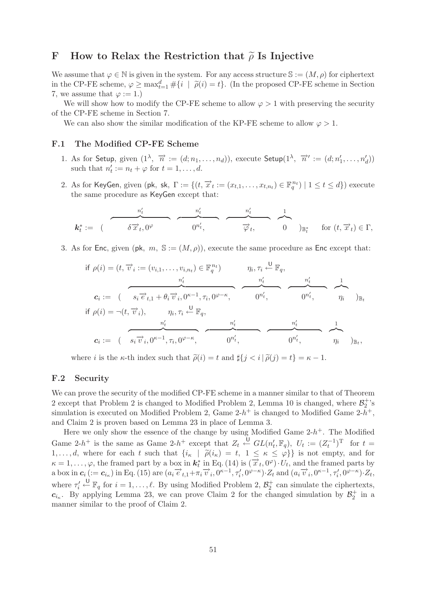# **F** How to Relax the Restriction that  $\tilde{\rho}$  Is Injective

We assume that  $\varphi \in \mathbb{N}$  is given in the system. For any access structure  $\mathbb{S} := (M, \rho)$  for ciphertext in the CP-FE scheme,  $\varphi \ge \max_{t=1}^d \# \{i \mid \tilde{\rho}(i) = t\}$ . (In the proposed CP-FE scheme in Section 7, we assume that  $\varphi := 1$ .)

We will show how to modify the CP-FE scheme to allow  $\varphi > 1$  with preserving the security of the CP-FE scheme in Section 7.

We can also show the similar modification of the KP-FE scheme to allow  $\varphi > 1$ .

# **F.1 The Modified CP-FE Scheme**

- 1. As for Setup, given  $(1^{\lambda}, \overrightarrow{n} := (d; n_1, \ldots, n_d))$ , execute Setup $(1^{\lambda}, \overrightarrow{n}' := (d; n'_1, \ldots, n'_d))$ such that  $n'_t := n_t + \varphi$  for  $t = 1, \ldots, d$ .
- 2. As for KeyGen, given (pk, sk,  $\Gamma := \{(t, \overrightarrow{x}_t := (x_{t,1}, \ldots, x_{t,n_t}) \in \mathbb{F}_q^{n_t}) \mid 1 \le t \le d\})$  execute the same procedure as KeyGen except that:

$$
k_t^* := \begin{array}{c} \begin{array}{c} n'_t \\ \hline \delta \overrightarrow{x}_t, 0^\varphi \end{array} \end{array} \qquad \qquad \overbrace{0^{n'_t}}^{n'_t} \qquad \qquad \overbrace{\overrightarrow{\varphi}_t}^{n'_t} \qquad \qquad \overbrace{0}^{1} \qquad \qquad \text{for } (t, \overrightarrow{x}_t) \in \Gamma,
$$

3. As for Enc, given (pk,  $m, S := (M, \rho)$ ), execute the same procedure as Enc except that:

$$
\text{if } \rho(i) = (t, \overrightarrow{v}_i := (v_{i,1}, \dots, v_{i,n_t}) \in \mathbb{F}_q^{n_t}) \qquad \eta_i, \tau_i \stackrel{\cup}{\leftarrow} \mathbb{F}_q,
$$
\n
$$
\mathbf{c}_i := \begin{pmatrix} s_i \overrightarrow{e}_{t,1} + \theta_i \overrightarrow{v}_i, 0^{\kappa-1}, \tau_i, 0^{\varphi-\kappa}, & 0^{n'_t}, & \overrightarrow{v}_t \\ \end{pmatrix} \qquad \overrightarrow{v}_t,
$$
\n
$$
\text{if } \rho(i) = \neg(t, \overrightarrow{v}_i), \qquad \eta_i, \tau_i \stackrel{\cup}{\leftarrow} \mathbb{F}_q,
$$
\n
$$
\mathbf{c}_i := \begin{pmatrix} s_i \overrightarrow{v}_i, 0^{\kappa-1}, \tau_i, 0^{\varphi-\kappa}, & 0^{n'_t}, & \overrightarrow{v}_t \\ \overrightarrow{v}_t, & 0^{n'_t}, & 0^{n'_t}, & \overrightarrow{v}_t \end{pmatrix} \mathbb{F}_q,
$$

where *i* is the  $\kappa$ -th index such that  $\tilde{\rho}(i) = t$  and  $\sharp\{j \leq i | \tilde{\rho}(j) = t\} = \kappa - 1$ .

## **F.2 Security**

We can prove the security of the modified CP-FE scheme in a manner similar to that of Theorem 2 except that Problem 2 is changed to Modified Problem 2, Lemma 10 is changed, where  $\mathcal{B}_2^+$ 's simulation is executed on Modified Problem 2, Game  $2-h^+$  is changed to Modified Game  $2-h^+$ , and Claim 2 is proven based on Lemma 23 in place of Lemma 3.

Here we only show the essence of the change by using Modified Game  $2-h^+$ . The Modified Game 2-h<sup>+</sup> is the same as Game 2-h<sup>+</sup> except that  $Z_t \stackrel{\cup}{\leftarrow} GL(n'_t, \mathbb{F}_q)$ ,  $U_t := (Z_t^{-1})^T$  for  $t =$ 1,...,d, where for each t such that  $\{i_{\kappa} \mid \tilde{\rho}(i_{\kappa}) = t, 1 \leq \kappa \leq \varphi\}$  is not empty, and for  $\kappa = 1$  (c) the framed part by a boy in  $\mathbf{k}^*$  in Eq. (14) is  $(\vec{x}, 0^\varphi)$ ,  $U$ , and the framed parts by  $\kappa = 1, \ldots, \varphi$ , the framed part by a box in  $\mathbf{k}_t^*$  in Eq. (14) is  $(\overrightarrow{x}_t, 0^\varphi) \cdot U_t$ , and the framed parts by a box in  $c_i$  (:=  $c_{i_{\kappa}}$ ) in Eq. (15) are  $(a_i \vec{e}_{t,1} + \pi_i \vec{v}_i, 0^{\kappa-1}, \tau_i, 0^{\varphi-\kappa}) \cdot Z_t$  and  $(a_i \vec{v}_i, 0^{\kappa-1}, \tau_i, 0^{\varphi-\kappa}) \cdot Z_t$ , where  $\tau'_i \stackrel{\cup}{\leftarrow} \mathbb{F}_q$  for  $i = 1, \ldots, \ell$ . By using Modified Problem 2,  $\mathcal{B}_2^+$  can simulate the ciphertexts,  $c_{i_{\kappa}}$ . By applying Lemma 23, we can prove Claim 2 for the changed simulation by  $\mathcal{B}_2^+$  in a manner similar to the proof of Claim 2.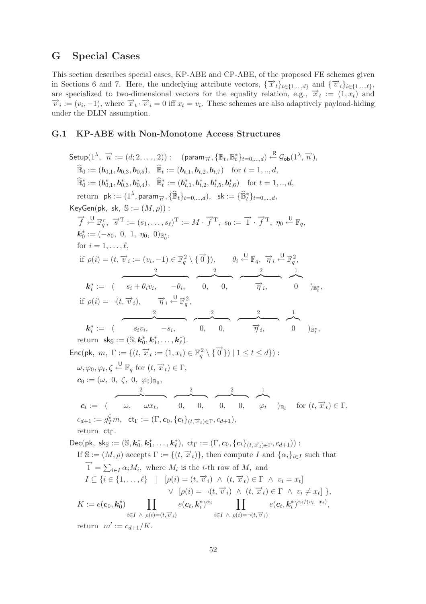# **G Special Cases**

This section describes special cases, KP-ABE and CP-ABE, of the proposed FE schemes given in Sections 6 and 7. Here, the underlying attribute vectors,  $\{\vec{x}_t\}_{t\in\{1,\dots,d\}}$  and  $\{\vec{v}_i\}_{i\in\{1,\dots,\ell\}}$ , are specialized to two-dimensional vectors for the equality relation, e.g.,  $\vec{x}_t := (1, x_t)$  and  $\vec{v}_i := (v_i, -1)$ , where  $\vec{x}_t \cdot \vec{v}_i = 0$  iff  $x_t = v_i$ . These schemes are also adaptively payload-hiding under the DLIN assumption.

#### **G.1 KP-ABE with Non-Monotone Access Structures**

 $\mathsf{Setup}(1^\lambda, \overrightarrow{n} := (d; 2, \ldots, 2)): \quad (\mathsf{param}_{\overrightarrow{n}}, \{\mathbb{B}_t, \mathbb{B}_t^*\}_{t=0,\ldots,d}) \overset{\mathsf{R}}{\leftarrow} \mathcal{G}_{\mathsf{ob}}(1^\lambda, \overrightarrow{n}),$  $\widehat{\mathbb{B}}_0 := (\boldsymbol{b}_{0,1}, \boldsymbol{b}_{0,3}, \boldsymbol{b}_{0,5}), \widehat{\mathbb{B}}_t := (\boldsymbol{b}_{t,1}, \boldsymbol{b}_{t,2}, \boldsymbol{b}_{t,7}) \text{ for } t = 1, ..., d,$  $\widehat{\mathbb{B}}_0^* := (\boldsymbol{b}_{0,1}^*, \boldsymbol{b}_{0,3}^*, \boldsymbol{b}_{0,4}^*), \quad \widehat{\mathbb{B}}_t^* := (\boldsymbol{b}_{t,1}^*, \boldsymbol{b}_{t,2}^*, \boldsymbol{b}_{t,5}^*, \boldsymbol{b}_{t,6}^*) \quad \text{for } t = 1, ..., d$ return  $\mathsf{pk} := (1^{\lambda}, \mathsf{param}_{\overrightarrow{n}}, \{\widehat{\mathbb{B}}_t\}_{t=0,\dots,d}), \mathsf{sk} := \{\widehat{\mathbb{B}}_t^*\}_{t=0,\dots,d},$ KeyGen(pk, sk,  $\mathbb{S} := (M, \rho)$ ):  $\overrightarrow{f} \stackrel{\mathsf{U}}{\leftarrow} \mathbb{F}_q^r$ ,  $\overrightarrow{s}^{\mathrm{T}} := (s_1, \ldots, s_\ell)^{\mathrm{T}} := M \cdot \overrightarrow{f}^{\mathrm{T}}$ ,  $s_0 := \overrightarrow{1} \cdot \overrightarrow{f}^{\mathrm{T}}$ ,  $\eta_0 \stackrel{\mathsf{U}}{\leftarrow} \mathbb{F}_q$ ,  $k_0^* := (-s_0, 0, 1, \eta_0, 0)_{\mathbb{B}_0^*},$ for  $i = 1, \ldots, \ell$ , if  $\rho(i) = (t, \overrightarrow{v}_i := (v_i, -1) \in \mathbb{F}_q^2 \setminus {\overrightarrow{0}}), \qquad \theta_i \stackrel{\cup}{\leftarrow} \mathbb{F}_q, \overrightarrow{\eta}_i \stackrel{\cup}{\leftarrow} \mathbb{F}_q^2,$  $\bm{k}_{i}^{*} := \left( \begin{array}{ccc} \frac{2}{s_{i}+\theta_{i}v_{i}}, & -\theta_{i}, \end{array} \right. \quad \overbrace{ \begin{array}{c} 2 \ 0, & 0, \end{array}}^{2}, \quad \overbrace{ \begin{array}{c} 2 \ \overrightarrow{\eta}_{i}, \end{array}}^{2}, \quad \overbrace{ \begin{array}{c} 1 \ 0 \end{array}}^{2} \right)_{\mathbb{B}_{t}^{*}},$ if  $\rho(i) = \neg(t, \vec{v}_i), \quad \vec{\eta}_i \stackrel{\cup}{\leftarrow} \mathbb{F}_q^2,$  $\bm{k}_{i}^{*} := \left( \begin{array}{ccc} \frac{2}{s_{i}v_{i}}, & -s_{i}, \end{array} \right. \quad \overbrace{ \begin{array}{c} 0, & 0, \end{array} }^{2}, \quad \overbrace{ \begin{array}{c} 2, & 1 \end{array} }^{2}, \quad \overbrace{ \begin{array}{c} 0, & 0, \end{array} }^{2},$  $_t^*$ , return  $sk_{\mathbb{S}} := (\mathbb{S}, k_0^*, k_1^*, \ldots, k_{\ell}^*).$ Enc(pk,  $m, \Gamma := \{ (t, \overrightarrow{x}_t := (1, x_t) \in \mathbb{F}_q^2 \setminus \{ \overrightarrow{0} \}) \mid 1 \le t \le d \})$ :  $\omega, \varphi_0, \varphi_t, \zeta \stackrel{\mathsf{U}}{\leftarrow} \mathbb{F}_q \text{ for } (t, \overrightarrow{x}_t) \in \Gamma,$  $\boldsymbol{c}_0 := (\omega, 0, \zeta, 0, \varphi_0)_{\mathbb{B}_0},$  $c_t :=$  (  $\omega, \quad \omega x_t,$  0, 0, 0, 0,  $\varphi_t$  )  $\mathbb{B}_t$  for  $(t, \vec{x}_t) \in \Gamma$ ,  $c_{d+1} := g_T^\zeta m, ~\mathsf{ct}_\Gamma := (\Gamma, \mathbf{c}_0, \{\mathbf{c}_t\}_{(t, \overrightarrow{x}_t) \in \Gamma}, c_{d+1}),$ return ct<sub>Γ</sub>.  $\mathsf{Dec}(\mathsf{pk}, \ \mathsf{sk}_{\mathbb{S}} := (\mathbb{S}, \mathbf{k}_0^*, \mathbf{k}_1^*, \ldots, \mathbf{k}_{\ell}^*), \ \mathsf{ct}_{\Gamma} := (\Gamma, \mathbf{c}_0, \{\mathbf{c}_t\}_{(t, \overrightarrow{x}_t) \in \Gamma}, c_{d+1})) :$ If  $\mathbb{S} := (M, \rho)$  accepts  $\Gamma := \{(t, \overrightarrow{x}_t)\}\$ , then compute I and  $\{\alpha_i\}_{i \in I}$  such that  $\overrightarrow{1} = \sum_{i \in I} \alpha_i M_i$ , where  $M_i$  is the *i*-th row of M, and  $I \subseteq \{i \in \{1,\ldots,\ell\} \mid [\rho(i)=(t, \vec{v}_i) \wedge (t, \vec{x}_t) \in \Gamma \wedge v_i = x_t]$  $\vee \left[ \rho(i) = \neg(t, \overrightarrow{v}_i) \land (t, \overrightarrow{x}_t) \in \Gamma \land v_i \neq x_t \right] \},$  $K := e(\boldsymbol{c}_0, \boldsymbol{k}_0^*)$   $\prod$  $i\in I \land \overline{\rho(i)}=(t,\overrightarrow{v}_i)$  $e(\boldsymbol{c}_t, \boldsymbol{k}_i^*)^{\alpha_i}$  | |  $i\in I \land \rho(i) = \neg(t,\overrightarrow{v}_i)$  $e(\boldsymbol{c}_t, \boldsymbol{k}_i^*)^{\alpha_i/(v_i-x_t)},$ return  $m' := c_{d+1}/K$ .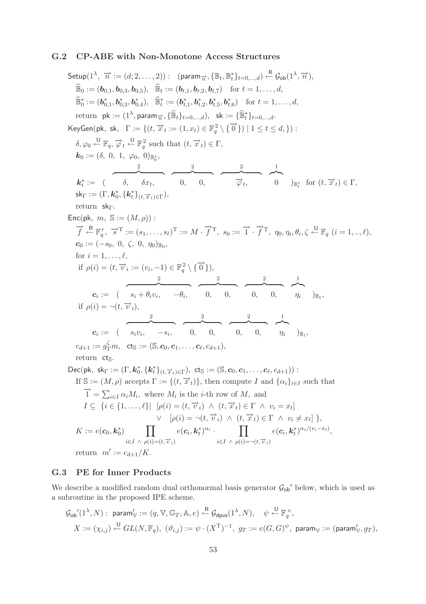#### **G.2 CP-ABE with Non-Monotone Access Structures**

 $\mathsf{Setup}(1^\lambda, \overrightarrow{n} := (d; 2, \ldots, 2)): \;\; \text{(param}_{\overrightarrow{n}}, \{\mathbb{B}_t, \mathbb{B}_t^*\}_{t=0,\ldots,d}) \overset{\mathsf{R}}{\leftarrow} \mathcal{G}_{\mathsf{ob}}(1^\lambda, \overrightarrow{n}),$  $\widehat{\mathbb{B}}_0 := (\boldsymbol{b}_{0,1}, \boldsymbol{b}_{0,3}, \boldsymbol{b}_{0,5}), \widehat{\mathbb{B}}_t := (\boldsymbol{b}_{t,1}, \boldsymbol{b}_{t,2}, \boldsymbol{b}_{t,7}) \text{ for } t = 1, \ldots, d,$  $\widehat{\mathbb{B}}_0^* := (\boldsymbol{b}_{0,1}^*, \boldsymbol{b}_{0,3}^*, \boldsymbol{b}_{0,4}^*), \quad \widehat{\mathbb{B}}_t^* := (\boldsymbol{b}_{t,1}^*, \boldsymbol{b}_{t,2}^*, \boldsymbol{b}_{t,5}^*, \boldsymbol{b}_{t,6}^*) \quad \text{for } t = 1, \ldots, d,$ return  $\mathsf{pk} := (1^{\lambda}, \mathsf{param}_{\overrightarrow{n}}, \{\widehat{\mathbb{B}}_t\}_{t=0,\dots,d}), \mathsf{sk} := \{\widehat{\mathbb{B}}_t^*\}_{t=0,\dots,d}.$  $\mathsf{KeyGen}(\mathsf{pk}, \; \mathsf{sk}, \; \; \Gamma := \{ (t, \overrightarrow{x}_t := (1, x_t) \in \mathbb{F}_q^2 \setminus \{\overrightarrow{0}\}) \mid 1 \leq t \leq d, \}) :$  $\delta, \varphi_0 \stackrel{\mathsf{U}}{\leftarrow} \mathbb{F}_q, \overrightarrow{\varphi}_t \stackrel{\mathsf{U}}{\leftarrow} \mathbb{F}_q^2$  such that  $(t, \overrightarrow{x}_t) \in \Gamma$ ,  $\boldsymbol{k}_0 := (\delta, 0, 1, \varphi_0, 0)_{\mathbb{B}^*_0},$  $\boldsymbol{k}_t^* := \begin{pmatrix} 2 & 2 & 2 \ 0, & \delta x_t, \end{pmatrix} \begin{pmatrix} 2 & 2 & 1 \ 0, & 0, \end{pmatrix} \begin{pmatrix} 2 & 1 \ \nabla_t, & 0 \end{pmatrix}_{\mathbb{B}_t^*} \text{ for } (t, \overrightarrow{x}_t) \in \Gamma,$  $\mathsf{sk}_{\Gamma} := (\Gamma, \boldsymbol{k}_0^*, \{\boldsymbol{k}_t^*\}_{(t, \overrightarrow{x}_t) \in \Gamma}),$ return sk<sub>Γ</sub>. Enc(pk,  $m, S := (M, \rho)$ ):  $\overrightarrow{f} \stackrel{R}{\leftarrow} \mathbb{F}_q^r$ ,  $\overrightarrow{s}^T := (s_1, \ldots, s_\ell)^T := M \cdot \overrightarrow{f}^T$ ,  $s_0 := \overrightarrow{1} \cdot \overrightarrow{f}^T$ ,  $\eta_0, \eta_i, \theta_i, \zeta \stackrel{U}{\leftarrow} \mathbb{F}_q$   $(i = 1, \ldots, \ell)$ ,  $c_0 := (-s_0, 0, \zeta, 0, \eta_0)_{\mathbb{R}_0},$ for  $i = 1, \ldots, \ell$ , if  $\rho(i) = (t, \overrightarrow{v}_i := (v_i, -1) \in \mathbb{F}_q^2 \setminus {\overrightarrow{0}}),$  $\overbrace{\phantom{1324511}}^2 \overbrace{\phantom{1324511}}^2 \overbrace{\phantom{1324511}}^2 \overbrace{\phantom{1324511}}^2 \overbrace{\phantom{13245111}}^2$  $\boldsymbol{c}_i := ( \quad s_i + \theta_i v_i, \quad -\theta_i, \quad 0, \quad 0, \quad 0, \quad \eta_i \quad )_{\mathbb{B}_t},$ if  $\rho(i) = \neg(t, \overrightarrow{v}_i)$ ,  $\overbrace{\hspace{2.5cm}}^{2}$   $\overbrace{\hspace{2.5cm}}^{2}$   $\overbrace{\hspace{2.5cm}}^{2}$   $\overbrace{\hspace{2.5cm}}^{1}$  $\boldsymbol{c}_i := \begin{pmatrix} s_i v_i, & -s_i, & 0, & 0, & 0, & \eta_i \end{pmatrix}_{\mathbb{B}_t},$  $c_{d+1} := g_T^{\zeta} m, \; \; {\sf ct}_{\mathbb S} := (\mathbb S, {\boldsymbol c}_0, {\boldsymbol c}_1, \ldots, {\boldsymbol c}_{\ell}, c_{d+1}),$ return cts.  $\mathsf{Dec}(\mathsf{pk}, \ \mathsf{sk}_{\Gamma} := (\Gamma, \mathbf{k}_0^*, \{\mathbf{k}_t^*\}_{(t, \overrightarrow{x}_t) \in \Gamma}), \ \mathsf{cts} := (\mathbb{S}, \mathbf{c}_0, \mathbf{c}_1, \ldots, \mathbf{c}_\ell, c_{d+1})):$ If  $\mathbb{S} := (M, \rho)$  accepts  $\Gamma := \{(t, \vec{x}_t)\}\$ , then compute I and  $\{\alpha_i\}_{i \in I}$  such that  $\overrightarrow{1} = \sum_{i \in I} \alpha_i M_i$ , where  $M_i$  is the *i*-th row of M, and  $I \subseteq \{i \in \{1,\ldots,\ell\} | [\rho(i)=(t,\overrightarrow{v}_i) \ \wedge \ (t,\overrightarrow{x}_t) \in \Gamma \ \wedge \ v_i=x_t]$  $\vee$   $[\rho(i) = \neg(t, \overrightarrow{v}_i) \wedge (t, \overrightarrow{x}_t) \in \Gamma \wedge v_i \neq x_t] \},$  $K := e(\boldsymbol{c}_0, \boldsymbol{k}_0^*) \qquad \prod$  $i\in I \land \overline{\rho(i)}=(t,\overrightarrow{v}_i)$  $e(\boldsymbol{c}_i, \boldsymbol{k}_t^*)^{\alpha_i}$  ·  $\qquad \prod$  $i\in I \land \rho(i) = \neg(t,\overrightarrow{v}_i)$  $e(\boldsymbol{c}_i, \boldsymbol{k}_t^*)^{\alpha_i/(v_i-x_t)},$ 

return  $m' := c_{d+1}/K$ .

# **G.3 PE for Inner Products**

We describe a modified random dual orthonormal basis generator  $\mathcal{G}_{ob}$  below, which is used as a subroutine in the proposed IPE scheme.

$$
\begin{split} \mathcal{G}_{\text{ob}}'(1^{\lambda}, N): \ \mathsf{param}_\mathbb{V}':= (q, \mathbb{V}, \mathbb{G}_T, \mathbb{A}, e) \stackrel{\mathsf{R}}{\leftarrow} \mathcal{G}_{\text{dpvs}}(1^{\lambda}, N), \quad \psi \stackrel{\mathsf{U}}{\leftarrow} \mathbb{F}_q^{\times}, \\ X:=(\chi_{i,j}) \stackrel{\mathsf{U}}{\leftarrow} GL(N, \mathbb{F}_q), \ (\vartheta_{i,j}):= \psi \cdot (X^{\mathrm{T}})^{-1}, \ g_T:= e(G, G)^{\psi}, \ \mathsf{param}_{\mathbb{V}}:=(\mathsf{param}_{\mathbb{V}}', g_T), \end{split}
$$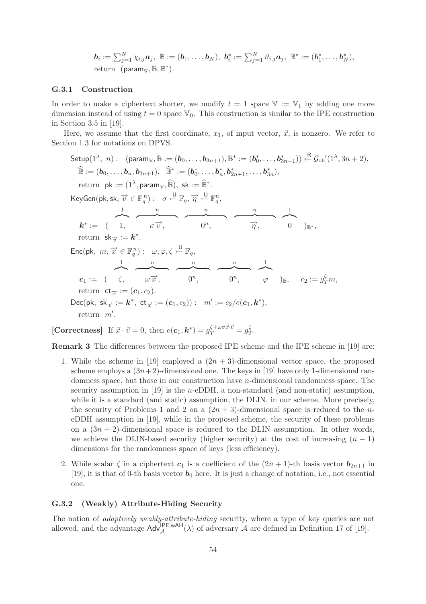$$
\boldsymbol{b}_i := \sum_{j=1}^N \chi_{i,j} \boldsymbol{a}_j, \ \mathbb{B} := (\boldsymbol{b}_1, \dots, \boldsymbol{b}_N), \ \boldsymbol{b}_i^* := \sum_{j=1}^N \vartheta_{i,j} \boldsymbol{a}_j, \ \mathbb{B}^* := (\boldsymbol{b}_1^*, \dots, \boldsymbol{b}_N^*),
$$
 return  $(\text{param}_{\mathbb{V}}, \mathbb{B}, \mathbb{B}^*).$ 

#### **G.3.1 Construction**

In order to make a ciphertext shorter, we modify  $t = 1$  space  $\mathbb{V} := \mathbb{V}_1$  by adding one more dimension instead of using  $t = 0$  space  $\mathbb{V}_0$ . This construction is similar to the IPE construction in Section 3.5 in [19].

Here, we assume that the first coordinate,  $x_1$ , of input vector,  $\vec{x}$ , is nonzero. We refer to Section 1.3 for notations on DPVS.

Setup(1<sup>λ</sup>, n): (param<sub>W</sub>, B := (b<sub>0</sub>,..., b<sub>3n+1</sub>), B<sup>\*</sup> := (b<sub>0</sub><sup>\*</sup>,..., b<sub>3n+1</sub><sup>\*</sup>) 
$$
\stackrel{\text{R}}{=} B_{\text{ob}}'(1^{\lambda}, 3n+2),
$$

\n $\widehat{\mathbb{B}} := (b_0, ..., b_n, b_{3n+1}), \widehat{\mathbb{B}}^* := (b_0^*, ..., b_n^*, b_{2n+1}^*, ..., b_{3n}^*),$ 

\nreturn  $\mathsf{pk} := (1^{\lambda}, \text{param}_{\mathbb{V}}, \widehat{\mathbb{B}}), \text{ sk} := \widehat{\mathbb{B}}^*.$ 

\nKeyGen(pk, sk,  $\overrightarrow{v} \in \mathbb{F}_q^n$ ) :  $\sigma \stackrel{\cup}{\leftarrow} \mathbb{F}_q$ ,  $\overrightarrow{\eta} \stackrel{\cup}{\leftarrow} \mathbb{F}_q^n$ ,

\n
$$
k^* := (1, \sigma \overrightarrow{v}, \sigma \overrightarrow{v}, 0^n, \overrightarrow{v}, 0)_{B^*},
$$

\nreturn  $\mathsf{sk}_{\overrightarrow{v}} := k^*.$ 

\nEnc(pk, m,  $\overrightarrow{x} \in \mathbb{F}_q^n$ ) :  $\omega, \varphi, \zeta \stackrel{\cup}{\leftarrow} \mathbb{F}_q$ ,

\n $c_1 := (\zeta, \omega \overrightarrow{x}, \omega \overrightarrow{x}, 0^n, \overrightarrow{v}, \omega \overrightarrow{v}, \varphi)$ 

\nreturn  $\mathsf{ct}_{\overrightarrow{x}} := (c_1, c_2).$ 

\nDec(pk, sk $\overrightarrow{v} := k^*, \mathsf{ct}_{\overrightarrow{x}} := (c_1, c_2))$ :  $m' := c_2/e(c_1, k^*),$ 

\nreturn  $m'.$ 

**[Correctness]** If  $\vec{x} \cdot \vec{v} = 0$ , then  $e(c_1, \mathbf{k}^*) = g_T^{\zeta + \omega \sigma \vec{x} \cdot \vec{v}} = g_T^{\zeta}$ .

**Remark 3** The differences between the proposed IPE scheme and the IPE scheme in [19] are:

- 1. While the scheme in [19] employed a  $(2n + 3)$ -dimensional vector space, the proposed scheme employs a  $(3n+2)$ -dimensional one. The keys in [19] have only 1-dimensional randomness space, but those in our construction have n-dimensional randomness space. The security assumption in [19] is the *n*-eDDH, a non-standard (and non-static) assumption. while it is a standard (and static) assumption, the DLIN, in our scheme. More precisely, the security of Problems 1 and 2 on a  $(2n + 3)$ -dimensional space is reduced to the neDDH assumption in [19], while in the proposed scheme, the security of these problems on a  $(3n + 2)$ -dimensional space is reduced to the DLIN assumption. In other words, we achieve the DLIN-based security (higher security) at the cost of increasing  $(n - 1)$ dimensions for the randomness space of keys (less efficiency).
- 2. While scalar  $\zeta$  in a ciphertext  $c_1$  is a coefficient of the  $(2n + 1)$ -th basis vector  $b_{2n+1}$  in [19], it is that of 0-th basis vector  $b_0$  here. It is just a change of notation, i.e., not essential one.

#### **G.3.2 (Weakly) Attribute-Hiding Security**

The notion of *adaptively weakly-attribute-hiding* security, where a type of key queries are not allowed, and the advantage  $\text{Adv}_{\mathcal{A}}^{\text{IPE,} \text{wAH}}(\lambda)$  of adversary  $\mathcal A$  are defined in Definition 17 of [19].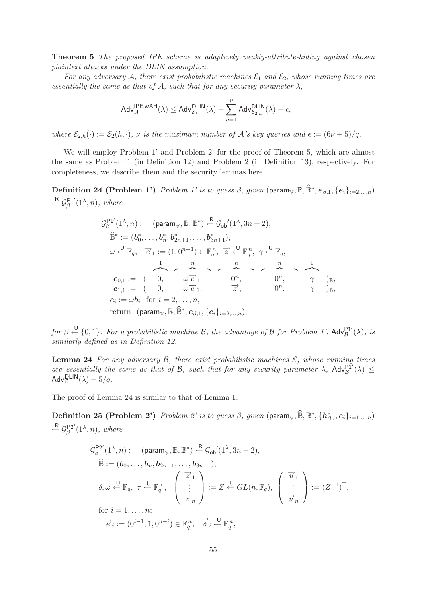**Theorem 5** *The proposed IPE scheme is adaptively weakly-attribute-hiding against chosen plaintext attacks under the DLIN assumption.*

*For any adversary* A, there exist probabilistic machines  $\mathcal{E}_1$  and  $\mathcal{E}_2$ , whose running times are *essentially the same as that of*  $A$ *, such that for any security parameter*  $\lambda$ *,* 

$$
\mathsf{Adv}_{\mathcal{A}}^{\mathsf{IPE,}w\mathsf{AH}}(\lambda) \leq \mathsf{Adv}_{\mathcal{E}_1}^{\mathsf{DLIN}}(\lambda) + \sum_{h=1}^{\nu} \mathsf{Adv}_{\mathcal{E}_{2,h}}^{\mathsf{DLIN}}(\lambda) + \epsilon,
$$

*where*  $\mathcal{E}_{2,h}(\cdot) := \mathcal{E}_2(h,\cdot)$ *,*  $\nu$  *is the maximum number of* A's key queries and  $\epsilon := (6\nu + 5)/q$ .

We will employ Problem 1' and Problem 2' for the proof of Theorem 5, which are almost the same as Problem 1 (in Definition 12) and Problem 2 (in Definition 13), respectively. For completeness, we describe them and the security lemmas here.

**Definition 24 (Problem 1')** *Problem 1' is to guess*  $\beta$ *, given* (param<sub>V</sub>,  $\mathbb{B}, \widehat{\mathbb{B}}^*, e_{\beta,1}, \{e_i\}_{i=2,\dots,n}$ )  $\overset{\sf R}{\leftarrow} \mathcal{G}_{\beta}^{\sf P1'}(1^{\lambda},n)$ , where

$$
G_{\beta}^{\mathsf{P1}'}(1^{\lambda},n): \quad (\text{param}_{\mathbb{V}},\mathbb{B},\mathbb{B}^{*}) \xleftarrow{\mathsf{R}} \mathcal{G}_{\mathsf{ob}}'(1^{\lambda},3n+2),
$$
  
\n
$$
\widehat{\mathbb{B}}^{*} := (\mathbf{b}_{0}^{*},\ldots,\mathbf{b}_{n}^{*},\mathbf{b}_{2n+1}^{*},\ldots,\mathbf{b}_{3n+1}^{*}),
$$
  
\n
$$
\omega \xleftarrow{\mathsf{U}} \mathbb{F}_{q}, \quad \overrightarrow{e}_{1} := (1,0^{n-1}) \in \mathbb{F}_{q}^{n}, \quad \overrightarrow{z} \xleftarrow{\mathsf{U}} \mathbb{F}_{q}^{n}, \quad \gamma \xleftarrow{\mathsf{U}} \mathbb{F}_{q},
$$
  
\n
$$
\mathbf{e}_{0,1} := \begin{pmatrix} 0, & \omega \overrightarrow{e}_{1}, & 0^{n}, & 0^{n}, \\ 0, & \omega \overrightarrow{e}_{1}, & \overrightarrow{z}, & 0^{n}, \\ 0, & \omega \overrightarrow{e}_{1}, & \overrightarrow{z}, & 0^{n}, \\ \mathbf{e}_{1,1} := \begin{pmatrix} 0, & \omega \overrightarrow{e}_{1}, & \overrightarrow{z}, & 0^{n}, \\ 0, & \overrightarrow{z}, & 0^{n}, & \gamma \end{pmatrix}_{\mathbb{B}},
$$
  
\n
$$
\mathbf{e}_{i} := \omega \mathbf{b}_{i} \text{ for } i = 2, \ldots, n,
$$
  
\nreturn  $(\text{param}_{\mathbb{V}}, \mathbb{B}, \mathbb{\widehat{B}}^{*}, \mathbf{e}_{\beta,1}, \{\mathbf{e}_{i}\}_{i=2,\ldots,n}),$ 

 $for \beta \stackrel{\bigcup}{\leftarrow} \{0,1\}$ . For a probabilistic machine B, the advantage of B for Problem 1', Adv $_B^{\mathsf{P1}'}(\lambda)$ , is *similarly defined as in Definition 12.*

**Lemma 24** For any adversary  $\mathcal{B}$ , there exist probabilistic machines  $\mathcal{E}$ , whose running times *are essentially the same as that of B, such that for any security parameter*  $\lambda$ ,  $\mathsf{Adv}_{\mathcal{B}}^{\mathsf{P1}'}(\lambda) \leq$  $\mathsf{Adv}_{\mathcal{E}}^{\mathsf{DLIN}}(\lambda) + 5/q.$ 

The proof of Lemma 24 is similar to that of Lemma 1.

 $\textbf{Definition 25 (Problem 2')}$  *Problem 2' is to guess*  $\beta$ *, given*  $(\text{param}_{\mathbb{V}},\widehat{\mathbb{B}},\mathbb{B}^{*},\{\boldsymbol{h}^*_{\beta,i},\boldsymbol{e}_i\}_{i=1,...,n})$  $\overset{\sf R}{\leftarrow}$   $\mathcal{G}_{\beta}^{\sf P2'}(1^{\lambda},n)$ , where

$$
G_{\beta}^{\mathsf{P2}'}(1^{\lambda}, n) : \quad (\text{param}_{\mathbb{V}}, \mathbb{B}, \mathbb{B}^{*}) \stackrel{\mathsf{R}}{\leftarrow} \mathcal{G}_{\mathsf{ob}}'(1^{\lambda}, 3n + 2),
$$
  

$$
\widehat{\mathbb{B}} := (\mathbf{b}_{0}, \dots, \mathbf{b}_{n}, \mathbf{b}_{2n+1}, \dots, \mathbf{b}_{3n+1}),
$$
  

$$
\delta, \omega \stackrel{\mathsf{U}}{\leftarrow} \mathbb{F}_{q}, \tau \stackrel{\mathsf{U}}{\leftarrow} \mathbb{F}_{q}^{\times}, \quad \begin{pmatrix} \overrightarrow{z}_{1} \\ \vdots \\ \overrightarrow{z}_{n} \end{pmatrix} := Z \stackrel{\mathsf{U}}{\leftarrow} GL(n, \mathbb{F}_{q}), \quad \begin{pmatrix} \overrightarrow{u}_{1} \\ \vdots \\ \overrightarrow{u}_{n} \end{pmatrix} := (Z^{-1})^{\mathrm{T}},
$$
  
for  $i = 1, \dots, n$ ;  

$$
\overrightarrow{e}_{i} := (0^{i-1}, 1, 0^{n-i}) \in \mathbb{F}_{q}^{n}, \quad \overrightarrow{\delta}_{i} \stackrel{\mathsf{U}}{\leftarrow} \mathbb{F}_{q}^{n},
$$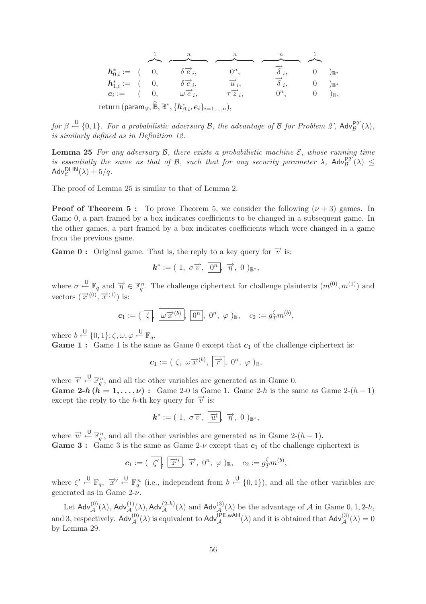| $h_{0i}^* := (0,$                                                                                                                                |  |  | $\delta \vec{e}_i$             | $0^n$ ,                     | $\overrightarrow{\delta}_{i},$ | $\overline{0}$ | $)_{\mathbb{R}^*}$ |
|--------------------------------------------------------------------------------------------------------------------------------------------------|--|--|--------------------------------|-----------------------------|--------------------------------|----------------|--------------------|
| $h_{1,i}^* := (0,$                                                                                                                               |  |  | $\delta \overrightarrow{e}_i$  | $\overrightarrow{u}_i$      | $\overrightarrow{\delta}_i$    | $\overline{0}$ | $)_{\mathbb{R}^*}$ |
| $e_i := (0,$                                                                                                                                     |  |  | $\omega \overrightarrow{e}_i,$ | $\tau \overrightarrow{z}_i$ | $0^n$ .                        |                | )π,                |
| $\operatorname{return}\left(\mathsf{param}_{\mathbb{V}}, \widehat{\mathbb{B}}, \mathbb{B}^*, \{\bm{h}^*_{\beta,i}, \bm{e}_i\}_{i=1,,n} \right),$ |  |  |                                |                             |                                |                |                    |

 $for \beta \stackrel{\bigcup}{\leftarrow} \{0,1\}$ . For a probabilistic adversary B, the advantage of B for Problem 2',  $\mathsf{Adv}_{\mathcal{B}}^{\mathsf{P2}'}(\lambda)$ , *is similarly defined as in Definition 12.*

**Lemma 25** For any adversary  $\beta$ , there exists a probabilistic machine  $\mathcal{E}$ , whose running time *is essentially the same as that of B, such that for any security parameter*  $\lambda$ ,  $\mathsf{Adv}_{\mathcal{B}}^{\mathsf{P2}'}(\lambda) \leq$  $\mathsf{Adv}_{\mathcal{E}}^{\mathsf{DLIN}}(\lambda) + 5/q.$ 

The proof of Lemma 25 is similar to that of Lemma 2.

**Proof of Theorem 5 :** To prove Theorem 5, we consider the following  $(\nu + 3)$  games. In Game 0, a part framed by a box indicates coefficients to be changed in a subsequent game. In the other games, a part framed by a box indicates coefficients which were changed in a game from the previous game.

**Game 0 :** Original game. That is, the reply to a key query for  $\vec{v}$  is:

$$
\mathbf{k}^* := (1, \sigma \overrightarrow{v}, \overrightarrow{0^n}, \overrightarrow{\eta}, 0)_{\mathbb{B}^*},
$$

where  $\sigma \leftarrow \mathbb{F}_q$  and  $\overrightarrow{\eta} \in \mathbb{F}_q^n$ . The challenge ciphertext for challenge plaintexts  $(m^{(0)}, m^{(1)})$  and vectors  $(\vec{x}^{(0)}, \vec{x}^{(1)})$  is:

$$
\mathbf{c}_1 := (\overline{\zeta}, \overline{\omega \overrightarrow{x}^{(b)}}, \overline{0^n}, 0^n, \varphi)_{\mathbb{B}}, \quad c_2 := g_T^{\zeta} m^{(b)},
$$

where  $b \stackrel{\mathsf{U}}{\leftarrow} \{0,1\}; \zeta, \omega, \varphi \stackrel{\mathsf{U}}{\leftarrow} \mathbb{F}_q$ .

**Game 1 :** Game 1 is the same as Game 0 except that  $c_1$  of the challenge ciphertext is:

$$
\mathbf{c}_1:=(\zeta,\,\omega\overrightarrow{x}^{(b)},\,\overrightarrow{r},\,0^n,\,\varphi\,)_\mathbb{B},
$$

where  $\overrightarrow{r} \leftarrow^{\mathsf{U}} \mathbb{F}_q^n$ , and all the other variables are generated as in Game 0. **Game 2-***h*  $(h = 1, ..., \nu)$ : Game 2-0 is Game 1. Game 2-*h* is the same as Game 2- $(h - 1)$ except the reply to the h-th key query for  $\overrightarrow{v}$  is:

$$
\mathbf{k}^* := (1, \sigma \overrightarrow{v}, \overrightarrow{w}, \overrightarrow{\eta}, 0)_{\mathbb{B}^*},
$$

where  $\vec{w} \leftarrow^{\mathsf{U}} \mathbb{F}_q^n$ , and all the other variables are generated as in Game 2- $(h-1)$ . **Game 3 :** Game 3 is the same as Game 2- $\nu$  except that  $c_1$  of the challenge ciphertext is

$$
\mathbf{c}_1 := (\begin{bmatrix} \zeta' \\ \zeta' \end{bmatrix}, \begin{bmatrix} \overrightarrow{x} \\ \overrightarrow{x} \end{bmatrix}, \overrightarrow{r}, 0^n, \varphi)_{\mathbb{B}}, \quad c_2 := g_T^{\zeta} m^{(b)},
$$

where  $\zeta' \stackrel{\cup}{\leftarrow} \mathbb{F}_q$ ,  $\overrightarrow{x}' \stackrel{\cup}{\leftarrow} \mathbb{F}_q^n$  (i.e., independent from  $b \stackrel{\cup}{\leftarrow} \{0,1\}$ ), and all the other variables are generated as in Game  $2-\nu$ .

Let  $\mathsf{Adv}_{\mathcal{A}}^{(0)}(\lambda)$ ,  $\mathsf{Adv}_{\mathcal{A}}^{(1)}(\lambda)$ ,  $\mathsf{Adv}_{\mathcal{A}}^{(2-h)}(\lambda)$  and  $\mathsf{Adv}_{\mathcal{A}}^{(3)}(\lambda)$  be the advantage of  $\mathcal A$  in Game 0, 1, 2-h, and 3, respectively.  $\operatorname{\sf Adv}_{\mathcal{A}}^{(0)}(\lambda)$  is equivalent to  $\operatorname{\sf Adv}_{\mathcal{A}}^{\mathsf{IPE, wAH}}(\lambda)$  and it is obtained that  $\operatorname{\sf Adv}_{\mathcal{A}}^{(3)}(\lambda) = 0$ by Lemma 29.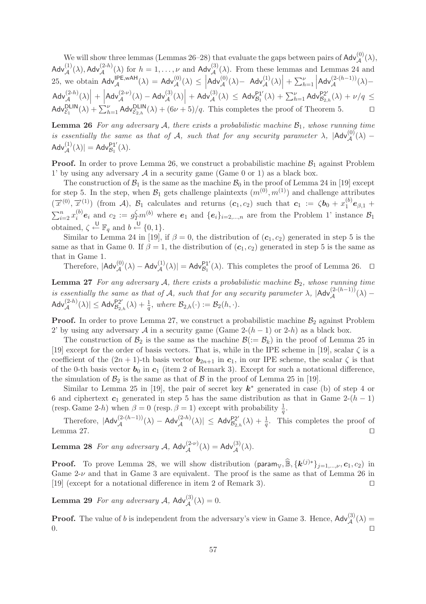We will show three lemmas (Lemmas 26–28) that evaluate the gaps between pairs of  $\mathsf{Adv}_{\mathcal{A}}^{(0)}(\lambda)$ ,  $\mathsf{Adv}_{\mathcal{A}}^{(1)}(\lambda), \mathsf{Adv}_{\mathcal{A}}^{(2-h)}(\lambda)$  for  $h = 1, \ldots, \nu$  and  $\mathsf{Adv}_{\mathcal{A}}^{(3)}(\lambda)$ . From these lemmas and Lemmas 24 and 25, we obtain  $\text{Adv}_{\mathcal{A}}^{IPE, wAH}(\lambda) = \text{Adv}_{\mathcal{A}}^{(0)}(\lambda) \le \left| \text{Adv}_{\mathcal{A}}^{(0)}(\lambda) - \text{Adv}_{\mathcal{A}}^{(1)}(\lambda) \right| + \sum_{h=1}^{\nu} \left| \text{Adv}_{\mathcal{A}}^{(2-(h-1))}(\lambda) - \text{Adv}_{\mathcal{A}}^{(2-h-1)}(\lambda) \right|$  $\left| \text{Adv}_{\mathcal{A}}^{(2-h)}(\lambda) \right| + \left| \text{Adv}_{\mathcal{A}}^{(2-\nu)}(\lambda) - \text{Adv}_{\mathcal{A}}^{(3)}(\lambda) \right| + \text{Adv}_{\mathcal{A}}^{(3)}(\lambda) \leq \text{Adv}_{\mathcal{B}_1}^{p_1}(\lambda) + \sum_{h=1}^{\nu} \text{Adv}_{\mathcal{B}_2}^{(2-h)}(\lambda)$  $\left|\text{Adv}_{\mathcal{A}}^{(2-\nu)}(\lambda) - \text{Adv}_{\mathcal{A}}^{(3)}(\lambda)\right| + \text{Adv}_{\mathcal{A}}^{(3)}(\lambda) \leq \text{Adv}_{\mathcal{B}_1}^{\text{P1}'}(\lambda) + \sum_{h=1}^{\nu} \text{Adv}_{\mathcal{B}_{2,h}}^{\text{P2}'}(\lambda) + \nu/q \leq \frac{1}{2}$  $\mathsf{Adv}_{\mathcal{E}_1}^{\mathsf{DLIN}}(\lambda) + \sum_{h=1}^{\nu} \mathsf{Adv}_{\mathcal{E}_{2,h}}^{\mathsf{DLIN}}(\lambda) + (6\nu + 5)/q.$  This completes the proof of Theorem 5.

Lemma 26 *For any adversary* A, there exists a probabilistic machine  $B_1$ , whose running time *is essentially the same as that of* A, such that for any security parameter  $\lambda$ ,  $|\text{Adv}^{(0)}_{\mathcal{A}}(\lambda) \mathsf{Adv}_{\mathcal{A}}^{(1)}(\lambda)| = \mathsf{Adv}_{\mathcal{B}_1}^{\mathsf{P1}'}(\lambda).$ 

**Proof.** In order to prove Lemma 26, we construct a probabilistic machine  $\mathcal{B}_1$  against Problem 1' by using any adversary  $A$  in a security game (Game 0 or 1) as a black box.

The construction of  $\mathcal{B}_1$  is the same as the machine  $\mathcal{B}_0$  in the proof of Lemma 24 in [19] except for step 5. In the step, when  $\mathcal{B}_1$  gets challenge plaintexts  $(m^{(0)}, m^{(1)})$  and challenge attributes  $(\vec{x}^{(0)}, \vec{x}^{(1)})$  (from A),  $\mathcal{B}_1$  calculates and returns  $(c_1, c_2)$  such that  $c_1 := \zeta b_0 + x_1^{(b)} e_{\beta,1} +$  $\sum_{i=2}^{n} x_i^{(b)} e_i$  and  $c_2 := g_T^{\zeta} m^{(b)}$  where  $e_1$  and  $\{e_i\}_{i=2,\dots,n}$  are from the Problem 1' instance  $\mathcal{B}_1$ obtained,  $\zeta \stackrel{\mathsf{U}}{\leftarrow} \mathbb{F}_q$  and  $b \stackrel{\mathsf{U}}{\leftarrow} \{0,1\}.$ 

Similar to Lemma 24 in [19], if  $\beta = 0$ , the distribution of  $(c_1, c_2)$  generated in step 5 is the same as that in Game 0. If  $\beta = 1$ , the distribution of  $(c_1, c_2)$  generated in step 5 is the same as that in Game 1.

Therefore,  $|\mathsf{Adv}_{\mathcal{A}}^{(0)}(\lambda) - \mathsf{Adv}_{\mathcal{A}}^{(1)}(\lambda)| = \mathsf{Adv}_{\mathcal{B}_1}^{\mathsf{PI}'}(\lambda)$ . This completes the proof of Lemma 26.  $\Box$ 

**Lemma 27** *For any adversary* A, there exists a probabilistic machine  $B_2$ , whose running time *is essentially the same as that of*  $\hat{A}$ *, such that for any security parameter*  $\lambda$ *,*  $|\text{Adv}_{\mathcal{A}}^{(2-(h-1))}(\lambda) \mathsf{Adv}_{\mathcal{A}}^{(2-h)}(\lambda) \leq \mathsf{Adv}_{\mathcal{B}_{2,h}}^{P2'}(\lambda) + \frac{1}{q}, \text{ where } \mathcal{B}_{2,h}(\cdot) := \mathcal{B}_2(h, \cdot).$ 

**Proof.** In order to prove Lemma 27, we construct a probabilistic machine  $\mathcal{B}_2$  against Problem 2' by using any adversary A in a security game (Game  $2-(h-1)$  or  $2-h$ ) as a black box.

The construction of  $\mathcal{B}_2$  is the same as the machine  $\mathcal{B}(:=\mathcal{B}_k)$  in the proof of Lemma 25 in [19] except for the order of basis vectors. That is, while in the IPE scheme in [19], scalar  $\zeta$  is a coefficient of the  $(2n + 1)$ -th basis vector  $b_{2n+1}$  in  $c_1$ , in our IPE scheme, the scalar  $\zeta$  is that of the 0-th basis vector  $b_0$  in  $c_1$  (item 2 of Remark 3). Except for such a notational difference, the simulation of  $\mathcal{B}_2$  is the same as that of  $\mathcal B$  in the proof of Lemma 25 in [19].

Similar to Lemma 25 in [19], the pair of secret key *k*<sup>∗</sup> generated in case (b) of step 4 or 6 and ciphertext  $c_1$  generated in step 5 has the same distribution as that in Game 2- $(h - 1)$ (resp. Game 2-h) when  $\beta = 0$  (resp.  $\beta = 1$ ) except with probability  $\frac{1}{q}$ .

Therefore,  $|\text{Adv}^{(2-(h-1))}_{\mathcal{A}}(\lambda) - \text{Adv}^{(2-h)}_{\mathcal{A}}(\lambda)| \leq \text{Adv}^{P2'}_{\mathcal{B}_{2,h}}(\lambda) + \frac{1}{q}$ . This completes the proof of Lemma 27.  $\Box$ 

**Lemma 28** *For any adversary*  $A$ ,  $\mathsf{Adv}_{\mathcal{A}}^{(2-\nu)}(\lambda) = \mathsf{Adv}_{\mathcal{A}}^{(3)}(\lambda)$ .

**Proof.** To prove Lemma 28, we will show distribution (param<sub>V</sub>,  $\widehat{\mathbb{B}}$ ,  $\{k^{(j)*}\}_{j=1,\dots,\nu}, c_1, c_2\}$ ) in Game  $2-\nu$  and that in Game 3 are equivalent. The proof is the same as that of Lemma 26 in [19] (except for a notational difference in item 2 of Remark 3).

**Lemma 29** *For any adversary*  $A$ ,  $\mathsf{Adv}_{\mathcal{A}}^{(3)}(\lambda) = 0$ .

**Proof.** The value of b is independent from the adversary's view in Game 3. Hence,  $\mathsf{Adv}_{\mathcal{A}}^{(3)}(\lambda) =$  $0.$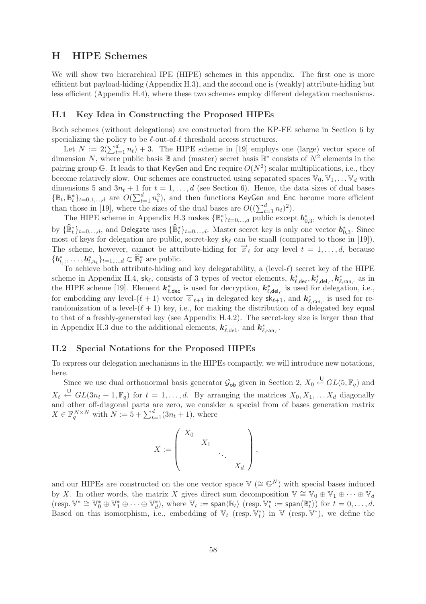# **H HIPE Schemes**

We will show two hierarchical IPE (HIPE) schemes in this appendix. The first one is more efficient but payload-hiding (Appendix H.3), and the second one is (weakly) attribute-hiding but less efficient (Appendix H.4), where these two schemes employ different delegation mechanisms.

## **H.1 Key Idea in Constructing the Proposed HIPEs**

Both schemes (without delegations) are constructed from the KP-FE scheme in Section 6 by specializing the policy to be  $\ell$ -out-of- $\ell$  threshold access structures.

Let  $N := 2(\sum_{t=1}^{d} n_t) + 3$ . The HIPE scheme in [19] employs one (large) vector space of dimension N, where public basis B and (master) secret basis B<sup>∗</sup> consists of  $N^2$  elements in the pairing group G. It leads to that KeyGen and Enc require  $O(N^2)$  scalar multiplications, i.e., they become relatively slow. Our schemes are constructed using separated spaces  $\mathbb{V}_0, \mathbb{V}_1, \ldots, \mathbb{V}_d$  with dimensions 5 and  $3n_t + 1$  for  $t = 1, \ldots, d$  (see Section 6). Hence, the data sizes of dual bases  $\{\mathbb{B}_t, \mathbb{B}_t^*\}_{t=0,1,\dots,d}$  are  $O(\sum_{t=1}^d n_t^2)$ , and then functions KeyGen and Enc become more efficient than those in [19], where the sizes of the dual bases are  $O((\sum_{t=1}^{d} n_t)^2)$ .

The HIPE scheme in Appendix H.3 makes  $\{\mathbb{B}_t^*\}_{t=0,\dots,d}$  public except  $\boldsymbol{b}_{0,3}^*$ , which is denoted by  $\{\widehat{\mathbb{B}}_t^*\}_{t=0,\dots,d}$ , and Delegate uses  $\{\widehat{\mathbb{B}}_t^*\}_{t=0,\dots,d}$ . Master secret key is only one vector  $\boldsymbol{b}_{0,3}^*$ . Since most of keys for delegation are public, secret-key  $sk_{\ell}$  can be small (compared to those in [19]). The scheme, however, cannot be attribute-hiding for  $\vec{x}_t$  for any level  $t = 1, \ldots, d$ , because  ${\{\boldsymbol{b}_{t,1}^*,\ldots,\boldsymbol{b}_{t,n_t}^*\}_{t=1,\ldots,d}} \subset \widehat{\mathbb{B}}_t^*$  are public.

To achieve both attribute-hiding and key delegatability, a (level- $\ell$ ) secret key of the HIPE scheme in Appendix H.4,  $sk_{\ell}$ , consists of 3 types of vector elements,  $k_{\ell, \text{dec}}^*$ ,  $k_{\ell, \text{del}, \cdot}^*$ ,  $k_{\ell, \text{ran}, \cdot}^*$  as in the HIPE scheme [19]. Element  $k^*_{\ell, \text{dec}}$  is used for decryption,  $k^*_{\ell, \text{del}, \cdot}$  is used for delegation, i.e., for embedding any level- $(\ell + 1)$  vector  $\vec{v}_{\ell+1}$  in delegated key  $\mathbf{s}_{\ell+1}^*$ , and  $\mathbf{k}_{\ell, \text{ran},\cdot}^*$  is used for rerandomization of a level- $(\ell + 1)$  key, i.e., for making the distribution of a delegated key equal to that of a freshly-generated key (see Appendix H.4.2). The secret-key size is larger than that in Appendix H.3 due to the additional elements,  $k^*_{\ell, \text{del}, \cdot}$  and  $k^*_{\ell, \text{ran}, \cdot}$ .

## **H.2 Special Notations for the Proposed HIPEs**

To express our delegation mechanisms in the HIPEs compactly, we will introduce new notations, here.

Since we use dual orthonormal basis generator  $\mathcal{G}_{ob}$  given in Section 2,  $X_0 \stackrel{\cup}{\leftarrow} GL(5, \mathbb{F}_q)$  and  $X_t \stackrel{\mathsf{U}}{\leftarrow} GL(3n_t+1,\mathbb{F}_q)$  for  $t=1,\ldots,d$ . By arranging the matrices  $X_0, X_1, \ldots X_d$  diagonally and other off-diagonal parts are zero, we consider a special from of bases generation matrix  $X \in \mathbb{F}_q^{N \times N}$  with  $N := 5 + \sum_{t=1}^d (3n_t + 1)$ , where

$$
X:=\left(\begin{array}{cccc}X_0&&&\\&X_1&&\\&&\ddots&\\&&&X_d\end{array}\right),
$$

and our HIPEs are constructed on the one vector space  $\mathbb{V} \left( \cong \mathbb{G}^N \right)$  with special bases induced by X. In other words, the matrix X gives direct sum decomposition  $\mathbb{V} \cong \mathbb{V}_0 \oplus \mathbb{V}_1 \oplus \cdots \oplus \mathbb{V}_d$  $(\text{resp. } \mathbb{V}^* \cong \mathbb{V}_0^* \oplus \mathbb{V}_1^* \oplus \cdots \oplus \mathbb{V}_d^*), \text{ where } \mathbb{V}_t := \text{span}\langle \mathbb{B}_t \rangle \ (\text{resp. } \mathbb{V}_t^* := \text{span}\langle \mathbb{B}_t^* \rangle) \text{ for } t = 0, \ldots, d.$ Based on this isomorphism, i.e., embedding of  $\mathbb{V}_t$  (resp.  $\mathbb{V}_t^*$ ) in  $\mathbb{V}$  (resp.  $\mathbb{V}^*$ ), we define the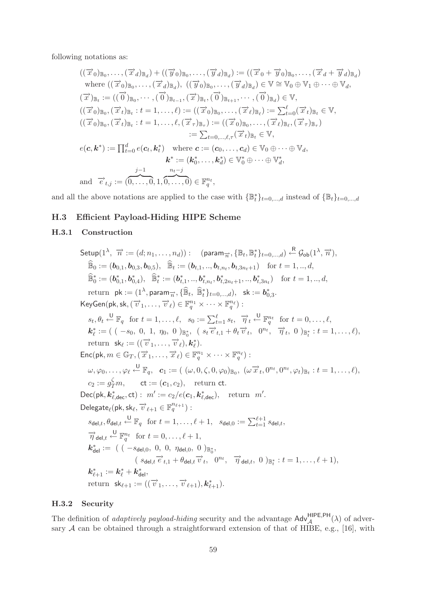following notations as:

$$
((\overrightarrow{x}_0)_{\mathbb{B}_0},\ldots,(\overrightarrow{x}_d)_{\mathbb{B}_d}) + ((\overrightarrow{y}_0)_{\mathbb{B}_0},\ldots,(\overrightarrow{y}_d)_{\mathbb{B}_d}) := ((\overrightarrow{x}_0 + \overrightarrow{y}_0)_{\mathbb{B}_0},\ldots,(\overrightarrow{x}_d + \overrightarrow{y}_d)_{\mathbb{B}_d})
$$
  
\nwhere  $((\overrightarrow{x}_0)_{\mathbb{B}_0},\ldots,(\overrightarrow{x}_d)_{\mathbb{B}_d}), ((\overrightarrow{y}_0)_{\mathbb{B}_0},\ldots,(\overrightarrow{y}_d)_{\mathbb{B}_d}) \in \mathbb{V} \cong \mathbb{V}_0 \oplus \mathbb{V}_1 \oplus \cdots \oplus \mathbb{V}_d,$   
\n
$$
(\overrightarrow{x})_{\mathbb{B}_t} := ((\overrightarrow{0})_{\mathbb{B}_0},\ldots,(\overrightarrow{0})_{\mathbb{B}_{t-1}},(\overrightarrow{x})_{\mathbb{B}_t},(\overrightarrow{0})_{\mathbb{B}_t+1},\ldots,(\overrightarrow{0})_{\mathbb{B}_d}) \in \mathbb{V},
$$
  
\n
$$
((\overrightarrow{x}_0)_{\mathbb{B}_0},(\overrightarrow{x}_t)_{\mathbb{B}_t}:t=1,\ldots,\ell) := ((\overrightarrow{x}_0)_{\mathbb{B}_0},\ldots,(\overrightarrow{x}_\ell)_{\mathbb{B}_\ell}) := \sum_{t=0}^{\ell}(\overrightarrow{x}_t)_{\mathbb{B}_t} \in \mathbb{V},
$$
  
\n
$$
((\overrightarrow{x}_0)_{\mathbb{B}_0},(\overrightarrow{x}_t)_{\mathbb{B}_t}:t=1,\ldots,\ell,(\overrightarrow{x}_\tau)_{\mathbb{B}_\tau}) := ((\overrightarrow{x}_0)_{\mathbb{B}_0},\ldots,(\overrightarrow{x}_\ell)_{\mathbb{B}_\ell},(\overrightarrow{x}_\tau)_{\mathbb{B}_\tau})
$$
  
\n
$$
:= \sum_{t=0,\ldots,\ell,\tau}(\overrightarrow{x}_t)_{\mathbb{B}_t} \in \mathbb{V},
$$
  
\n
$$
e(\mathbf{c},\mathbf{k}^*) := \prod_{t=0}^d e(\mathbf{c}_t,\mathbf{k}^*) \quad \text{where } \mathbf{c} := (\
$$

and all the above notations are applied to the case with  $\{\mathbb{B}_{t}^{*}\}_{t=0,\dots,d}$  instead of  $\{\mathbb{B}_{t}\}_{t=0,\dots,d}$ 

# **H.3 Efficient Payload-Hiding HIPE Scheme**

# **H.3.1 Construction**

Setup(1<sup>λ</sup>, 
$$
\overrightarrow{n}
$$
 := (d; n<sub>1</sub>,..., n<sub>d</sub>)): (param <sub>$\overrightarrow{n}$</sub> , {B<sub>*t*</sub>, B<sub>*t*</sub><sup>\*</sup>}<sub>*t*=0,...,d</sub>) <sup>£</sup> G<sub>ob</sub>(1<sup>λ</sup>,  $\overrightarrow{n}$ ),  
\nB<sub>0</sub> := (b<sub>0,1</sub>, b<sub>0,3</sub>, b<sub>0,5</sub>), B<sub>*t*</sub> := (b<sub>*t*,1</sub>,..., b<sub>*t*,n<sub>*t*</sub>, b<sub>*t*,2n<sub>*t*+1</sub>) for *t* = 1, ..., *d*,  
\nB<sub>*t*</sub><sup>\*</sup> := (b<sub>0,1</sub><sup>\*</sup>, b<sub>*t*</sub><sub>0</sub>, b<sub>*t*</sub><sup>\*</sup>), B<sub>*t*</sub><sup>\*</sup> := (b<sub>*t*,1</sub><sup>\*</sup>,..., b<sub>*t*,n<sub>*t*</sub>, b<sub>*t*,2n<sub>*t*+1</sub>,..., b<sub>*t*,3n<sub>*t*</sub>) for *t* = 1, ..., *d*,  
\nreturn pk := (1<sup>λ</sup>, param<sub>*n*</sub>, {B<sub>*t*</sub><sup>\*</sup>, *t*=0,...,*d*), sk := b<sub>0,3</sub><sup>\*</sup>.  
\nKeyGen(pk, sk, ( $\overrightarrow{v}$ 1,...,  $\overrightarrow{v}$ ) ∈ E<sub>*t*<sub>*t*</sub><sup>\*</sup> +<sup>1</sup> →*v* · √ E<sub>*t*<sub>*t*</sub><sup>\*</sup> = ( (-s<sub>0</sub>, 0, 1, η<sub>0</sub>, 0) B<sub>*t*</sub>, ( s<sub>*t*</sub>  $\overrightarrow{e}$  *t*<sub>*t*</sub> 1 + θ<sub>*t*</sub>  $\overrightarrow{v}$ , 0) B<sub>*t*</sub><sup>\*</sup> : *t* = 1,..., *ℓ*),</sub></sub></sub></sub></sub></sub></sub>

# **H.3.2 Security**

The definition of *adaptively payload-hiding* security and the advantage  $\text{Adv}_{\mathcal{A}}^{\text{HIPE,PH}}(\lambda)$  of adversary  $A$  can be obtained through a straightforward extension of that of HIBE, e.g., [16], with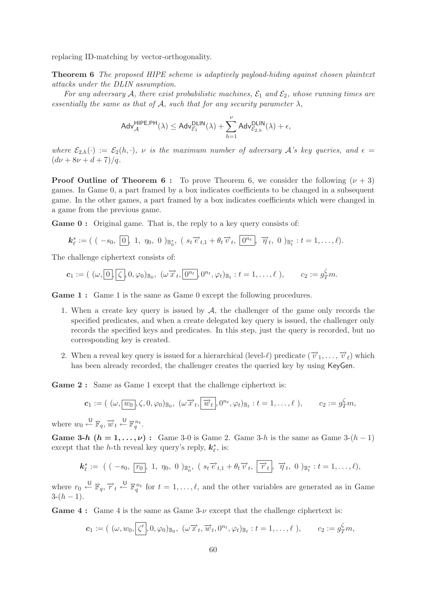replacing ID-matching by vector-orthogonality.

**Theorem 6** *The proposed HIPE scheme is adaptively payload-hiding against chosen plaintext attacks under the DLIN assumption.*

*For any adversary* A, there exist probabilistic machines,  $\mathcal{E}_1$  and  $\mathcal{E}_2$ , whose running times are *essentially the same as that of*  $\mathcal{A}$ *, such that for any security parameter*  $\lambda$ *,* 

$$
\mathsf{Adv}_{\mathcal{A}}^{\mathsf{HIPE},\mathsf{PH}}(\lambda) \leq \mathsf{Adv}_{\mathcal{E}_1}^{\mathsf{DLIN}}(\lambda) + \sum_{h=1}^{\nu} \mathsf{Adv}_{\mathcal{E}_{2,h}}^{\mathsf{DLIN}}(\lambda) + \epsilon,
$$

*where*  $\mathcal{E}_{2,h}(\cdot) := \mathcal{E}_2(h,\cdot)$ *, v is the maximum number of adversary* A's key queries, and  $\epsilon =$  $(d\nu + 8\nu + d + 7)/q$ .

**Proof Outline of Theorem 6 :** To prove Theorem 6, we consider the following  $(\nu + 3)$ games. In Game 0, a part framed by a box indicates coefficients to be changed in a subsequent game. In the other games, a part framed by a box indicates coefficients which were changed in a game from the previous game.

**Game 0 :** Original game. That is, the reply to a key query consists of:

$$
\mathbf{k}_{\ell}^* := ( ( -s_0, \boxed{0}, 1, \eta_0, 0)_{\mathbb{B}_0^*}, ( s_t \overrightarrow{e}_{t,1} + \theta_t \overrightarrow{v}_t, \boxed{0^{n_t}}, \overrightarrow{\eta}_t, 0)_{\mathbb{B}_t^*} : t = 1, \ldots, \ell ).
$$

The challenge ciphertext consists of:

$$
\mathbf{c}_1 := ( \ (\omega, \boxed{0}, \boxed{\zeta}, 0, \varphi_0)_{\mathbb{B}_0}, \ (\omega \overrightarrow{x}_t, \boxed{0^{n_t}}, 0^{n_t}, \varphi_t)_{\mathbb{B}_t} : t = 1, \ldots, \ell \ ), \qquad c_2 := g_T^{\zeta} m.
$$

**Game 1 :** Game 1 is the same as Game 0 except the following procedures.

- 1. When a create key query is issued by  $A$ , the challenger of the game only records the specified predicates, and when a create delegated key query is issued, the challenger only records the specified keys and predicates. In this step, just the query is recorded, but no corresponding key is created.
- 2. When a reveal key query is issued for a hierarchical (level- $\ell$ ) predicate  $(\vec{v}_1,\ldots,\vec{v}_\ell)$  which has been already recorded, the challenger creates the queried key by using KeyGen.

**Game 2 :** Same as Game 1 except that the challenge ciphertext is:

$$
\mathbf{c}_1 := ( \ (\omega, \boxed{w_0}, \zeta, 0, \varphi_0) \mathbb{B}_0, \ (\omega \overrightarrow{x}_t, \boxed{\overrightarrow{w}_t}, 0^{n_t}, \varphi_t) \mathbb{B}_t : t = 1, \ldots, \ell \ ), \qquad c_2 := g_T^{\zeta} m,
$$

where  $w_0 \stackrel{\bigcup}{\leftarrow} \mathbb{F}_q$ ,  $\overrightarrow{w}_t \stackrel{\bigcup}{\leftarrow} \mathbb{F}_q^{n_t}$ .

**Game 3-***h*  $(h = 1, \ldots, \nu)$  : Game 3-0 is Game 2. Game 3-h is the same as Game 3- $(h - 1)$ except that the h-th reveal key query's reply,  $k^*_{\ell}$ , is:

$$
\mathbf{k}_{\ell}^{*} := ( ( -s_{0}, \overline{r_{0}}, 1, \eta_{0}, 0)_{\mathbb{B}_{0}^{*}}, ( s_{t} \overrightarrow{e}_{t,1} + \theta_{t} \overrightarrow{v}_{t}, \overrightarrow{r}_{t}, \overrightarrow{\eta}_{t}, 0)_{\mathbb{B}_{t}^{*}} : t = 1, ..., \ell ),
$$

where  $r_0 \stackrel{\cup}{\leftarrow} \mathbb{F}_q$ ,  $\overrightarrow{r}_t \stackrel{\cup}{\leftarrow} \mathbb{F}_q^{n_t}$  for  $t = 1, \ldots, \ell$ , and the other variables are generated as in Game  $3-(h-1)$ .

**Game 4 :** Game 4 is the same as Game 3-ν except that the challenge ciphertext is:

$$
\mathbf{c}_1 := ( \ (\omega, w_0, \zeta', 0, \varphi_0)_{\mathbb{B}_0}, \ (\omega \overrightarrow{x}_t, \overrightarrow{w}_t, 0^{n_t}, \varphi_t)_{\mathbb{B}_t} : t = 1, \ldots, \ell \ ), \qquad c_2 := g_T^{\zeta} m,
$$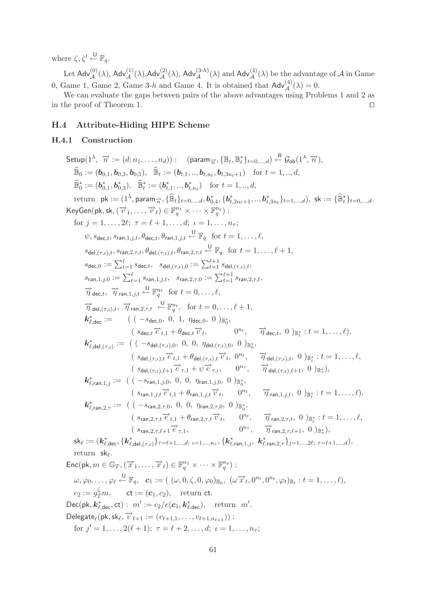where  $\zeta, \zeta' \stackrel{\mathsf{U}}{\leftarrow} \mathbb{F}_q$ .

Let  $\mathsf{Adv}_{\mathcal{A}}^{(0)}(\lambda)$ ,  $\mathsf{Adv}_{\mathcal{A}}^{(1)}(\lambda)$ ,  $\mathsf{Adv}_{\mathcal{A}}^{(2)}(\lambda)$ ,  $\mathsf{Adv}_{\mathcal{A}}^{(3-h)}(\lambda)$  and  $\mathsf{Adv}_{\mathcal{A}}^{(4)}(\lambda)$  be the advantage of  $\mathcal{A}$  in Game 0, Game 1, Game 2, Game 3-h and Game 4. It is obtained that  $\mathsf{Adv}^{(4)}_{\mathcal{A}}(\lambda) = 0$ .

We can evaluate the gaps between pairs of the above advantages using Problems 1 and 2 as in the proof of Theorem 1.

# **H.4 Attribute-Hiding HIPE Scheme**

#### **H.4.1 Construction**

 $\mathsf{Setup}(1^\lambda, \overrightarrow{n} := (d; n_1, \ldots, n_d)) : \quad (\mathsf{param}_{\overrightarrow{n}}, \{\mathbb{B}_t, \mathbb{B}_t^*\}_{t=0,\ldots,d}) \overset{\mathsf{R}}{\leftarrow} \mathcal{G}_{\mathsf{ob}}(1^\lambda, \overrightarrow{n}),$  $\widehat{\mathbb{B}}_0 := (\boldsymbol{b}_{0,1}, \boldsymbol{b}_{0,3}, \boldsymbol{b}_{0,5}), \quad \widehat{\mathbb{B}}_t := (\boldsymbol{b}_{t,1},..,\boldsymbol{b}_{t,n_t}, \boldsymbol{b}_{t,3n_t+1}) \quad \text{for } t = 1,..,d,$  $\widehat{\mathbb{B}}_0^* := (\boldsymbol{b}_{0,1}^*, \boldsymbol{b}_{0,3}^*), \quad \widehat{\mathbb{B}}_t^* := (\boldsymbol{b}_{t,1}^*,.., \boldsymbol{b}_{t,n_t}^*) \quad \text{for } t = 1,..,d,$ return  $\mathsf{pk} := (1^{\lambda}, \mathsf{param}_{\overrightarrow{n}}, \{\widehat{\mathbb{B}}_t\}_{t=0,\dots,d}, \mathbf{b}_{0,4}^*, \{\mathbf{b}_{t,2n_t+1}^*,.., \mathbf{b}_{t,3n_t}^*\}_{t=1,\dots,d}), \mathsf{sk} := \{\widehat{\mathbb{B}}_t^*\}_{t=0,\dots,d}.$  $\mathsf{KeyGen}(\mathsf{pk},\mathsf{sk},(\overrightarrow{v}_1,\ldots,\overrightarrow{v}_\ell)\in\mathbb{F}_q^{n_1}\times\cdots\times\mathbb{F}_q^{n_\ell})$  : for  $j = 1, \ldots, 2\ell; \ \tau = \ell + 1, \ldots, d; \ \iota = 1, \ldots, n_{\tau};$  $\psi, s_{\mathsf{dec},t}, s_{\mathsf{ran},1,j,t}, \theta_{\mathsf{dec},t}, \theta_{\mathsf{ran},1,j,t} \stackrel{\mathsf{U}}{\leftarrow} \mathbb{F}_q \ \ \text{ for } t = 1, \ldots, \ell,$  $s_{\mathsf{del},(\tau,\iota),t}, s_{\mathsf{ran},2,\tau,t}, \theta_{\mathsf{del},(\tau,\iota),t}, \theta_{\mathsf{ran},2,\tau,t} \overset{\mathsf{U}}{\leftarrow} \mathbb{F}_q \ \ \ \text{for} \ \ t=1,\ldots,\ell+1,$  $s_{\mathsf{dec},0} := \sum_{t=1}^\ell s_{\mathsf{dec},t}, \ \ s_{\mathsf{del},(\tau,\iota),0} := \sum_{t=1}^{\ell+1} s_{\mathsf{del},(\tau,\iota),t},$  $s_{\mathsf{ran},1,j,0} := \sum_{t=1}^\ell s_{\mathsf{ran},1,j,t}, \ \ s_{\mathsf{ran},2,\tau,0} := \sum_{t=1}^{\ell+1} s_{\mathsf{ran},2,\tau,t},$  $\overrightarrow{\eta}_{\text{dec},t}$ ,  $\overrightarrow{\eta}_{\text{ran},1,j,t} \leftarrow \mathbb{F}_q^{n_t}$  for  $t = 0, \ldots, \ell$ ,  $\overrightarrow{\eta}_{\mathsf{del},(\tau,\iota),t}$ ,  $\overrightarrow{\eta}_{\mathsf{ran},2,\tau,t} \stackrel{\mathsf{U}}{\leftarrow} \mathbb{F}_q^{n_t}$ , for  $t = 0,\ldots,\ell+1$ ,  $k^*_{\ell, \text{dec}} :=$  ( (  $-s_{\text{dec},0}, 0, 1, \eta_{\text{dec},0}, 0 \rangle_{\mathbb{B}^*_0},$  $(s_{\text{dec},t} \overrightarrow{e}_{t,1} + \theta_{\text{dec},t})$  $\overrightarrow{v}_t, \quad 0^{n_t}, \quad \overrightarrow{\eta}_{\text{dec},t}, 0)_{\mathbb{B}_t^*}: t = 1, \ldots, \ell,$  $\bm{k}_{\ell,{\mathsf{del}},(\tau,\iota)}^*:= \; \; ( \; (\;-s_{\mathsf{del},(\tau,\iota),0}, \; 0, \; 0, \; \eta_{\mathsf{del},(\tau,\iota),0}, \; 0 \; )_{\mathbb{B}^*_0},$  $(s_{\text{del},(\tau,\iota),t} \overrightarrow{e}_{t,1} + \theta_{\text{del},(\tau,\iota),t} \overrightarrow{v}_t, 0^{n_t}, \quad \overrightarrow{\eta}_{\text{del},(\tau,\iota),t}, 0)_{\mathbb{B}^*_t} : t = 1,\ldots,\ell,$  $(s_{\text{del},(\tau,\iota),\ell+1}\overrightarrow{e}_{\tau,1}+\psi\overrightarrow{e}_{\tau,\iota},\qquad 0^{n_{\tau}},\qquad \overrightarrow{\eta}_{\text{del},(\tau,\iota),\ell}$  $_{+1}$ , 0 )<sub>B<sup>\*</sup></sub></sup>,  $\bm{k}^*_{\ell, \mathsf{ran}, 1, j} :=$  (  $(-s_{\mathsf{ran},1,j,0}, 0, 0, \eta_{\mathsf{ran},1,j,0}, 0)_{\mathbb{B}^*_0},$  $(s_{\text{ran},1,j,t} \overrightarrow{e}_{t,1} + \theta_{\text{ran},1,j,t} \overrightarrow{v}_t, \quad 0^{n_t}, \quad \overrightarrow{\eta}_{\text{ran},1,j,t}, 0)_{\mathbb{B}_t^*}: t = 1,\ldots,\ell),$  $\bm{k}^*_{\ell, \mathsf{ran}, 2, \tau} :=$  (  $(-s_{\mathsf{ran}, 2, \tau, 0}, 0, 0, \eta_{\mathsf{ran}, 2, \tau, 0}, 0)_{\mathbb{B}^*_0},$  $(s_{\text{ran},2,\tau,t} \overrightarrow{e}_{t,1} + \theta_{\text{ran},2,\tau,t} \overrightarrow{v}_t, \quad 0^{n_t}, \quad \overrightarrow{\eta}_{\text{ran},2,\tau,t}, 0)_{\mathbb{B}^*_t} : t = 1, \ldots, \ell,$  $(s_{\text{ran}.2,\tau.\ell+1} \overrightarrow{e}_{\tau 1}.$  $+1\overrightarrow{e}_{\tau,1}$ ,  $0^{n_{\tau}}, \overrightarrow{\eta}_{\text{ran},2,\tau,\ell+1}, 0)_{\mathbb{B}^*_{\tau}}$ ),  $\mathsf{sk}_\ell := (\mathbf{k}_{\ell, \mathsf{dec}}^*, \{\mathbf{k}_{\ell, \mathsf{del},(\tau, \iota)}^*\}_{\tau = \ell+1, \dots, d; \,\, \iota = 1, \dots, n_\tau}, \{\mathbf{k}_{\ell, \mathsf{ran}, 1, j}^*,\; \mathbf{k}_{\ell, \mathsf{ran}, 2, \tau}^*\}_{j = 1, \dots, 2\ell; \,\, \tau = \ell+1, \dots, d}),$ return  $sk_{\ell}$ .  $\mathsf{Enc}(\mathsf{pk}, m \in \mathbb{G}_T, (\overrightarrow{x}_1, \ldots, \overrightarrow{x}_\ell) \in \mathbb{F}_q^{n_1} \times \cdots \times \mathbb{F}_q^{n_\ell})$ :  $\omega, \varphi_0, \ldots, \varphi_\ell \stackrel{\mathsf{U}}{\leftarrow} \mathbb{F}_q, \ \ \ \boldsymbol{c}_1 := ( \ (\omega, 0, \zeta, 0, \varphi_0)_{\mathbb{B}_0}, \ (\omega \overrightarrow{x}_t, 0^{n_t}, 0^{n_t}, \varphi_t)_{\mathbb{B}_t} : t = 1, \ldots, \ell ),$  $c_2 := g_T^{\zeta} m$ , ct :=  $(c_1, c_2)$ , return ct.  $Dec(\mathsf{pk}, \mathbf{k}_{\ell, \text{dec}}^*, \text{ct}): m' := c_2/e(\mathbf{c}_1, \mathbf{k}_{\ell, \text{dec}}^*), \text{ return } m'.$  $\mathsf{Delegate}_\ell(\mathsf{pk},\mathsf{sk}_\ell,\overrightarrow{v}_{\ell+1}:=(v_{\ell+1,1},\ldots,v_{\ell+1,n_{\ell+1}})):$ for  $j' = 1, \ldots, 2(\ell + 1); \ \tau = \ell + 2, \ldots, d; \ \iota = 1, \ldots, n_{\tau};$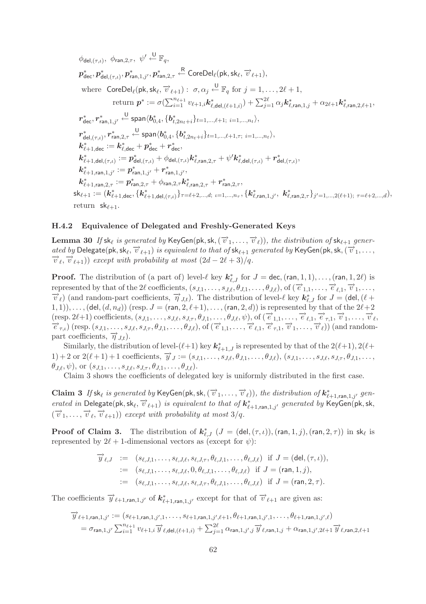$$
\phi_{\text{del},(\tau,\iota)}, \phi_{\text{ran},2,\tau}, \psi' \stackrel{\text{U}}{\leftarrow} \mathbb{F}_{q},
$$
\n
$$
p_{\text{dec}}^{*}, p_{\text{del},(\tau,\iota)}^{*}, p_{\text{ran},1,j'}^{*}, p_{\text{ran},2,\tau}^{*} \stackrel{\text{R}}{\leftarrow} \text{CoreDel}_{\ell}(\text{pk},\text{sk}_{\ell}, \overrightarrow{v}_{\ell+1}),
$$
\nwhere 
$$
\text{CoreDel}_{\ell}(\text{pk},\text{sk}_{\ell}, \overrightarrow{v}_{\ell+1}): \sigma, \alpha_{j} \stackrel{\text{U}}{\leftarrow} \mathbb{F}_{q} \text{ for } j = 1,\ldots,2\ell+1,
$$
\nreturn 
$$
p^{*} := \sigma(\sum_{i=1}^{n_{\ell+1}} v_{\ell+1,i} \mathbf{k}_{\ell,\text{del},(\ell+1,i)}^{*}) + \sum_{j=1}^{2\ell} \alpha_{j} \mathbf{k}_{\ell,\text{ran},1,j}^{*} + \alpha_{2\ell+1} \mathbf{k}_{\ell,\text{ran},2,\ell+1}^{*},
$$
\n
$$
r_{\text{dec}}^{*}, r_{\text{ran},1,j'}^{*} \stackrel{\text{U}}{\leftarrow} \text{span}\langle b_{0,4}^{*}, \{b_{t,2n_{t}+i}^{*}\}_{t=1,\ldots,\ell+1}; i=1,\ldots,n_{t}\rangle,
$$
\n
$$
r_{\text{del},(\tau,\iota)}^{*}, r_{\text{ran},2,\tau}^{*} \stackrel{\text{U}}{\leftarrow} \text{span}\langle b_{0,4}^{*}, \{b_{t,2n_{t}+i}^{*}\}_{t=1,\ldots,\ell+1,\tau}; i=1,\ldots,n_{t}\rangle,
$$
\n
$$
\mathbf{k}_{\ell+1,\text{dec}}^{*} := \mathbf{k}_{\ell,\text{dec}}^{*} + p_{\text{dec}}^{*} + r_{\text{dec}}^{*},
$$
\n
$$
\mathbf{k}_{\ell+1,\text{del},(\tau,\iota)}^{*} := p_{\text{del},(\tau,\iota)}^{*} + \phi_{\text{del},(\tau,\iota)} \mathbf{k}_{\ell,\text{ran},2,\tau}^{*} + \psi' \mathbf{k}_{\ell,\text{del},(\tau,\iota)}^{*} + r_{\
$$

# **H.4.2 Equivalence of Delegated and Freshly-Generated Keys**

**Lemma 30** If  $\mathsf{sk}_\ell$  is generated by KeyGen(pk,  $\mathsf{sk}, (\overrightarrow{v}_1, \ldots, \overrightarrow{v}_\ell))$ , the distribution of  $\mathsf{sk}_{\ell+1}$  generated by Delegate(pk,  $sk_{\ell}$ ,  $\overrightarrow{v}_{\ell+1}$ ) *is equivalent to that of*  $sk_{\ell+1}$  *generated by* KeyGen(pk,  $sk$ ,  $(\overrightarrow{v}_1, \ldots, \overrightarrow{v}_{\ell}, \overrightarrow{v}_{\ell+1})$ ) *except with probability at most*  $(2d - 2\ell + 3)/q$ .  $(\overrightarrow{v}_{\ell+1})$ ) *except with probability at most*  $(2d - 2\ell + 3)/q$ .

**Proof.** The distribution of (a part of) level- $\ell$  key  $k_{\ell,J}^*$  for  $J =$  dec, (ran, 1, 1),..., (ran, 1, 2 $\ell$ ) is represented by that of the 2l coefficients,  $(s_{J,1},\ldots,s_{J,\ell},\theta_{J,1},\ldots,\theta_{J,\ell}),$  of  $(\vec{e}_{1,1},\ldots,\vec{e}_{\ell,1},\vec{v}_1,\ldots,\vec{v}_{\ell})$  (and random-part coefficients,  $\vec{\eta}_{J,t}$ ). The distribution of level-l key  $\mathbf{k}_{\ell,J}^*$  for  $J =$ ) (and random-part coefficients,  $\vec{\eta}_{J,t}$ ). The distribution of level- $\ell$  key  $\vec{k}_{\ell,J}^*$  for  $J = (\text{del}, (\ell +$  $(1, 1), \ldots$ , (del,  $(d, n_d)$ ) (resp.  $J = (ran, 2, \ell+1), \ldots$ , (ran, 2, d)) is represented by that of the  $2\ell+2$  $(\text{resp. } 2\ell+1) \text{ coefficients}, (s_{J,1},\ldots,s_{J,\ell},s_{J,\tau},\theta_{J,1},\ldots,\theta_{J,\ell},\psi), \text{ of }(\vec{e}_{1,1},\ldots,\vec{e}_{\ell,1},\vec{e}_{\tau,1},\vec{v}_1,\ldots,\vec{v}_{\ell,1})$  $(\text{resp. } 2\ell+1) \text{ coefficients}, (s_{J,1},\ldots,s_{J,\ell},s_{J,\tau},\theta_{J,1},\ldots,\theta_{J,\ell},\psi), \text{ of } (\vec{e}_{1,1},\ldots,\vec{e}_{\ell,1},\vec{e}_{\tau,1},\vec{v}_1,\ldots,\vec{v}_{\ell},\vec{e}_{\tau,1},\vec{v}_1,\ldots,\vec{v}_{\ell})$ <br>  $(\text{resp. } (s_{J,1},\ldots,s_{J,\ell},s_{J,\tau},\theta_{J,1},\ldots,\theta_{J,\ell}), \text{ of } (\vec{e}_{1,1},\ldots,\vec{e}_{\ell,1},\vec{$ part coefficients,  $\overrightarrow{\eta}_{J,t}$ ).

Similarly, the distribution of level- $(\ell+1)$  key  $k^*_{\ell+1,J}$  is represented by that of the  $2(\ell+1)$ ,  $2(\ell+1)$  $(1) + 2 \text{ or } 2(\ell+1) + 1 \text{ coefficients}, \overrightarrow{y}_J := (s_{J,1}, \ldots, s_{J,\ell}, \theta_{J,1}, \ldots, \theta_{J,\ell}), (s_{J,1}, \ldots, s_{J,\ell}, s_{J,\tau}, \theta_{J,1}, \ldots, s_{J,\ell})$  $\theta_{J,\ell}, \psi$ ), or  $(s_{J,1}, \ldots, s_{J,\ell}, s_{J,\tau}, \theta_{J,1}, \ldots, \theta_{J,\ell}).$ 

Claim 3 shows the coefficients of delegated key is uniformly distributed in the first case.

**Claim 3** If  $sk_{\ell}$  is generated by KeyGen(pk, sk,  $(\vec{v}_1, \ldots, \vec{v}_{\ell})$ ), the distribution of  $k^*_{\ell+1, \text{ran}, 1, j'}$  gen $erated \ in \ Delegate(pk, sk_{\ell}, \overrightarrow{v}_{\ell+1}) \ is \ equivalent \ to \ that \ of \ k^*_{\ell+1, ran,1,j'} \ generated \ by \ KeyGen(pk, sk, k)$  $(\overrightarrow{v}_1,\ldots,\overrightarrow{v}_\ell,\overrightarrow{v}_{\ell+1}))$  *except with probability at most* 3/q.

**Proof of Claim 3.** The distribution of  $k_{\ell,J}^*$   $(J = (\text{del}, (\tau, \iota)),(\text{ran}, 1, j),(\text{ran}, 2, \tau))$  in  $\mathsf{sk}_{\ell}$  is represented by  $2\ell + 1$ -dimensional vectors as (except for  $\psi$ ):

$$
\overrightarrow{y}_{\ell,J} := (s_{\ell,J,1}, \ldots, s_{\ell,J,\ell}, s_{\ell,J,\tau}, \theta_{\ell,J,1}, \ldots, \theta_{\ell,J,\ell}) \text{ if } J = (\text{del}, (\tau, \iota)),
$$
  
\n
$$
:= (s_{\ell,J,1}, \ldots, s_{\ell,J,\ell}, 0, \theta_{\ell,J,1}, \ldots, \theta_{\ell,J,\ell}) \text{ if } J = (\text{ran}, 1, j),
$$
  
\n
$$
:= (s_{\ell,J,1}, \ldots, s_{\ell,J,\ell}, s_{\ell,J,\tau}, \theta_{\ell,J,1}, \ldots, \theta_{\ell,J,\ell}) \text{ if } J = (\text{ran}, 2, \tau).
$$

The coefficients  $\overrightarrow{y}_{\ell+1, \text{ran},1,j'}$  of  $\mathbf{k}^*_{\ell+1, \text{ran},1,j'}$  except for that of  $\overrightarrow{v}_{\ell+1}$  are given as:

$$
\overrightarrow{y}_{\ell+1, \text{ran}, 1, j'} := (s_{\ell+1, \text{ran}, 1, j', 1}, \dots, s_{\ell+1, \text{ran}, 1, j', \ell+1}, \theta_{\ell+1, \text{ran}, 1, j', 1}, \dots, \theta_{\ell+1, \text{ran}, 1, j', \ell})
$$
\n
$$
= \sigma_{\text{ran}, 1, j'} \sum_{i=1}^{n_{\ell+1}} v_{\ell+1, i} \overrightarrow{y}_{\ell, \text{del}, (\ell+1, i)} + \sum_{j=1}^{2\ell} \alpha_{\text{ran}, 1, j', j} \overrightarrow{y}_{\ell, \text{ran}, 1, j} + \alpha_{\text{ran}, 1, j', 2\ell+1} \overrightarrow{y}_{\ell, \text{ran}, 2, \ell+1}
$$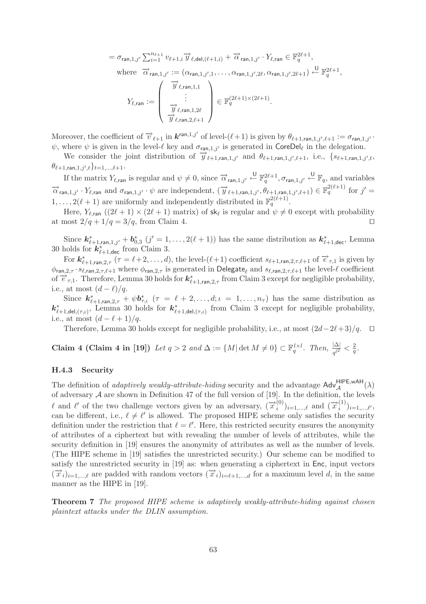$$
= \sigma_{\text{ran},1,j'} \sum_{i=1}^{n_{\ell+1}} v_{\ell+1,i} \overrightarrow{y}_{\ell,\text{del},(\ell+1,i)} + \overrightarrow{\alpha}_{\text{ran},1,j'} \cdot Y_{\ell,\text{ran}} \in \mathbb{F}_q^{2\ell+1},
$$
  
where  $\overrightarrow{\alpha}_{\text{ran},1,j'} := (\alpha_{\text{ran},1,j',1}, \dots, \alpha_{\text{ran},1,j',2\ell}, \alpha_{\text{ran},1,j',2\ell+1}) \xleftarrow{\mathbb{U}} \mathbb{F}_q^{2\ell+1},$   

$$
Y_{\ell,\text{ran}} := \begin{pmatrix} \overrightarrow{y}_{\ell,\text{ran},1,1} \\ \vdots \\ \overrightarrow{y}_{\ell,\text{ran},1,2\ell} \\ \overrightarrow{y}_{\ell,\text{ran},2,\ell+1} \end{pmatrix} \in \mathbb{F}_q^{(2\ell+1)\times(2\ell+1)}.
$$

Moreover, the coefficient of  $\overrightarrow{v}_{\ell+1}$  in  $\boldsymbol{k}^{ran,1,j'}$  of level- $(\ell+1)$  is given by  $\theta_{\ell+1,ran,1,j',\ell+1} := \sigma_{ran,1,j'}$ .  $\psi$ , where  $\psi$  is given in the level- $\ell$  key and  $\sigma_{\text{ran},1,j'}$  is generated in CoreDel<sub>l</sub> in the delegation.

We consider the joint distribution of  $\overrightarrow{y}_{\ell+1,ran,1,j'}$  and  $\theta_{\ell+1,ran,1,j',\ell+1}$ , i.e.,  $\{s_{\ell+1,ran,1,j',t},$  $\{\theta_{\ell+1, \mathsf{ran}, 1, j', t}\}_{t=1,...,\ell+1}.$ 

If the matrix  $Y_{\ell, \text{ran}}$  is regular and  $\psi \neq 0$ , since  $\overrightarrow{\alpha}_{\text{ran},1,j'} \stackrel{\cup}{\leftarrow} \mathbb{F}_q^{2\ell+1}, \sigma_{\text{ran},1,j'} \stackrel{\cup}{\leftarrow} \mathbb{F}_q$ , and variables  $\vec{\alpha}_{\text{ran},1,j'} \cdot Y_{\ell,\text{ran}}$  and  $\sigma_{\text{ran},1,j'} \cdot \psi$  are independent,  $(\vec{y}_{\ell+1,\text{ran},1,j'}, \theta_{\ell+1,\text{ran},1,j',\ell+1}) \in \mathbb{F}_q^{2(\ell+1)}$  for  $j' =$  $1, \ldots, 2(\ell + 1)$  are uniformly and independently distributed in  $\mathbb{F}_q^{2(\ell+1)}$ .

Here,  $Y_{\ell, \text{ran}}((2\ell+1) \times (2\ell+1)$  matrix) of  $\mathsf{sk}_{\ell}$  is regular and  $\psi \neq 0$  except with probability at most  $2/q + 1/q = 3/q$ , from Claim 4.

Since  $k^*_{\ell+1, \text{ran}, 1, j'} + b^*_{0,3}$   $(j' = 1, \ldots, 2(\ell + 1))$  has the same distribution as  $k^*_{\ell+1, \text{dec}}$ , Lemma 30 holds for  $k^*_{\ell+1,\text{dec}}$  from Claim 3.

For  $k^*_{\ell+1, \text{ran}, 2, \tau}$  ( $\tau = \ell+2, \ldots, d$ ), the level- $(\ell+1)$  coefficient  $s_{\ell+1, \text{ran}, 2, \tau, \ell+1}$  of  $\vec{e}_{\tau,1}$  is given by  $\phi_{\sf ran,2,\tau}\cdot s_{\ell,\sf ran,2,\tau,\ell+1}$  where  $\phi_{\sf ran,2,\tau}$  is generated in  ${\sf Delegate}_\ell$  and  $s_{\ell,\sf ran,2,\tau,\ell+1}$  the level- $\ell$  coefficient of  $\vec{e}_{\tau,1}$ . Therefore, Lemma 30 holds for  $k^*_{\ell+1, \text{ran}, 2,\tau}$  from Claim 3 except for negligible probability, i.e., at most  $(d - \ell)/q$ .

Since  $k^*_{\ell+1,\text{ran},2,\tau} + \psi b^*_{\tau,\iota}$  ( $\tau = \ell+2,\ldots,d; \iota = 1,\ldots,n_\tau$ ) has the same distribution as  $k^*_{\ell+1,\text{del},(\tau,\iota)}$ , Lemma 30 holds for  $k^*_{\ell+1,\text{del},(\tau,\iota)}$  from Claim 3 except for negligible probability, i.e., at most  $(d - \ell + 1)/q$ .

Therefore, Lemma 30 holds except for negligible probability, i.e., at most  $\left(\frac{2d-2\ell+3}{q}\right)$ . □

**Claim 4 (Claim 4 in [19])** Let  $q > 2$  and  $\Delta := \{M | \det M \neq 0\} \subset \mathbb{F}_q^{l \times l}$ . Then,  $\frac{|\Delta|}{q^{l^2}} < \frac{2}{q}$ .

#### **H.4.3 Security**

The definition of *adaptively weakly-attribute-hiding* security and the advantage  $\text{Adv}_{\mathcal{A}}^{\text{HIPE,} \text{wAH}}(\lambda)$ of adversary  $A$  are shown in Definition 47 of the full version of [19]. In the definition, the levels l and l' of the two challenge vectors given by an adversary,  $(\overrightarrow{x}_i^{(0)})_{i=1,\dots,\ell}$  and  $(\overrightarrow{x}_i^{(1)})_{i=1,\dots,\ell'}$ , can be different, i.e.,  $\ell \neq \ell'$  is allowed. The proposed HIPE scheme only satisfies the security definition under the restriction that  $\ell = \ell'$ . Here, this restricted security ensures the anonymity of attributes of a ciphertext but with revealing the number of levels of attributes, while the security definition in [19] ensures the anonymity of attributes as well as the number of levels. (The HIPE scheme in [19] satisfies the unrestricted security.) Our scheme can be modified to satisfy the unrestricted security in [19] as: when generating a ciphertext in Enc, input vectors  $(\vec{x}_i)_{i=1,\dots,\ell}$  are padded with random vectors  $(\vec{x}_i)_{i=\ell+1,\dots,d}$  for a maximum level d, in the same manner as the HIPE in [19].

**Theorem 7** *The proposed HIPE scheme is adaptively weakly-attribute-hiding against chosen plaintext attacks under the DLIN assumption.*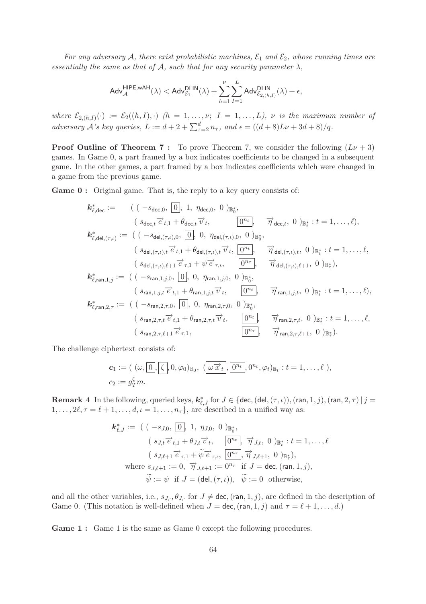*For any adversary* A, there exist probabilistic machines,  $\mathcal{E}_1$  and  $\mathcal{E}_2$ , whose running times are *essentially the same as that of*  $\mathcal{A}$ *, such that for any security parameter*  $\lambda$ *,* 

$$
\mathsf{Adv}_{\mathcal{A}}^{\mathsf{HIPE,}w\mathsf{AH}}(\lambda)<\mathsf{Adv}_{\mathcal{E}_1}^{\mathsf{DLIN}}(\lambda)+\sum_{h=1}^{\nu}\sum_{I=1}^{L}\mathsf{Adv}_{\mathcal{E}_{2,(h,I)}}^{\mathsf{DLIN}}(\lambda)+\epsilon,
$$

*where*  $\mathcal{E}_{2,(h,I)}(\cdot) := \mathcal{E}_2((h,I),\cdot)$  *(h = 1,...,v; I = 1,...,L), v is the maximum number of adversary*  $\overrightarrow{A}$ 's key queries,  $L := d + 2 + \sum_{\tau=2}^{d} n_{\tau}$ , and  $\epsilon = ((d + 8)L\nu + 3d + 8)/q$ .

**Proof Outline of Theorem 7:** To prove Theorem 7, we consider the following  $(L\nu + 3)$ games. In Game 0, a part framed by a box indicates coefficients to be changed in a subsequent game. In the other games, a part framed by a box indicates coefficients which were changed in a game from the previous game.

**Game 0 :** Original game. That is, the reply to a key query consists of:

$$
k_{\ell, \text{dec}}^* := \begin{array}{ll}\n\left( (-s_{\text{dec}, 0}, \overline{0}, 1, \eta_{\text{dec}, 0}, 0)_{\mathbb{B}_0^*}, \\
(s_{\text{dec}, t} \overrightarrow{e}_{t,1} + \theta_{\text{dec}, t} \overrightarrow{v}_t, \overline{0}^n, \overline{\eta}_{\text{dec}, t}, 0)_{\mathbb{B}_t^*} : t = 1, \ldots, \ell), \\
k_{\ell, \text{del}, (\tau, \iota)}^* := \left( (-s_{\text{del}, (\tau, \iota), 0}, \overline{0}, \eta_{\text{del}, (\tau, \iota), 0}, 0)_{\mathbb{B}_0^*}, \overline{\eta}_{\text{det}, (\tau, \iota), t}, 0)_{\mathbb{B}_t^*} : t = 1, \ldots, \ell, \\
(s_{\text{del}, (\tau, \iota), t} \overrightarrow{e}_{t,1} + \theta_{\text{del}, (\tau, \iota), t} \overrightarrow{v}_t, \overline{0}^n, \overline{\eta}_{\text{del}, (\tau, \iota), t}, 0)_{\mathbb{B}_t^*} : t = 1, \ldots, \ell, \\
(s_{\text{del}, (\tau, \iota), \ell+1} \overrightarrow{e}_{\tau,1} + \psi \overrightarrow{e}_{\tau, \iota}, \overline{0}^n, \overline{\eta}_{\text{del}, (\tau, \iota), \ell+1}, 0)_{\mathbb{B}_t^*}, \\
(s_{\text{cal}, (\tau, \iota), \ell+1} \overrightarrow{e}_{t,1} + \theta_{\text{ran}, 1, j, 0}, 0)_{\mathbb{B}_0^*}, \quad \overline{\eta}_{\text{ran}, 1, j, t}, 0)_{\mathbb{B}_t^*} : t = 1, \ldots, \ell), \\
k_{\ell, \text{ran}, 2, \tau}^* := \left( (-s_{\text{ran}, 2, \tau, 0}, \overline{0}, 0, \eta_{\text{ran}, 2, \tau, 0}, 0)_{\mathbb{B}_0^*}, \right. \\
(s_{\text{ran}, 2, \tau, t} \overrightarrow{e}_{t, 1} + \theta_{\text{ran}, 2, \tau, t}, \overrightarrow{v}_t, \overline{0}^n, \overline{\eta}_{\text{ran}, 2, \tau, t}, 0
$$

The challenge ciphertext consists of:

$$
\mathbf{c}_1 := ( \ (\omega, \boxed{0}, \boxed{\zeta}, 0, \varphi_0) \mathbb{B}_0, \ (\omega \overrightarrow{x}_t, \boxed{0^{n_t}}, 0^{n_t}, \varphi_t) \mathbb{B}_t : t = 1, \ldots, \ell \ ),
$$
  

$$
c_2 := g_T^{\zeta} m.
$$

**Remark 4** In the following, queried keys,  $k_{\ell,J}^*$  for  $J \in \{\text{dec},(\text{del},(\tau,\iota)),(\text{ran},1,j),(\text{ran},2,\tau) | j =$  $1, \ldots, 2\ell, \tau = \ell + 1, \ldots, d, \iota = 1, \ldots, n_{\tau}$ , are described in a unified way as:

$$
\mathbf{k}_{\ell,J}^* := \left( \begin{array}{cc} (-s_{J,0}, \boxed{0}], 1, \eta_{J,0}, 0 \end{array} \right)_{\mathbb{B}_0^*},
$$
  
\n
$$
\left( \begin{array}{c} s_{J,t} \overrightarrow{e}_{t,1} + \theta_{J,t} \overrightarrow{v}_t, \boxed{0^{n_t}}, \overrightarrow{\eta}_{J,t}, 0 \end{array} \right)_{\mathbb{B}_t^*} : t = 1, \dots, \ell
$$
  
\n
$$
\left( \begin{array}{c} s_{J,\ell+1} \overrightarrow{e}_{\tau,1} + \widetilde{\psi} \overrightarrow{e}_{\tau,\ell}, \boxed{0^{n_{\tau}}}, \overrightarrow{\eta}_{J,\ell+1}, 0 \end{array} \right)_{\mathbb{B}_\tau^*},
$$
  
\nwhere  $s_{J,\ell+1} := 0, \overrightarrow{\eta}_{J,\ell+1} := 0^{n_{\tau}}$  if  $J = \text{dec}, (\text{ran}, 1, j),$   
\n $\widetilde{\psi} := \psi$  if  $J = (\text{del}, (\tau, \iota)), \overrightarrow{\psi} := 0$  otherwise,

and all the other variables, i.e.,  $s_{J_i}$ ,  $\theta_{J_i}$  for  $J \neq$  dec, (ran, 1, j), are defined in the description of Game 0. (This notation is well-defined when  $J = \text{dec}$ ,  $(\text{ran}, 1, j)$  and  $\tau = \ell + 1, \ldots, d$ .)

**Game 1 :** Game 1 is the same as Game 0 except the following procedures.